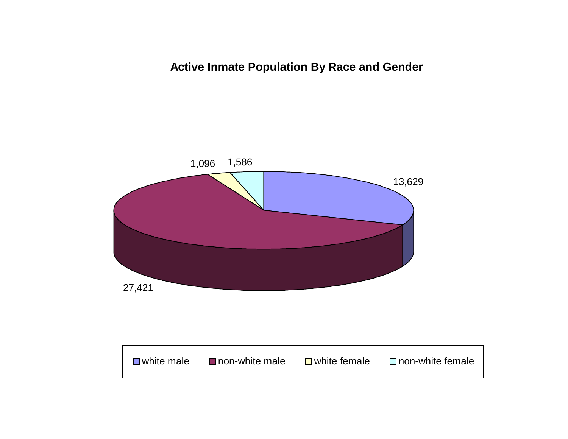**Active Inmate Population By Race and Gender**



■ non-white male  $\Box$  white female  $\Box$  non-white female

■ white male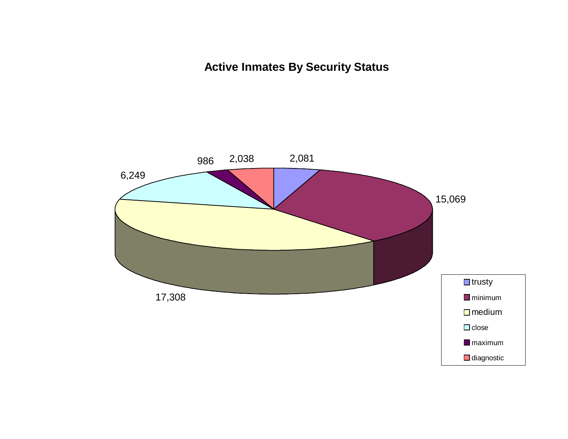**Active Inmates By Security Status**

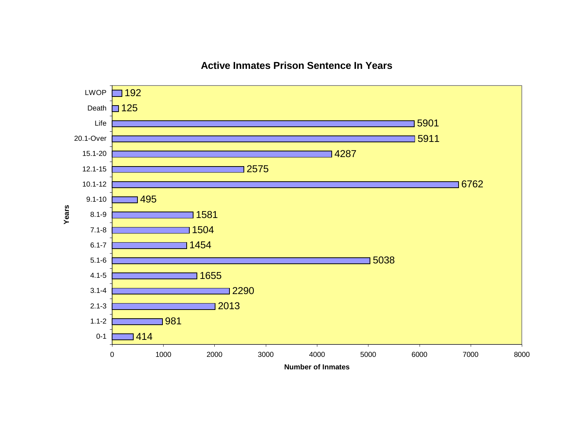

# **Active Inmates Prison Sentence In Years**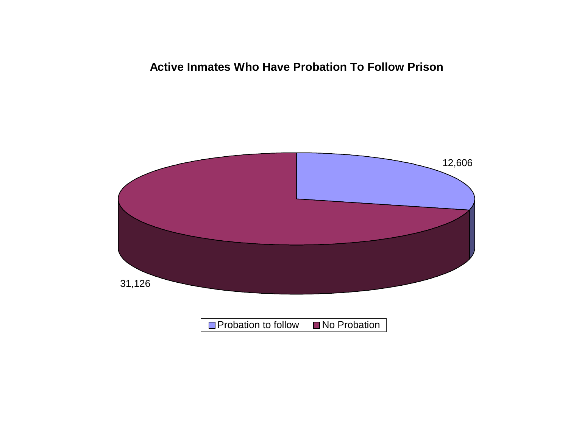# **Active Inmates Who Have Probation To Follow Prison**

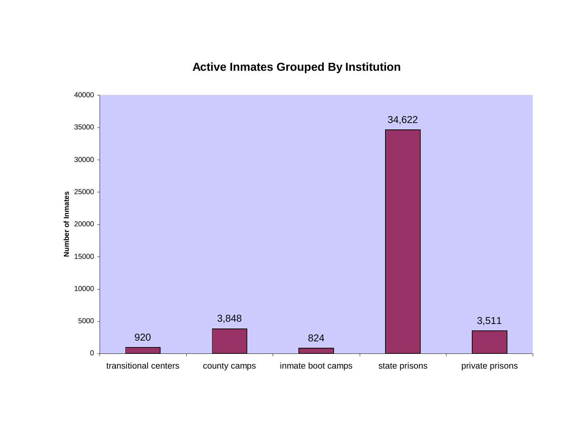# **Active Inmates Grouped By Institution**

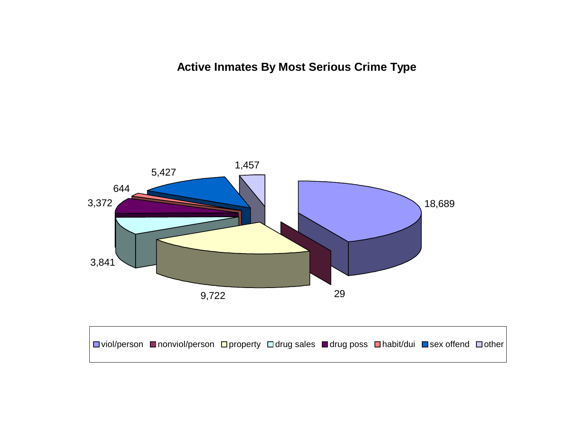**Active Inmates By Most Serious Crime Type**



 $\Box$  viol/person  $\Box$  nonviol/person  $\Box$  property  $\Box$  drug sales  $\Box$  drug poss  $\Box$  habit/dui  $\Box$  sex offend  $\Box$  other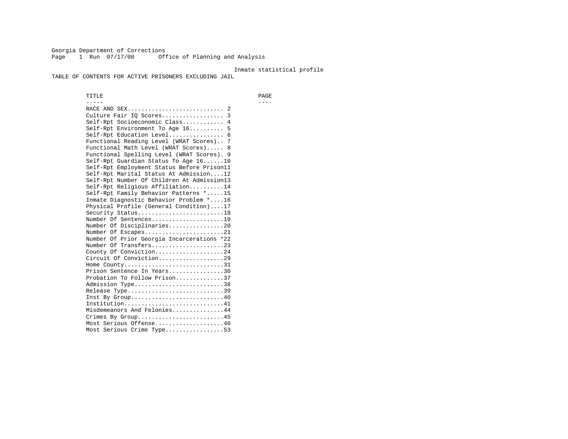Georgia Department of Corrections Page 1 Run 07/17/00 Office of Planning and Analysis

#### Inmate statistical profile

TABLE OF CONTENTS FOR ACTIVE PRISONERS EXCLUDING JAIL

 TITLE PAGE ----- ---- RACE AND SEX............................ 2 Culture Fair IQ Scores.................. 3 Self-Rpt Socioeconomic Class............ 4 Self-Rpt Environment To Age 16.......... 5 Self-Rpt Education Level................ 6 Functional Reading Level (WRAT Scores).. 7 Functional Math Level (WRAT Scores)..... 8 Functional Spelling Level (WRAT Scores). 9 Self-Rpt Guardian Status To Age 16......10 Self-Rpt Employment Status Before Prison11 Self-Rpt Marital Status At Admission....12 Self-Rpt Number Of Children At Admission13 Self-Rpt Religious Affiliation..........14 Self-Rpt Family Behavior Patterns \*.....15 Inmate Diagnostic Behavior Problem \*....16 Physical Profile (General Condition)....17 Security Status...........................18 Number Of Sentences.....................19 Number Of Disciplinaries................20 Number Of Escapes........................21 Number Of Prior Georgia Incarcerations \*22 Number Of Transfers.....................23 County Of Conviction....................24 Circuit Of Conviction...................29 Home County................................31 Prison Sentence In Years................36 Probation To Follow Prison..............37Admission Type.............................38 Release Type...............................39 Inst By Group..............................40 Institution.............................41 Misdemeanors And Felonies...............44 Crimes By Group.........................45 Most Serious Offense....................46 Most Serious Crime Type.................53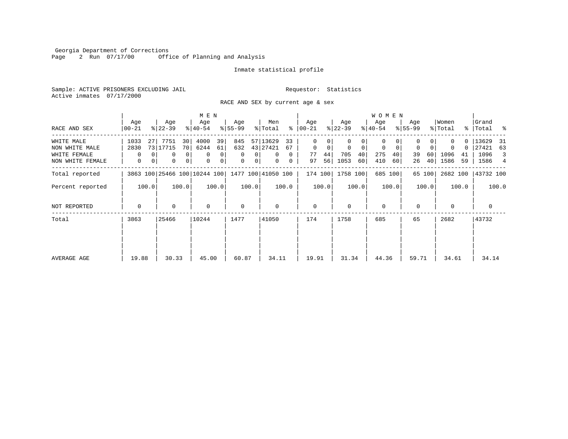Georgia Department of Corrections<br>Page 2 Run 07/17/00 0ffi Office of Planning and Analysis

# Inmate statistical profile

Sample: ACTIVE PRISONERS EXCLUDING JAIL **Requestor:** Statistics Active inmates 07/17/2000

RACE AND SEX by current age & sex

|                                  |               |                        |                                | M E N            |          |                                                 |                            |                      |               |                         |                  |                  |          | <b>WOMEN</b>            |          |                  |          |                  |          |                      |                     |
|----------------------------------|---------------|------------------------|--------------------------------|------------------|----------|-------------------------------------------------|----------------------------|----------------------|---------------|-------------------------|------------------|------------------|----------|-------------------------|----------|------------------|----------|------------------|----------|----------------------|---------------------|
| RACE AND SEX                     | Age<br>00-21  | Age<br>$ 22-39 $       |                                | Age<br>$ 40-54 $ |          | Age<br>$8 55-99$                                |                            | Men<br>% Total       |               | Age<br>$8   00 - 21$    |                  | Age<br>$ 22-39 $ |          | Age<br>$ 40-54 $        |          | Age<br>$8 55-99$ |          | Women<br>% Total |          | Grand<br>%   Total % |                     |
| WHITE MALE<br>NON WHITE MALE     | 1033<br>2830  | 7751<br>27<br>73 17715 | 30<br>70                       | 4000<br>6244     | 39<br>61 | 845<br>632                                      |                            | 57 13629<br>43 27421 | 33<br>67      | $\Omega$<br>$\mathbf 0$ | 0<br>$\mathbf 0$ | $\mathbf 0$      | $\Omega$ | $\Omega$<br>$\mathbf 0$ | 0        | $\mathbf 0$      | $\Omega$ |                  | 0<br>0   | 13629<br>27421       | - 31<br>63          |
| WHITE FEMALE<br>NON WHITE FEMALE | $\Omega$<br>0 | 0                      | $\Omega$<br>$\Omega$<br>0<br>0 | 0<br>$\mathbf 0$ | 0<br>0   | $\Omega$<br>$\mathbf 0$                         | $\Omega$<br>0 <sup>1</sup> | 0<br>0               | $\Omega$<br>0 | 77<br>97                | 44<br>56         | 705<br>1053      | 40<br>60 | 275<br>410              | 40<br>60 | 39<br>26         | 60<br>40 | 1096<br>1586     | 41<br>59 | 1096<br>1586         | $\overline{3}$<br>4 |
| Total reported                   |               |                        |                                |                  |          | 3863 100 25466 100 10244 100 1477 100 41050 100 |                            |                      |               | 174 100                 |                  | 1758 100         |          |                         | 685 100  |                  | 65 100   | 2682 100         |          | 43732 100            |                     |
| Percent reported                 | 100.0         |                        | 100.0                          |                  | 100.0    |                                                 | 100.0                      |                      | 100.0         |                         | 100.0            |                  | 100.0    |                         | 100.0    |                  | 100.0    |                  | 100.0    |                      | 100.0               |
| NOT REPORTED                     | 0             |                        | 0                              | $\mathbf 0$      |          | $\mathbf 0$                                     |                            | 0                    |               | $\mathbf 0$             |                  | $\Omega$         |          | 0                       |          | $\Omega$         |          | $\Omega$         |          | $\mathbf 0$          |                     |
| Total                            | 3863          | 25466                  |                                | 10244            |          | 1477                                            |                            | 41050                |               | 174                     |                  | 1758             |          | 685                     |          | 65               |          | 2682             |          | 43732                |                     |
| AVERAGE AGE                      | 19.88         |                        | 30.33                          | 45.00            |          | 60.87                                           |                            | 34.11                |               | 19.91                   |                  | 31.34            |          | 44.36                   |          | 59.71            |          | 34.61            |          | 34.14                |                     |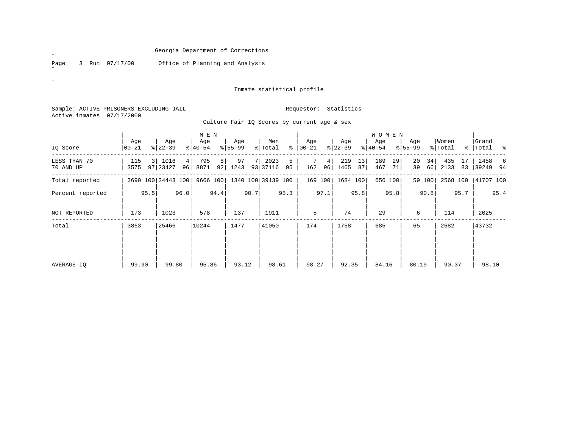Page 3 Run 07/17/00 Office of Planning and Analysis

# Inmate statistical profile

Sample: ACTIVE PRISONERS EXCLUDING JAIL **Requestor:** Statistics Active inmates 07/17/2000

 $\overline{a}$ 

 $\mathscr{B}^{\pm}$ 

Culture Fair IQ Scores by current age & sex

|                           |                    | M E N |                      |      |                  |      |                  |      |                             |         |                  |                      |                  |          | <b>WOMEN</b>     |          |                    |          |                  |          |                    |      |
|---------------------------|--------------------|-------|----------------------|------|------------------|------|------------------|------|-----------------------------|---------|------------------|----------------------|------------------|----------|------------------|----------|--------------------|----------|------------------|----------|--------------------|------|
| IQ Score                  | Age<br>$ 00 - 21 $ |       | Age<br>$ 22-39 $     |      | Age<br>$ 40-54 $ |      | Age<br>$ 55-99 $ |      | Men<br>% Total              | ∻       | Age<br>$00 - 21$ |                      | Age<br>$ 22-39 $ |          | Age<br>$ 40-54 $ |          | Age<br>$8155 - 99$ |          | Women<br>% Total |          | Grand<br>% Total % |      |
| LESS THAN 70<br>70 AND UP | 115<br>3575        |       | 3   1016<br>97 23427 | 4    | 795<br>96 8871   | 8    | 97<br>92 1243    | 7 I  | 2023<br>93 37116            | 5<br>95 | 162              | 4 <sup>1</sup><br>96 | 219<br>1465      | 13<br>87 | 189<br>467       | 29<br>71 | 20<br>39           | 34<br>66 | 435<br>2133      | 17<br>83 | 2458<br>39249 94   | - 6  |
| Total reported            |                    |       | 3690 100 24443 100   |      |                  |      |                  |      | 9666 100 1340 100 39139 100 |         |                  | 169 100              | 1684 100         |          |                  | 656 100  |                    | 59 100   | 2568 100         |          | 41707 100          |      |
| Percent reported          |                    | 95.5  |                      | 96.0 |                  | 94.4 |                  | 90.7 |                             | 95.3    |                  | 97.1                 |                  | 95.8     |                  | 95.8     |                    | 90.8     |                  | 95.7     |                    | 95.4 |
| NOT REPORTED              | 173                |       | 1023                 |      | 578              |      | 137              |      | 1911                        |         | 5                |                      | 74               |          | 29               |          | 6                  |          | 114              |          | 2025               |      |
| Total                     | 3863               |       | 25466                |      | 10244            |      | 1477             |      | 41050                       |         | 174              |                      | 1758             |          | 685              |          | 65                 |          | 2682             |          | 43732              |      |
|                           |                    |       |                      |      |                  |      |                  |      |                             |         |                  |                      |                  |          |                  |          |                    |          |                  |          |                    |      |
| AVERAGE IO                | 99.90              |       | 99.80                |      | 95.86            |      | 93.12            |      | 98.61                       |         | 98.27            |                      | 92.35            |          | 84.16            |          | 80.19              |          | 90.37            |          | 98.10              |      |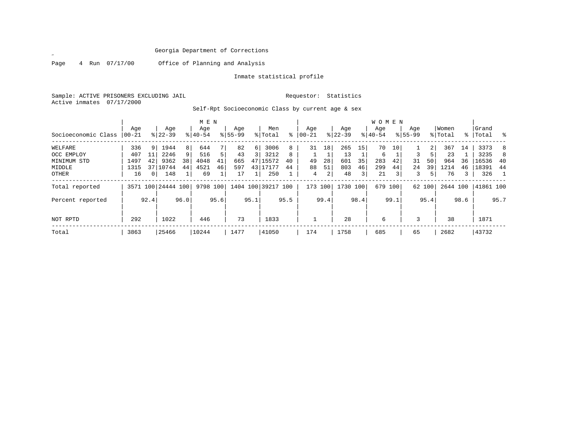Page 4 Run 07/17/00 Office of Planning and Analysis

Inmate statistical profile

Sample: ACTIVE PRISONERS EXCLUDING JAIL Requestor: Statistics Active inmates 07/17/2000

Self-Rpt Socioeconomic Class by current age & sex

|                     |           | M E N |                    |      |           |      |           |      |                    |      |           |      |           |      | W O M E N |      |             |        |          |      |           |      |
|---------------------|-----------|-------|--------------------|------|-----------|------|-----------|------|--------------------|------|-----------|------|-----------|------|-----------|------|-------------|--------|----------|------|-----------|------|
|                     | Age       |       | Age                |      | Age       |      | Age       |      | Men                |      | Age       |      | Age       |      | Age       |      | Age         |        | Women    |      | Grand     |      |
| Socioeconomic Class | $00 - 21$ |       | $8 22-39$          |      | $8 40-54$ |      | $8 55-99$ |      | % Total            | ႜ    | $00 - 21$ |      | $ 22-39 $ |      | $8 40-54$ |      | $8155 - 99$ |        | % Total  |      | %   Total | - 옹  |
| WELFARE             | 336       | 9     | 1944               | 8    | 644       | 7    | 82        | 6    | 3006               | 8    | 31        | 18   | 265       | 15   | 70        | 10   |             | 2      | 367      | 14   | 3373      | 8    |
| OCC EMPLOY          | 407       |       | 2246               | 9    | 516       | 5    | 43        |      | 3212               | 8    |           |      | 13        |      | 6         |      | ζ           |        | 23       |      | 3235      | 8    |
| MINIMUM<br>STD      | 1497      | 42    | 9362               | 38   | 4048      | 41   | 665       | 47   | 15572              | 40   | 49        | 28   | 601       | 35   | 283       | 42   | 31          | 50     | 964      | 36   | 16536     | -40  |
| MIDDLE              | 1315      | 37    | 10744              | 44   | 4521      | 46   | 597       | 43   | .7177              | 44   | 88        | 51   | 803       | 46   | 299       | 44   | 24          | 39     | 1214     | 46   | 18391     | 44   |
| OTHER               | 16        |       | 148                |      | 69        |      | 17        |      | 250                |      | 4         | 2    | 48        | 3    | 21        | 3    | 3           | 5      | 76       | 3    | 326       |      |
| Total reported      |           |       | 3571 100 24444 100 |      | 9798 100  |      |           |      | 1404 100 39217 100 |      | 173 100   |      | 1730 100  |      | 679 100   |      |             | 62 100 | 2644 100 |      | 41861 100 |      |
| Percent reported    |           | 92.4  |                    | 96.0 |           | 95.6 |           | 95.1 |                    | 95.5 |           | 99.4 |           | 98.4 |           | 99.1 |             | 95.4   |          | 98.6 |           | 95.7 |
| NOT RPTD            | 292       |       | 1022               |      | 446       |      | 73        |      | 1833               |      |           |      | 28        |      | 6         |      | 3           |        | 38       |      | 1871      |      |
| Total               | 3863      |       | 25466              |      | 10244     |      | 1477      |      | 41050              |      | 174       |      | 1758      |      | 685       |      | 65          |        | 2682     |      | 43732     |      |

 $\mathscr{L}$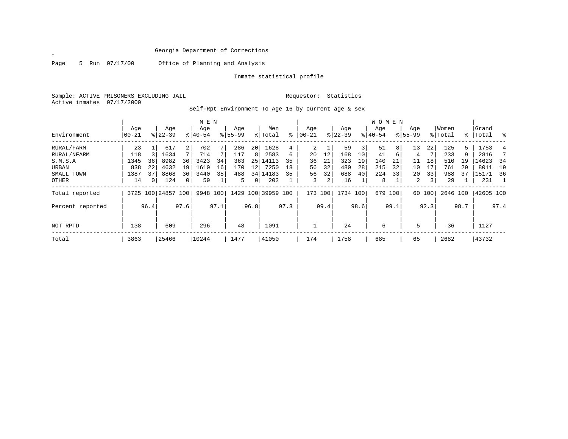$\mathscr{L}$ 

Page 5 Run 07/17/00 Office of Planning and Analysis

Inmate statistical profile

Sample: ACTIVE PRISONERS EXCLUDING JAIL Requestor: Statistics Active inmates 07/17/2000

Self-Rpt Environment To Age 16 by current age & sex

|                  |           |          |                    |                | M E N       |      |             |      |               |      |           |      |             |      | <b>WOMEN</b> |      |             |        |          |      |           |      |
|------------------|-----------|----------|--------------------|----------------|-------------|------|-------------|------|---------------|------|-----------|------|-------------|------|--------------|------|-------------|--------|----------|------|-----------|------|
|                  | Age       |          | Age                |                | Age         |      | Age         |      | Men           |      | Age       |      | Age         |      | Aqe          |      | Age         |        | Women    |      | Grand     |      |
| Environment      | $00 - 21$ |          | $8122 - 39$        |                | $8140 - 54$ |      | $8155 - 99$ |      | % Total       | ៖    | $00 - 21$ |      | $8$   22-39 |      | $ 40-54$     |      | $8155 - 99$ |        | % Total  |      | %   Total | ွေ   |
| RURAL/FARM       | 23        |          | 617                | 2 <sup>1</sup> | 702         |      | 286         | 20   | 1628          | 4    | 2         |      | 59          | 3    | 51           | 8    | 13          | 22     | 125      | 5    | 1753      | 4    |
| RURAL/NFARM      | 118       |          | 1634               |                | 714         |      | 117         | 8    | 2583          | 6    | 20        | 12   | 168         | 10   | 41           | 6    | 4           |        | 233      | 9    | 2816      |      |
| S.M.S.A          | 1345      | 36       | 8982               | 36             | 3423        | 34   | 363         | 25   | 14113         | 35   | 36        | 21   | 323         | 19   | 140          | 21   | 11          | 18     | 510      | 19   | 14623     | -34  |
| URBAN            | 838       | 22       | 4632               | 19             | 1610        | 16   | 170         | 12   | 7250          | 18   | 56        | 32   | 480         | 28   | 215          | 32   | 10          | 17     | 761      | 29   | 8011      | 19   |
| SMALL TOWN       | 1387      | 37       | 8868               | 36             | 3440        | 35   | 488         |      | 34   14183    | 35   | 56        | 32   | 688         | 40   | 224          | 33   | 20          | 33     | 988      | 37   | 15171     | 36   |
| OTHER            | 14        | $\Omega$ | 124                | 0 <sup>1</sup> | 59          |      | 5.          | 0    | 202           |      | 3         | 2    | 16          |      | 8            |      | 2           | 3      | 29       |      | 231       |      |
| Total reported   |           |          | 3725 100 24857 100 |                | 9948 100    |      | 1429        |      | 100 39959 100 |      | 173 100   |      | 1734 100    |      | 679          | 100  |             | 60 100 | 2646 100 |      | 42605 100 |      |
| Percent reported |           | 96.4     |                    | 97.6           |             | 97.1 |             | 96.8 |               | 97.3 |           | 99.4 |             | 98.6 |              | 99.1 |             | 92.3   |          | 98.7 |           | 97.4 |
|                  |           |          |                    |                |             |      |             |      |               |      |           |      |             |      |              |      |             |        |          |      |           |      |
| NOT RPTD         | 138       |          | 609                |                | 296         |      | 48          |      | 1091          |      |           |      | 24          |      | 6            |      | 5           |        | 36       |      | 1127      |      |
| Total            | 3863      |          | 25466              |                | 10244       |      | 1477        |      | 41050         |      | 174       |      | 1758        |      | 685          |      | 65          |        | 2682     |      | 43732     |      |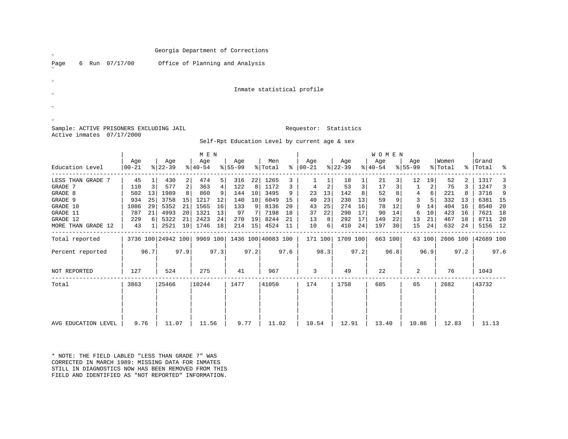Page 6 Run 07/17/00 Office of Planning and Analysis

Inmate statistical profile

# Sample: ACTIVE PRISONERS EXCLUDING JAIL **Requestor: Statistics** Active inmates 07/17/2000

Self-Rpt Education Level by current age & sex

|                     |       |      |                    |      | M E N       |      |           |      |                    |      |          |      |          |      | <b>WOMEN</b> |         |             |        |          |      |           |      |
|---------------------|-------|------|--------------------|------|-------------|------|-----------|------|--------------------|------|----------|------|----------|------|--------------|---------|-------------|--------|----------|------|-----------|------|
|                     | Age   |      | Age                |      | Age         |      | Age       |      | Men                |      | Age      |      | Age      |      | Age          |         | Age         |        | Women    |      | Grand     |      |
| Education Level     | 00-21 |      | $ 22-39 $          |      | $8140 - 54$ |      | $ 55-99 $ |      | % Total            | ి    | $ 00-21$ |      | $ 22-39$ |      | $ 40-54 $    |         | $8155 - 99$ |        | % Total  |      | %   Total | ႜ    |
| LESS THAN GRADE 7   | 45    |      | 430                | 2    | 474         | 5    | 316       | 22   | 1265               |      |          |      | 18       |      | 21           |         | 12          | 19     | 52       |      | 1317      | 3    |
| GRADE 7             | 110   |      | 577                | 2    | 363         | 4    | 122       | 8    | 1172               | 3    |          | 2    | 53       | 3    | 17           |         |             | 2      | 75       |      | 1247      | 3    |
| GRADE 8             | 502   | 13   | 1989               |      | 860         | 9    | 144       | 10   | 3495               | 9    | 23       | 13   | 142      |      | 52           |         | 4           | 6      | 221      |      | 3716      | 9    |
| GRADE 9             | 934   | 25   | 3758               | 15   | 1217        | 12   | 140       | 10   | 6049               | 15   | 40       | 23   | 230      | 13   | 59           |         | 3           |        | 332      | 13   | 6381      | 15   |
| GRADE 10            | 1086  | 29   | 5352               | 21   | 1565        | 16   | 133       | 9    | 8136               | 20   | 43       | 25   | 274      | 16   | 78           | 12      | 9           | 14     | 404      | 16   | 8540      | -20  |
| GRADE 11            | 787   | 21   | 4993               | 20   | 1321        | 13   | 97        |      | 7198               | 18   | 37       | 22   | 290      | 17   | 90           | 14      | 6           | 10     | 423      | 16   | 7621      | 18   |
| GRADE 12            | 229   |      | 5322               | 21   | 2423        | 24   | 270       | 19   | 8244               | -21  | 13       | 8    | 292      | 17   | 149          | 22      | 13          | 21     | 467      | 18   | 8711      | 20   |
| MORE THAN GRADE 12  | 43    |      | 2521               | 10   | 1746        | 18   | 214       | 15   | 4524               | 11   | 10       | 6    | 410      | 24   | 197          | 30      | 15          | 24     | 632      | 24   | 5156 12   |      |
| Total reported      |       |      | 3736 100 24942 100 |      | 9969 100    |      |           |      | 1436 100 40083 100 |      | 171 100  |      | 1709 100 |      |              | 663 100 |             | 63 100 | 2606 100 |      | 42689 100 |      |
| Percent reported    |       | 96.7 |                    | 97.9 |             | 97.3 |           | 97.2 |                    | 97.6 |          | 98.3 |          | 97.2 |              | 96.8    |             | 96.9   |          | 97.2 |           | 97.6 |
| <b>NOT REPORTED</b> | 127   |      | 524                |      | 275         |      | 41        |      | 967                |      | 3        |      | 49       |      | 22           |         | 2           |        | 76       |      | 1043      |      |
| Total               | 3863  |      | 25466              |      | 10244       |      | 1477      |      | 41050              |      | 174      |      | 1758     |      | 685          |         | 65          |        | 2682     |      | 43732     |      |
|                     |       |      |                    |      |             |      |           |      |                    |      |          |      |          |      |              |         |             |        |          |      |           |      |
|                     |       |      |                    |      |             |      |           |      |                    |      |          |      |          |      |              |         |             |        |          |      |           |      |
| AVG EDUCATION LEVEL | 9.76  |      | 11.07              |      | 11.56       |      | 9.77      |      | 11.02              |      | 10.54    |      | 12.91    |      | 13.40        |         | 10.86       |        | 12.83    |      | 11.13     |      |
|                     |       |      |                    |      |             |      |           |      |                    |      |          |      |          |      |              |         |             |        |          |      |           |      |

\* NOTE: THE FIELD LABLED "LESS THAN GRADE 7" WAS CORRECTED IN MARCH 1989: MISSING DATA FOR INMATESSTILL IN DIAGNOSTICS NOW HAS BEEN REMOVED FROM THISFIELD AND IDENTIFIED AS "NOT REPORTED" INFORMATION.

˝˝

˝

 $\overline{a}$ 

˝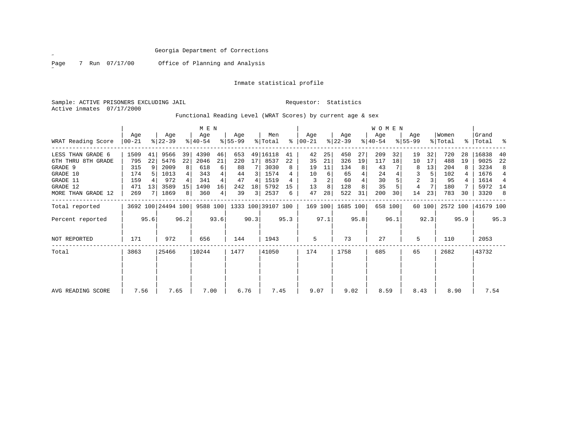˝

Page 7 Run 07/17/00 Office of Planning and Analysis

# Inmate statistical profile

Sample: ACTIVE PRISONERS EXCLUDING JAIL **Requestor:** Statistics Active inmates 07/17/2000

Functional Reading Level (WRAT Scores) by current age & sex

|                     |                  |      |                    |      | M E N            |      |                 |      |                             |      |                 |      |                  |      | <b>WOMEN</b>     |         |                  |        |                  |      |                    |                |
|---------------------|------------------|------|--------------------|------|------------------|------|-----------------|------|-----------------------------|------|-----------------|------|------------------|------|------------------|---------|------------------|--------|------------------|------|--------------------|----------------|
| WRAT Reading Score  | Age<br>$ 00-21 $ |      | Age<br>$ 22-39 $   |      | Age<br>$ 40-54 $ |      | Age<br>$ 55-99$ |      | Men<br>% Total              | ႜ    | Age<br>$ 00-21$ |      | Age<br>$ 22-39 $ |      | Age<br>$ 40-54 $ |         | Age<br>$8 55-99$ |        | Women<br>% Total |      | Grand<br>%   Total | ႜ              |
| LESS THAN GRADE 6   | 1509             | 41   | 9566               | 39   | 4390             | 46   | 653             |      | 49 16118                    | 41   | 42              | 25   | 450              | 27   | 209              | 32      | 19               | 32     | 720              | 28   | 16838              | -40            |
| 6TH THRU 8TH GRADE  | 795              | 22   | 5476               | 22   | 2046             | 21   | 220             | 17   | 8537                        | 22   | 35              | 21   | 326              | 19   | 117              | 18      | 10               | 17     | 488              | 19   | 9025               | 22             |
| GRADE 9             | 315              |      | 2009               | 8    | 618              | 6    | 88              |      | 3030                        | 8    | 19              | 11   | 134              | 8    | 43               |         | 8                | 13     | 204              |      | 3234               | 8              |
| GRADE 10            | 174              |      | 1013               |      | 343              | 4    | 44              | 3 I  | 1574                        |      | 10              | 6    | 65               |      | 24               |         | 3                |        | 102              |      | 1676               | $\overline{4}$ |
| GRADE 11            | 159              |      | 972                |      | 341              |      | 47              | 4    | 1519                        |      |                 | 2    | 60               |      | 30               |         | 2                |        | 95               |      | 1614               | $\overline{4}$ |
| GRADE 12            | 471              | 13   | 3589               | 15   | 1490             | 16   | 242             | 18   | 5792                        | 15   | 13              | 8    | 128              |      | 35               |         | 4                |        | 180              |      | 5972 14            |                |
| MORE THAN GRADE 12  | 269              |      | 1869               | 8    | 360              | 4    | 39              | 3    | 2537                        | 6    | 47              | 28   | 522              | 31   | 200              | 30      | 14               | 23     | 783              | 30   | 3320               | 8              |
| Total reported      |                  |      | 3692 100 24494 100 |      |                  |      |                 |      | 9588 100 1333 100 39107 100 |      | 169 100         |      | 1685 100         |      |                  | 658 100 |                  | 60 100 | 2572 100         |      | 41679 100          |                |
| Percent reported    |                  | 95.6 |                    | 96.2 |                  | 93.6 |                 | 90.3 |                             | 95.3 |                 | 97.1 |                  | 95.8 |                  | 96.1    |                  | 92.3   |                  | 95.9 |                    | 95.3           |
| <b>NOT REPORTED</b> | 171              |      | 972                |      | 656              |      | 144             |      | 1943                        |      | 5               |      | 73               |      | 27               |         | 5                |        | 110              |      | 2053               |                |
| Total               | 3863             |      | 25466              |      | 10244            |      | 1477            |      | 41050                       |      | 174             |      | 1758             |      | 685              |         | 65               |        | 2682             |      | 43732              |                |
|                     |                  |      |                    |      |                  |      |                 |      |                             |      |                 |      |                  |      |                  |         |                  |        |                  |      |                    |                |
| AVG READING SCORE   | 7.56             |      | 7.65               |      | 7.00             |      | 6.76            |      | 7.45                        |      | 9.07            |      | 9.02             |      | 8.59             |         | 8.43             |        | 8.90             |      | 7.54               |                |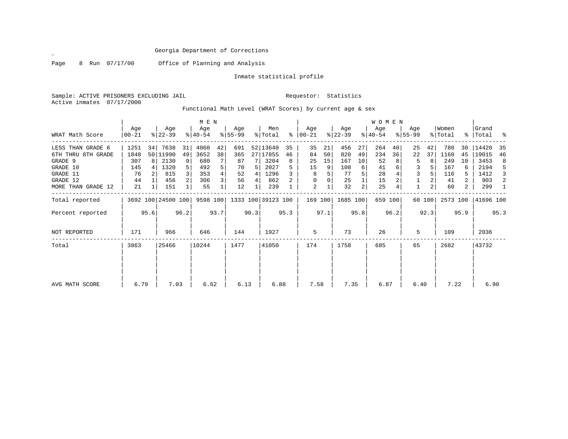Page 8 Run 07/17/00 Office of Planning and Analysis

Inmate statistical profile

Sample: ACTIVE PRISONERS EXCLUDING JAIL Requestor: Statistics Active inmates 07/17/2000

Functional Math Level (WRAT Scores) by current age & sex

|                    | M E N          |      |                    |      |                    |      |                             |      |                |           |                  |      |                  |      | WOMEN            |         |                    |        |                  |      |                    |      |
|--------------------|----------------|------|--------------------|------|--------------------|------|-----------------------------|------|----------------|-----------|------------------|------|------------------|------|------------------|---------|--------------------|--------|------------------|------|--------------------|------|
| WRAT Math Score    | Age<br>  00-21 |      | Age<br>$ 22-39 $   |      | Age<br>$8140 - 54$ |      | Age<br>$8 55-99$            |      | Men<br>% Total | $\approx$ | Age<br>$ 00-21 $ |      | Age<br>$ 22-39 $ |      | Age<br>$ 40-54 $ |         | Age<br>$8155 - 99$ |        | Women<br>% Total |      | Grand<br>%   Total | း    |
| LESS THAN GRADE 6  | 1251           | 34   | 7638               | 31   | 4060               | 42   | 691                         |      | 52 13640       | 35        | 35               | 21   | 456              | 27   | 264              | 40      | 25                 | 42     | 780              | 30   | 14420              | 35   |
| 6TH THRU 8TH GRADE | 1848           |      | 50 11990           | 49   | 3652               | 38   | 365                         |      | 27 17855       | 46        | 84               | 50   | 820              | 49   | 234              | 36      | 22                 | 37     | 1160             | 45   | 19015              | 46   |
| GRADE 9            | 307            | R I  | 2130               | 9    | 680                |      | 87                          |      | 3204           | 8         | 25               | 15   | 167              | 10   | 52               |         | 5                  |        | 249              | 10   | 3453               | 8    |
| GRADE 10           | 145            |      | 1320               | 5    | 492                |      | 70                          | 5.   | 2027           |           | 15               | 9    | 108              | 6    | 41               |         | 3                  |        | 167              |      | 2194               | 5    |
| GRADE 11           | 76             |      | 815                | 3    | 353                |      | 52                          |      | 1296           |           | 8                |      | 77               |      | 28               |         |                    |        | 116              |      | 1412               | 3    |
| GRADE 12           | 44             |      | 456                |      | 306                |      | 56                          | 4    | 862            |           | 0                |      | 25               |      | 15               |         |                    |        | 41               | 2    | 903                | 2    |
| MORE THAN GRADE 12 | 21             |      | 151                |      | 55                 |      | 12                          |      | 239            |           | 2                |      | 32               | 2    | 25               |         |                    |        | 60               | 2    | 299                |      |
| Total reported     |                |      | 3692 100 24500 100 |      |                    |      | 9598 100 1333 100 39123 100 |      |                |           | 169 100          |      | 1685 100         |      |                  | 659 100 |                    | 60 100 | 2573 100         |      | 41696 100          |      |
| Percent reported   |                | 95.6 |                    | 96.2 |                    | 93.7 |                             | 90.3 |                | 95.3      |                  | 97.1 |                  | 95.8 |                  | 96.2    |                    | 92.3   |                  | 95.9 |                    | 95.3 |
| NOT REPORTED       | 171            |      | 966                |      | 646                |      | 144                         |      | 1927           |           | 5                |      | 73               |      | 26               |         | 5                  |        | 109              |      | 2036               |      |
| Total              | 3863           |      | 25466              |      | 10244              |      | 1477                        |      | 41050          |           | 174              |      | 1758             |      | 685              |         | 65                 |        | 2682             |      | 43732              |      |
|                    |                |      |                    |      |                    |      |                             |      |                |           |                  |      |                  |      |                  |         |                    |        |                  |      |                    |      |
| AVG MATH SCORE     | 6.79           |      | 7.03               |      | 6.62               |      | 6.13                        |      | 6.88           |           | 7.58             |      | 7.35             |      | 6.87             |         | 6.40               |        | 7.22             |      | 6.90               |      |

 $\mathscr{L}$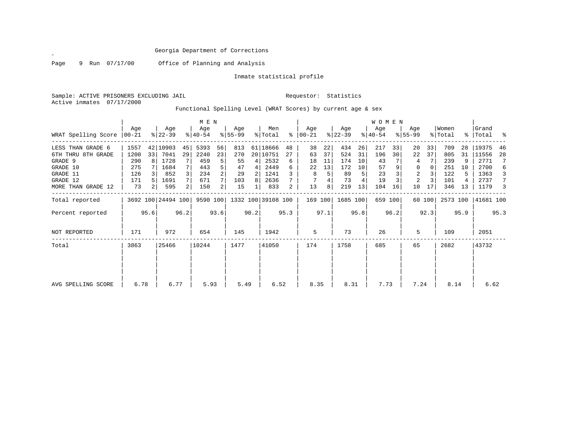Page 9 Run 07/17/00 Office of Planning and Analysis

Inmate statistical profile

Sample: ACTIVE PRISONERS EXCLUDING JAIL Requestor: Statistics Active inmates 07/17/2000

Functional Spelling Level (WRAT Scores) by current age & sex

|                             | M E N |      |                    |      |                  |      |                             |      |                |           |                |      |                  |      | WOMEN            |                 |                  |        |                  |      |                    |      |
|-----------------------------|-------|------|--------------------|------|------------------|------|-----------------------------|------|----------------|-----------|----------------|------|------------------|------|------------------|-----------------|------------------|--------|------------------|------|--------------------|------|
| WRAT Spelling Score   00-21 | Age   |      | Age<br>$ 22-39 $   |      | Age<br>$8 40-54$ |      | Age<br>$ 55-99$             |      | Men<br>% Total | $\approx$ | Age<br>  00-21 |      | Age<br>$ 22-39 $ |      | Age<br>$ 40-54 $ |                 | Age<br>$8 55-99$ |        | Women<br>% Total |      | Grand<br>%   Total | း    |
| LESS THAN GRADE 6           | 1557  |      | 42 10903           | 45   | 5393             | 56   | 813                         |      | 61 18666       | 48        | 38             | 22   | 434              | 26   | 217              | 33              | 20               | 33     | 709              | 28   | 19375              | 46   |
| 6TH THRU 8TH GRADE          | 1200  | 33   | 7041               | 29   | 2240             | 23   | 270                         |      | 20 10751       | 27        | 63             | 37   | 524              | 31   | 196              | 30 <sup>1</sup> | 22               | 37     | 805              | 31   | 11556              | 28   |
| GRADE 9                     | 290   | 8    | 1728               |      | 459              |      | 55                          | 4    | 2532           | 6         | 18             | 11   | 174              | 10   | 43               |                 | 4                |        | 239              | 9    | 2771               | 7    |
| GRADE 10                    | 275   |      | 1684               | 7    | 443              |      | 47                          | 4    | 2449           | 6         | 22             | 13   | 172              | 10   | 57               |                 | 0                | 0      | 251              | 10   | 2700               | 6    |
| GRADE 11                    | 126   |      | 852                | 3    | 234              |      | 29                          | 2    | 1241           |           | 8              |      | 89               | 5    | 23               |                 | 2                |        | 122              |      | 1363               | 3    |
| GRADE 12                    | 171   |      | 1691               | 7    | 671              |      | 103                         | 8    | 2636           |           |                |      | 73               | 4    | 19               |                 | 2                |        | 101              |      | 2737               | 7    |
| MORE THAN GRADE 12          | 73    |      | 595                | 2    | 150              | 2    | 15                          |      | 833            | 2         | 13             | 8    | 219              | 13   | 104              | 16              | 10               | 17     | 346              | 13   | 1179               | 3    |
| Total reported              |       |      | 3692 100 24494 100 |      |                  |      | 9590 100 1332 100 39108 100 |      |                |           | 169 100        |      | 1685 100         |      |                  | 659 100         |                  | 60 100 | 2573 100         |      | 41681 100          |      |
| Percent reported            |       | 95.6 |                    | 96.2 |                  | 93.6 |                             | 90.2 |                | 95.3      |                | 97.1 |                  | 95.8 |                  | 96.2            |                  | 92.3   |                  | 95.9 |                    | 95.3 |
| <b>NOT REPORTED</b>         | 171   |      | 972                |      | 654              |      | 145                         |      | 1942           |           | 5              |      | 73               |      | 26               |                 | 5                |        | 109              |      | 2051               |      |
| Total                       | 3863  |      | 25466              |      | 10244            |      | 1477                        |      | 41050          |           | 174            |      | 1758             |      | 685              |                 | 65               |        | 2682             |      | 43732              |      |
| AVG SPELLING SCORE          | 6.78  |      | 6.77               |      | 5.93             |      | 5.49                        |      | 6.52           |           | 8.35           |      | 8.31             |      | 7.73             |                 | 7.24             |        | 8.14             |      | 6.62               |      |
|                             |       |      |                    |      |                  |      |                             |      |                |           |                |      |                  |      |                  |                 |                  |        |                  |      |                    |      |

 $\mathscr{L}^{\pm}$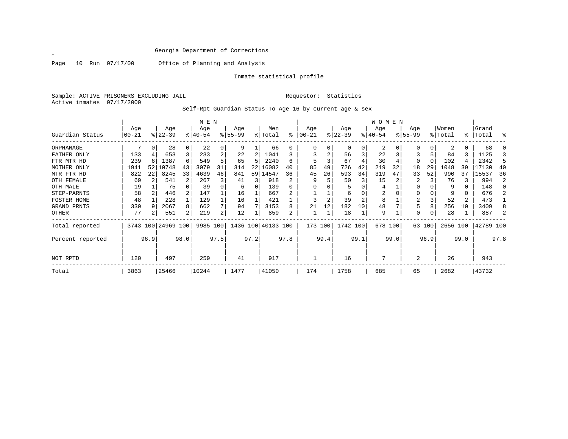$\mathscr{L}$ 

Page 10 Run 07/17/00 Office of Planning and Analysis

Inmate statistical profile

Sample: ACTIVE PRISONERS EXCLUDING JAIL Requestor: Statistics Active inmates 07/17/2000

Self-Rpt Guardian Status To Age 16 by current age & sex

|                  |            |      |                    |          | M E N    |      |           |      |                    |      |         |      |           |                 | <b>WOMEN</b> |      |           |        |          |               |           |          |
|------------------|------------|------|--------------------|----------|----------|------|-----------|------|--------------------|------|---------|------|-----------|-----------------|--------------|------|-----------|--------|----------|---------------|-----------|----------|
|                  | Age        |      | Age                |          | Age      |      | Age       |      | Men                |      | Age     |      | Age       |                 | Age          |      | Age       |        | Women    |               | Grand     |          |
| Guardian Status  | $ 00 - 21$ |      | $ 22-39 $          |          | $ 40-54$ |      | $8 55-99$ |      | % Total            | % ิ  | 00-21   |      | $ 22-39 $ |                 | $ 40-54 $    |      | $8 55-99$ |        | % Total  | $\frac{1}{6}$ | Total     | ႜ        |
| ORPHANAGE        |            | 0    | 28                 | 0        | 22       |      | 9         |      | 66                 |      |         |      | $\Omega$  | 0               | 2            |      |           |        |          |               | 68        |          |
| FATHER ONLY      | 133        |      | 653                | 3        | 233      |      | 22        | 2    | 1041               |      |         |      | 56        | 3               | 22           |      |           |        | 84       |               | 1125      |          |
| FTR MTR HD       | 239        | 6    | 1387               | 6        | 549      |      | 65        | 5.   | 2240               | б    |         |      | 67        |                 | 30           |      | 0         |        | 102      |               | 2342      | 5        |
| MOTHER ONLY      | 1941       | 52   | 10748              | 43       | 3079     | 31   | 314       | 22   | 16082              | 40   | 85      | 49   | 726       | 42              | 219          | 32   | 18        | 29     | 1048     | 39            | 17130     | 40       |
| MTR FTR HD       | 822        | 22   | 8245               | 33       | 4639     | 46   | 841       |      | 59 14547           | 36   | 45      | 26   | 593       | 34              | 319          | 47   | 33        | 52     | 990      | 37            | 15537     | 36       |
| OTH FEMALE       | 69         |      | 541                |          | 267      |      | 41        |      | 918                |      |         |      | 50        | 3               | 15           |      |           |        | 76       | 3             | 994       | 2        |
| OTH MALE         | 19         |      | 75                 | $\Omega$ | 39       |      | 6         | 0    | 139                |      |         |      |           |                 | 4            |      | 0         |        | 9        | 0             | 148       | $\Omega$ |
| STEP-PARNTS      | 58         |      | 446                | 2        | 147      |      | 16        |      | 667                |      |         |      | 6         |                 | 2            |      | 0         |        | 9        | 0             | 676       | 2        |
| FOSTER HOME      | 48         |      | 228                |          | 129      |      | 16        |      | 421                |      |         |      | 39        |                 | 8            |      | 2         |        | 52       | 2             | 473       |          |
| GRAND PRNTS      | 330        | 9    | 2067               | 8        | 662      |      | 94        |      | 3153               | 8    | 21      | 12   | 182       | 10 <sup>°</sup> | 48           |      | 5         | 8      | 256      | 10            | 3409      | 8        |
| OTHER            | 77         | 2    | 551                | 2        | 219      | 2    | 12        |      | 859                |      |         |      | 18        |                 | 9            |      | 0         |        | 28       |               | 887       | 2        |
| Total reported   |            |      | 3743 100 24969 100 |          | 9985 100 |      |           |      | 1436 100 40133 100 |      | 173 100 |      | 1742 100  |                 | 678 100      |      |           | 63 100 | 2656 100 |               | 42789 100 |          |
| Percent reported |            | 96.9 |                    | 98.0     |          | 97.5 |           | 97.2 |                    | 97.8 |         | 99.4 |           | 99.1            |              | 99.0 |           | 96.9   |          | 99.0          |           | 97.8     |
| NOT RPTD         | 120        |      | 497                |          | 259      |      | 41        |      | 917                |      |         |      | 16        |                 | 7            |      | 2         |        | 26       |               | 943       |          |
| Total            | 3863       |      | 25466              |          | 10244    |      | 1477      |      | 41050              |      | 174     |      | 1758      |                 | 685          |      | 65        |        | 2682     |               | 43732     |          |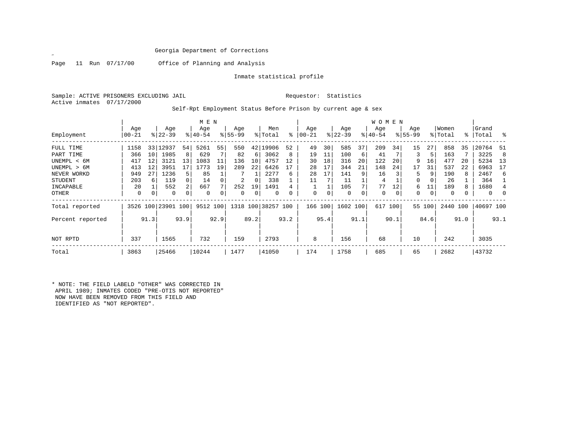$\mathscr{L}$ 

Page 11 Run 07/17/00 Office of Planning and Analysis

Inmate statistical profile

Sample: ACTIVE PRISONERS EXCLUDING JAIL **Requestor:** Statistics Active inmates 07/17/2000

Self-Rpt Employment Status Before Prison by current age & sex

|                  | M E N       |                 |                    |                |             |      |             |      |                    |          |             |          |           |      | <b>WOMEN</b> |              |             |        |          |      |           |      |
|------------------|-------------|-----------------|--------------------|----------------|-------------|------|-------------|------|--------------------|----------|-------------|----------|-----------|------|--------------|--------------|-------------|--------|----------|------|-----------|------|
|                  | Age         |                 | Age                |                | Age         |      | Age         |      | Men                |          | Age         |          | Age       |      | Age          |              | Age         |        | Women    |      | Grand     |      |
| Employment       | $ 00 - 21 $ |                 | $ 22-39 $          |                | $8140 - 54$ |      | $8155 - 99$ |      | % Total            | ႜ        | $ 00 - 21$  |          | $ 22-39 $ |      | $ 40-54 $    |              | $8155 - 99$ |        | % Total  |      | %   Total | - 옹  |
| FULL TIME        | 1158        |                 | 33 12937           | 54             | 5261        | 55   | 550         | 42   | 19906              | 52       | 49          | 30       | 585       | 37   | 209          | 34           | 15          | 27     | 858      | 35   | 20764     | -51  |
| PART TIME        | 366         | 10 <sup>1</sup> | 1985               | 8              | 629         |      | 82          | 6    | 3062               | 8        | 19          | 11       | 100       | 6    | 41           |              | 3           | 5      | 163      |      | 3225      | 8    |
| UNEMPL < 6M      | 417         | 12              | 3121               | 13             | 1083        | 11   | 136         | 10   | 4757               | 12       | 30          | 18       | 316       | 20   | 122          | 20           | 9           | 16     | 477      | 20   | 5234      | - 13 |
| UNEMPL > 6M      | 413         | 12              | 3951               | 17             | 1773        | 19   | 289         | 22   | 6426               |          | 28          | 17       | 344       | 21   | 148          | 24           | 17          | 31     | 537      | 22   | 6963      | 17   |
| NEVER WORKD      | 949         | 27              | 1236               | 5.             | 85          |      |             |      | 2277               | 6        | 28          | 17       | 141       | 9    | 16           |              | 5           | 9      | 190      | 8    | 2467      | 6    |
| <b>STUDENT</b>   | 203         | 6               | 119                | $\Omega$       | 14          |      | 2           | 0    | 338                |          | 11          |          | 11        |      | 4            |              | 0           |        | 26       |      | 364       |      |
| INCAPABLE        | 20          |                 | 552                | $\overline{2}$ | 667         |      | 252         | 19   | 1491               |          |             |          | 105       |      | 77           | 12           | 6           | 11     | 189      |      | 1680      |      |
| OTHER            | 0           | $\Omega$        | 0                  |                | $\Omega$    |      | 0           | 0    | 0                  | $\Omega$ | $\mathbf 0$ | $\Omega$ | 0         |      | $\mathbf 0$  | $\mathbf{0}$ | 0           | 0      | 0        |      | $\Omega$  |      |
| Total reported   |             |                 | 3526 100 23901 100 |                | 9512 100    |      |             |      | 1318 100 38257 100 |          | 166         | 100      | 1602 100  |      | 617          | 100          |             | 55 100 | 2440 100 |      | 40697 100 |      |
| Percent reported |             | 91.3            |                    | 93.9           |             | 92.9 |             | 89.2 |                    | 93.2     |             | 95.4     |           | 91.1 |              | 90.1         |             | 84.6   |          | 91.0 |           | 93.1 |
| NOT RPTD         | 337         |                 | 1565               |                | 732         |      | 159         |      | 2793               |          | 8           |          | 156       |      | 68           |              | 10          |        | 242      |      | 3035      |      |
| Total            | 3863        |                 | 25466              |                | 10244       |      | 1477        |      | 41050              |          | 174         |          | 1758      |      | 685          |              | 65          |        | 2682     |      | 43732     |      |

\* NOTE: THE FIELD LABELD "OTHER" WAS CORRECTED IN APRIL 1989; INMATES CODED "PRE-OTIS NOT REPORTED" NOW HAVE BEEN REMOVED FROM THIS FIELD AND IDENTIFIED AS "NOT REPORTED".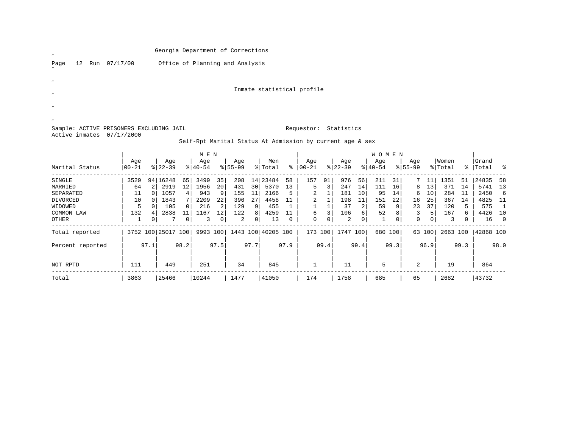| $\overline{\phantom{a}}$                                             | Georgia Department of Corrections                         |                            |              |  |
|----------------------------------------------------------------------|-----------------------------------------------------------|----------------------------|--------------|--|
| 07/17/00<br>12<br>Page<br>Run                                        | Office of Planning and Analysis                           |                            |              |  |
| $\boldsymbol{\mathscr{U}}$                                           |                                                           |                            |              |  |
| $\overline{\nu}$                                                     |                                                           | Inmate statistical profile |              |  |
|                                                                      |                                                           |                            |              |  |
| $\overline{\nu}$                                                     |                                                           |                            |              |  |
| Sample: ACTIVE PRISONERS EXCLUDING JAIL<br>Active inmates 07/17/2000 |                                                           | Statistics<br>Requestor:   |              |  |
|                                                                      | Self-Rpt Marital Status At Admission by current age & sex |                            |              |  |
|                                                                      | M E N                                                     |                            | <b>WOMEN</b> |  |

| Marital Status   | Age<br>  00-21 |      | Age<br>$8 22-39$   |      | Age<br>$8140 - 54$ |      | Age<br>$8155 - 99$ |      | Men<br>% Total     | $\approx$ | Age<br>$ 00 - 21 $ |      | Age<br>$ 22-39$ |      | Age<br>$8 40-54$ |      | Age<br>$8155 - 99$ |             | Women<br>% Total |      | Grand<br>%   Total | ം ക        |
|------------------|----------------|------|--------------------|------|--------------------|------|--------------------|------|--------------------|-----------|--------------------|------|-----------------|------|------------------|------|--------------------|-------------|------------------|------|--------------------|------------|
| SINGLE           | 3529           | 94   | 16248              | 65   | 3499               | 35   | 208                | 14   | 23484              | 58        | 157                | 91   | 976             | 56   | 211              | 31   |                    |             | 1351             | -51  | 24835              | 58         |
| MARRIED          | 64             |      | 2919               | 12   | 1956               | 20   | 431                | 30   | 5370               | 13        | 5                  |      | 247             | 14   | 111              | 16   | 8                  | 13          | 371              | 14   | 5741               | 13         |
| SEPARATED        | 11             |      | 1057               | 4    | 943                | 9    | 155                | 11   | 2166               | 5         | 2                  |      | 181             | 10   | 95               | 14   | 6                  | 10          | 284              | 11   | 2450               | -6         |
| DIVORCED         | 10             |      | 1843               |      | 2209               | 22   | 396                | 27   | 4458               |           | $\overline{2}$     |      | 198             | 11   | 151              | 22   | 16                 | 25          | 367              | 14   | 4825               | 11         |
| WIDOWED          | 5              |      | 105                |      | 216                | 2    | 129                | 9    | 455                |           |                    |      | 37              | 2    | 59               | 9    | 23                 | 37          | 120              |      | 575                |            |
| COMMON LAW       | 132            | 4    | 2838               | 11   | 1167               | 12   | 122                | 8    | 4259               |           | 6                  | 3    | 106             | 6    | 52               | 8    | 3                  | 5           | 167              | 6    | 4426               | 10         |
| OTHER            |                | 0    |                    | 0    | 3                  | 0    | 2                  | 0    | 13                 | 0         | 0                  | 0    | 2               | 0    |                  | 0    | 0                  | $\mathbf 0$ | 3                |      | 16                 | $\bigcirc$ |
| Total reported   |                |      | 3752 100 25017 100 |      | 9993 100           |      |                    |      | 1443 100 40205 100 |           | 173                | 100  | 1747 100        |      | 680              | 100  |                    | 63 100      | 2663             | 100  | 42868 100          |            |
| Percent reported |                | 97.1 |                    | 98.2 |                    | 97.5 |                    | 97.7 |                    | 97.9      |                    | 99.4 |                 | 99.4 |                  | 99.3 |                    | 96.9        |                  | 99.3 |                    | 98.0       |
| NOT RPTD         | 111            |      | 449                |      | 251                |      | 34                 |      | 845                |           |                    |      | 11              |      | 5                |      | $\mathbf{2}$       |             | 19               |      | 864                |            |
| Total            | 3863           |      | 25466              |      | 10244              |      | 1477               |      | 41050              |           | 174                |      | 1758            |      | 685              |      | 65                 |             | 2682             |      | 43732              |            |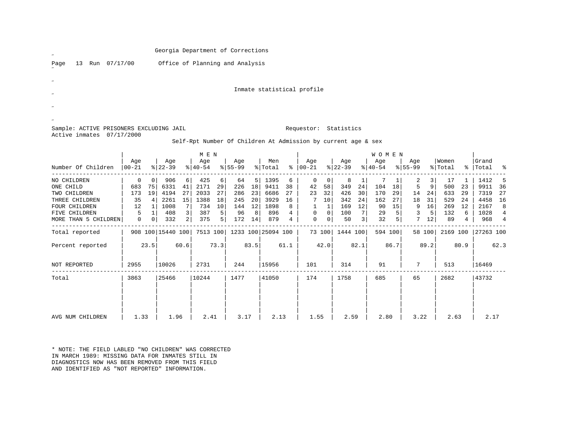| $\overline{v}$                          |                       |                      |                   |                | Georgia Department of Corrections |          |                  |          |                    |                 |                                                               |                      |                  |                    |                  |         |                    |                      |                  |         |                    |      |
|-----------------------------------------|-----------------------|----------------------|-------------------|----------------|-----------------------------------|----------|------------------|----------|--------------------|-----------------|---------------------------------------------------------------|----------------------|------------------|--------------------|------------------|---------|--------------------|----------------------|------------------|---------|--------------------|------|
| 13 Run 07/17/00<br>Page                 |                       |                      |                   |                | Office of Planning and Analysis   |          |                  |          |                    |                 |                                                               |                      |                  |                    |                  |         |                    |                      |                  |         |                    |      |
|                                         |                       |                      |                   |                |                                   |          |                  |          |                    |                 |                                                               |                      |                  |                    |                  |         |                    |                      |                  |         |                    |      |
|                                         |                       |                      |                   |                |                                   |          |                  |          |                    |                 | Inmate statistical profile                                    |                      |                  |                    |                  |         |                    |                      |                  |         |                    |      |
|                                         |                       |                      |                   |                |                                   |          |                  |          |                    |                 |                                                               |                      |                  |                    |                  |         |                    |                      |                  |         |                    |      |
|                                         |                       |                      |                   |                |                                   |          |                  |          |                    |                 |                                                               |                      |                  |                    |                  |         |                    |                      |                  |         |                    |      |
| Sample: ACTIVE PRISONERS EXCLUDING JAIL |                       |                      |                   |                |                                   |          |                  |          |                    |                 | Requestor: Statistics                                         |                      |                  |                    |                  |         |                    |                      |                  |         |                    |      |
| Active inmates 07/17/2000               |                       |                      |                   |                |                                   |          |                  |          |                    |                 | Self-Rpt Number Of Children At Admission by current age & sex |                      |                  |                    |                  |         |                    |                      |                  |         |                    |      |
|                                         |                       |                      |                   |                | M E N                             |          |                  |          |                    |                 |                                                               |                      |                  |                    | WOMEN            |         |                    |                      |                  |         |                    |      |
| Number Of Children                      | Age<br>$ 00 - 21$     |                      | Age<br>$8 22-39$  |                | Age<br>$8140 - 54$                |          | Age<br>$8 55-99$ |          | Men<br>% Total     |                 | Age<br>$% 00-21$                                              |                      | Age<br>$8 22-39$ |                    | Age<br>$ 40-54 $ |         | Age<br>$8155 - 99$ |                      | Women<br>% Total |         | Grand<br>%   Total |      |
|                                         |                       |                      |                   |                |                                   |          |                  |          |                    |                 |                                                               |                      |                  |                    |                  |         |                    |                      |                  |         |                    |      |
| NO CHILDREN<br>ONE CHILD                | $\overline{0}$<br>683 | 0 <sup>1</sup><br>75 | 906<br>6331       | 6 <br>41       | 425<br>2171                       | 6 <br>29 | 64<br>226        | 5 <br>18 | 1395<br>9411       | 6<br>38         | 0<br>42                                                       | $\overline{0}$<br>58 | 8<br>349         | $\mathbf{1}$<br>24 | 7<br>104         | 1<br>18 | 2<br>5             | 3 <br>9 <sup>1</sup> | 17<br>500        | 1<br>23 | 1412<br>9911       |      |
| TWO CHILDREN                            | 173                   | 19                   | 4194              | 27             | 2033                              | 27       | 286              | 23       | 6686               | 27              | 23                                                            | 32                   | 426              | 30                 | 170              | 29      | 14                 | 24                   | 633              | 29      | 7319               |      |
| THREE CHILDREN                          | 35                    | 4                    | 2261              | 15             | 1388                              | 18       | 245              | 20       | 3929               | 16              | 7                                                             | 10                   | 342              | 24                 | 162              | 27      | 18                 | 31                   | 529              | 24      | 4458               |      |
| FOUR CHILDREN                           | 12                    | 1                    | 1008              | 7              | 734                               | 10       | 144              | 12       | 1898               | 8               | $\mathbf{1}$                                                  | $\vert$ 1            | 169              | 12                 | 90               | 15      | 9                  | 16                   | 269              | 12      | 2167               |      |
| FIVE CHILDREN                           | 5                     | $\mathbf{1}$         | 408               | 3              | 387                               | 5        | 96               | 8        | 896                | $4\overline{ }$ | 0                                                             | $\overline{0}$       | 100              | 7                  | 29               | 5       | 3                  | 5 <sup>1</sup>       | 132              | 6       | 1028               |      |
| MORE THAN 5 CHILDREN                    | $\mathbf 0$           | 0 <sup>1</sup>       | 332               | 2 <sup>1</sup> | 375                               | 5        | 172              | 14       | 879                | 4               | $\mathbf 0$                                                   | 0 <sup>1</sup>       | 50               | 3                  | 32               | -51     |                    | $7 \quad 12$         | 89               | 4       | 968                |      |
| Total reported                          |                       |                      | 908 100 15440 100 |                | 7513 100                          |          |                  |          | 1233 100 25094 100 |                 |                                                               |                      | 73 100 1444 100  |                    | 594 100          |         |                    | 58 100               | 2169 100         |         | 27263 100          |      |
| Percent reported                        |                       | 23.5                 |                   | 60.6           |                                   | 73.3     |                  | 83.5     |                    | 61.1            |                                                               | 42.0                 |                  | 82.1               |                  | 86.7    |                    | 89.2                 |                  | 80.9    |                    | 62.3 |
| NOT REPORTED                            | 2955                  |                      | 10026             |                | 2731                              |          | 244              |          | 15956              |                 | 101                                                           |                      | 314              |                    | 91               |         | 7                  |                      | 513              |         | 16469              |      |
| Total                                   | 3863                  |                      | 25466             |                | 10244                             |          | 1477             |          | 41050              |                 | 174                                                           |                      | 1758             |                    | 685              |         | 65                 |                      | 2682             |         | 43732              |      |
|                                         |                       |                      |                   |                |                                   |          |                  |          |                    |                 |                                                               |                      |                  |                    |                  |         |                    |                      |                  |         |                    |      |

 | | | | | | | | | | | | | | | | | | | | | | | | | | | | | | | | | AVG NUM CHILDREN | 1.33 | 1.96 | 2.41 | 3.17 | 2.13 | 1.55 | 2.59 | 2.80 | 3.22 | 2.63 | 2.17

\* NOTE: THE FIELD LABLED "NO CHILDREN" WAS CORRECTEDIN MARCH 1989: MISSING DATA FOR INMATES STILL IN DIAGNOSTICS NOW HAS BEEN REMOVED FROM THIS FIELDAND IDENTIFIED AS "NOT REPORTED" INFORMATION.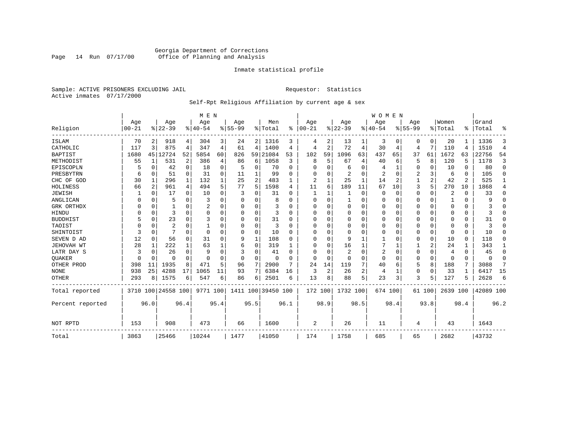# Georgia Department of Corrections<br>Page 14 Run 07/17/00 Office of Planning and Analysis Page 14 Run 07/17/00 Office of Planning and Analysis

# Inmate statistical profile

Sample: ACTIVE PRISONERS EXCLUDING JAIL **Requestor:** Statistics Active inmates 07/17/2000

# Self-Rpt Religious Affiliation by current age & sex

|                  |           |                |                    |             | M E N     |          |           |             |                    |              |          |                |                |      | <b>WOMEN</b> |          |           |             |          |          |           |                |
|------------------|-----------|----------------|--------------------|-------------|-----------|----------|-----------|-------------|--------------------|--------------|----------|----------------|----------------|------|--------------|----------|-----------|-------------|----------|----------|-----------|----------------|
|                  | Age       |                | Age                |             | Age       |          | Age       |             | Men                |              | Age      |                | Age            |      | Aqe          |          | Age       |             | Women    |          | Grand     |                |
| Religion         | $00 - 21$ |                | $ 22-39 $          |             | $8 40-54$ |          | $8 55-99$ |             | % Total            | %            | $ 00-21$ |                | $ 22-39$       |      | $ 40-54$     |          | $8 55-99$ |             | % Total  | ፠        | Total     | ዱ              |
| ISLAM            | 70        | 2              | 918                | 4           | 304       | 3        | 24        |             | 2 1316             | 3            | 4        | 2              | 13             |      | 3            | 0        | 0         | 0           | 20       |          | 1336      | 3              |
| CATHOLIC         | 117       | 3              | 875                | 4           | 347       | 4        | 61        | 4           | 1400               | 4            | 4        | 2              | 72             | 4    | 30           | 4        | 4         | 7           | 110      | 4        | 1510      | $\overline{4}$ |
| <b>BAPTIST</b>   | 1680      | 45             | 12724              | 52          | 5854      | 60       | 826       | 59          | 21084              | 53           | 102      | 59             | 1096           | 63   | 437          | 65       | 37        | 61          | 1672     | 63       | 22756     | 54             |
| METHODIST        | 55        | 1              | 531                | 2           | 386       | 4        | 86        | 6           | 1058               | 3            | 8        | 5              | 67             | 4    | 40           | 6        | 5         | 8           | 120      | 5        | 1178      | 3              |
| EPISCOPLN        |           | 0              | 42                 | $\mathbf 0$ | 18        | 0        | 5         | 0           | 70                 | $\Omega$     | U        | O              | 6              | 0    |              | 1        | 0         | 0           | 10       | $\Omega$ | 80        | $\mathbf 0$    |
| PRESBYTRN        | 6         | 0              | 51                 | $\Omega$    | 31        | $\Omega$ | 11        |             | 99                 | U            | 0        |                | 2              | 0    | 2            | $\Omega$ | 2         | 3           | 6        | $\Omega$ | 105       | $\Omega$       |
| CHC OF GOD       | 30        | 1              | 296                | 1           | 132       |          | 25        | 2           | 483                |              | 2        |                | 25             | 1    | 14           | 2        |           | 2           | 42       | 2        | 525       | 1              |
| HOLINESS         | 66        | $\overline{2}$ | 961                | 4           | 494       | 5        | 77        | 5           | 1598               | 4            | 11       | 6              | 189            | 11   | 67           | 10       | 3         | 5           | 270      | 10       | 1868      | 4              |
| <b>JEWISH</b>    |           | $\Omega$       | 17                 | $\Omega$    | 10        | $\Omega$ | 3         | U           | 31                 | O            |          |                |                | 0    | $\Omega$     | $\Omega$ | 0         | 0           | 2        | $\Omega$ | 33        | $\Omega$       |
| ANGLICAN         |           | 0              | 5                  | $\Omega$    | 3         |          |           | 0           | 8                  |              | $\Omega$ | U              |                | 0    | 0            | $\Omega$ | 0         | $\Omega$    |          | $\Omega$ | 9         | $\Omega$       |
| GRK ORTHDX       |           | $\Omega$       |                    | $\Omega$    |           | O        | n         | 0           | 3                  | U            | U        | U              | $\Omega$       | 0    | $\Omega$     | 0        | 0         | $\Omega$    | $\Omega$ | $\Omega$ |           | $\Omega$       |
| HINDU            |           | $\Omega$       | 3                  | $\Omega$    | $\Omega$  | $\Omega$ |           | 0           | 3                  | <sup>0</sup> | U        |                | 0              | O    | $\Omega$     | $\Omega$ | 0         | $\Omega$    | $\Omega$ | $\Omega$ |           | $\Omega$       |
| <b>BUDDHIST</b>  |           | $\Omega$       | 23                 | $\Omega$    | 3         |          |           | 0           | 31                 | U            | $\Omega$ |                | $\Omega$       | O    | $\Omega$     | $\Omega$ | Ω         | $\Omega$    | $\Omega$ | $\Omega$ | 31        | $\Omega$       |
| TAOIST           |           | $\Omega$       | $\overline{c}$     | O           |           |          |           | $\Omega$    | 3                  | n            | U        | O              | $\Omega$       | 0    | $\Omega$     | $\Omega$ | 0         | $\Omega$    | $\Omega$ | $\Omega$ | 3         | $\Omega$       |
| SHINTOIST        | 3         | $\Omega$       |                    | $\Omega$    | $\Omega$  |          | O         | $\Omega$    | 10                 | O            | U        | $\cap$         | $\overline{0}$ | O    | O            | $\Omega$ | 0         | $\mathbf 0$ | $\Omega$ | $\Omega$ | 10        | $\Omega$       |
| SEVEN D AD       | 12        | $\Omega$       | 56                 | $\Omega$    | 31        | $\Omega$ | 9         | $\mathbf 1$ | 108                | U            | U        | $\cap$         | 9              |      |              | $\Omega$ | 0         | $\mathbf 0$ | 10       | $\Omega$ | 118       | O              |
| JEHOVAH WT       | 28        | 1              | 222                | 1           | 63        |          | 6         | 0           | 319                |              | $\Omega$ | $\Omega$       | 16             |      |              |          |           | 2           | 24       |          | 343       | 1              |
| LATR DAY S       | 3         | $\Omega$       | 26                 | $\Omega$    | 9         |          | 3         | 0           | 41                 | n            | 0        |                | $\overline{2}$ | 0    | 2            | 0        | 0         | 0           | 4        | $\Omega$ | 45        | 0              |
| <b>OUAKER</b>    |           | 0              | O                  | 0           | ∩         | $\Omega$ | O         | 0           | n                  |              | $\Omega$ | $\Omega$       | 0              | 0    | 0            | 0        | 0         | $\mathbf 0$ | $\Omega$ | 0        | $\Omega$  | 0              |
| OTHER PROD       | 398       | 11             | 1935               | 8           | 471       | 5        | 96        | 7           | 2900               | 7            | 24       | 14             | 119            | 7    | 40           | 6        | 5         | 8           | 188      | 7        | 3088      | 7              |
| <b>NONE</b>      | 938       | 25             | 4288               | 17          | 1065      | 11       | 93        | 7           | 6384               | 16           | 3        | $\overline{2}$ | 26             | 2    | 4            | 1        | 0         | $\mathbf 0$ | 33       | -1       | 6417      | 15             |
| <b>OTHER</b>     | 293       | 8              | 1575               | 6           | 547       | 6        | 86        | 6           | 2501               | 6            | 13       | 8              | 88             | 5    | 23           | 3        | 3         | 5           | 127      |          | 2628      | 6              |
| Total reported   |           |                | 3710 100 24558 100 |             | 9771 100  |          |           |             | 1411 100 39450 100 |              | 172      | 100            | 1732 100       |      | 674 100      |          |           | 61 100      | 2639 100 |          | 42089 100 |                |
| Percent reported |           | 96.0           |                    | 96.4        |           | 95.4     |           | 95.5        |                    | 96.1         |          | 98.9           |                | 98.5 |              | 98.4     |           | 93.8        |          | 98.4     |           | 96.2           |
| NOT RPTD         | 153       |                | 908                |             | 473       |          | 66        |             | 1600               |              | 2        |                | 26             |      | 11           |          | 4         |             | 43       |          | 1643      |                |
| Total            | 3863      |                | 25466              |             | 10244     |          | 1477      |             | 41050              |              | 174      |                | 1758           |      | 685          |          | 65        |             | 2682     |          | 43732     |                |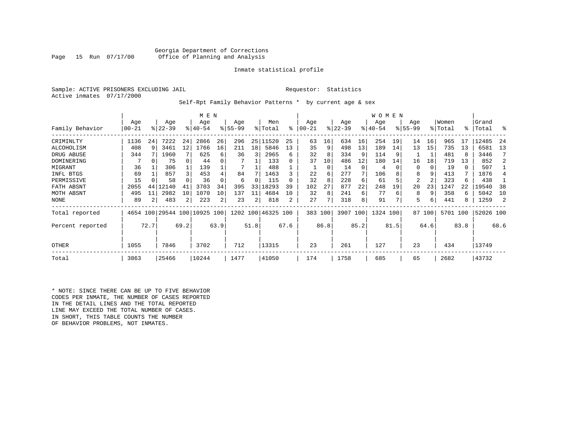Georgia Department of Corrections<br>Page 15 Run 07/17/00 office of Planning and Analysis Office of Planning and Analysis

# Inmate statistical profile

Sample: ACTIVE PRISONERS EXCLUDING JAIL **Requestor:** Statistics Active inmates 07/17/2000

Self-Rpt Family Behavior Patterns \* by current age & sex

|                  | M E N    |          |                              |                |             |      |           |      |                    |      |           |      |           |          | WOMEN    |      |             |        |          |      |           |      |
|------------------|----------|----------|------------------------------|----------------|-------------|------|-----------|------|--------------------|------|-----------|------|-----------|----------|----------|------|-------------|--------|----------|------|-----------|------|
|                  | Age      |          | Age                          |                | Age         |      | Age       |      | Men                |      | Age       |      | Age       |          | Age      |      | Age         |        | Women    |      | Grand     |      |
| Family Behavior  | $ 00-21$ |          | $ 22-39 $                    |                | $8140 - 54$ |      | $8 55-99$ |      | % Total            | ႜ    | $00 - 21$ |      | $ 22-39 $ |          | $ 40-54$ |      | $8155 - 99$ |        | % Total  | °≈   | Total     | ႜ    |
| CRIMINLTY        | 1136     | 24       | 7222                         | 24             | 2866        | 26   | 296       |      | 25 11520           | 25   | 63        | 16   | 634       | 16       | 254      | 19   | 14          | 16     | 965      | 17   | 12485     | 24   |
| ALCOHOLISM       | 408      | 9        | 3461                         | 12             | 1766        | 16   | 211       | 18   | 5846               | 13   | 35        | 9    | 498       | 13       | 189      | 14   | 13          | 15     | 735      | 13   | 6581      | 13   |
| DRUG ABUSE       | 344      |          | 1960                         |                | 625         | 6    | 36        | 3    | 2965               | 6    | 32        | 8    | 334       | 9        | 114      |      |             |        | 481      | 8    | 3446      |      |
| DOMINERING       |          | $\Omega$ | 75                           | 0              | 44          |      |           |      | 133                |      | 37        | 10   | 486       | 12       | 180      | 14   | 16          | 18     | 719      | 13   | 852       |      |
| MIGRANT          | 36       |          | 306                          |                | 139         |      |           |      | 488                |      |           | 0    | 14        | $\Omega$ | 4        |      | 0           | 0      | 19       | 0    | 507       |      |
| INFL BTGS        | 69       |          | 857                          | 3              | 453         | 4    | 84        |      | 1463               |      | 22        | 6    | 277       |          | 106      |      | 8           |        | 413      |      | 1876      |      |
| PERMISSIVE       | 15       |          | 58                           |                | 36          |      | 6         | 0    | 115                |      | 32        | 8    | 228       | 6        | 61       |      | 2           | 2      | 323      | 6    | 438       |      |
| FATH ABSNT       | 2055     | 44       | 12140                        |                | 3703        | 34   | 395       | 33   | 18293              | 39   | 102       | 27   | 877       | 22       | 248      | 19   | 20          | 23     | 1247     | 22   | 19540     | 38   |
| MOTH ABSNT       | 495      | 11       | 2982                         | 10             | 1070        | 10   | 137       | 11   | 4684               | 10   | 32        | 8    | 241       | 6        | 77       | 6    | 8           | 9      | 358      | 6    | 5042      | 10   |
| NONE             | 89       |          | 483                          | $\overline{2}$ | 223         | 2    | 23        | 2    | 818                |      | 27        |      | 318       | 8        | 91       |      | 5           | 6      | 441      | 8    | 1259      |      |
| Total reported   |          |          | 4654 100 29544 100 10925 100 |                |             |      |           |      | 1202 100 46325 100 |      | 383 100   |      | 3907 100  |          | 1324 100 |      |             | 87 100 | 5701 100 |      | 52026 100 |      |
| Percent reported |          | 72.7     |                              | 69.2           |             | 63.9 |           | 51.8 |                    | 67.6 |           | 86.8 |           | 85.2     |          | 81.5 |             | 64.6   |          | 83.8 |           | 68.6 |
| OTHER            | 1055     |          | 7846                         |                | 3702        |      | 712       |      | 13315              |      | 23        |      | 261       |          | 127      |      | 23          |        | 434      |      | 13749     |      |
| Total            | 3863     |          | 25466                        |                | 10244       |      | 1477      |      | 41050              |      | 174       |      | 1758      |          | 685      |      | 65          |        | 2682     |      | 43732     |      |

\* NOTE: SINCE THERE CAN BE UP TO FIVE BEHAVIOR CODES PER INMATE, THE NUMBER OF CASES REPORTED IN THE DETAIL LINES AND THE TOTAL REPORTED LINE MAY EXCEED THE TOTAL NUMBER OF CASES. IN SHORT, THIS TABLE COUNTS THE NUMBER OF BEHAVIOR PROBLEMS, NOT INMATES.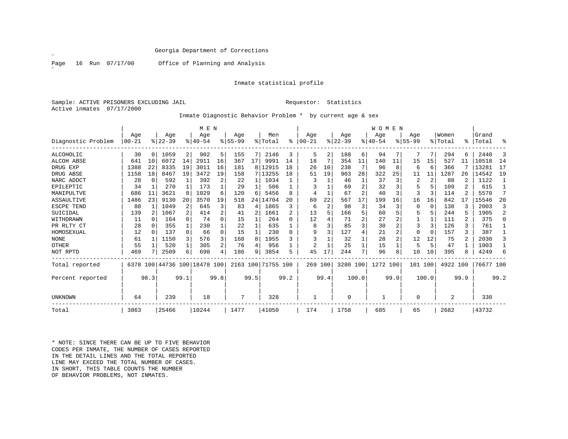˝

Page 16 Run 07/17/00 Office of Planning and Analysis

# Inmate statistical profile

Sample: ACTIVE PRISONERS EXCLUDING JAIL **Requestor:** Statistics Active inmates 07/17/2000

Inmate Diagnostic Behavior Problem \* by current age & sex

|                    |          |          |           |              | M E N                        |          |           |      |                    |      |           |      |           |       | <b>WOMEN</b> |                |             |          |          |      |           |      |
|--------------------|----------|----------|-----------|--------------|------------------------------|----------|-----------|------|--------------------|------|-----------|------|-----------|-------|--------------|----------------|-------------|----------|----------|------|-----------|------|
|                    | Age      |          | Age       |              | Age                          |          | Age       |      | Men                |      | Age       |      | Age       |       | Age          |                | Age         |          | Women    |      | Grand     |      |
| Diagnostic Problem | $ 00-21$ |          | $ 22-39 $ |              | $8 40-54$                    |          | $8 55-99$ |      | % Total            | ႜ    | $00 - 21$ |      | $ 22-39 $ |       | $ 40-54$     |                | $8155 - 99$ |          | % Total  |      | %   Total | ႜ    |
| ALCOHOLIC          | 30       |          | 1059      | 2            | 902                          | 5        | 155       |      | 2146               | 3    | 5         | 2    | 188       | 6     | 94           |                |             |          | 294      | 6.   | 2440      | 3    |
| ALCOH ABSE         | 641      | 10       | 6072      | 14           | 2911                         | 16       | 367       | 17   | 9991               | 14   | 18        |      | 354       | 11    | 140          | 11             | 15          | 15       | 527      |      | 10518     | 14   |
| DRUG EXP           | 1388     | 22       | 8335      | 19           | 3011                         | 16       | 181       | 8    | 12915              | 18   | 26        | 10   | 238       |       | 96           | 8              | 6           | -6       | 366      |      | 13281     | 17   |
| DRUG ABSE          | 1158     | 18       | 8467      | 19           | 3472                         | 19       | 158       |      | 7 13255            | 18   | 51        | 19   | 903       | 28    | 322          | 25             | 11          | 11       | 1287     | 26   | 14542     | 19   |
| NARC ADDCT         | 28       | $\Omega$ | 592       | $\mathbf{1}$ | 392                          | 2        | 22        | 1    | 1034               |      |           |      | 46        | 1     | 37           | 3              | 2           | 2        | 88       | 2    | 1122      | -1   |
| EPILEPTIC          | 34       |          | 270       |              | 173                          |          | 29        |      | 506                |      |           |      | 69        |       | 32           |                | 5           |          | 109      |      | 615       |      |
| MANIPULTVE         | 686      | 11       | 3621      | 8            | 1029                         | б        | 120       | 6    | 5456               | ጸ    |           |      | 67        |       | 40           |                | 3           |          | 114      |      | 5570      | 7    |
| ASSAULTIVE         | 1486     | 23       | 9130      | 20           | 3570                         | 19       | 518       | 24   | 14704              | 20   | 60        | 22   | 567       | 17    | 199          | 16             | 16          | 16       | 842      |      | 15546     | 20   |
| ESCPE TEND         | 88       |          | 1049      | 2            | 645                          | 3        | 83        | 4    | 1865               | 3    | 6         | 2    | 98        | 3     | 34           | 3              | 0           | $\Omega$ | 138      |      | 2003      | 3    |
| SUICIDAL           | 139      | 2        | 1067      |              | 414                          | 2        | 41        | 2    | 1661               | 2    | 13        |      | 166       |       | 60           |                |             |          | 244      |      | 1905      | 2    |
| WITHDRAWN          | 11       |          | 164       | 0            | 74                           | 0        | 15        |      | 264                | U    | 12        |      | 71        |       | 27           |                |             |          | 111      | 2    | 375       |      |
| PR RLTY CT         | 28       | $\Omega$ | 355       | $\mathbf{1}$ | 230                          |          | 22        |      | 635                |      | 8         |      | 85        | 3     | 30           |                |             |          | 126      | 3    | 761       |      |
| HOMOSEXUAL         | 12       |          | 137       | $\Omega$     | 66                           | $\Omega$ | 15        |      | 230                | U    | q         | 3    | 127       | 4     | 21           | $\overline{c}$ | $\Omega$    | $\Omega$ | 157      | 3    | 387       |      |
| <b>NONE</b>        | 61       |          | 1150      | 3            | 576                          | 3        | 168       | 8    | 1955               | 3    | 3         |      | 32        |       | 28           |                | 12          | 12       | 75       |      | 2030      |      |
| OTHER              | 55       |          | 520       | 1            | 305                          | 2        | 76        | 4    | 956                |      | 2         |      | 25        | 1     | 15           |                | 5           | 5        | 47       |      | 1003      |      |
| NOT RPTD           | 469      |          | 2509      | 6            | 690                          | 4        | 186       | 9    | 3854               | 5    | 45        | 17   | 244       | 7     | 96           | 8              | 10          | 10       | 395      | 8    | 4249      | 6    |
| Total reported     |          |          |           |              | 6378 100 44736 100 18478 100 |          |           |      | 2163 100 71755 100 |      | 269 100   |      | 3280 100  |       | 1272 100     |                | 101 100     |          | 4922 100 |      | 76677 100 |      |
| Percent reported   |          | 98.3     |           | 99.1         |                              | 99.8     |           | 99.5 |                    | 99.2 |           | 99.4 |           | 100.0 |              | 99.9           |             | 100.0    |          | 99.9 |           | 99.2 |
| UNKNOWN            | 64       |          | 239       |              | 18                           |          | 7         |      | 328                |      |           |      | $\Omega$  |       |              |                | O           |          | 2        |      | 330       |      |
| Total              | 3863     |          | 25466     |              | 10244                        |          | 1477      |      | 41050              |      | 174       |      | 1758      |       | 685          |                | 65          |          | 2682     |      | 43732     |      |

\* NOTE: SINCE THERE CAN BE UP TO FIVE BEHAVIORCODES PER INMATE, THE NUMBER OF CASES REPORTED IN THE DETAIL LINES AND THE TOTAL REPORTED LINE MAY EXCEED THE TOTAL NUMBER OF CASES.IN SHORT, THIS TABLE COUNTS THE NUMBER OF BEHAVIOR PROBLEMS, NOT INMATES.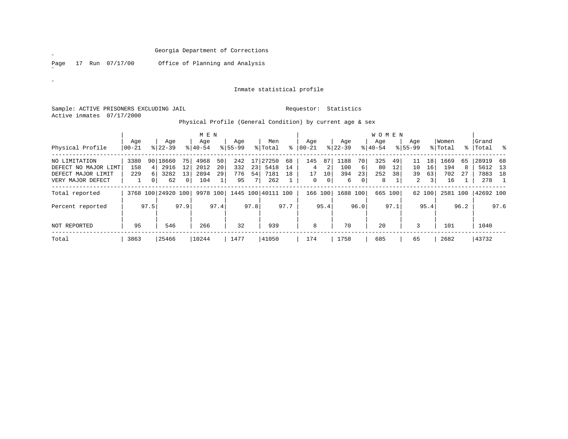Page 17 Run 07/17/00 Office of Planning and Analysis

# Inmate statistical profile

Sample: ACTIVE PRISONERS EXCLUDING JAIL **Requestor:** Statistics Active inmates 07/17/2000

 $\mathscr{L}^{\pm}$ 

 $\mathscr{A}^{\pm}$ 

|  | Physical Profile (General Condition) by current age & sex<br>. |  |
|--|----------------------------------------------------------------|--|
|--|----------------------------------------------------------------|--|

|                      |           | M E N |                    |              |           |      |             |      |                    |      |          |              |             |      | W O M E N |         |                |        |          |      |           |      |
|----------------------|-----------|-------|--------------------|--------------|-----------|------|-------------|------|--------------------|------|----------|--------------|-------------|------|-----------|---------|----------------|--------|----------|------|-----------|------|
|                      | Age       |       | Age                |              | Age       |      | Age         |      | Men                |      | Age      |              | Age         |      | Age       |         | Age            |        | Women    |      | Grand     |      |
| Physical Profile     | $ 00-21 $ |       | $8 22-39$          |              | $8 40-54$ |      | $8155 - 99$ |      | % Total            | ៖    | 00-21    |              | $8$   22-39 |      | $ 40-54 $ |         | $8155 - 99$    |        | % Total  |      | %   Total |      |
| NO LIMITATION        | 3380      | 90    | 18660              | 75           | 4968      | 50   | 242         | 17   | 27250              | 68   | 145      | 87           | 1188        | 70   | 325       | 49      | 11             | 18'    | 1669     | 65   | 28919     | 68   |
| DEFECT NO MAJOR LIMT | 158       | 4     | 2916               | 12           | 2012      | 20   | 332         | 23   | 5418               | 14   | 4        | 2            | 100         | 6    | 80        | 12      | 10             | 16     | 194      |      | 5612      | 13   |
| DEFECT MAJOR LIMIT   | 229       | 6     | 3282               | 13           | 2894      | 29   | 776         | 54   | 7181               | 18   | 17       | 10           | 394         | 23   | 252       | 38      | 39             | 63     | 702      | 27   | 7883      | 18   |
| VERY MAJOR DEFECT    |           | 0     | 62                 | $\mathbf{0}$ | 104       |      | 95          | 7    | 262                |      | $\Omega$ | $\mathbf{0}$ | 6           | 0    | 8         |         | $\overline{2}$ | 3      | 16       |      | 278       |      |
| Total reported       |           |       | 3768 100 24920 100 |              | 9978 100  |      |             |      | 1445 100 40111 100 |      | 166      | 100          | 1688 100    |      |           | 665 100 |                | 62 100 | 2581 100 |      | 42692 100 |      |
| Percent reported     |           | 97.5  |                    | 97.9         |           | 97.4 |             | 97.8 |                    | 97.7 |          | 95.4         |             | 96.0 |           | 97.1    |                | 95.4   |          | 96.2 |           | 97.6 |
| NOT REPORTED         | 95        | 546   |                    |              | 266       |      | 32          |      | 939                |      | 8        |              | 70          |      | 20        |         | 3              |        | 101      |      | 1040      |      |
| Total                | 3863      |       | 25466              |              | 10244     |      | 1477        |      | 41050              |      | 174      |              | 1758        |      | 685       |         | 65             |        | 2682     |      | 43732     |      |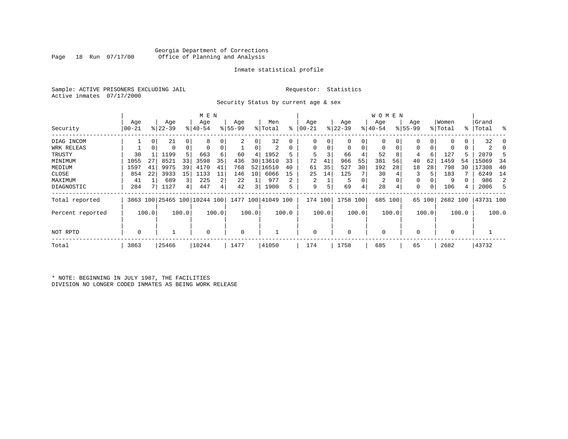# Georgia Department of Corrections Office of Planning and Analysis

# Inmate statistical profile

Sample: ACTIVE PRISONERS EXCLUDING JAIL **Requestor:** Statistics Active inmates 07/17/2000

Security Status by current age & sex

|                  |          |       |           |             | M E N                        |                |          |                         |                    |       |          |       |             |       | W O M E N |                |           |        |             |       |           |       |
|------------------|----------|-------|-----------|-------------|------------------------------|----------------|----------|-------------------------|--------------------|-------|----------|-------|-------------|-------|-----------|----------------|-----------|--------|-------------|-------|-----------|-------|
|                  | Age      |       | Age       |             | Age                          |                | Age      |                         | Men                |       | Age      |       | Age         |       | Age       |                | Age       |        | Women       |       | Grand     |       |
| Security         | $ 00-21$ |       | $ 22-39 $ |             | $ 40-54$                     |                | $ 55-99$ |                         | % Total            | ៖     | 00-21    |       | $ 22-39 $   |       | $ 40-54 $ |                | $8 55-99$ |        | % Total     |       | %   Total | ႜ     |
| DIAG INCOM       |          | 0     | 21        | $\Omega$    | 8                            |                |          | 0                       | 32                 |       | O        |       | 0           | 0     |           |                |           | 0      |             | 0     | 32        |       |
| WRK RELEAS       |          | 0     | 0         | $\mathbf 0$ |                              |                |          | 0                       | 2                  | 0     | $\Omega$ |       | $\mathbf 0$ | 0     | 0         | 0 <sup>1</sup> |           | 0      | 0           | 0     | 2         |       |
| TRUSTY           | 30       |       | 1199      | 5           | 663                          | 6              | 60       | 4                       | 1952               | 5     | 5        |       | 66          | 4     | 52        | 8              | 4         | 6      | 127         | 5     | 2079      |       |
| MINIMUM          | 1055     | 27    | 8521      | 33          | 3598                         | 35             | 436      | 30 <sup>1</sup>         | 13610              | 33    | 72       | 41    | 966         | 55    | 381       | 56             | 40        | 62     | 1459        | 54    | 15069     | 34    |
| MEDIUM           | 1597     | 41    | 9975      | 39          | 4170                         | 41             | 768      | 52                      | 16510              | 40    | 61       | 35    | 527         | 30    | 192       | 28             | 18        | 28     | 798         | 30    | 17308     | 40    |
| CLOSE            | 854      | 22    | 3933      | 15          | 1133                         | 11             | 146      | 10                      | 6066               | 15    | 25       | 14    | 125         |       | 30        |                |           |        | 183         |       | 6249      | 14    |
| MAXIMUM          | 41       |       | 689       | 3           | 225                          | 2              | 22       |                         | 977                | 2     | 2        |       | 5           |       | 2         |                | 0         |        | 9           |       | 986       | 2     |
| DIAGNOSTIC       | 284      |       | 1127      | 4           | 447                          | $\overline{4}$ | 42       | $\overline{\mathbf{3}}$ | 1900               | 5     | 9        |       | 69          | 4     | 28        | 4              | 0         |        | 106         | 4     | 2006      |       |
| Total reported   |          |       |           |             | 3863 100 25465 100 10244 100 |                |          |                         | 1477 100 41049 100 |       | 174 100  |       | 1758 100    |       | 685 100   |                |           | 65 100 | 2682 100    |       | 43731 100 |       |
| Percent reported |          | 100.0 |           | 100.0       |                              | 100.0          |          | 100.0                   |                    | 100.0 |          | 100.0 |             | 100.0 |           | 100.0          |           | 100.0  |             | 100.0 |           | 100.0 |
| NOT RPTD         | 0        |       |           |             | $\Omega$                     |                | 0        |                         |                    |       | $\Omega$ |       | $\Omega$    |       | $\Omega$  |                | 0         |        | $\mathbf 0$ |       |           |       |
| Total            | 3863     |       | 25466     |             | 10244                        |                | 1477     |                         | 41050              |       | 174      |       | 1758        |       | 685       |                | 65        |        | 2682        |       | 43732     |       |

\* NOTE: BEGINNING IN JULY 1987, THE FACILITIES DIVISION NO LONGER CODED INMATES AS BEING WORK RELEASE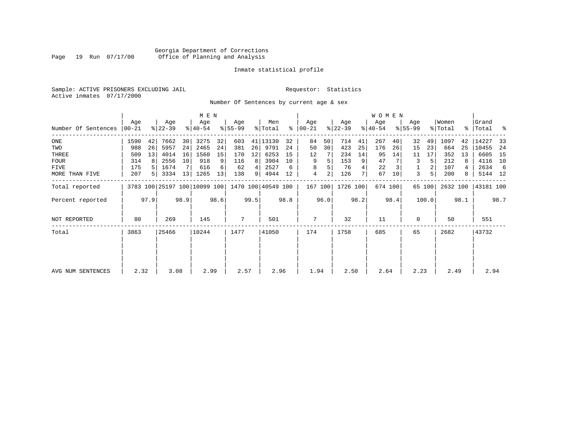# Georgia Department of Corrections Page 19 Run 07/17/00 Office of Planning and Analysis

# Inmate statistical profile

Sample: ACTIVE PRISONERS EXCLUDING JAIL **Requestor:** Statistics Active inmates 07/17/2000

Number Of Sentences by current age & sex

|                     |           |      |           |      | M E N                        |      |           |      |                    |      |               |                |           |      | <b>WOMEN</b> |      |             |        |          |      |           |      |
|---------------------|-----------|------|-----------|------|------------------------------|------|-----------|------|--------------------|------|---------------|----------------|-----------|------|--------------|------|-------------|--------|----------|------|-----------|------|
|                     | Age       |      | Age       |      | Age                          |      | Age       |      | Men                |      | Age           |                | Age       |      | Age          |      | Age         |        | Women    |      | Grand     |      |
| Number Of Sentences | $00 - 21$ |      | $ 22-39 $ |      | $ 40-54 $                    |      | $8 55-99$ |      | % Total            |      | $8   00 - 21$ |                | $ 22-39 $ |      | $ 40-54 $    |      | $8155 - 99$ |        | % Total  |      | %   Total | ႜ    |
| ONE                 | 1590      | 42   | 7662      | 30   | 3275                         | 32   | 603       | 41   | 13130              | 32   | 84            | 50             | 714       | 41   | 267          | 40   | 32          | 49     | 1097     | 42   | 14227     | 33   |
| TWO                 | 988       | 26   | 5957      | 24   | 2465                         | 24   | 381       | 26   | 9791               | 24   | 50            | 30             | 423       | 25   | 176          | 26   | 15          | 23     | 664      | 25   | 10455     | 24   |
| THREE               | 509       | 13   | 4014      | 16   | 1560                         | 15   | 170       | 12   | 6253               | 15   | 12            |                | 234       | 14   | 95           | 14   | 11          | 17     | 352      | 13   | 6605      | 15   |
| <b>FOUR</b>         | 314       | 8    | 2556      | 10   | 918                          | 9    | 116       | 8    | 3904               | 10   | 9             | 5              | 153       | 9    | 47           |      | 3           | 5      | 212      | 8    | 4116      | 10   |
| FIVE                | 175       |      | 1674      |      | 616                          | 6    | 62        | 4    | 2527               | 6    | 8             | 5              | 76        |      | 22           |      |             | 2      | 107      |      | 2634      | -6   |
| MORE THAN FIVE      | 207       | 5    | 3334      | 13   | 1265                         | 13   | 138       | 9    | 4944               | 12   | 4             | $\overline{2}$ | 126       |      | 67           | 10   | 3           | 5      | 200      | 8    | 5144 12   |      |
| Total reported      |           |      |           |      | 3783 100 25197 100 10099 100 |      |           |      | 1470 100 40549 100 |      | 167 100       |                | 1726 100  |      | 674 100      |      |             | 65 100 | 2632 100 |      | 43181 100 |      |
| Percent reported    |           | 97.9 |           | 98.9 |                              | 98.6 |           | 99.5 |                    | 98.8 |               | 96.0           |           | 98.2 |              | 98.4 |             | 100.0  |          | 98.1 |           | 98.7 |
| NOT REPORTED        | 80        |      | 269       |      | 145                          |      | 7         |      | 501                |      | 7             |                | 32        |      | 11           |      | 0           |        | 50       |      | 551       |      |
| Total               | 3863      |      | 25466     |      | 10244                        |      | 1477      |      | 41050              |      | 174           |                | 1758      |      | 685          |      | 65          |        | 2682     |      | 43732     |      |
|                     |           |      |           |      |                              |      |           |      |                    |      |               |                |           |      |              |      |             |        |          |      |           |      |
| AVG NUM SENTENCES   | 2.32      |      | 3.08      |      | 2.99                         |      | 2.57      |      | 2.96               |      | 1.94          |                | 2.50      |      | 2.64         |      | 2.23        |        | 2.49     |      | 2.94      |      |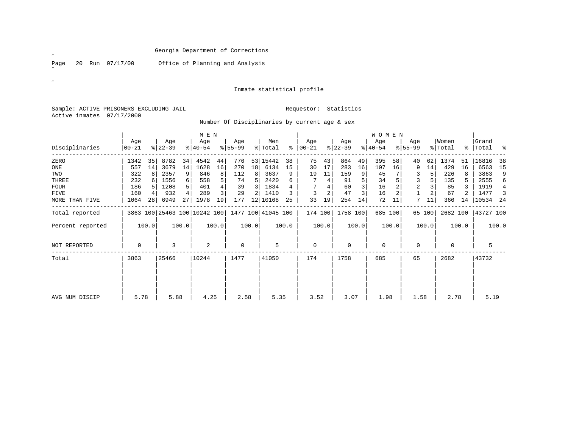Page 20 Run 07/17/00 Office of Planning and Analysis

# Inmate statistical profile

Sample: ACTIVE PRISONERS EXCLUDING JAIL **Requestor:** Statistics Active inmates 07/17/2000

Number Of Disciplinaries by current age & sex

|                  |                   |       |                  |       | M E N            |       |                 |       |                                                 |       |                  |       |                  |       | <b>WOMEN</b>     |         |                  |        |                  |       |                    |       |
|------------------|-------------------|-------|------------------|-------|------------------|-------|-----------------|-------|-------------------------------------------------|-------|------------------|-------|------------------|-------|------------------|---------|------------------|--------|------------------|-------|--------------------|-------|
| Disciplinaries   | Age<br>$ 00 - 21$ |       | Age<br>$ 22-39 $ |       | Age<br>$ 40-54 $ |       | Age<br>$ 55-99$ |       | Men<br>% Total                                  | ి     | Age<br>$00 - 21$ |       | Age<br>$ 22-39 $ |       | Age<br>$ 40-54 $ |         | Age<br>$8 55-99$ |        | Women<br>% Total |       | Grand<br>%   Total | း     |
| ZERO             | 1342              | 35    | 8782             | 34    | 4542             | 44    | 776             |       | 53 15442                                        | 38    | 75               | 43    | 864              | 49    | 395              | 58      | 40               | 62     | 1374             | 51    | 16816              | 38    |
| ONE              | 557               | 14    | 3679             | 14    | 1628             | 16    | 270             | 18    | 6134                                            | 15    | 30               | 17    | 283              | 16    | 107              | 16      | 9                | 14     | 429              | 16    | 6563               | 15    |
| TWO              | 322               |       | 2357             | 9     | 846              | 8     | 112             | 8     | 3637                                            | 9     | 19               | 11    | 159              | 9     | 45               |         | 3                | 5      | 226              |       | 3863               | 9     |
| THREE            | 232               |       | 1556             |       | 558              | 5     | 74              |       | 2420                                            | 6     |                  | 4     | 91               |       | 34               |         | 3                |        | 135              |       | 2555               | 6     |
| <b>FOUR</b>      | 186               |       | 1208             |       | 401              | 4     | 39              | 3     | 1834                                            |       |                  |       | 60               | 3     | 16               |         | 2                |        | 85               |       | 1919               | 4     |
| FIVE             | 160               |       | 932              |       | 289              | 3     | 29              | 2     | 1410                                            |       | 3                | 2     | 47               | 3     | 16               | 2       |                  |        | 67               |       | 1477               | 3     |
| MORE THAN FIVE   | 1064              | 28    | 6949             | 27    | 1978             | 19    | 177             |       | 12   10168                                      | 25    | 33               | 19    | 254              | 14    | 72               | 11      | 7                | 11     | 366              | 14    | 10534              | -24   |
| Total reported   |                   |       |                  |       |                  |       |                 |       | 3863 100 25463 100 10242 100 1477 100 41045 100 |       | 174 100          |       | 1758 100         |       |                  | 685 100 |                  | 65 100 | 2682 100         |       | 43727 100          |       |
| Percent reported |                   | 100.0 |                  | 100.0 |                  | 100.0 |                 | 100.0 |                                                 | 100.0 |                  | 100.0 |                  | 100.0 |                  | 100.0   |                  | 100.0  |                  | 100.0 |                    | 100.0 |
| NOT REPORTED     | 0                 |       | 3                |       | 2                |       | $\mathbf 0$     |       | 5                                               |       | $\mathbf 0$      |       | 0                |       | $\mathbf 0$      |         | 0                |        | $\mathbf 0$      |       | 5                  |       |
| Total            | 3863<br>25466     |       | 10244            |       | 1477             |       | 41050           |       | 174                                             |       | 1758             |       | 685              |       | 65               |         | 2682             |        | 43732            |       |                    |       |
| AVG NUM DISCIP   | 5.78              |       | 5.88             |       | 4.25             |       | 2.58            |       | 5.35                                            |       | 3.52             |       | 3.07             |       | 1.98             |         | 1.58             |        | 2.78             |       | 5.19               |       |

˝

 $\mathscr{B}^{\pm}$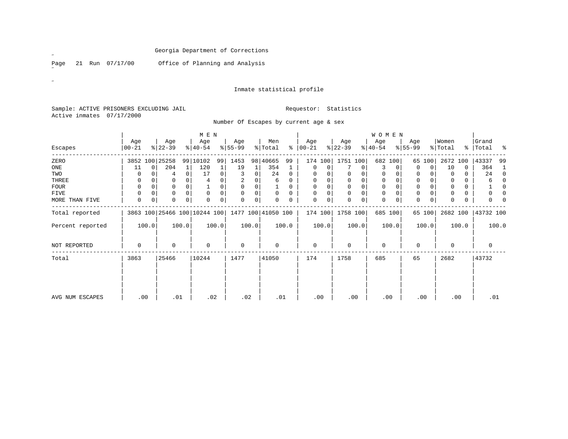Page 21 Run 07/17/00 Office of Planning and Analysis

# Inmate statistical profile

Sample: ACTIVE PRISONERS EXCLUDING JAIL **Requestor:** Statistics Active inmates 07/17/2000

# Number Of Escapes by current age & sex

|                  |                    |          |                  |                | M E N                                           |       |                 |          |                |             |                  |       |                  |             | WOMEN            |          |                  |        |                  |          |                    |             |
|------------------|--------------------|----------|------------------|----------------|-------------------------------------------------|-------|-----------------|----------|----------------|-------------|------------------|-------|------------------|-------------|------------------|----------|------------------|--------|------------------|----------|--------------------|-------------|
| Escapes          | Age<br>$ 00 - 21 $ |          | Age<br>$ 22-39 $ |                | Age<br>$ 40-54 $                                |       | Age<br>$ 55-99$ |          | Men<br>% Total | နွ          | Age<br>$00 - 21$ |       | Age<br>$ 22-39 $ |             | Age<br>$ 40-54 $ |          | Age<br>$8 55-99$ |        | Women<br>% Total |          | Grand<br>%   Total | ಿ           |
| ZERO             |                    |          | 3852 100 25258   |                | 99 10102                                        | 99    | 1453            |          | 98 40665       | 99          | 174 100          |       | 1751 100         |             |                  | 682 100  |                  | 65 100 | 2672             | 100      | 43337              | 99          |
| ONE              | 11                 | $\Omega$ | 204              |                | 120                                             | 1     | 19              |          | 354            | 1           | $\mathbf 0$      | 0     |                  | 0           | 3                | 0        | 0                | 0      | 10               | 0        | 364                | 1           |
| TWO              |                    |          | 4                | $\overline{0}$ | 17                                              | 0     |                 | 0        | 24             | $\mathbf 0$ | 0                |       | 0                | 0           | $\mathbf 0$      | 0        | 0                | 0      | $\mathbf 0$      | $\Omega$ | 24                 | $\mathbf 0$ |
| THREE            | 0                  |          | $\Omega$         |                |                                                 | 0     |                 |          | 6              | 0           | 0                |       | $\mathbf 0$      | 0           | $\mathbf 0$      |          | 0                |        | $\Omega$         |          | 6                  | 0           |
| FOUR             | $\Omega$           |          | $\Omega$         |                |                                                 | 0     | $\Omega$        | $\Omega$ |                | $\Omega$    | $\Omega$         |       | $\Omega$         | 0           | $\mathbf 0$      |          | 0                |        | $\mathbf 0$      | 0        |                    | $\mathbf 0$ |
| FIVE             | 0                  | 0        | $\mathbf 0$      | $\Omega$       | $\Omega$                                        | 0     | $\Omega$        | 0        | $\Omega$       | $\Omega$    | $\Omega$         | 0     | 0                | $\mathbf 0$ | $\mathbf 0$      | $\Omega$ | $\Omega$         | 0      | $\Omega$         | 0        | $\Omega$           | 0           |
| MORE THAN FIVE   | 0                  | 0        | 0                | 0              | $\Omega$                                        | 0     | $\Omega$        | 0        | $\Omega$       | 0           | $\mathbf 0$      | 0     | 0                | 0           | $\mathbf 0$      | 0        | 0                | 0      | $\Omega$         | 0        | <sup>0</sup>       | $\Omega$    |
| Total reported   |                    |          |                  |                | 3863 100 25466 100 10244 100 1477 100 41050 100 |       |                 |          |                |             | 174 100          |       | 1758 100         |             |                  | 685 100  |                  | 65 100 | 2682 100         |          | 43732 100          |             |
| Percent reported |                    | 100.0    |                  | 100.0          |                                                 | 100.0 |                 | 100.0    |                | 100.0       |                  | 100.0 |                  | 100.0       |                  | 100.0    |                  | 100.0  |                  | 100.0    |                    | 100.0       |
| NOT REPORTED     | 0                  |          | $\Omega$         |                | $\Omega$                                        |       | $\mathbf 0$     |          | $\Omega$       |             | $\mathbf 0$      |       | 0                |             | $\mathbf 0$      |          | $\Omega$         |        | $\Omega$         |          | $\Omega$           |             |
| Total            | 3863               | 25466    |                  | 10244          |                                                 | 1477  |                 | 41050    |                | 174         |                  | 1758  |                  | 685         |                  | 65       |                  | 2682   |                  | 43732    |                    |             |
|                  |                    |          |                  |                |                                                 |       |                 |          |                |             |                  |       |                  |             |                  |          |                  |        |                  |          |                    |             |
| AVG NUM ESCAPES  |                    | .00      | .01              |                | .02                                             |       | .02             |          | .01            |             |                  | .00   |                  | .00         |                  | .00      | .00              |        |                  | .00      | .01                |             |

 $\mathscr{L}$ 

 $\mathscr{B}^{\pm}$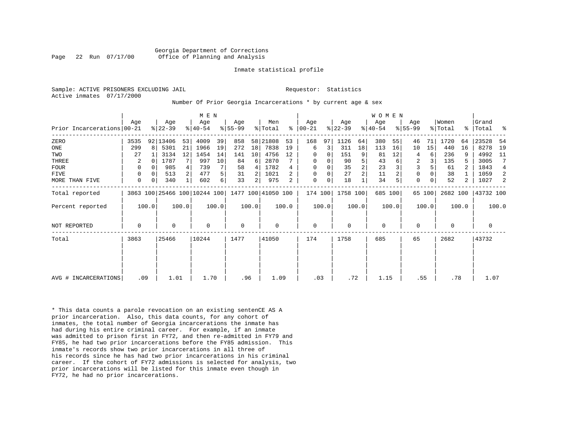Georgia Department of Corrections Page 22 Run 07/17/00 Office of Planning and Analysis

#### Inmate statistical profile

Sample: ACTIVE PRISONERS EXCLUDING JAIL **Requestor:** Statistics Active inmates 07/17/2000

#### Number Of Prior Georgia Incarcerations \* by current age & sex

|                            |             |          |                  |       | M E N                        |       |                    |       |                |       |                  |       |                  |                | WOMEN            |       |                    |        |                  |       |                    |       |
|----------------------------|-------------|----------|------------------|-------|------------------------------|-------|--------------------|-------|----------------|-------|------------------|-------|------------------|----------------|------------------|-------|--------------------|--------|------------------|-------|--------------------|-------|
| Prior Incarcerations 00-21 | Age         |          | Age<br>$8 22-39$ |       | Age<br>$ 40-54 $             |       | Age<br>$8155 - 99$ |       | Men<br>% Total | ႜ     | Age<br>$ 00-21 $ |       | Age<br>$ 22-39 $ |                | Age<br>$ 40-54 $ |       | Age<br>$8155 - 99$ |        | Women<br>% Total |       | Grand<br>%   Total | ႜ     |
| ZERO                       | 3535        |          | 92 13406         | 53    | 4009                         | 39    | 858                | 58    | 21808          | 53    | 168              | 97    | 1126             | 64             | 380              | 55    | 46                 | 71     | 1720             | 64    | 23528              | -54   |
| $_{\rm ONE}$               | 299         | 8        | 5301             | 21    | 1966                         | 19    | 272                | 18    | 7838           | 19    | 6                | 3     | 311              | 18             | 113              | 16    | 10                 | 15     | 440              | 16    | 8278               | 19    |
| TWO                        | 27          |          | 3134             | 12    | 1454                         | 14    | 141                | 10    | 4756           | 12    | 0                | 0     | 151              | 9              | 81               | 12    | 4                  | 6      | 236              |       | 4992               | - 11  |
| THREE                      | 2           | 0        | 1787             |       | 997                          | 10    | 84                 | 6     | 2870           |       | 0                | 0     | 90               | 5              | 43               |       | $\overline{2}$     |        | 135              | 5     | 3005               | 7     |
| <b>FOUR</b>                | 0           | $\Omega$ | 985              |       | 739                          |       | 58                 | 4     | 1782           |       | 0                | 0     | 35               | $\overline{2}$ | 23               |       | 3                  |        | 61               |       | 1843               | 4     |
| <b>FIVE</b>                | 0           | $\Omega$ | 513              | 2     | 477                          | 5     | 31                 |       | 1021           |       | 0                | 0     | 27               | $\overline{2}$ | 11               |       | 0                  |        | 38               |       | 1059               | 2     |
| MORE THAN FIVE             | $\mathbf 0$ | 0        | 340              |       | 602                          | 6     | 33                 | 2     | 975            |       | 0                | 0     | 18               |                | 34               |       | $\mathbf 0$        |        | 52               | 2     | 1027               | 2     |
| Total reported             |             |          |                  |       | 3863 100 25466 100 10244 100 |       | 1477 100 41050 100 |       |                |       | 174 100          |       | 1758 100         |                | 685 100          |       |                    | 65 100 | 2682 100         |       | 43732 100          |       |
| Percent reported           |             | 100.0    |                  | 100.0 |                              | 100.0 |                    | 100.0 |                | 100.0 |                  | 100.0 |                  | 100.0          |                  | 100.0 |                    | 100.0  |                  | 100.0 |                    | 100.0 |
| <b>NOT REPORTED</b>        | 0           |          | 0                |       | $\mathbf 0$                  |       | $\mathbf 0$        |       | 0              |       | $\mathbf 0$      |       | 0                |                | 0                |       | 0                  |        | 0                |       | 0                  |       |
| Total                      | 3863        | 25466    |                  | 10244 |                              | 1477  |                    | 41050 |                | 174   |                  | 1758  |                  | 685            |                  | 65    |                    | 2682   |                  | 43732 |                    |       |
|                            |             |          |                  |       |                              |       |                    |       |                |       |                  |       |                  |                |                  |       |                    |        |                  |       |                    |       |
|                            |             |          |                  |       |                              |       |                    |       |                |       |                  |       |                  |                |                  |       |                    |        |                  |       |                    |       |
| AVG # INCARCERATIONS       | .09         |          | 1.01             |       | 1.70                         |       | .96                |       | 1.09           |       | .03              |       | .72              |                | 1.15             |       | .55                |        | .78              |       | 1.07               |       |

\* This data counts a parole revocation on an existing sentenCE AS A prior incarceration. Also, this data counts, for any cohort of inmates, the total number of Georgia incarcerations the inmate has had during his entire criminal career. For example, if an inmate was admitted to prison first in FY72, and then re-admitted in FY79 and FY85, he had two prior incarcerations before the FY85 admission. This inmate's records show two prior incarcerations in all three of his records since he has had two prior incarcerations in his criminal career. If the cohort of FY72 admissions is selected for analysis, two prior incarcerations will be listed for this inmate even though in FY72, he had no prior incarcerations.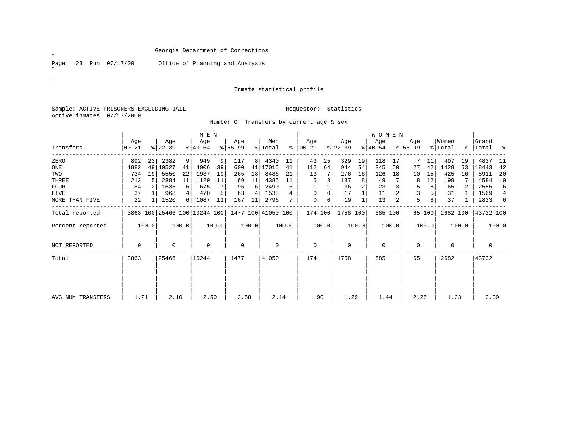Page 23 Run 07/17/00 Office of Planning and Analysis

# Inmate statistical profile

Sample: ACTIVE PRISONERS EXCLUDING JAIL **Requestor:** Statistics Active inmates 07/17/2000

# Number Of Transfers by current age & sex

|                   |                    |       |                  |       | M E N                        |       |                  |       |                    |       |                 |          |                  |       | WOMEN            |         |                  |        |                  |       |                    |       |
|-------------------|--------------------|-------|------------------|-------|------------------------------|-------|------------------|-------|--------------------|-------|-----------------|----------|------------------|-------|------------------|---------|------------------|--------|------------------|-------|--------------------|-------|
| Transfers         | Age<br>$ 00 - 21 $ |       | Age<br>$ 22-39 $ |       | Age<br>$ 40-54 $             |       | Age<br>$8 55-99$ |       | Men<br>% Total     | ∻     | Age<br>$ 00-21$ |          | Age<br>$ 22-39 $ |       | Age<br>$ 40-54 $ |         | Age<br>$8 55-99$ |        | Women<br>% Total |       | Grand<br>%   Total | ಿ     |
| ZERO              | 892                | 23    | 2382             | 9     | 949                          | 9     | 117              | 8     | 4340               | 11    | 43              | 25       | 329              | 19    | 118              | 17      |                  | 11     | 497              | 19    | 4837               | 11    |
| ONE               | 1882               | 49    | 10527            | 41    | 4006                         | 39    | 600              | 41    | 17015              | 41    | 112             | 64       | 944              | 54    | 345              | 50      | 27               | 42     | 1428             | 53    | 18443              | 42    |
| TWO               | 734                | 19    | 5550             | 22    | 1937                         | 19    | 265              | 18    | 8486               | 21    | 13              |          | 276              | 16    | 126              | 18      | 10               | 15     | 425              | 16    | 8911               | 20    |
| THREE             | 212                |       | 2884             | 11    | 1120                         | 11    | 169              | 11    | 4385               | 11    | 5               |          | 137              | 8     | 49               |         | 8                | 12     | 199              |       | 4584               | 10    |
| FOUR              | 84                 |       | 1635             | 6     | 675                          | 7     | 96               | 6     | 2490               | 6     |                 |          | 36               | 2     | 23               |         | 5                | 8      | 65               |       | 2555               | 6     |
| FIVE              | 37                 |       | 968              |       | 470                          | 5     | 63               | 4     | 1538               | 4     | $\Omega$        | $\Omega$ | 17               |       | 11               |         | 3                | 5      | 31               |       | 1569               | 4     |
| MORE THAN FIVE    | 22                 |       | 1520             | 6     | 1087                         | 11    | 167              | 11    | 2796               |       | 0               | 0        | 19               |       | 13               | 2       | 5.               | 8      | 37               |       | 2833               | 6     |
| Total reported    |                    |       |                  |       | 3863 100 25466 100 10244 100 |       |                  |       | 1477 100 41050 100 |       | 174 100         |          | 1758 100         |       |                  | 685 100 |                  | 65 100 | 2682 100         |       | 43732 100          |       |
| Percent reported  |                    | 100.0 |                  | 100.0 |                              | 100.0 |                  | 100.0 |                    | 100.0 |                 | 100.0    |                  | 100.0 |                  | 100.0   |                  | 100.0  |                  | 100.0 |                    | 100.0 |
| NOT REPORTED      | $\mathbf 0$        |       | $\Omega$         |       | 0                            |       | $\mathbf 0$      |       | 0                  |       | $\mathbf 0$     |          | $\mathbf 0$      |       | $\mathbf 0$      |         | $\Omega$         |        | $\mathbf 0$      |       | $\mathbf 0$        |       |
| Total             | 3863               | 25466 |                  | 10244 |                              | 1477  |                  | 41050 |                    | 174   |                 | 1758     |                  | 685   |                  | 65      |                  | 2682   |                  | 43732 |                    |       |
|                   |                    |       |                  |       |                              |       |                  |       |                    |       |                 |          |                  |       |                  |         |                  |        |                  |       |                    |       |
| AVG NUM TRANSFERS | 1.21               |       | 2.10             |       | 2.50                         |       | 2.58             |       | 2.14               |       | .90             |          | 1.29             |       | 1.44             |         | 2.26             |        | 1.33             |       | 2.09               |       |

 $\mathscr{L}$ 

 $\mathscr{B}^{\pm}$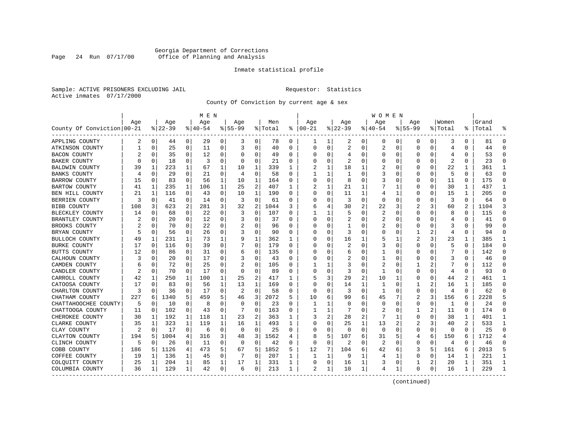# Georgia Department of Corrections Page 24 Run 07/17/00 Office of Planning and Analysis

# Inmate statistical profile

Sample: ACTIVE PRISONERS EXCLUDING JAIL **Requestor:** Statistics Active inmates 07/17/2000

County Of Conviction by current age & sex

|                            |     |             |          |             | M E N     |          |           |             |         |          |             |             |                |                | <b>WOMEN</b>   |              |             |          |                |          |           |              |
|----------------------------|-----|-------------|----------|-------------|-----------|----------|-----------|-------------|---------|----------|-------------|-------------|----------------|----------------|----------------|--------------|-------------|----------|----------------|----------|-----------|--------------|
|                            | Age |             | Age      |             | Age       |          | Age       |             | Men     |          | Age         |             | Age            |                | Age            |              | Aqe         |          | Women          |          | Grand     |              |
| County Of Conviction 00-21 |     |             | $ 22-39$ |             | $8 40-54$ |          | $8 55-99$ |             | % Total | ႜ        | $ 00-21$    |             | $ 22-39$       |                | $ 40-54$       |              | $8155 - 99$ |          | % Total        |          | %   Total |              |
| APPLING COUNTY             | 2   | 0           | 44       | 0           | 29        | 0        | 3         | 0           | 78      | 0        | ı           | 1           | 2              | 0              | 0              | 0            | 0           | 0        | 3              | 0        | 81        | $\Omega$     |
| ATKINSON COUNTY            |     | $\mathbf 0$ | 25       | $\mathbf 0$ | 11        | 0        | 3         | $\mathbf 0$ | 40      | $\Omega$ | $\mathbf 0$ | $\Omega$    | 2              | $\mathbf 0$    | $\overline{2}$ | $\mathbf 0$  | $\Omega$    | $\Omega$ | 4              | $\Omega$ | 44        | $\Omega$     |
| <b>BACON COUNTY</b>        |     | 0           | 35       | 0           | 12        | 0        |           | 0           | 49      | 0        | C           | 0           | 4              | 0              | $\Omega$       | 0            | O           | $\Omega$ | 4              | 0        | 53        | $\Omega$     |
| BAKER COUNTY               | U   | 0           | 18       | 0           | 3         | 0        | O         | 0           | 21      | 0        | O           | 0           | 2              | 0              | 0              | 0            | O           | 0        | 2              | 0        | 23        | ∩            |
| <b>BALDWIN COUNTY</b>      | 39  |             | 223      |             | 67        | 1        | 10        | 1           | 339     |          |             | 1           | 18             | 1              |                | C            | O           | O        | 22             |          | 361       | -1           |
| <b>BANKS COUNTY</b>        | 4   | $\Omega$    | 29       | 0           | 21        | 0        | 4         | 0           | 58      | U        |             | 1           | -1             | 0              | 3              | 0            | 0           | 0        | 5              | 0        | 63        | ∩            |
| <b>BARROW COUNTY</b>       | 15  | 0           | 83       | 0           | 56        | 1        | 10        | 1           | 164     | 0        | O           | 0           | 8              | 0              | 3              | 0            | 0           | 0        | 11             | 0        | 175       | $\Omega$     |
| <b>BARTOW COUNTY</b>       | 41  | 1           | 235      | 1           | 106       | 1        | 25        | 2           | 407     | 1        |             | 1           | 21             | 1              |                | $\mathbf{1}$ | 0           | $\Omega$ | 30             | 1        | 437       | $\mathbf{1}$ |
| BEN HILL COUNTY            | 21  | 1           | 116      | 0           | 43        | 0        | 10        | 1           | 190     | 0        | $\cap$      | $\mathbf 0$ | 11             | $\mathbf{1}$   | 4              | 1            | 0           | $\Omega$ | 15             | 1        | 205       | $\Omega$     |
| BERRIEN COUNTY             | 3   | $\mathbf 0$ | 41       | 0           | 14        | 0        | 3         | 0           | 61      | 0        | 0           | 0           | 3              | 0              | $\Omega$       | 0            | $\Omega$    | 0        | 3              | $\Omega$ | 64        | $\Omega$     |
| <b>BIBB COUNTY</b>         | 108 | 3           | 623      | 2           | 281       | 3        | 32        | 2           | 1044    | 3        | 6           | 4           | 30             | $\overline{2}$ | 22             | 3            |             | 3        | 60             |          | 1104      | 3            |
| BLECKLEY COUNTY            | 14  | $\Omega$    | 68       | 0           | 22        | 0        | 3         | 0           | 107     | 0        |             | 1           | 5              | 0              | 2              | $\Omega$     | $\Omega$    | 0        | 8              | $\Omega$ | 115       | $\Omega$     |
| BRANTLEY COUNTY            | 2   | 0           | 20       | 0           | 12        | 0        | 3         | 0           | 37      | 0        | 0           | 0           | 2              | $\Omega$       | 2              | 0            | 0           | 0        | 4              | 0        | 41        |              |
| BROOKS COUNTY              |     | $\Omega$    | 70       | 0           | 22        | $\Omega$ |           | $\Omega$    | 96      | 0        |             | $\Omega$    | -1             | O              | 2              | 0            | O           | O        | 3              | 0        | 99        | $\Omega$     |
| BRYAN COUNTY               |     | $\Omega$    | 56       | 0           | 26        | 0        | 3         | 0           | 90      | 0        | C           | $\Omega$    | 3              | 0              | U              | 0            | 1           |          | 4              | O        | 94        | $\Omega$     |
| BULLOCH COUNTY             | 49  | 1           | 231      |             | 73        | 1        | 9         | 1           | 362     | 1        |             | 0           | 16             | 1              |                | 1            | 2           | 3        | 23             | 1        | 385       |              |
| <b>BURKE COUNTY</b>        | 17  | 0           | 116      | 0           | 39        | 0        |           | $\Omega$    | 179     | 0        |             | $\Omega$    |                | O              | 3              | 0            | O           | O        | 5              | 0        | 184       | ∩            |
| BUTTS COUNTY               | 12  | 0           | 86       | 0           | 31        | 0        | 6         | 0           | 135     | 0        | O           | $\Omega$    | 6              | 0              | 1              | 0            | 0           | O        |                | 0        | 142       | ∩            |
| CALHOUN COUNTY             |     | 0           | 20       | 0           | 17        | 0        |           | 0           | 43      | 0        |             | 0           | 2              | 0              |                | 0            | 0           | $\Omega$ | 3              | $\Omega$ | 46        |              |
| CAMDEN COUNTY              | 6   | $\mathbf 0$ | 72       | 0           | 25        | 0        |           | $\Omega$    | 105     | U        |             | 1           | 3              | 0              | 2              | $\mathbf 0$  | 1           |          |                | $\Omega$ | 112       |              |
| CANDLER COUNTY             | 2   | 0           | 70       | 0           | 17        | 0        | $\Omega$  | 0           | 89      | 0        | C           | 0           | 3              | $\Omega$       | 1              | 0            | $\Omega$    | $\Omega$ | 4              | 0        | 93        | ∩            |
| CARROLL COUNTY             | 42  | 1           | 250      | 1           | 100       | 1        | 25        | 2           | 417     |          |             | 3           | 29             | 2              | 10             | 1            | 0           | 0        | 44             | 2        | 461       |              |
| CATOOSA COUNTY             | 17  | $\Omega$    | 83       | 0           | 56        | 1        | 13        | 1           | 169     | U        | C           | $\Omega$    | 14             | 1              | 1              | $\Omega$     | 1           | 2        | 16             | 1        | 185       |              |
| CHARLTON COUNTY            | 3   | 0           | 36       | 0           | 17        | 0        | 2         | 0           | 58      | 0        | $\cap$      | $\Omega$    | 3              | 0              | 1              | 0            | $\Omega$    | $\Omega$ | 4              | 0        | 62        |              |
| CHATHAM COUNTY             | 227 | 6           | 1340     | 5           | 459       | 5        | 46        | 3           | 2072    | 5        | 10          | 6           | 99             | 6              | 45             |              | 2           | 3        | 156            | 6        | 2228      |              |
| CHATTAHOOCHEE COUNTY       | 5   | 0           | 10       | 0           | 8         | 0        | O         | 0           | 23      | U        | -1          | 1           | $\Omega$       | O              | $\Omega$       | 0            | 0           | $\Omega$ | 1              | $\Omega$ | 24        | $\Omega$     |
| CHATTOOGA COUNTY           | 11  | 0           | 102      | 0           | 43        | 0        |           | 0           | 163     | 0        |             | 1           |                | 0              | 2              | 0            | 1           | 2        | 11             | O        | 174       | ∩            |
| CHEROKEE COUNTY            | 30  | 1           | 192      | 1           | 118       | 1        | 23        | 2           | 363     | 1        |             | 2           | 28             | 2              |                |              | $\Omega$    | 0        | 38             | 1        | 401       |              |
| CLARKE COUNTY              | 35  | 1           | 323      | 1           | 119       | 1        | 16        | 1           | 493     | 1        | C           | 0           | 25             | 1              | 13             | 2            | 2           | 3        | 40             | 2        | 533       | -1           |
| CLAY COUNTY                | 2   | $\mathbf 0$ | 17       | $\mathbf 0$ | 6         | 0        | 0         | 0           | 25      | 0        | O           | 0           | $\Omega$       | 0              | $\mathbf 0$    | 0            | $\Omega$    | 0        | $\mathbf 0$    | 0        | 25        | $\Omega$     |
| CLAYTON COUNTY             | 194 | 5           | 1004     | 4           | 316       | 3        | 48        | 3           | 1562    | 4        |             | 5           | 107            | 6              | 31             | 5            | 4           | 6        | 150            | 6        | 1712      |              |
| CLINCH COUNTY              | 5   | $\Omega$    | 26       | $\Omega$    | 11        | $\Omega$ | $\Omega$  | $\Omega$    | 42      | 0        | $\bigcap$   | $\Omega$    | $\overline{2}$ | $\Omega$       | $\overline{2}$ | $\Omega$     | 0           | $\Omega$ | $\overline{4}$ | $\Omega$ | 46        | $\cap$       |
| COBB COUNTY                | 186 | 5           | 1126     | 4           | 473       | 5        | 67        | 5           | 1852    | 5        | 12          | 7           | 104            | 6              | 42             | 6            | 3           | 5        | 161            | 6        | 2013      | 5            |
| COFFEE COUNTY              | 19  | 1           | 136      | 1           | 45        | 0        |           | $\Omega$    | 207     | 1        |             | 1           | 9              | 1              | 4              |              | 0           | 0        | 14             | 1        | 221       | -1           |
| COLQUITT COUNTY            | 25  | 1           | 204      | 1           | 85        | 1        | 17        | 1           | 331     | 1        | 0           | 0           | 16             | 1              | 3              | 0            | 1           | 2        | 20             | 1        | 351       | -1           |
| COLUMBIA COUNTY            | 36  | 1           | 129      | 1           | 42        | 0        | 6         | 0           | 213     | 1        | 2           | 1           | 10             | 1              | 4              | 1            | $\Omega$    | 0        | 16             | 1        | 229       |              |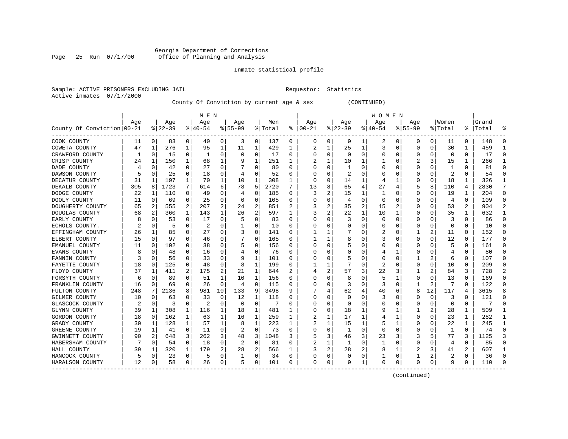# Georgia Department of Corrections Page 25 Run 07/17/00 Office of Planning and Analysis

# Inmate statistical profile

| Sample: ACTIVE PRISONERS EXCLUDING JAIL | Requestor: Statistics |  |
|-----------------------------------------|-----------------------|--|
| Active inmates 07/17/2000               |                       |  |

County Of Conviction by current age & sex (CONTINUED)

|                            |     |          |          |             | M E N    |    |             |                |         |   |            |   |          |                | W O M E N |             |              |                |             |                |           |               |
|----------------------------|-----|----------|----------|-------------|----------|----|-------------|----------------|---------|---|------------|---|----------|----------------|-----------|-------------|--------------|----------------|-------------|----------------|-----------|---------------|
|                            | Age |          | Age      |             | Age      |    | Aqe         |                | Men     |   | Age        |   | Age      |                | Age       |             | Aqe          |                | Women       |                | Grand     |               |
| County Of Conviction 00-21 |     |          | $ 22-39$ |             | $ 40-54$ |    | $8155 - 99$ |                | % Total | ႜ | $ 00 - 21$ |   | $ 22-39$ |                | $ 40-54$  |             | $8155 - 99$  |                | % Total     |                | %   Total |               |
| COOK COUNTY                | 11  | 0        | 83       | 0           | 40       | 0  | 3           | 0              | 137     | 0 | 0          | 0 | 9        | 1              | 2         | 0           | 0            | 0              | 11          | 0              | 148       | $\Omega$      |
| COWETA COUNTY              | 47  | 1        | 276      | 1           | 95       | 1  | 11          | 1              | 429     | 1 | 2          | 1 | 25       | 1              | 3         | 0           | 0            | 0              | 30          | 1              | 459       | -1            |
| CRAWFORD COUNTY            |     | 0        | 15       | 0           | -1       | 0  | O           | 0              | 17      | 0 | 0          | 0 | 0        | 0              | 0         | 0           | 0            | 0              | 0           | 0              | 17        | ∩             |
| CRISP COUNTY               | 24  | 1        | 150      | 1           | 68       | 1  |             | 1              | 251     | 1 | 2          | 1 | 10       | 1              |           | 0           |              | 3              | 15          | 1              | 266       |               |
| DADE COUNTY                |     | 0        | 42       | 0           | 27       | 0  |             | 0              | 80      | 0 |            | 0 | -1       | 0              |           | 0           | 0            | 0              | 1           | 0              | 81        |               |
| DAWSON COUNTY              |     | $\Omega$ | 25       | 0           | 18       | 0  | 4           | $\Omega$       | 52      | U |            | 0 | 2        | O              |           | C           | O            | O              | 2           | $\Omega$       | 54        | $\Omega$      |
| DECATUR COUNTY             | 31  | 1        | 197      | 1           | 70       | 1  | 10          | 1              | 308     | 1 | $\cap$     | 0 | 14       | 1              | 4         | 1           | 0            | 0              | 18          | 1              | 326       | -1            |
| DEKALB COUNTY              | 305 | 8        | 1723     | 7           | 614      | 6  | 78          | 5              | 2720    | 7 | 13         | 8 | 65       | 4              | 27        | 4           | 5            | 8              | 110         | 4              | 2830      | 7             |
| DODGE COUNTY               | 22  | 1        | 110      | 0           | 49       | 0  | 4           | 0              | 185     | 0 | 3          | 2 | 15       | 1              | 1         | 0           | 0            | 0              | 19          | 1              | 204       | $\Omega$      |
| DOOLY COUNTY               | 11  | 0        | 69       | 0           | 25       | 0  | 0           | $\mathbf 0$    | 105     | 0 |            | 0 | 4        | $\Omega$       | 0         | C           | 0            | 0              | 4           | 0              | 109       | $\Omega$      |
| DOUGHERTY COUNTY           | 65  | 2        | 555      | 2           | 207      | 2  | 24          | 2              | 851     | 2 |            | 2 | 35       | $\overline{2}$ | 15        | 2           | 0            | O              | 53          | $\overline{a}$ | 904       | $\mathcal{D}$ |
| DOUGLAS COUNTY             | 68  | 2        | 360      | 1           | 143      | 1  | 26          | $\overline{2}$ | 597     | 1 | 3          | 2 | 22       | 1              | 10        | 1           | 0            | 0              | 35          | 1              | 632       |               |
| EARLY COUNTY               | 8   | 0        | 53       | 0           | 17       | 0  | .5          | 0              | 83      | U |            | 0 | 3        | $\mathbf 0$    | 0         | $\mathbf 0$ | 0            | $\Omega$       | 3           | $\Omega$       | 86        |               |
| ECHOLS COUNTY.             |     | 0        | 5        | 0           | 2        | 0  |             | 0              | 10      | U |            | 0 |          | 0              |           | 0           | 0            | $\Omega$       | $\mathbf 0$ | $\Omega$       | 10        | $\Omega$      |
| EFFINGHAM COUNTY           | 26  | 1        | 85       | 0           | 27       | 0  | 3           | 0              | 141     | U |            | 1 |          | 0              | 2         | 0           | 1            | 2              | 11          | $\Omega$       | 152       | ∩             |
| ELBERT COUNTY              | 15  | 0        | 97       | 0           | 46       | 0  |             | 0              | 165     | 0 |            | 1 | 8        | 0              |           | 0           | 0            | 0              | 12          | 0              | 177       | ∩             |
| EMANUEL COUNTY             | 11  | 0        | 102      | 0           | 38       | 0  | .5          | 0              | 156     | 0 | O          | 0 | 5        | 0              | 0         | 0           | 0            | O              | 5           | 0              | 161       | ∩             |
| EVANS COUNTY               | 8   | 0        | 48       | 0           | 16       | 0  |             | 0              | 76      | 0 |            | 0 |          | 0              | 4         | 1           | 0            | 0              | 4           | 0              | 80        |               |
| FANNIN COUNTY              | 3   | $\Omega$ | 56       | O           | 33       | 0  |             | 1              | 101     | 0 |            | 0 | 5        | 0              | O         | C           |              |                | 6           | 0              | 107       | $\cap$        |
| FAYETTE COUNTY             | 18  | 0        | 125      | 0           | 48       | 0  | 8           | 1              | 199     | 0 |            | 1 |          | 0              | 2         | 0           | 0            | 0              | 10          | 0              | 209       |               |
| FLOYD COUNTY               | 37  | 1        | 411      | 2           | 175      | 2  | 21          | 1              | 644     | 2 |            | 2 | 57       | 3              | 22        | 3           |              |                | 84          | 3              | 728       | 2             |
| FORSYTH COUNTY             | 6   | 0        | 89       | 0           | 51       | 1  | 10          | 1              | 156     | 0 |            | 0 | 8        | $\Omega$       | 5         | 1           | 0            | 0              | 13          | $\Omega$       | 169       |               |
| FRANKLIN COUNTY            | 16  | 0        | 69       | 0           | 26       | 0  | 4           | $\mathbf 0$    | 115     | 0 |            | 0 | 3        | $\Omega$       | 3         | 0           | $\mathbf{1}$ | $\overline{2}$ | 7           | $\Omega$       | 122       |               |
| FULTON COUNTY              | 248 | 7        | 2136     | 8           | 981      | 10 | 133         | 9              | 3498    | 9 |            | 4 | 62       | 4              | 40        | 6           | 8            | 12             | 117         | 4              | 3615      |               |
| GILMER COUNTY              | 10  | 0        | 63       | O           | 33       | 0  | 12          | 1              | 118     | 0 | 0          | 0 | 0        | 0              | 3         | 0           | 0            | 0              | 3           | $\Omega$       | 121       | ∩             |
| GLASCOCK COUNTY            | 2   | 0        | 3        | 0           | 2        | 0  | $\Omega$    | 0              |         | 0 |            | 0 | O        | 0              | C         | 0           | 0            | 0              | 0           | 0              |           |               |
| GLYNN COUNTY               | 39  | 1        | 308      | 1           | 116      | 1  | 18          | 1              | 481     |   |            | 0 | 18       | 1              | g         |             |              |                | 28          |                | 509       | -1            |
| GORDON COUNTY              | 18  | $\Omega$ | 162      | 1           | 63       | 1  | 16          | 1              | 259     | 1 |            | 1 | 17       | 1              | 4         |             | 0            | O              | 23          | 1              | 282       | -1            |
| GRADY COUNTY               | 30  | 1        | 128      | 1           | 57       | 1  | 8           | 1              | 223     | 1 |            | 1 | 15       | 1              |           | 1           | 0            | 0              | 22          | 1              | 245       | -1            |
| GREENE COUNTY              | 19  | 1        | 41       | $\mathbf 0$ | 11       | 0  | 2           | 0              | 73      | 0 |            | 0 | 1        | $\Omega$       | $\Omega$  | 0           | 0            | 0              | 1           | $\Omega$       | 74        | ∩             |
| GWINNETT COUNTY            | 90  | 2        | 648      | 3           | 262      | 3  | 48          | 3              | 1048    | 3 |            | 3 | 46       | 3              | 23        | 3           | 3            | 5              | 77          | 3              | 1125      |               |
| HABERSHAM COUNTY           |     | 0        | 54       | 0           | 18       | 0  | 2           | 0              | 81      | 0 |            | 1 | 1        | $\Omega$       | 1         | 0           | $\Omega$     | O              | 4           | $\Omega$       | 85        | $\cap$        |
| HALL COUNTY                | 39  | 1        | 320      | 1           | 179      | 2  | 28          | 2              | 566     | 1 |            | 2 | 28       | 2              | 8         | 1           | 2            | 3              | 41          | 2              | 607       | -1            |
| HANCOCK COUNTY             |     | 0        | 23       | 0           | 5        | 0  |             | 0              | 34      | 0 | O          | 0 | $\Omega$ | 0              |           | 0           | 1            | 2              | 2           | 0              | 36        | ∩             |
| HARALSON COUNTY            | 12  | 0        | 58       | 0           | 26       | 0  | 5           | 0              | 101     | 0 | $\Omega$   | 0 | 9        | 1              | $\Omega$  | 0           | 0            | 0              | 9           | 0              | 110       |               |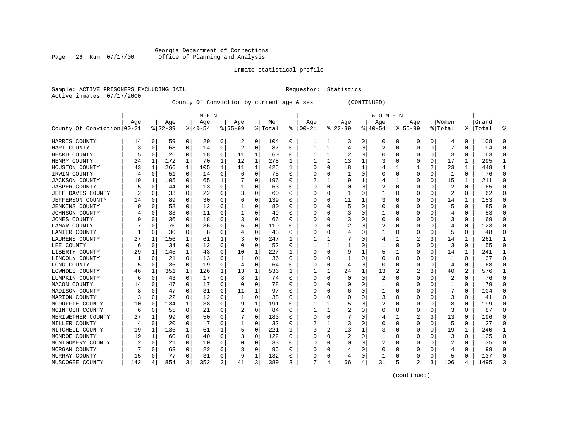# Georgia Department of Corrections Page 26 Run 07/17/00 Office of Planning and Analysis

# Inmate statistical profile

| Sample: ACTIVE PRISONERS EXCLUDING JAIL | Requestor: Statistics |  |
|-----------------------------------------|-----------------------|--|
| Active inmates 07/17/2000               |                       |  |

County Of Conviction by current age & sex (CONTINUED)

|                            |     |          |           |          | M E N     |          |           |          |         |          |          |          |              |          | W O M E N |              |             |          |              |               |       |           |
|----------------------------|-----|----------|-----------|----------|-----------|----------|-----------|----------|---------|----------|----------|----------|--------------|----------|-----------|--------------|-------------|----------|--------------|---------------|-------|-----------|
|                            | Age |          | Age       |          | Age       |          | Age       |          | Men     |          | Age      |          | Age          |          | Age       |              | Age         |          | Women        |               | Grand |           |
| County Of Conviction 00-21 |     |          | $8 22-39$ |          | $8 40-54$ |          | $8 55-99$ |          | % Total | ႜ        | $ 00-21$ |          | $ 22-39 $    |          | $ 40-54$  |              | $8155 - 99$ |          | % Total      | $\frac{1}{6}$ | Total | ႜ         |
| HARRIS COUNTY              | 14  | 0        | 59        | 0        | 29        | 0        | 2         | 0        | 104     | 0        |          | 1        | 3            | 0        | 0         | 0            | 0           | 0        | 4            | 0             | 108   | 0         |
| HART COUNTY                | 3   | 0        | 68        | 0        | 14        | 0        | 2         | 0        | 87      | 0        | 1        | 1        | 4            | 0        | 2         | 0            | $\Omega$    | 0        |              | 0             | 94    | $\cap$    |
| HEARD COUNTY               | 5   | 0        | 26        | 0        | 18        | 0        | 11        | 1        | 60      | 0        |          | 1        | 2            | O        | O         | $\Omega$     | O           | 0        | 3            | 0             | 63    | n         |
| HENRY COUNTY               | 24  | 1        | 172       | 1        | 70        | 1        | 12        | 1        | 278     | 1        |          | 1        | 13           | 1        |           | <sup>0</sup> | n           | 0        | 17           | 1             | 295   |           |
| HOUSTON COUNTY             | 43  | 1        | 266       | 1        | 105       | 1        | 11        | 1        | 425     | 1        | 0        | 0        | 18           | 1        |           | 1            |             | 2        | 23           | 1             | 448   | -1        |
| IRWIN COUNTY               | 4   | 0        | 51        | 0        | 14        | 0        | 6         | 0        | 75      | 0        |          | 0        | $\mathbf{1}$ | $\Omega$ |           | $\Omega$     | $\Omega$    | 0        | $\mathbf{1}$ | 0             | 76    | $\bigcap$ |
| <b>JACKSON COUNTY</b>      | 19  | 1        | 105       | 0        | 65        | 1        |           | 0        | 196     | U        |          | 1        | 9            |          |           | 1            | $\Omega$    | 0        | 15           | 1             | 211   | $\bigcap$ |
| <b>JASPER COUNTY</b>       |     | 0        | 44        | 0        | 13        | 0        |           | 0        | 63      | U        | C        | 0        | <sup>0</sup> | 0        | 2         | $\Omega$     | O           | 0        | 2            | 0             | 65    | $\Omega$  |
| JEFF DAVIS COUNTY          |     | 0        | 33        | $\Omega$ | 22        | 0        | 3         | 0        | 60      | 0        | O        | 0        | -1           | 0        |           | 0            | O           | 0        | 2            | 0             | 62    | $\Omega$  |
| JEFFERSON COUNTY           | 14  | 0        | 89        | 0        | 30        | 0        | b         | 0        | 139     | U        |          | 0        | 11           |          | 3         | 0            | O           | 0        | 14           |               | 153   | $\Omega$  |
| <b>JENKINS COUNTY</b>      |     | $\Omega$ | 58        | $\Omega$ | 12        | $\Omega$ |           | $\Omega$ | 80      | U        |          | O        | 5            | O        | Ω         | C            | $\Omega$    |          | 5            | U             | 85    |           |
| JOHNSON COUNTY             |     | $\Omega$ | 33        | $\Omega$ | 11        | 0        |           | O        | 49      | U        |          | $\Omega$ |              | O        |           | $\Omega$     | O           | O        | 4            | 0             | 53    |           |
| <b>JONES COUNTY</b>        |     | $\Omega$ | 36        | $\Omega$ | 18        | 0        | 3         | 0        | 66      | 0        |          | $\Omega$ |              | O        | 0         | $\Omega$     | O           | 0        | 3            | 0             | 69    | n         |
| LAMAR COUNTY               |     | 0        | 70        | 0        | 36        | 0        |           | 0        | 119     | 0        |          | 0        | 2            | 0        | 2         | $\Omega$     |             | 0        |              | 0             | 123   |           |
| LANIER COUNTY              |     | 0        | 30        | 0        | 8         | 0        |           | 0        | 43      | 0        |          | 0        | 4            | O        |           | $\Omega$     | $\Omega$    | 0        | 5            | 0             | 48    | $\cap$    |
| LAURENS COUNTY             | 27  | 1        | 156       | 1        | 61        | 1        |           | 0        | 247     | 1        |          | 1        |              | O        |           | 1            |             | 3        | 14           | 1             | 261   | -1        |
| LEE COUNTY                 | 6   | 0        | 34        | $\Omega$ | 12        | 0        | O         | 0        | 52      | $\Omega$ |          | 1        |              | 0        |           | $\Omega$     | $\Omega$    | 0        | 3            | $\Omega$      | 55    | $\Omega$  |
| LIBERTY COUNTY             | 29  | 1        | 145       | 1        | 43        | 0        | 10        | 1        | 227     |          |          | 0        | 9            | 1        |           |              | 0           | 0        | 14           | 1             | 241   | -1        |
| LINCOLN COUNTY             |     | 0        | 21        | 0        | 13        | 0        |           | $\Omega$ | 36      | 0        |          | 0        |              | 0        | 0         | 0            | O           |          |              | U             | 37    | $\cap$    |
| LONG COUNTY                |     | 0        | 36        | $\Omega$ | 19        | 0        | 4         | 0        | 64      | 0        |          | $\Omega$ | 4            | 0        | $\Omega$  | <sup>0</sup> | O           | 0        | 4            | 0             | 68    |           |
| LOWNDES COUNTY             | 46  | 1        | 351       | 1        | 126       | 1        | 13        | 1        | 536     | 1        |          | 1        | 24           | 1        | 13        | 2            |             | 3        | 40           | 2             | 576   |           |
| LUMPKIN COUNTY             | 6   | 0        | 43        | 0        | 17        | 0        | 8         | 1        | 74      | 0        | 0        | $\Omega$ | O            | $\Omega$ | 2         | $\Omega$     | $\Omega$    | 0        | 2            | 0             | 76    | $\Omega$  |
| MACON COUNTY               | 14  | 0        | 47        | 0        | 17        | 0        | O         | 0        | 78      | 0        |          | 0        |              | 0        |           | 0            | 0           | 0        |              | 0             | 79    | $\bigcap$ |
| MADISON COUNTY             | 8   | 0        | 47        | 0        | 31        | 0        | 11        | 1        | 97      | $\Omega$ |          | $\Omega$ | 6            | O        |           | $\Omega$     | $\Omega$    | O        |              | 0             | 104   | $\cap$    |
| MARION COUNTY              |     | 0        | 22        | 0        | 12        | 0        |           | 0        | 38      | U        |          | 0        | 0            | 0        |           | <sup>0</sup> | O           | O        | 3            | 0             | 41    | $\Omega$  |
| MCDUFFIE COUNTY            | 10  | 0        | 134       | 1        | 38        | 0        | 9         | 1        | 191     | U        |          |          |              | O        | 2         | 0            | $\Omega$    | 0        | 8            | 0             | 199   | $\Omega$  |
| MCINTOSH COUNTY            | 6   | 0        | 55        | 0        | 21        | 0        |           | 0        | 84      | U        |          | 1        |              | O        | 0         | 0            | $\Omega$    | O        | 3            | U             | 87    | $\cap$    |
| MERIWETHER COUNTY          | 27  | 1        | 99        | O        | 50        | $\Omega$ |           | $\Omega$ | 183     | U        |          | $\Omega$ |              | U        |           |              |             | 3        | 13           | U             | 196   |           |
| MILLER COUNTY              | 4   | $\Omega$ | 20        | $\Omega$ |           | $\Omega$ |           | 0        | 32      | U        | 2        | 1        | 3            | O        | Ω         | $\Omega$     | $\Omega$    | $\Omega$ | 5            | 0             | 37    | n         |
| MITCHELL COUNTY            | 19  | 1        | 136       | 1        | 61        | 1        | 5         | 0        | 221     | 1        | 3        | 2        | 13           | 1        | 3         | $\Omega$     | $\Omega$    | $\Omega$ | 19           | 1             | 240   |           |
| MONROE COUNTY              | 19  | 1        | 60        | 0        | 40        | $\Omega$ | 3         | 0        | 122     | 0        | O        | 0        | 2            | $\Omega$ | 1         | $\Omega$     | 0           | $\Omega$ | 3            | 0             | 125   | $\bigcap$ |
| MONTGOMERY COUNTY          |     | 0        | 21        | $\Omega$ | 10        | 0        |           | 0        | 33      | 0        |          | $\Omega$ | O            | 0        | 2         | $\Omega$     | $\Omega$    | 0        |              | 0             | 35    | $\cap$    |
| MORGAN COUNTY              |     | $\Omega$ | 63        | $\Omega$ | 22        | 0        |           | 0        | 95      | U        |          | $\Omega$ |              | O        | O         | $\Omega$     | $\Omega$    | 0        |              | 0             | 99    | $\Omega$  |
| MURRAY COUNTY              | 15  | 0        | 77        | 0        | 31        | 0        | 9         | 1        | 132     | 0        |          | 0        | 4            | 0        |           | $\Omega$     | O           | 0        | 5            | 0             | 137   | $\cap$    |
| MUSCOGEE COUNTY            | 142 | 4        | 854       | 3        | 352       | 3        | 41        | 3        | 1389    | 3        | 7        | 4        | 66           | 4        | 31        | 5            | 2           | 3        | 106          | 4             | 1495  |           |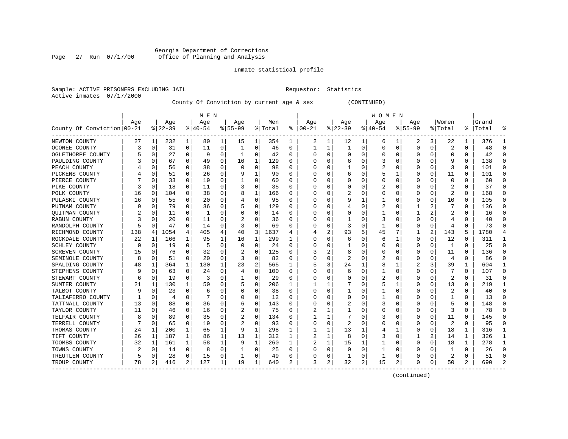# Georgia Department of Corrections Page 27 Run 07/17/00 Office of Planning and Analysis

# Inmate statistical profile

|                           | Sample: ACTIVE PRISONERS EXCLUDING JAIL | Requestor: Statistics |  |
|---------------------------|-----------------------------------------|-----------------------|--|
| Active inmates 07/17/2000 |                                         |                       |  |

County Of Conviction by current age & sex (CONTINUED)

|                            |     |             |          |              | M E N     |          |           |             |         |          |          |              |          |                | W O M E N |          |             |          |                         |          |           |          |
|----------------------------|-----|-------------|----------|--------------|-----------|----------|-----------|-------------|---------|----------|----------|--------------|----------|----------------|-----------|----------|-------------|----------|-------------------------|----------|-----------|----------|
|                            | Age |             | Age      |              | Age       |          | Age       |             | Men     |          | Age      |              | Age      |                | Age       |          | Age         |          | Women                   |          | Grand     |          |
| County Of Conviction 00-21 |     |             | $ 22-39$ |              | $8 40-54$ |          | $8 55-99$ |             | % Total | ະ        | $ 00-21$ |              | $ 22-39$ |                | $ 40-54$  |          | $8155 - 99$ |          | % Total                 |          | %   Total |          |
| NEWTON COUNTY              | 27  | 1           | 232      | 1            | 80        | 1        | 15        | 1           | 354     | 1        | 2        | 1            | 12       | 1              | 6         | 1        | 2           | 3        | 22                      | 1        | 376       |          |
| OCONEE COUNTY              | 3   | 0           | 31       | $\Omega$     | 11        | 0        | 1         | 0           | 46      | $\Omega$ | 1        | 1            | -1       | 0              | U         | 0        | $\Omega$    | 0        | $\overline{\mathbf{c}}$ | $\Omega$ | 48        | $\cap$   |
| OGLETHORPE COUNTY          |     | 0           | 27       | $\Omega$     | 9         | 0        | 1         | 0           | 42      | $\Omega$ |          | 0            | $\Omega$ | O              |           | 0        | U           | O        | 0                       | 0        | 42        |          |
| PAULDING COUNTY            |     | 0           | 67       | $\Omega$     | 49        | 0        | 10        | 1           | 129     | 0        |          | U            | 6        | 0              |           | 0        | O           | O        | q                       | 0        | 138       |          |
| PEACH COUNTY               |     | 0           | 56       | 0            | 38        | 0        | O         | $\mathbf 0$ | 98      | O        |          | U            |          | 0              | 2         | 0        | 0           | O        | 3                       | 0        | 101       |          |
| PICKENS COUNTY             |     | 0           | 51       | 0            | 26        | 0        |           | 1           | 90      | O        |          | U            | 6        | 0              |           | 1        | 0           | 0        | 11                      | 0        | 101       |          |
| PIERCE COUNTY              |     | 0           | 33       | 0            | 19        | 0        |           | 0           | 60      | 0        |          | U            |          | 0              |           | 0        | 0           | O        | 0                       | 0        | 60        | ∩        |
| PIKE COUNTY                |     | 0           | 18       | 0            | 11        | 0        |           | 0           | 35      | 0        |          | 0            |          | 0              |           | 0        | 0           | O        | 2                       | 0        | 37        | ∩        |
| POLK COUNTY                | 16  | 0           | 104      | $\Omega$     | 38        | 0        | 8         | 1           | 166     | 0        |          |              |          | 0              |           | 0        | 0           | 0        | 2                       | $\Omega$ | 168       | $\Omega$ |
| PULASKI COUNTY             | 16  | 0           | 55       | 0            | 20        | 0        |           | 0           | 95      | 0        |          |              | 9        |                |           | 0        | 0           | 0        | 10                      | 0        | 105       |          |
| PUTNAM COUNTY              |     | $\Omega$    | 79       | 0            | 36        | 0        |           | 0           | 129     | 0        |          |              |          | 0              |           | $\Omega$ |             |          |                         | $\Omega$ | 136       | ∩        |
| QUITMAN COUNTY             |     | $\Omega$    | 11       | $\Omega$     | -1        | 0        |           | 0           | 14      | 0        |          | U            |          | 0              |           | $\Omega$ |             |          |                         | 0        | 16        | $\cap$   |
| RABUN COUNTY               |     | $\Omega$    | 20       | $\Omega$     | 11        | 0        |           | $\Omega$    | 36      | O        |          | U            |          | U              | 3         | 0        | U           | O        | 4                       | 0        | 40        |          |
| RANDOLPH COUNTY            |     | 0           | 47       | 0            | 14        | 0        |           | 0           | 69      | O        |          | O            | 3        | 0              |           | 0        | 0           | 0        | 4                       | O        | 73        |          |
| RICHMOND COUNTY            | 138 | 4           | 1054     | 4            | 405       | 4        | 40        | 3           | 1637    |          |          | 2            | 93       | 5              | 45        |          | 1           | 2        | 143                     | 5        | 1780      |          |
| ROCKDALE COUNTY            | 22  | 1           | 166      | $\mathbf 1$  | 95        | 1        | 16        | 1           | 299     | 1        |          | U            | 6        | 0              | 6         | 1        | 0           | 0        | 12                      | $\Omega$ | 311       | -1       |
| SCHLEY COUNTY              | 0   | 0           | 19       | 0            | 5         | 0        | 0         | 0           | 24      | 0        |          | 0            |          | 0              |           | 0        | 0           | 0        | -1                      | 0        | 25        | $\cap$   |
| SCREVEN COUNTY             | 15  | 0           | 76       | 0            | 32        | 0        |           | 0           | 125     | 0        | 3        | 2            | 8        | 0              |           | 0        | 0           | O        | 11                      | 0        | 136       | ∩        |
| SEMINOLE COUNTY            | 8   | 0           | 51       | 0            | 20        | 0        |           | 0           | 82      | 0        |          |              | 2        | 0              | 2         | 0        | 0           | 0        | 4                       | 0        | 86        |          |
| SPALDING COUNTY            | 48  | 1           | 364      | 1            | 130       | 1        | 23        | 2           | 565     |          |          | 3            | 24       | 1              | 8         |          |             | 3        | 39                      | 1        | 604       |          |
| STEPHENS COUNTY            |     | $\Omega$    | 63       | $\Omega$     | 24        | 0        |           | 0           | 100     | 0        |          |              | 6        | 0              |           | $\Omega$ | U           | O        |                         | $\Omega$ | 107       | ∩        |
| STEWART COUNTY             | 6   | 0           | 19       | $\Omega$     | 3         | $\Omega$ |           | 0           | 29      | 0        |          | <sup>0</sup> | Ω        | U              | 2         | 0        | O           | $\Omega$ | $\overline{\mathbf{c}}$ | $\Omega$ | 31        | ∩        |
| SUMTER COUNTY              | 21  | 1           | 130      | 1            | 50        | O        | 5         | 0           | 206     | 1        |          |              |          | O              | 5         | 1        | U           | $\Omega$ | 13                      | 0        | 219       |          |
| TALBOT COUNTY              |     | 0           | 23       | 0            | 6         | 0        |           | 0           | 38      | 0        |          | O            |          | 0              |           | 0        | 0           | 0        | 2                       | $\Omega$ | 40        |          |
| TALIAFERRO COUNTY          |     | $\mathbf 0$ | 4        | O            |           | $\Omega$ |           | 0           | 12      | $\Omega$ |          |              |          | U              |           | $\Omega$ | U           | O        |                         | $\Omega$ | 13        | ∩        |
| TATTNALL COUNTY            | 13  | 0           | 88       | 0            | 36        | 0        | 6         | 0           | 143     | 0        |          | 0            | 2        | 0              |           | 0        | 0           | O        |                         | 0        | 148       | ∩        |
| TAYLOR COUNTY              | 11  | 0           | 46       | 0            | 16        | 0        |           | 0           | 75      | 0        |          |              |          | U              |           | 0        | 0           | 0        | 3                       | 0        | 78        | ∩        |
| TELFAIR COUNTY             | 8   | 0           | 89       | 0            | 35        | $\Omega$ | 2         | 0           | 134     | 0        |          |              |          | 0              | 3         | 0        | 0           | 0        | 11                      | 0        | 145       |          |
| TERRELL COUNTY             |     | 0           | 65       | 0            | 19        | $\Omega$ |           | 0           | 93      | 0        |          | 0            |          | U              |           | $\Omega$ | 0           | 0        | $\overline{\mathbf{c}}$ | 0        | 95        |          |
| THOMAS COUNTY              | 24  | 1           | 200      | $\mathbf{1}$ | 65        | 1        | 9         | 1           | 298     | 1        |          | 1            | 13       | 1              | 4         | 1        | 0           | O        | 18                      | 1        | 316       | -1       |
| TIFT COUNTY                | 26  | 1           | 187      | 1            | 86        | 1        | 13        | 1           | 312     | 1        |          | 1            | 8        | 0              | 3         | 0        |             | 2        | 14                      | 1        | 326       |          |
| TOOMBS COUNTY              | 32  | 1           | 161      | $\mathbf 1$  | 58        | 1        | 9         | $\mathbf 1$ | 260     | 1        | 2        | 1            | 15       | 1              |           | 0        | O           | $\Omega$ | 18                      | 1        | 278       | -1       |
| TOWNS COUNTY               | 2   | 0           | 14       | 0            | 8         | 0        |           | 0           | 25      | 0        |          | $\Omega$     | 0        | 0              |           | 0        | 0           | O        | -1                      | 0        | 26        | ∩        |
| TREUTLEN COUNTY            | 5   | 0           | 28       | 0            | 15        | 0        |           | 0           | 49      | 0        |          | 0            | -1       | 0              |           | 0        | U           | 0        | 2                       | 0        | 51        | ∩        |
| TROUP COUNTY               | 78  | 2           | 416      | 2            | 127       | 1        | 19        | 1           | 640     | 2        | २        | 2            | 32       | $\overline{a}$ | 15        | 2        | O           | 0        | 50                      | 2        | 690       | 2        |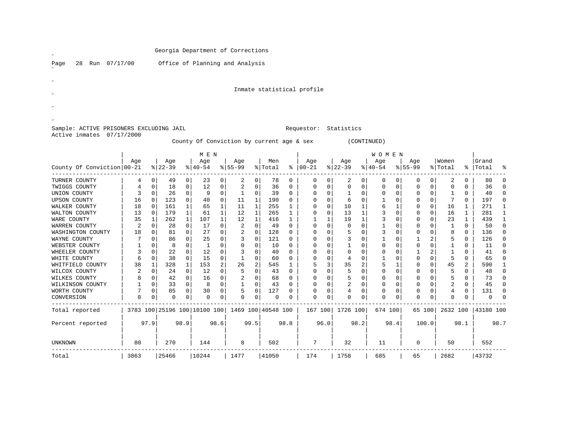| Run 07/17/00<br>28<br>Page                                           |                      |                            |           | Office of Planning and Analysis                 |                            |                             |           |               |                            |                  |                            |                  |                                           |                         |                               |                |                            |             |               |
|----------------------------------------------------------------------|----------------------|----------------------------|-----------|-------------------------------------------------|----------------------------|-----------------------------|-----------|---------------|----------------------------|------------------|----------------------------|------------------|-------------------------------------------|-------------------------|-------------------------------|----------------|----------------------------|-------------|---------------|
|                                                                      |                      |                            |           |                                                 |                            |                             |           |               |                            |                  |                            |                  |                                           |                         |                               |                |                            |             |               |
|                                                                      |                      |                            |           |                                                 |                            |                             |           |               |                            |                  |                            |                  |                                           |                         |                               |                |                            |             |               |
|                                                                      |                      |                            |           |                                                 |                            |                             |           |               | Inmate statistical profile |                  |                            |                  |                                           |                         |                               |                |                            |             |               |
|                                                                      |                      |                            |           |                                                 |                            |                             |           |               |                            |                  |                            |                  |                                           |                         |                               |                |                            |             |               |
|                                                                      |                      |                            |           |                                                 |                            |                             |           |               |                            |                  |                            |                  |                                           |                         |                               |                |                            |             |               |
|                                                                      |                      |                            |           |                                                 |                            |                             |           |               |                            |                  |                            |                  |                                           |                         |                               |                |                            |             |               |
|                                                                      |                      |                            |           |                                                 |                            |                             |           |               |                            |                  |                            |                  |                                           |                         |                               |                |                            |             |               |
|                                                                      |                      |                            |           |                                                 |                            |                             |           |               |                            |                  |                            |                  |                                           |                         |                               |                |                            |             |               |
| Sample: ACTIVE PRISONERS EXCLUDING JAIL<br>Active inmates 07/17/2000 |                      |                            |           |                                                 |                            |                             |           |               | Requestor: Statistics      |                  |                            |                  |                                           |                         |                               |                |                            |             |               |
|                                                                      |                      |                            |           | County Of Conviction by current age & sex       |                            |                             |           |               |                            |                  |                            | (CONTINUED)      |                                           |                         |                               |                |                            |             |               |
|                                                                      |                      |                            |           |                                                 |                            |                             |           |               |                            |                  |                            |                  |                                           |                         |                               |                |                            |             |               |
|                                                                      |                      |                            |           | M E N                                           |                            |                             |           |               |                            |                  |                            |                  | <b>WOMEN</b>                              |                         |                               |                |                            |             |               |
|                                                                      | Aqe                  |                            | Age       | Age                                             |                            | Age                         | Men       |               | Aqe                        |                  | Aqe                        | Age              |                                           | Aqe                     |                               | Women          |                            | Grand       |               |
| County Of Conviction 00-21                                           |                      |                            | $ 22-39$  | $8 40-54$                                       | $ 55-99$                   |                             | % Total   |               | $8   00 - 21$              |                  | $ 22-39$                   | $ 40-54$         |                                           | $8 55-99$               |                               | % Total        |                            | %   Total   | °             |
| TURNER COUNTY                                                        | 4                    | $\mathbf 0$                | 49        | $\mathbf 0$<br>23                               | 0                          | 2<br>0                      | 78        | 0             | $\Omega$                   | 0                | 2<br>$\mathbf 0$           |                  | 0<br>$\Omega$                             | $\mathbf 0$             | $\mathbf 0$                   | 2              | $\Omega$                   | 80          | $\Omega$      |
| TWIGGS COUNTY                                                        | 4                    | $\Omega$                   | 18        | $\mathbf 0$<br>12                               | $\overline{0}$             | 2<br>$\mathbf 0$            | 36        | $\mathbf 0$   | $\Omega$                   | $\mathbf 0$      | $\mathbf{0}$               | $\Omega$         | $\mathbf 0$<br>$\Omega$                   | $\mathbf 0$             | $\mathbf 0$                   | $\mathbf 0$    | $\Omega$                   | 36          | $\Omega$      |
| UNION COUNTY                                                         | 3                    | $\mathbf 0$                | 26        | $\mathbf 0$<br>9                                | $\circ$                    | $\mathbf{1}$<br>0           | 39        | $\mathbf 0$   | $\mathbf 0$                | 0                | $\mathbf 1$<br>$\mathbf 0$ |                  | 0<br>0                                    | 0                       | $\mathbf 0$                   | $\mathbf{1}$   | 0                          | 40          | 0             |
| <b>UPSON COUNTY</b>                                                  | 16                   | $\Omega$                   | 123       | $\mathbf 0$<br>40                               | $\Omega$                   | $\mathbf{1}$<br>11          | 190       | $\Omega$      | $\Omega$                   | $\Omega$         | 6                          | $\Omega$         | $\mathbf{1}$<br>$\Omega$                  | $\Omega$                | $\mathbf 0$                   | 7              | $\Omega$                   | 197         | $\Omega$      |
| WALKER COUNTY                                                        | 18                   | $\mathbf 0$                | 161       | $\mathbf{1}$<br>65                              | 1                          | $\mathbf{1}$<br>11          | 255       | $\mathbf{1}$  | $\mathbf 0$                | $\mathbf 0$      | $\mathbf{1}$<br>10         |                  | 6<br>$\mathbf{1}$                         | $\mathbf 0$             | $\mathbf 0$                   | 16             | $\mathbf{1}$               | 271         | $\mathbf{1}$  |
| WALTON COUNTY                                                        | 13                   | $\Omega$                   | 179       | $\mathbf{1}$<br>61                              | $1\vert$                   | 12<br>$\mathbf{1}$          | 265       | $\mathbf{1}$  | $\Omega$                   | $\mathbf 0$      | 13<br>$\mathbf{1}$         |                  | 3<br>$\Omega$                             | $\Omega$                | $\mathbf 0$                   | 16             | 1                          | 281         | $\mathbf{1}$  |
| WARE COUNTY                                                          | 35                   | $\mathbf{1}$               | 262       | $\mathbf{1}$<br>107                             | $1\vert$                   | 12<br>$\mathbf{1}$          | 416       | $\mathbf{1}$  | $\mathbf{1}$               | $\mathbf{1}$     | 19                         | $\mathbf{1}$     | 3<br>$\Omega$                             | $\Omega$                | $\Omega$                      | 23             | $\mathbf{1}$               | 439         | $\mathbf{1}$  |
| WARREN COUNTY                                                        | $\overline{2}$       | $\Omega$                   | 28        | $\Omega$<br>17                                  | $\Omega$                   | 2<br>$\Omega$               | 49        | $\Omega$      | $\Omega$                   | $\Omega$         | $\Omega$                   | $\Omega$         | $\mathbf{1}$<br>$\Omega$                  | $\Omega$                | $\mathbf 0$                   | $\mathbf{1}$   | $\Omega$                   | 50          | $\Omega$      |
| WASHINGTON COUNTY                                                    | 18                   | $\Omega$                   | 81        | $\Omega$<br>27                                  | $\Omega$                   | $\overline{a}$<br>$\Omega$  | 128       | $\Omega$      | $\Omega$                   | $\Omega$         | 5                          | $\Omega$         | 3<br>$\Omega$                             | $\Omega$                | $\Omega$                      | 8              | $\Omega$                   | 136         | $\Omega$      |
| WAYNE COUNTY                                                         | 7                    | $\mathbf 0$                | 86        | 25<br>$\mathbf 0$                               | $\overline{0}$             | 3<br>$\mathbf 0$            | 121       | $\Omega$      | $\Omega$                   | $\mathbf 0$      | 3                          | $\mathbf 0$      | $\mathbf{1}$<br>$\Omega$                  | 1                       | 2                             | 5              | $\Omega$                   | 126         | $\Omega$      |
| WEBSTER COUNTY                                                       | $\mathbf{1}$         | $\Omega$                   | 8         | $\Omega$<br>$\mathbf{1}$                        | $\Omega$                   | $\mathbf 0$<br>$\Omega$     | 10        | $\Omega$      | $\Omega$                   | $\mathbf 0$      | $\mathbf{1}$               | $\Omega$         | $\Omega$<br>$\Omega$                      | $\mathbf 0$             | $\Omega$                      | $\mathbf{1}$   | $\Omega$                   | 11          | $\Omega$      |
| WHEELER COUNTY                                                       | 3                    | $\mathbf{0}$               | 22        | $\mathbf 0$<br>12                               | $\Omega$                   | 3<br>$\mathbf 0$            | 40        | $\Omega$      | $\Omega$                   | 0                | $\mathbf{0}$               | $\mathbf 0$      | $\mathbf 0$<br>$\Omega$                   | $\mathbf{1}$            | 2 <sup>1</sup>                | $\mathbf{1}$   | $\Omega$                   | 41          | $\Omega$      |
| WHITE COUNTY                                                         | 6                    | $\Omega$                   | 38        | $\Omega$<br>15                                  | $\Omega$                   | $\mathbf{1}$<br>$\Omega$    | 60        | $\Omega$      | $\Omega$                   | $\Omega$         | $\Omega$<br>$\overline{4}$ |                  | $\mathbf{1}$<br>$\Omega$                  | $\Omega$                | $\Omega$                      | 5              | $\Omega$                   | 65          | $\Omega$      |
| WHITFIELD COUNTY                                                     | 38<br>$\overline{2}$ | $\mathbf 1$<br>$\mathbf 0$ | 328<br>24 | $\mathbf{1}$<br>153<br>$\mathbf 0$<br>12        | $\overline{2}$<br>$\Omega$ | 2<br>26<br>5<br>$\mathbf 0$ | 545<br>43 | 1<br>$\Omega$ | 5<br>$\Omega$              | 3<br>$\mathbf 0$ | 35<br>5                    | 2<br>$\mathbf 0$ | 5<br>$\mathbf{1}$<br>$\Omega$<br>$\Omega$ | $\Omega$<br>$\mathbf 0$ | $\mathbf 0$<br>0 <sup>1</sup> | 45<br>5        | $\overline{2}$<br>$\Omega$ | 590<br>48   | 1<br>$\Omega$ |
| WILCOX COUNTY<br>WILKES COUNTY                                       | 8                    | $\overline{0}$             | 42        | $\mathbf 0$<br>16                               | $\overline{0}$             | 2<br>$\mathbf 0$            | 68        | $\mathbf 0$   | $\mathbf 0$                | $\mathbf 0$      | 5                          | $\mathbf 0$      | $\mathbf 0$<br>$\Omega$                   | $\mathbf 0$             | 0 <sup>1</sup>                | 5              | $\Omega$                   | 73          | $\mathbf 0$   |
| WILKINSON COUNTY                                                     | 1                    | $\Omega$                   | 33        | $\Omega$<br>8                                   | $\Omega$                   | $\mathbf{1}$<br>$\Omega$    | 43        | $\Omega$      | $\Omega$                   | $\Omega$         | $\overline{a}$             | $\Omega$         | $\Omega$<br>$\Omega$                      | $\Omega$                | $\Omega$                      | 2              | $\Omega$                   | 45          | $\Omega$      |
| WORTH COUNTY                                                         | 7                    | $\Omega$                   | 85        | $\Omega$<br>30                                  | $\Omega$                   | 5<br>$\Omega$               | 127       | $\Omega$      | $\Omega$                   | $\Omega$         | $\overline{4}$<br>$\Omega$ |                  | $\Omega$<br>$\Omega$                      | 0                       | $\Omega$                      | $\overline{4}$ | $\Omega$                   | 131         | $\Omega$      |
| CONVERSION                                                           | $\Omega$             | 0                          | 0         | 0<br>$\mathbf 0$                                | 0                          | 0<br>0                      | 0         | 0             | $\Omega$                   | 0                | $\Omega$<br>0              |                  | $\Omega$<br>0                             | $\Omega$                | $\mathbf 0$                   | $\Omega$       | 0                          | $\mathbf 0$ | $\Omega$      |
| ----------<br>Total reported                                         |                      |                            |           | 3783 100 25196 100 10100 100 1469 100 40548 100 |                            |                             |           |               | 167 100                    |                  | 1726 100                   |                  | 674 100                                   |                         | 65 100                        | 2632 100       |                            | 43180 100   |               |
| Percent reported                                                     |                      | 97.9                       | 98.9      | 98.6                                            |                            | 99.5                        |           | 98.8          | 96.0                       |                  | 98.2                       |                  | 98.4                                      |                         | 100.0                         |                | 98.1                       |             | 98.7          |
|                                                                      |                      |                            |           |                                                 |                            |                             |           |               |                            |                  |                            |                  |                                           |                         |                               |                |                            |             |               |
|                                                                      |                      |                            |           |                                                 |                            |                             |           |               |                            |                  |                            |                  |                                           |                         |                               |                |                            |             |               |

Total | 3863 |25466 |10244 | 1477 |41050 | 174 | 1758 | 685 | 65 | 2682 |43732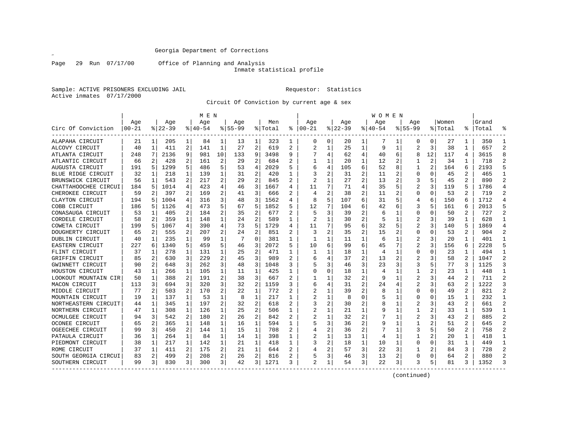Page 29 Run 07/17/00 Office of Planning and Analysis

Inmate statistical profile

Sample: ACTIVE PRISONERS EXCLUDING JAIL **Requestor:** Statistics Active inmates 07/17/2000

Circuit Of Conviction by current age & sex

|                      |           |              |           |                | M E N       |                |             |                |         |   |                          |   |          |                | W O M E N |                |                |                |         |                |           |                |
|----------------------|-----------|--------------|-----------|----------------|-------------|----------------|-------------|----------------|---------|---|--------------------------|---|----------|----------------|-----------|----------------|----------------|----------------|---------|----------------|-----------|----------------|
|                      | Age       |              | Age       |                | Age         |                | Aqe         |                | Men     |   | Age                      |   | Age      |                | Aqe       |                | Aqe            |                | Women   |                | Grand     |                |
| Circ Of Conviction   | $00 - 21$ |              | $8 22-39$ |                | $8140 - 54$ |                | $8155 - 99$ |                | % Total | ៖ | $ 00-21$                 |   | $ 22-39$ |                | $ 40-54$  |                | $8155 - 99$    |                | % Total |                | %   Total |                |
| ALAPAHA CIRCUIT      | 21        | $\mathbf{1}$ | 205       | 1              | 84          | 1              | 13          | 1              | 323     | 1 | $\Omega$                 | 0 | 20       | 1              | 7         | 1              | 0              | $\Omega$       | 27      | 1              | 350       | $\mathbf{1}$   |
| ALCOVY CIRCUIT       | 40        | 1            | 411       | 2              | 141         | $\mathbf{1}$   | 27          | $\overline{c}$ | 619     | 2 | $\overline{2}$           | 1 | 25       | 1              | 9         | 1              | $\overline{a}$ | 3              | 38      | 1              | 657       | $\overline{2}$ |
| ATLANTA CIRCUIT      | 248       | 7            | 2136      | 9              | 981         | 10             | 133         | 9              | 3498    | 9 |                          | 4 | 62       | 4              | 40        | 6              | 8              | 12             | 117     | 4              | 3615      |                |
| ATLANTIC CIRCUIT     | 66        | 2            | 428       | 2              | 161         | 2              | 29          | 2              | 684     | 2 |                          |   | 20       | 1              | 12        | 2              |                | 2              | 34      |                | 718       | $\mathcal{D}$  |
| AUGUSTA CIRCUIT      | 191       | 5            | 1299      | 5              | 486         | 5              | 53          | $\overline{4}$ | 2029    | 5 | 6                        | 4 | 105      | 6              | 52        | 8              | 1              | $\overline{2}$ | 164     | 6              | 2193      |                |
| BLUE RIDGE CIRCUIT   | 32        | 1            | 218       | $\mathbf{1}$   | 139         | 1              | 31          | $\overline{a}$ | 420     |   |                          | 2 | 31       | 2              | 11        | 2              | $\Omega$       | O              | 45      | $\overline{2}$ | 465       | $\mathbf{1}$   |
| BRUNSWICK CIRCUIT    | 56        | 1            | 543       | 2              | 217         | 2              | 29          | 2              | 845     | 2 | $\overline{\mathcal{L}}$ | 1 | 27       | 2              | 13        | 2              | 3              |                | 45      | $\overline{a}$ | 890       | $\mathcal{D}$  |
| CHATTAHOOCHEE CIRCUI | 184       | 5            | 1014      | 4              | 423         | 4              | 46          | 3              | 1667    | 4 | 11                       | 7 | 71       | 4              | 35        | 5              | 2              | 3              | 119     | 5              | 1786      | $\overline{4}$ |
| CHEROKEE CIRCUIT     | 59        | 2            | 397       | 2              | 169         | 2              | 41          | 3              | 666     | 2 | $\overline{4}$           | 2 | 38       | $\overline{2}$ | 11        | 2              | 0              | O              | 53      | 2              | 719       | 2              |
| CLAYTON CIRCUIT      | 194       | 5            | 1004      | 4              | 316         | 3              | 48          | 3              | 1562    |   |                          | 5 | 107      | 6              | 31        | 5              | 4              | 6              | 150     | 6              | 1712      |                |
| COBB CIRCUIT         | 186       | 5            | 1126      | 4              | 473         | 5              | 67          | 5              | 1852    |   | 12                       |   | 104      | 6              | 42        | 6              | 3              | 5              | 161     | 6              | 2013      |                |
| CONASAUGA CIRCUIT    | 53        | 1            | 405       | 2              | 184         | 2              | 35          | 2              | 677     | 2 | 5                        | 3 | 39       | 2              | 6         |                | 0              | O              | 50      | $\mathbf{2}$   | 727       | $\mathcal{D}$  |
| CORDELE CIRCUIT      | 58        | 2            | 359       | 1              | 148         | 1              | 24          | 2              | 589     | 1 | 2                        |   | 30       | $\overline{2}$ | 5         | 1              |                | 3              | 39      |                | 628       |                |
| COWETA CIRCUIT       | 199       | 5            | 1067      | 4              | 390         | 4              | 73          | 5              | 1729    | 4 | 11                       | 7 | 95       | 6              | 32        | 5              | 2              | 3              | 140     | 5              | 1869      |                |
| DOUGHERTY CIRCUIT    | 65        | 2            | 555       | 2              | 207         | 2              | 24          | 2              | 851     |   | 3                        | 2 | 35       | 2              | 15        |                | $\Omega$       | O              | 53      | 2              | 904       | 2              |
| DUBLIN CIRCUIT       | 40        | 1            | 235       | 1              | 99          | 1              |             | $\Omega$       | 381     | 1 |                          | 1 | 11       | 1              | 6         | 1              | 2              | 3              | 20      | $\mathbf{1}$   | 401       | $\mathbf{1}$   |
| EASTERN CIRCUIT      | 227       | 6            | 1340      | 5              | 459         | 5              | 46          | 3              | 2072    | 5 | 10                       | 6 | 99       | 6              | 45        | 7              | $\overline{2}$ | 3              | 156     | 6              | 2228      |                |
| FLINT CIRCUIT        | 37        | 1            | 278       | 1              | 131         | 1              | 25          | 2              | 471     | 1 |                          |   | 18       | 1              | 4         | 1              | O              | O              | 23      |                | 494       | -1             |
| GRIFFIN CIRCUIT      | 85        | 2            | 630       | 3              | 229         | 2              | 45          | 3              | 989     | 2 |                          |   | 37       | 2              | 13        | 2              | 2              |                | 58      | 2              | 1047      | 2              |
| GWINNETT CIRCUIT     | 90        | 2            | 648       | 3              | 262         | 3              | 48          | 3              | 1048    | 3 |                          | 3 | 46       | 3              | 23        | 3              | 3              | 5              | 77      | 3              | 1125      | 3              |
| HOUSTON CIRCUIT      | 43        | 1            | 266       | 1              | 105         | 1              | 11          | 1              | 425     | 1 | <sup>0</sup>             | 0 | 18       | 1              | 4         |                | 1              |                | 23      | $\mathbf{1}$   | 448       |                |
| LOOKOUT MOUNTAIN CIR | 50        | 1            | 388       | 2              | 191         | 2              | 38          | 3              | 667     | 2 |                          | 1 | 32       | $\overline{2}$ | q         | 1              | 2              |                | 44      | 2              | 711       | $\mathcal{D}$  |
| MACON CIRCUIT        | 113       | 3            | 694       | 3              | 320         | 3              | 32          | 2              | 1159    | ς | 6                        | 4 | 31       | 2              | 24        | 4              | 2              | 3              | 63      | 2              | 1222      | 3              |
| MIDDLE CIRCUIT       | 77        | 2            | 503       | 2              | 170         | 2              | 22          | 1              | 772     | 2 |                          |   | 39       | 2              |           |                | $\Omega$       | $\Omega$       | 49      | 2              | 821       | $\overline{2}$ |
| MOUNTAIN CIRCUIT     | 19        | 1            | 137       | 1              | 53          | 1              | 8           | $\mathbf 1$    | 217     | 1 |                          | 1 | 8        | O              |           | 1              | $\Omega$       | O              | 15      | $\mathbf{1}$   | 232       | $\mathbf{1}$   |
| NORTHEASTERN CIRCUIT | 44        | 1            | 345       | $\mathbf{1}$   | 197         | 2              | 32          | 2              | 618     | 2 |                          | 2 | 30       | 2              |           | 1              | 2              | 3              | 43      | 2              | 661       | $\overline{2}$ |
| NORTHERN CIRCUIT     | 47        | 1            | 308       | 1              | 126         | 1              | 25          | $\overline{2}$ | 506     | 1 |                          |   | 21       | 1              |           | 1              |                |                | 33      | 1              | 539       | -1             |
| OCMULGEE CIRCUIT     | 94        | 3            | 542       | 2              | 180         | $\overline{a}$ | 26          | 2              | 842     | 2 | 2                        |   | 32       | 2              |           | -1             | 2              | 3              | 43      | 2              | 885       | $\overline{2}$ |
| OCONEE CIRCUIT       | 65        | 2            | 365       | 1              | 148         | 1              | 16          | 1              | 594     |   |                          | 3 | 36       | $\overline{2}$ |           | 1              | 1              |                | 51      |                | 645       | 2              |
| OGEECHEE CIRCUIT     | 99        | 3            | 450       | $\overline{a}$ | 144         | 1              | 15          | 1              | 708     | 2 |                          | 2 | 36       | $\overline{2}$ |           | 1              | 3              |                | 50      | 2              | 758       | $\mathcal{D}$  |
| PATAULA CIRCUIT      | 36        | 1            | 264       | 1              | 84          | 1              | 14          | 1              | 398     | 1 |                          | 1 | 13       | $\mathbf{1}$   | 4         | 1              |                |                | 20      | 1              | 418       |                |
| PIEDMONT CIRCUIT     | 38        | 1            | 217       | $\mathbf{1}$   | 142         | 1              | 21          | 1              | 418     | 1 | 3                        | 2 | 18       | 1              | 10        | 1              | U              | 0              | 31      | 1              | 449       | -1             |
| ROME CIRCUIT         | 37        | 1            | 411       | 2              | 175         | 2              | 21          | $\mathbf 1$    | 644     | 2 |                          | 2 | 57       | 3              | 22        | 3              |                |                | 84      | 3              | 728       | $\overline{2}$ |
| SOUTH GEORGIA CIRCUI | 83        | 2            | 499       | 2              | 208         | 2              | 26          | 2              | 816     |   |                          | 3 | 46       | 3              | 13        | 2              | $\Omega$       | O              | 64      | 2              | 880       | $\mathcal{D}$  |
| SOUTHERN CIRCUIT     | 99        | 3 I          | 830       | 3              | 300         | 3              | 42          | 3              | 1271    | 3 | $\overline{a}$           | 1 | 54       | 3              | 22        | $\overline{3}$ | 3              | 5              | 81      | 3              | 1352      | 3              |

(continued)

 $\mathscr{L}$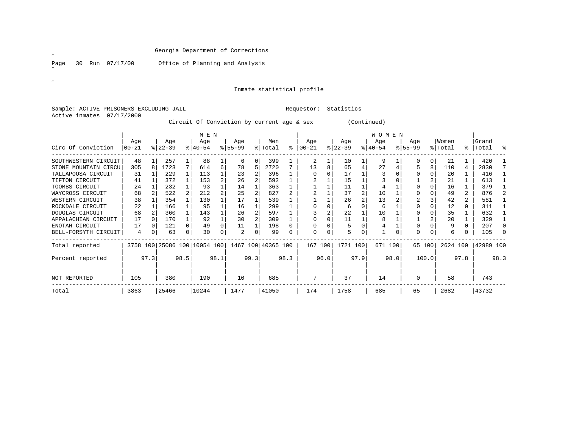Page 30 Run 07/17/00 Office of Planning and Analysis

# Inmate statistical profile

Sample: ACTIVE PRISONERS EXCLUDING JAIL **Requestor:** Statistics Active inmates 07/17/2000

Circuit Of Conviction by current age & sex (Continued)

|                      |                  |              |                  |          | M E N                        |      |                  |      |                    |      |                  |      |                  |      | WOMEN            |      |                  |          |                  |          |                |          |
|----------------------|------------------|--------------|------------------|----------|------------------------------|------|------------------|------|--------------------|------|------------------|------|------------------|------|------------------|------|------------------|----------|------------------|----------|----------------|----------|
| Circ Of Conviction   | Age<br>$00 - 21$ |              | Age<br>$ 22-39 $ |          | Age<br>$ 40-54 $             |      | Age<br>$8 55-99$ |      | Men<br>% Total     | °≈   | Age<br>$00 - 21$ |      | Age<br>$ 22-39 $ |      | Age<br>$ 40-54 $ |      | Age<br>$ 55-99 $ |          | Women<br>% Total | ⊱        | Grand<br>Total | ႜ        |
| SOUTHWESTERN CIRCUIT | 48               |              | 257              |          | 88                           |      | 6                | 0    | 399                |      | 2                |      | 10               |      | 9                |      |                  | 0        | 21               |          | 420            |          |
| STONE MOUNTAIN CIRCU | 305              | 8            | 1723             |          | 614                          |      | 78               | 5    | 2720               |      | 13               |      | 65               | 4    | 27               |      |                  | 8        | 110              | 4        | 2830           |          |
| TALLAPOOSA CIRCUIT   | 31               |              | 229              |          | 113                          |      | 23               |      | 396                |      |                  |      | 17               |      |                  |      |                  |          | 20               |          | 416            |          |
| TIFTON CIRCUIT       | 41               |              | 372              |          | 153                          |      | 26               |      | 592                |      |                  |      | 15               |      |                  |      |                  |          | 21               |          | 613            |          |
| TOOMBS CIRCUIT       | 24               |              | 232              |          | 93                           |      | 14               |      | 363                |      |                  |      | 11               |      |                  |      |                  | 0        | 16               |          | 379            |          |
| WAYCROSS CIRCUIT     | 68               |              | 522              |          | 212                          |      | 25               |      | 827                |      |                  |      | 37               | 2    | 10               |      |                  | 0        | 49               |          | 876            | 2        |
| WESTERN CIRCUIT      | 38               |              | 354              |          | 130                          |      | 17               |      | 539                |      |                  |      | 26               |      | 13               |      |                  |          | 42               |          | 581            |          |
| ROCKDALE CIRCUIT     | 22               |              | 166              |          | 95                           |      | 16               |      | 299                |      |                  |      | 6                |      | 6                |      |                  | $\Omega$ | 12               | $\Omega$ | 311            |          |
| DOUGLAS CIRCUIT      | 68               |              | 360              |          | 143                          |      | 26               |      | 597                |      |                  |      | 22               |      | 10               |      |                  |          | 35               |          | 632            |          |
| APPALACHIAN CIRCUIT  | 17               | <sup>0</sup> | 170              |          | 92                           |      | 30               |      | 309                |      |                  |      | 11               |      | 8                |      |                  |          | 20               |          | 329            |          |
| ENOTAH CIRCUIT       | 17               |              | 121              |          | 49                           |      | 11               |      | 198                |      |                  |      |                  |      |                  |      |                  |          | 9                |          | 207            |          |
| BELL-FORSYTH CIRCUIT | 4                | 0            | 63               | $\Omega$ | 30                           |      | 2                | 0    | 99                 |      | O                |      | 5                |      |                  | 0    | 0                | 0        | 6                |          | 105            | $\Omega$ |
| Total reported       |                  |              |                  |          | 3758 100 25086 100 10054 100 |      |                  |      | 1467 100 40365 100 |      | 167 100          |      | 1721 100         |      | 671 100          |      |                  | 65 100   | 2624 100         |          | 42989 100      |          |
| Percent reported     |                  | 97.3         |                  | 98.5     |                              | 98.1 |                  | 99.3 |                    | 98.3 |                  | 96.0 |                  | 97.9 |                  | 98.0 |                  | 100.0    |                  | 97.8     |                | 98.3     |
| NOT REPORTED         | 105              |              | 380              |          | 190                          |      | 10               |      | 685                |      |                  |      | 37               |      | 14               |      | $\Omega$         |          | 58               |          | 743            |          |
| Total                | 3863             |              | 25466            |          | 10244                        |      | 1477             |      | 41050              |      | 174              |      | 1758             |      | 685              |      | 65               |          | 2682             |          | 43732          |          |

˝

 $\mathscr{B}^{\pm}$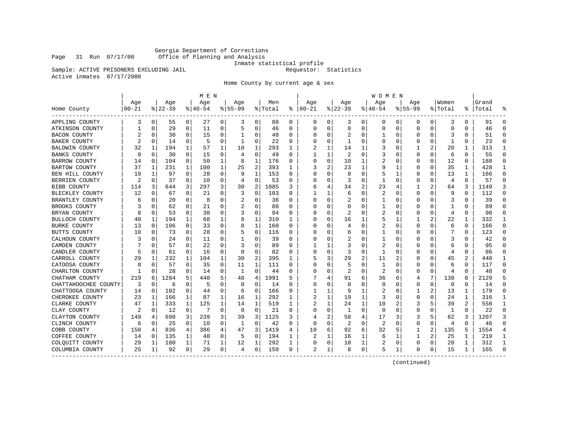Georgia Department of Corrections Office of Planning and Analysis

Inmate statistical profile

Sample: ACTIVE PRISONERS EXCLUDING JAIL **Requestor:** Statistics

Active inmates 07/17/2000

Home County by current age & sex

|                      |            |   |             |                | M E N     |              |                |                |         |              |               |          |           |              | W O M E N      |    |             |          |          |                |       |    |
|----------------------|------------|---|-------------|----------------|-----------|--------------|----------------|----------------|---------|--------------|---------------|----------|-----------|--------------|----------------|----|-------------|----------|----------|----------------|-------|----|
|                      | Age        |   | Age         |                | Age       |              | Age            |                | Men     |              | Age           |          | Age       |              | Age            |    | Aqe         |          | Women    |                | Grand |    |
| Home County          | $ 00 - 21$ |   | $8$   22-39 |                | $8 40-54$ |              | $8155 - 99$    |                | % Total |              | $8   00 - 21$ |          | $8 22-39$ |              | $8 40-54$      |    | $8155 - 99$ |          | % Total  | ႜ              | Total |    |
| APPLING COUNTY       | 3          | 0 | 55          | $\overline{0}$ | 27        | 0            | 3              | 0              | 88      | 0            | 0             | 0        | 3         | 0            | 0              | 0  | 0           | 0        | 3        | 0              | 91    | O  |
| ATKINSON COUNTY      |            | 0 | 29          | 0              | 11        | $\mathbf 0$  | 5              | 0              | 46      | 0            | 0             | 0        | 0         | 0            | 0              | 0  | $\mathbf 0$ | 0        | 0        | $\Omega$       | 46    | U  |
| <b>BACON COUNTY</b>  |            | O | 30          | 0              | 15        | 0            |                | 0              | 48      | $\Omega$     |               | $\Omega$ | 2         | 0            | 1              | U  | C           | $\Omega$ | 3        | $\Omega$       | 51    | U  |
| <b>BAKER COUNTY</b>  |            | 0 | 14          | 0              | 5         | 0            | 1              | 0              | 22      | $\Omega$     |               | 0        |           | O            | 0              | 0  | $\Omega$    | 0        | -1       | 0              | 23    | ∩  |
| BALDWIN COUNTY       | 32         |   | 194         | 1              | 57        | 1            | 10             | 1              | 293     | 1            |               | 1        | 14        |              | 3              | 0  |             | 2        | 20       | 1              | 313   |    |
| <b>BANKS COUNTY</b>  | O          | O | 30          | 0              | 15        | 0            | 4              | 0              | 49      | O            |               | 1        |           | O            | 3              |    | O           | 0        | 6        | 0              | 55    |    |
| <b>BARROW COUNTY</b> | 14         | 0 | 104         | 0              | 50        | 1            | 8              | 1              | 176     | 0            | 0             | $\Omega$ | 10        | 1            | 2              | 0  | $\Omega$    | $\Omega$ | 12       | $\Omega$       | 188   |    |
| <b>BARTOW COUNTY</b> | 37         | 1 | 231         | 1              | 100       | 1            | 25             | 2              | 393     | 1            | 3             | 2        | 23        | 1            | 9              | 1  | 0           | 0        | 35       | 1              | 428   |    |
| BEN HILL COUNTY      | 19         | 1 | 97          | 0              | 28        | 0            | 9              | 1              | 153     | 0            |               | 0        |           | 0            | 5              | 1  | O           | 0        | 13       | 1              | 166   |    |
| BERRIEN COUNTY       | 2          | 0 | 37          | 0              | 10        | $\mathbf 0$  | 4              | $\mathbf 0$    | 53      | O            |               | 0        | 3         | $\Omega$     | 1              | U  | $\cap$      | $\Omega$ | 4        | $\Omega$       | 57    | ∩  |
| <b>BIBB COUNTY</b>   | 114        | 3 | 644         | 3              | 297       | 3            | 30             | 2              | 1085    | 3            | 6             | 4        | 34        | 2            | 23             |    |             | 2        | 64       | 3              | 1149  |    |
| BLECKLEY COUNTY      | 12         | 0 | 67          | 0              | 21        | 0            | 3              | 0              | 103     | 0            |               | 1        | 6         | 0            | 2              | 0  |             | 0        | 9        | $\Omega$       | 112   |    |
| BRANTLEY COUNTY      | 6          | O | 20          | 0              | 8         | 0            |                | 0              | 36      | O            | Ω             | U        |           | O            | 1              | O  | -0          | O        | 3        | O              | 39    |    |
| BROOKS COUNTY        |            | U | 62          | $\Omega$       | 21        | 0            | 2              | $\Omega$       | 88      | O            | Ω             | 0        |           | O            | 1              | 0  | O           | $\Omega$ | 1        | 0              | 89    |    |
| BRYAN COUNTY         |            | O | 53          | 0              | 30        | 0            | 3              | 0              | 94      | $\Omega$     |               | 0        | 2         | 0            | 2              | 0  | 0           | 0        | 4        | $\Omega$       | 98    |    |
| BULLOCH COUNTY       | 40         | 1 | 194         | 1              | 68        | 1            | 8              | 1              | 310     | 1            |               | 0        | 16        | 1            | 5              | 1  |             | 2        | 22       | 1              | 332   |    |
| <b>BURKE COUNTY</b>  | 13         | O | 106         | 0              | 33        | $\mathbf 0$  | 8              | 1              | 160     | 0            | Ω             | 0        |           | O            | 2              | U  | 0           | 0        | 6        | 0              | 166   | U  |
| BUTTS COUNTY         | 10         | O | 73          | 0              | 28        | 0            |                | 0              | 116     | O            | Ω             | 0        |           | O            |                | 0  | -0          | 0        |          | $\Omega$       | 123   | U  |
| CALHOUN COUNTY       | 3          |   | 24          | 0              | 11        | 0            |                | 0              | 39      | O            |               | U        |           |              | 1              |    |             | O        |          | O              | 42    |    |
| CAMDEN COUNTY        |            | U | 57          | 0              | 22        | 0            | 3              | 0              | 89      | O            |               | 1        |           | n            | $\overline{2}$ | U  | O           | $\Omega$ | 6        | O              | 95    |    |
| CANDLER COUNTY       | 5          | 0 | 61          | $\Omega$       | 16        | $\Omega$     | $\Omega$       | $\mathbf 0$    | 82      | $\Omega$     |               | $\Omega$ | 3         | $\Omega$     | $\mathbf{1}$   | U  | 0           | $\Omega$ | 4        | $\Omega$       | 86    |    |
| CARROLL COUNTY       | 29         | 1 | 232         | 1              | 104       | $\mathbf{1}$ | 30             | $\overline{c}$ | 395     | $\mathbf{1}$ |               | 3        | 29        | 2            | 11             | 2  |             | 0        | 45       | $\overline{c}$ | 440   |    |
| CATOOSA COUNTY       | 8          | O | 57          | 0              | 35        | 0            | 11             | 1              | 111     | 0            |               | 0        |           | O            | 1              | U  | $\Omega$    | 0        | 6        | 0              | 117   | ∩  |
| CHARLTON COUNTY      | 1          | O | 28          | 0              | 14        | $\mathbf 0$  | 1              | $\mathbf 0$    | 44      | 0            | U             | 0        | 2         | 0            | 2              | 0  | $\Omega$    | $\Omega$ | 4        | $\Omega$       | 48    | U  |
| CHATHAM COUNTY       | 219        | 6 | 1284        | 5              | 440       | 5            | 48             | 4              | 1991    | 5            |               | 4        | 91        | 6            | 36             | 6  | 4           | 7        | 138      | 6              | 2129  |    |
| CHATTAHOOCHEE COUNTY | 3          | O | 6           | 0              | 5         | 0            | $\Omega$       | $\mathbf 0$    | 14      | O            | 0             | 0        | ∩         | O            | $\Omega$       | O  |             | 0        | $\Omega$ | $\Omega$       | 14    |    |
| CHATTOOGA COUNTY     | 14         | O | 102         | 0              | 44        | 0            | 6              | 0              | 166     | 0            |               | 1        | q         | 1            | 2              | U  |             | 2        | 13       | 1              | 179   |    |
| CHEROKEE COUNTY      | 23         | 1 | 166         | 1              | 87        | 1            | 16             | 1              | 292     | 1            | 2             | 1        | 19        | 1            | 3              | 0  | O           | 0        | 24       | 1              | 316   |    |
| CLARKE COUNTY        | 47         | 1 | 333         | $\mathbf{1}$   | 125       | $\mathbf{1}$ | 14             | 1              | 519     | $\mathbf{1}$ |               | 1        | 24        | $\mathbf{1}$ | 10             |    | 3           | 5        | 39       | $\overline{c}$ | 558   | -1 |
| CLAY COUNTY          | 2          | O | 12          | 0              | 7         | 0            | 0              | 0              | 21      | 0            |               | 0        | 1         | 0            | $\Omega$       | U  | O           | 0        | 1        | 0              | 22    | ∩  |
| CLAYTON COUNTY       | 149        | 4 | 698         | 3              | 239       | 3            | 39             | 3              | 1125    | 3            |               | 2        | 58        | 4            | 17             | 3  | 3           | 5        | 82       | 3              | 1207  |    |
| CLINCH COUNTY        | 6          | 0 | 25          | 0              | 10        | 0            | 1              | 0              | 42      | 0            | Ω             | 0        | 2         | 0            | 2              |    | O           | 0        | 4        | $\Omega$       | 46    |    |
| COBB COUNTY          | 150        | 4 | 836         | 4              | 386       | 4            | 47             | 3              | 1419    | 4            | 10            | 6        | 92        | 6            | 32             | 5  |             | 2        | 135      | 5              | 1554  |    |
| COFFEE COUNTY        | 14         | 0 | 135         | 1              | 40        | 0            | 5              | 0              | 194     | 1            |               | 1        | 16        | 1            | 6              | -1 | 1           | 2        | 25       | 1              | 219   |    |
| COLOUITT COUNTY      | 29         | 1 | 180         | 1              | 71        | 1            | 12             | 1              | 292     | 1            |               | 0        | 18        | 1            | 2              | 0  | 0           | 0        | 20       | 1              | 312   |    |
| COLUMBIA COUNTY      | 25         | 1 | 92          | 0              | 29        | $\mathbf 0$  | $\overline{4}$ | 0              | 150     | 0            |               | 1        |           | 0            | 5              | 1. | ∩           | 0        | 15       | 1              | 165   |    |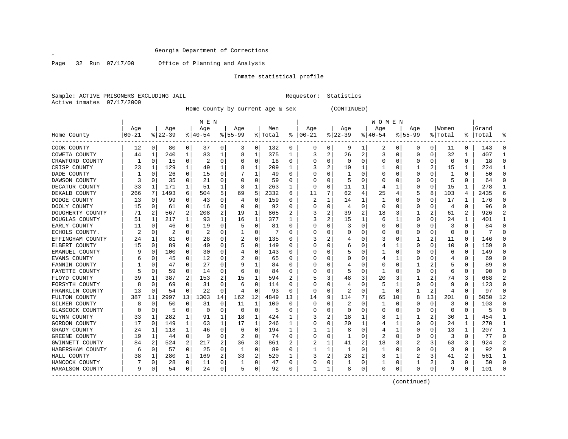$\mathscr{L}^{\pm}$ 

Page 32 Run 07/17/00 Office of Planning and Analysis

# Inmate statistical profile

Sample: ACTIVE PRISONERS EXCLUDING JAIL Requestor: Statistics Active inmates 07/17/2000

Home County by current age & sex (CONTINUED)

|                      |                |          |          |             | M E N     |    |           |          |         |          |          |          |          |                | W O M E N |             |             |          |          |          |           |                |
|----------------------|----------------|----------|----------|-------------|-----------|----|-----------|----------|---------|----------|----------|----------|----------|----------------|-----------|-------------|-------------|----------|----------|----------|-----------|----------------|
|                      | Age            |          | Age      |             | Age       |    | Age       |          | Men     |          | Age      |          | Age      |                | Age       |             | Age         |          | Women    |          | Grand     |                |
| Home County          | $00 - 21$      |          | $ 22-39$ |             | $8 40-54$ |    | $8 55-99$ |          | % Total | ႜ        | $ 00-21$ |          | $ 22-39$ |                | $ 40-54$  |             | $8155 - 99$ |          | % Total  |          | %   Total | °              |
| COOK COUNTY          | 12             | 0        | 80       | 0           | 37        | 0  | 3         | 0        | 132     | 0        | 0        | 0        | 9        | 1              | 2         | 0           | 0           | 0        | 11       | $\Omega$ | 143       | $\Omega$       |
| COWETA COUNTY        | 44             | -1       | 240      | 1           | 83        | 1  | 8         | 1        | 375     | 1        | 3        | 2        | 26       | 2              | 3         | $\mathbf 0$ | 0           | 0        | 32       | 1        | 407       | 1              |
| CRAWFORD COUNTY      | 1              | $\Omega$ | 15       | $\Omega$    | 2         | 0  | 0         | 0        | 18      | 0        | O        | $\Omega$ | $\Omega$ | 0              | $\Omega$  | 0           | 0           | $\Omega$ | 0        | $\Omega$ | 18        | $\Omega$       |
| CRISP COUNTY         | 23             | -1       | 129      | 1           | 49        | 1  |           | 1        | 209     | 1        |          | 2        | 10       | 1              |           | 0           |             | 2        | 15       |          | 224       | $\mathbf{1}$   |
| DADE COUNTY          |                | O        | 26       | 0           | 15        | 0  |           | 1        | 49      | $\Omega$ |          | 0        | -1       | 0              |           | 0           | 0           | 0        | 1        | $\Omega$ | 50        | $\Omega$       |
| DAWSON COUNTY        |                | O        | 35       | 0           | 21        | 0  |           | 0        | 59      | O        | O        | 0        | 5        | 0              | C         | 0           | 0           | 0        | 5        | 0        | 64        | $\Omega$       |
| DECATUR COUNTY       | 33             | 1        | 171      | 1           | 51        | 1  |           | 1        | 263     | 1        | 0        | 0        | 11       | 1              | 4         | 1           | 0           | 0        | 15       | 1        | 278       | 1              |
| DEKALB COUNTY        | 266            | 7        | 1493     | 6           | 504       | 5  | 69        | 5        | 2332    | 6        | 11       | 7        | 62       | 4              | 25        | 4           | 5           | 8        | 103      | 4        | 2435      | 6              |
| DODGE COUNTY         | 13             | O        | 99       | 0           | 43        | 0  |           | $\Omega$ | 159     | O        |          | 1        | 14       | 1              |           | 0           | 0           | 0        | 17       |          | 176       | $\Omega$       |
| DOOLY COUNTY         | 15             | O        | 61       | 0           | 16        | 0  |           | $\Omega$ | 92      | O        | O        | 0        | 4        | 0              | 0         | 0           | 0           | 0        | 4        | $\Omega$ | 96        | $\Omega$       |
| DOUGHERTY COUNTY     | 71             | 2        | 567      | 2           | 208       | 2  | 19        | 1        | 865     | 2        | 3        | 2        | 39       | $\overline{2}$ | 18        | 3           |             | 2        | 61       | 2        | 926       | $\overline{2}$ |
| DOUGLAS COUNTY       | 51             | 1        | 217      | 1           | 93        | 1  | 16        | 1        | 377     | 1        | 3        | 2        | 15       | 1              | 6         | 1           | 0           | 0        | 24       | 1        | 401       | 1              |
| EARLY COUNTY         | 11             | O        | 46       | $\Omega$    | 19        | 0  | 5         | 0        | 81      | U        |          | $\Omega$ | 3        | 0              |           | $\mathbf 0$ | $\Omega$    | 0        | 3        | $\Omega$ | 84        | $\Omega$       |
| ECHOLS COUNTY.       | $\mathfrak{D}$ | O        | 2        | 0           | 2         | 0  |           | $\Omega$ | 7       | U        | C        | 0        | C        | U              | $\Omega$  | 0           | U           | 0        | $\Omega$ | $\Omega$ |           | $\Omega$       |
| EFFINGHAM COUNTY     | 24             | 1        | 81       | 0           | 28        | 0  |           | 0        | 135     | O        |          | 2        |          | 0              |           | 0           |             | 2        | 11       | 0        | 146       | $\Omega$       |
| ELBERT COUNTY        | 15             | 0        | 89       | 0           | 40        | 0  |           | 0        | 149     | O        | O        | 0        | 6        | 0              | 4         | 1           | U           | 0        | 10       | 0        | 159       | $\Omega$       |
| EMANUEL COUNTY       |                | O        | 100      | 0           | 30        | 0  |           | $\Omega$ | 143     | U        |          | 0        |          | 0              |           | 0           | U           | U        | 6        | $\Omega$ | 149       | $\Omega$       |
| EVANS COUNTY         | 6              |          | 45       | $\Omega$    | 12        | 0  |           | $\Omega$ | 65      | 0        |          | 0        |          | 0              | 4         | 1           | 0           | 0        | 4        | $\Omega$ | 69        | $\Omega$       |
| FANNIN COUNTY        |                | O        | 47       | $\Omega$    | 27        | 0  |           | 1        | 84      | 0        | 0        | $\Omega$ |          | 0              | O         | 0           |             | 2        | 5        | $\Omega$ | 89        | ∩              |
| FAYETTE COUNTY       | 5              | 0        | 59       | 0           | 14        | 0  | 6         | 0        | 84      | 0        |          | $\Omega$ | 5        | 0              |           | 0           | 0           | 0        | 6        | $\Omega$ | 90        | $\Omega$       |
| FLOYD COUNTY         | 39             |          | 387      | 2           | 153       | 2  | 15        | 1        | 594     | 2        |          | 3        | 48       | 3              | 20        | 3           |             | 2        | 74       | 3        | 668       |                |
| FORSYTH COUNTY       | 8              | O        | 69       | $\Omega$    | 31        | 0  | 6         | 0        | 114     | 0        |          | $\Omega$ | 4        | 0              | 5         | 1           | 0           | 0        | 9        | $\Omega$ | 123       | $\Omega$       |
| FRANKLIN COUNTY      | 13             | 0        | 54       | 0           | 22        | 0  | 4         | 0        | 93      | 0        | 0        | 0        | 2        | 0              | 1         | 0           | 1           | 2        | 4        | 0        | 97        | $\mathbf 0$    |
| FULTON COUNTY        | 387            | 11       | 2997     | 13          | 1303      | 14 | 162       | 12       | 4849    | 13       | 14       | 9        | 114      | 7              | 65        | 10          | 8           | 13       | 201      | 8        | 5050      | 12             |
| GILMER COUNTY        | 8              | 0        | 50       | 0           | 31        | 0  | 11        | 1        | 100     | 0        | 0        | 0        | 2        | 0              |           | 0           | C           | 0        | 3        |          | 103       | $\Omega$       |
| GLASCOCK COUNTY      | U              | $\Omega$ | 5        | 0           | $\Omega$  | 0  | $\Omega$  | $\Omega$ | 5       | U        |          | 0        | $\Omega$ | 0              | O         | 0           | 0           | 0        | $\Omega$ | $\Omega$ | 5         | $\Omega$       |
| GLYNN COUNTY         | 33             | 1        | 282      | 1           | 91        | 1  | 18        | 1        | 424     |          |          | 2        | 18       | 1              | 8         |             |             | 2        | 30       | 1        | 454       | -1             |
| GORDON COUNTY        | 17             | 0        | 149      | 1           | 63        | 1  | 17        | 1        | 246     | 1        | 0        | $\Omega$ | 20       | 1              | 4         | 1           | 0           | 0        | 24       | 1        | 270       | 1              |
| GRADY COUNTY         | 24             | 1        | 118      | 1           | 46        | 0  | 6         | 0        | 194     | 1        | 1        | 1        | 8        | $\Omega$       |           | 1           | 0           | 0        | 13       | 1        | 207       | 1              |
| <b>GREENE COUNTY</b> | 19             | 1        | 44       | $\mathbf 0$ | 9         | 0  |           | 0        | 74      | O        |          | 0        | 1        | 0              | 2         | $\mathbf 0$ | $\Omega$    | 0        | 3        | $\Omega$ | 77        | $\Omega$       |
| GWINNETT COUNTY      | 84             | 2        | 524      | 2           | 217       | 2  | 36        | 3        | 861     | 2        | 2        | 1        | 41       | $\overline{2}$ | 18        | 3           | 2           | 3        | 63       | 3        | 924       | $\mathfrak{D}$ |
| HABERSHAM COUNTY     | 6              | 0        | 57       | 0           | 25        | 0  | -1        | 0        | 89      | O        |          | 1        | 1        | 0              |           | 0           | 0           | 0        | 3        | 0        | 92        | $\Omega$       |
| HALL COUNTY          | 38             | 1        | 280      | 1           | 169       | 2  | 33        | 2        | 520     | 1        | 3        | 2        | 28       | 2              | 8         | 1           | 2           | 3        | 41       | 2        | 561       | 1              |
| HANCOCK COUNTY       |                | 0        | 28       | 0           | 11        | 0  |           | 0        | 47      | 0        |          | 0        | 1        | 0              |           | 0           |             | 2        |          | 0        | 50        | $\Omega$       |
| HARALSON COUNTY      | 9              | O        | 54       | 0           | 24        | 0  | 5         | 0        | 92      | U        | 1        | 1        | 8        | 0              | $\Omega$  | 0           | $\Omega$    | 0        | 9        | $\Omega$ | 101       | $\Omega$       |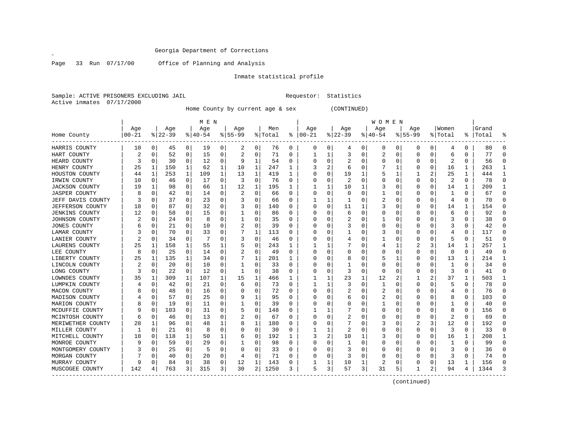$\mathscr{L}^{\pm}$ 

Page 33 Run 07/17/00 Office of Planning and Analysis

# Inmate statistical profile

Sample: ACTIVE PRISONERS EXCLUDING JAIL Requestor: Statistics Active inmates 07/17/2000

Home County by current age & sex (CONTINUED)

|                       |            |          |             |          | M E N     |              |             |              |         |    |               |          |          |   | W O M E N    |          |             |          |                         |          |       |              |
|-----------------------|------------|----------|-------------|----------|-----------|--------------|-------------|--------------|---------|----|---------------|----------|----------|---|--------------|----------|-------------|----------|-------------------------|----------|-------|--------------|
|                       | Age        |          | Age         |          | Age       |              | Age         |              | Men     |    | Age           |          | Age      |   | Age          |          | Age         |          | Women                   |          | Grand |              |
| Home County           | $ 00 - 21$ |          | $8$   22-39 |          | $8 40-54$ |              | $8155 - 99$ |              | % Total |    | $8   00 - 21$ |          | $ 22-39$ |   | $ 40-54$     |          | $8155 - 99$ |          | % Total                 | ႜ        | Total |              |
| HARRIS COUNTY         | 10         | 0        | 45          | 0        | 19        | 0            | 2           | 0            | 76      | 0  | 0             | 0        | 4        | 0 | 0            | 0        | 0           | 0        | 4                       | 0        | 80    | 0            |
| HART COUNTY           | 2          | 0        | 52          | 0        | 15        | 0            | 2           | 0            | 71      | 0  |               | 1        | 3        | 0 | 2            | 0        | 0           | 0        | 6                       | 0        | 77    | $\Omega$     |
| HEARD COUNTY          | 3          | 0        | 30          | 0        | 12        | 0            | 9           | 1            | 54      | 0  |               | 0        | 2        | 0 |              | 0        | 0           | 0        | 2                       | 0        | 56    | $\mathbf 0$  |
| HENRY COUNTY          | 25         | 1        | 150         | 1        | 62        | $\mathbf{1}$ | 10          | 1            | 247     | 1  | 3             | 2        | 6        | U |              | 1        | 0           | 0        | 16                      | 1        | 263   | $\mathbf{1}$ |
| HOUSTON COUNTY        | 44         | 1        | 253         | 1        | 109       | 1            | 13          | 1            | 419     | 1  | ∩             | 0        | 19       | 1 |              | 1        |             | 2        | 25                      | 1        | 444   | 1            |
| IRWIN COUNTY          | 10         | 0        | 46          | 0        | 17        | 0            | 3           | 0            | 76      | 0  |               | O        | 2        | U |              | $\Omega$ | 0           | 0        | 2                       | $\Omega$ | 78    | $\mathbf 0$  |
| <b>JACKSON COUNTY</b> | 19         |          | 98          | 0        | 66        | 1            | 12          | 1            | 195     |    |               |          | 10       | 1 |              | n        | 0           | 0        | 14                      |          | 209   | 1            |
| <b>JASPER COUNTY</b>  |            | C        | 42          | $\Omega$ | 14        | 0            | 2           | $\Omega$     | 66      | O  | ∩             | 0        | $\Omega$ | U |              | $\cap$   | Ω           | O        | 1                       | $\Omega$ | 67    | $\Omega$     |
| JEFF DAVIS COUNTY     |            | O        | 37          | $\Omega$ | 23        | 0            | 3           | 0            | 66      | 0  |               | 1        | -1       | U | 2            | n        | Ω           | O        | 4                       | $\Omega$ | 70    | $\Omega$     |
| JEFFERSON COUNTY      | 18         | O        | 87          | $\Omega$ | 32        | 0            | 3           | 0            | 140     | 0  | O             | $\Omega$ | 11       | 1 | 3            | n        | 0           | 0        | 14                      | 1        | 154   | $\Omega$     |
| <b>JENKINS COUNTY</b> | 12         | 0        | 58          | 0        | 15        | 0            |             | 0            | 86      | U  |               | $\Omega$ | 6        | 0 |              | 0        | 0           | 0        | 6                       | 0        | 92    | $\Omega$     |
| JOHNSON COUNTY        |            | O        | 24          | 0        | 8         | 0            |             | 0            | 35      | O  |               | $\Omega$ | 2        | U |              | n        | Ω           | 0        | 3                       | $\Omega$ | 38    | $\Omega$     |
| JONES COUNTY          |            | O        | 21          | $\Omega$ | 10        | 0            | 2           | 0            | 39      | 0  | ∩             | 0        | 3        | U |              | $\Omega$ | U           | 0        | 3                       | $\Omega$ | 42    | $\Omega$     |
| LAMAR COUNTY          |            | O        | 70          | $\Omega$ | 33        | 0            |             | $\mathbf{1}$ | 113     | 0  | O             | 0        |          | U | 3            | $\Omega$ | O           | 0        | 4                       | $\Omega$ | 117   | $\Omega$     |
| LANIER COUNTY         |            | 0        | 34          | 0        |           | 0            | 3           | 0            | 46      | 0  |               | 0        | 4        | U |              | 0        | 0           | 0        | 5                       | $\Omega$ | 51    | 0            |
| LAURENS COUNTY        | 25         | 1        | 158         |          | 55        | 1            |             | $\Omega$     | 243     |    |               |          |          | U |              | 1        | 2           | 3        | 14                      |          | 257   | 1            |
| LEE COUNTY            | 8          | $\Omega$ | 25          | $\Omega$ | 14        | 0            |             | $\Omega$     | 49      | 0  |               | U        | O        | U |              | $\Omega$ | U           | O        | $\Omega$                | $\Omega$ | 49    | $\Omega$     |
| LIBERTY COUNTY        | 25         | -1       | 135         | 1        | 34        | 0            |             | $\mathbf{1}$ | 201     | -1 |               | $\Omega$ | 8        | U |              | 1        | O           | 0        | 13                      | 1        | 214   | $\mathbf{1}$ |
| LINCOLN COUNTY        | 2          | $\Omega$ | 20          | $\Omega$ | 10        | 0            |             | 0            | 33      | U  |               | $\Omega$ |          | O |              | $\Omega$ | 0           | O        | 1                       | $\Omega$ | 34    | $\Omega$     |
| LONG COUNTY           | 3          | $\Omega$ | 22          | 0        | 12        | 0            |             | 0            | 38      | 0  |               | 0        | 3        | 0 |              | $\Omega$ | 0           | $\Omega$ | 3                       | $\Omega$ | 41    | $\Omega$     |
| LOWNDES COUNTY        | 35         | -1       | 309         | 1        | 107       | 1            | 15          | 1            | 466     | 1  |               | 1        | 23       | 1 | 12           | 2        |             |          | 37                      | 1        | 503   | $\mathbf{1}$ |
| LUMPKIN COUNTY        |            | O        | 42          | $\Omega$ | 21        | 0            | 6           | 0            | 73      | 0  |               | 1        | 3        | U | $\mathbf{1}$ | $\Omega$ | U           | 0        | 5                       | $\Omega$ | 78    | $\Omega$     |
| MACON COUNTY          |            | O        | 48          | 0        | 16        | 0            |             | 0            | 72      | 0  | <sup>0</sup>  | $\Omega$ | 2        | U | 2            | n        | 0           | O        | 4                       | $\Omega$ | 76    | $\Omega$     |
| MADISON COUNTY        |            | C        | 57          | $\Omega$ | 25        | 0            | 9           | 1            | 95      | U  |               |          | 6        | U | 2            | $\Omega$ |             | N        | 8                       | $\Omega$ | 103   | $\Omega$     |
| MARION COUNTY         |            | C        | 19          | $\Omega$ | 11        | 0            |             | 0            | 39      | 0  |               | U        | 0        | 0 |              | $\Omega$ |             | N        |                         | $\Omega$ | 40    | $\Omega$     |
| MCDUFFIE COUNTY       |            | O        | 103         | $\Omega$ | 31        | 0            |             | 0            | 148     | 0  |               |          |          | 0 | O            | $\Omega$ | U           | O        | 8                       | $\Omega$ | 156   | $\Omega$     |
| MCINTOSH COUNTY       | 6          | O        | 46          | $\Omega$ | 13        | 0            | 2           | 0            | 67      | U  |               | $\Omega$ | 2        | U |              | n        | O           | 0        | $\overline{\mathbf{c}}$ | $\Omega$ | 69    | $\Omega$     |
| MERIWETHER COUNTY     | 28         | -1       | 96          | $\Omega$ | 48        | 1            | 8           | 1            | 180     | U  |               | $\Omega$ |          | O | 3            | $\Omega$ | 2           | 3        | 12                      | $\Omega$ | 192   | $\Omega$     |
| MILLER COUNTY         |            | $\Omega$ | 21          | $\Omega$ | 8         | 0            |             | 0            | 30      | 0  |               |          | 2        | 0 |              | 0        | 0           | 0        | 3                       | $\Omega$ | 33    | $\Omega$     |
| MITCHELL COUNTY       | 18         | $\Omega$ | 118         | 1        | 50        | 1            | 6           | 0            | 192     | 1  | 3             | 2        | 10       |   |              | 0        | 0           | 0        | 16                      | 1        | 208   | $\mathbf{1}$ |
| MONROE COUNTY         | 9          | $\Omega$ | 59          | $\Omega$ | 29        | 0            |             | 0            | 98      | 0  | <sup>0</sup>  | 0        | -1       | 0 |              | $\Omega$ | 0           | 0        |                         | $\Omega$ | 99    | $\Omega$     |
| MONTGOMERY COUNTY     |            | O        | 25          | 0        | 5         | 0            | $\Omega$    | 0            | 33      | 0  | O             | $\Omega$ | 3        | U |              | $\Omega$ | O           | 0        | 3                       | $\Omega$ | 36    | 0            |
| MORGAN COUNTY         |            | C        | 40          | $\Omega$ | 20        | 0            | 4           | $\Omega$     | 71      | 0  |               | 0        | 3        | 0 |              | 0        | 0           | 0        | 3                       | $\Omega$ | 74    | $\Omega$     |
| MURRAY COUNTY         | 9          |          | 84          | 0        | 38        | 0            | 12          | 1            | 143     | 0  |               |          | 10       | 1 | 2            | 0        | 0           | 0        | 13                      |          | 156   | $\Omega$     |
| MUSCOGEE COUNTY       | 142        |          | 763         | 3        | 315       | 3            | 30          | 2            | 1250    | 3  | 5             | 3        | 57       | 3 | 31           | 5        |             | 2        | 94                      | 4        | 1344  | 3            |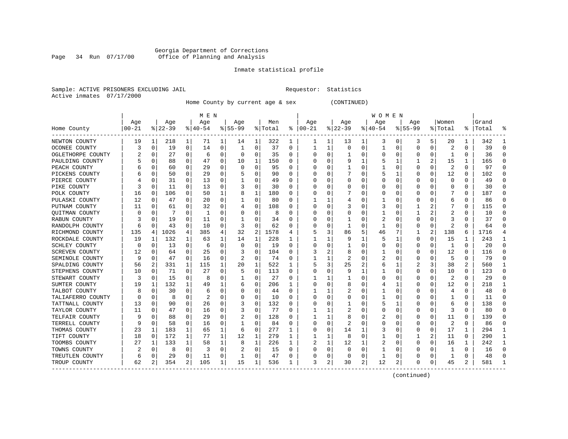#### Georgia Department of Corrections Page 34 Run 07/17/00 Office of Planning and Analysis

# Inmate statistical profile

|  | Sample: ACTIVE PRISONERS EXCLUDING JAIL |  |
|--|-----------------------------------------|--|
|  | Active inmates 07/17/2000               |  |

L Bample: Active Prequestor: Statistics

Home County by current age & sex (CONTINUED)

|                       |           |             |           |          | M E N    |   |             |          |         |                  |          |   |          |          | <b>WOMEN</b> |          |              |                |                |                |       |              |
|-----------------------|-----------|-------------|-----------|----------|----------|---|-------------|----------|---------|------------------|----------|---|----------|----------|--------------|----------|--------------|----------------|----------------|----------------|-------|--------------|
|                       | Age       |             | Age       |          | Age      |   | Age         |          | Men     |                  | Age      |   | Age      |          | Age          |          | Age          |                | Women          |                | Grand |              |
| Home County           | $00 - 21$ |             | $ 22-39 $ |          | $ 40-54$ |   | $8155 - 99$ |          | % Total | ႜ                | $ 00-21$ |   | $ 22-39$ |          | $ 40-54$     |          | $8155 - 99$  |                | % Total        | ႜ              | Total |              |
| NEWTON COUNTY         | 19        | 1           | 218       | 1        | 71       | 1 | 14          | 1        | 322     | 1                | 1        | 1 | 13       | 1        | 3            | 0        | 3            | 5              | 20             | 1              | 342   |              |
| OCONEE COUNTY         | 3         | 0           | 19        | 0        | 14       | 0 |             | 0        | 37      | 0                |          | 1 | $\Omega$ | 0        | 1            | $\Omega$ | 0            | 0              | 2              | 0              | 39    | n            |
| OGLETHORPE COUNTY     |           | 0           | 27        | $\Omega$ | 6        | 0 | O           | 0        | 35      | 0                | C        | 0 |          | $\Omega$ | 0            | $\Omega$ | O            | $\Omega$       | -1             | O              | 36    | n            |
| PAULDING COUNTY       |           | 0           | 88        | 0        | 47       | 0 | 10          | 1        | 150     | 0                |          | O | 9        |          | 5            |          |              | 2              | 15             | 1              | 165   | Ω            |
| PEACH COUNTY          |           | 0           | 60        | $\Omega$ | 29       | 0 | $\Omega$    | 0        | 95      | O                |          | O |          | $\Omega$ |              | C        | <sup>0</sup> | $\Omega$       | $\overline{2}$ | $\Omega$       | 97    | ſ            |
| PICKENS COUNTY        |           | 0           | 50        | 0        | 29       | 0 |             | 0        | 90      | 0                |          | U |          | O        | 5            | -1       | <sup>0</sup> | O              | 12             | 0              | 102   | ∩            |
| PIERCE COUNTY         |           | 0           | 31        | 0        | 13       | 0 |             | 0        | 49      | 0                | O        | 0 | O        | 0        | 0            | C        | 0            | O              | 0              | 0              | 49    | n            |
| PIKE COUNTY           | 3         | 0           | 11        | 0        | 13       | 0 | 3           | 0        | 30      | 0                | 0        | 0 | 0        | 0        | 0            | C        | 0            | O              | 0              | 0              | 30    | $\Omega$     |
| POLK COUNTY           | 16        | 0           | 106       | 0        | 50       | 1 | 8           | 1        | 180     | O                |          | U |          | $\Omega$ | 0            | C        |              |                |                | O              | 187   | <sup>0</sup> |
| PULASKI COUNTY        | 12        | 0           | 47        | 0        | 20       | 0 |             | 0        | 80      | O                |          |   |          | O        |              | ſ        |              |                | 6              | 0              | 86    | O            |
| PUTNAM COUNTY         | 11        | 0           | 61        | 0        | 32       | 0 |             | $\Omega$ | 108     | U                |          | U |          | O        | 3            | C        |              |                |                | 0              | 115   | n            |
| <b>OUITMAN COUNTY</b> |           | $\Omega$    |           | 0        | -1       | 0 |             | 0        | 8       | $\left( \right)$ |          | U | $\left($ | O        |              | C        |              | 2              | 2              | 0              | 10    | n            |
| RABUN COUNTY          |           | 0           | 19        | 0        | 11       | 0 |             | 0        | 34      | 0                |          | 0 |          | 0        | 2            | C        |              | 0              | 3              | 0              | 37    | n            |
| RANDOLPH COUNTY       | 6         | 0           | 43        | 0        | 10       | 0 | 3           | 0        | 62      | O                |          | 0 |          | $\Omega$ |              | C        |              | 0              |                | 0              | 64    | C            |
| RICHMOND COUNTY       | 135       | 4           | 1026      | 4        | 385      | 4 | 32          | 2        | 1578    | 4                |          | 3 | 86       | 5        | 46           |          |              | 2              | 138            | 6              | 1716  |              |
| ROCKDALE COUNTY       | 19        | 1           | 132       | 1        | 63       | 1 | 14          | 1        | 228     | 1                |          | 1 | 9        |          | 5            | -1       | <sup>0</sup> | 0              | 15             | 1              | 243   |              |
| SCHLEY COUNTY         | 0         | 0           | 13        | 0        | 6        | 0 | O           | 0        | 19      | 0                | C        | 0 |          | O        | C            | C        | 0            | $\Omega$       | -1             | 0              | 20    | $\Omega$     |
| SCREVEN COUNTY        | 12        | 0           | 64        | 0        | 25       | 0 |             | $\Omega$ | 104     | U                |          | 2 | 8        | 0        |              | C        | 0            | 0              | 12             | 0              | 116   | O            |
| SEMINOLE COUNTY       | 9         | 0           | 47        | 0        | 16       | 0 |             | $\Omega$ | 74      | U                |          |   |          | O        | 2            | ſ        |              | 0              | 5              | 0              | 79    | C            |
| SPALDING COUNTY       | 56        | 2           | 331       | 1        | 115      | 1 | 20          | 1        | 522     | 1                |          | 3 | 25       |          | 6            |          |              | 3              | 38             | $\overline{2}$ | 560   |              |
| STEPHENS COUNTY       | 10        | $\Omega$    | 71        | 0        | 27       | 0 |             | $\Omega$ | 113     | 0                | C        | 0 | 9        |          |              | C        | O            | $\Omega$       | 10             | 0              | 123   | <sup>0</sup> |
| STEWART COUNTY        | 3         | $\Omega$    | 15        | 0        | 8        | 0 |             | 0        | 27      | 0                |          |   |          | $\Omega$ | 0            | C        |              | $\Omega$       | 2              | 0              | 29    | O            |
| SUMTER COUNTY         | 19        | 1           | 132       | 1        | 49       | 1 | 6           | 0        | 206     |                  |          | 0 | 8        | $\Omega$ |              |          |              | $\Omega$       | 12             | 0              | 218   |              |
| TALBOT COUNTY         |           | $\mathbf 0$ | 30        | 0        | 6        | 0 |             | $\Omega$ | 44      | $\Omega$         |          |   |          | $\Omega$ |              | C        |              | O              | 4              | 0              | 48    | $\Omega$     |
| TALIAFERRO COUNTY     |           | 0           | 8         | 0        | 2        | 0 |             | 0        | 10      | 0                |          | 0 | O        | O        |              | C        | O            | O              | 1              | 0              | 11    | $\Omega$     |
| TATTNALL COUNTY       | 13        | 0           | 90        | 0        | 26       | 0 |             | 0        | 132     | 0                | C        | 0 |          | 0        | 5            |          | 0            | O              | 6              | 0              | 138   | n            |
| TAYLOR COUNTY         | 11        | 0           | 47        | 0        | 16       | 0 | 3           | 0        | 77      | O                |          | 1 |          | $\Omega$ | 0            | C        | 0            | 0              | 3              | 0              | 80    | $\Omega$     |
| TELFAIR COUNTY        | q         | 0           | 88        | 0        | 29       | 0 | 2           | $\Omega$ | 128     | 0                |          | 1 | 8        | O        | 2            | C        |              | O              | 11             | O              | 139   | O            |
| TERRELL COUNTY        |           | $\Omega$    | 58        | $\Omega$ | 16       | 0 |             | $\Omega$ | 84      | N                | C        | 0 |          | ∩        | C            |          |              | O              | $\overline{2}$ | 0              | 86    |              |
| THOMAS COUNTY         | 23        | 1           | 183       | 1        | 65       | 1 | 6           | $\Omega$ | 277     | 1                | C        | U | 14       |          | 3            | C        |              | $\Omega$       | 17             | 1              | 294   |              |
| TIFT COUNTY           | 18        | 0           | 172       | 1        | 77       | 1 | 12          | 1        | 279     | 1                |          | 1 | 8        | $\Omega$ |              | C        |              | $\overline{a}$ | 11             | 0              | 290   |              |
| TOOMBS COUNTY         | 27        | 1           | 133       | 1        | 58       | 1 | 8           | 1        | 226     | 1                | 2        | 1 | 12       |          | 2            | C        | 0            | $\Omega$       | 16             | 1              | 242   |              |
| TOWNS COUNTY          |           | 0           | 8         | $\Omega$ | 3        | 0 | 2           | 0        | 15      | 0                |          | 0 | 0        | $\Omega$ |              | C        |              | $\Omega$       |                | 0              | 16    | <sup>0</sup> |
| TREUTLEN COUNTY       | 6         | 0           | 29        | 0        | 11       | 0 |             | 0        | 47      | O                |          | 0 | $\Omega$ | $\Omega$ |              | C        |              | O              | -1             | 0              | 48    | ſ            |
| TROUP COUNTY          | 62        | 2           | 354       | 2        | 105      | 1 | 15          | 1        | 536     | 1                | 3        | 2 | 30       | 2        | 12           | 2        | <sup>0</sup> | 0              | 45             | 2              | 581   |              |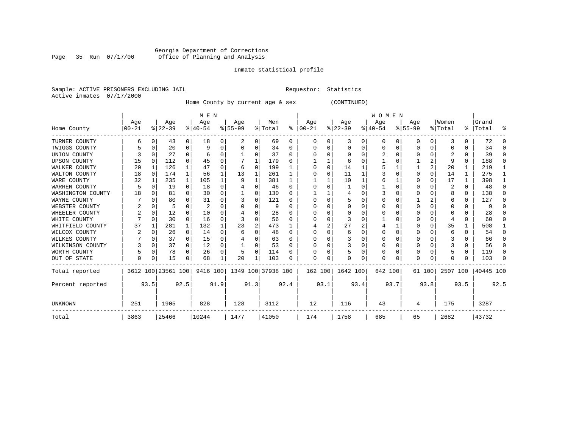#### Georgia Department of Corrections Page 35 Run 07/17/00 Office of Planning and Analysis

# Inmate statistical profile

|  | Sample: ACTIVE PRISONERS EXCLUDING JAII |  |
|--|-----------------------------------------|--|
|  | Active inmates 07/17/2000               |  |

L Requestor: Statistics

Home County by current age & sex (CONTINUED)

|                     |           |          |                    |          | M E N     |          |                             |          |         |      |          |          |           |      | <b>WOMEN</b> |      |           |          |          |              |           |              |
|---------------------|-----------|----------|--------------------|----------|-----------|----------|-----------------------------|----------|---------|------|----------|----------|-----------|------|--------------|------|-----------|----------|----------|--------------|-----------|--------------|
|                     | Age       |          | Age                |          | Age       |          | Age                         |          | Men     |      | Age      |          | Age       |      | Age          |      | Age       |          | Women    |              | Grand     |              |
| Home County         | $00 - 21$ |          | $ 22-39 $          |          | $8 40-54$ |          | $8 55-99$                   |          | % Total | ႜ    | $ 00-21$ |          | $ 22-39 $ |      | $ 40-54$     |      | $ 55-99 $ |          | % Total  |              | %   Total | ႜ            |
| TURNER COUNTY       |           | 0        | 43                 | 0        | 18        | 0        | 2                           | 0        | 69      | 0    | 0        | 0        | 3         | 0    | 0            | 0    | ი         | 0        | 3        |              | 72        | 0            |
| TWIGGS COUNTY       |           | 0        | 20                 | $\Omega$ |           |          |                             | 0        | 34      |      |          |          | $\Omega$  | 0    |              | 0    |           | $\Omega$ |          |              | 34        | $\Omega$     |
| UNION COUNTY        |           | $\Omega$ | 27                 | $\Omega$ |           |          |                             | U        | 37      | O    | O        |          | $\Omega$  | U    |              | O    | ი         | $\Omega$ |          | $\Omega$     | 39        | $\Omega$     |
| <b>UPSON COUNTY</b> | 15        | $\Omega$ | 112                | $\Omega$ | 45        |          |                             |          | 179     | U    |          |          | 6         | N    |              |      |           | 2        | 9        | $\Omega$     | 188       | $\Omega$     |
| WALKER COUNTY       | 20        | 1        | 126                |          | 47        |          | 6                           | $\Omega$ | 199     |      |          | $\Omega$ | 14        |      |              |      |           | 2        | 20       |              | 219       |              |
| WALTON COUNTY       | 18        | $\Omega$ | 174                | 1        | 56        |          | 13                          |          | 261     |      | O        |          | 11        |      |              | 0    | 0         | $\Omega$ | 14       |              | 275       |              |
| WARE COUNTY         | 32        |          | 235                | 1        | 105       |          | 9                           |          | 381     |      |          |          | 10        |      |              |      | ი         | $\Omega$ | 17       |              | 398       | 1            |
| WARREN COUNTY       | 5         | 0        | 19                 | $\Omega$ | 18        |          |                             | 0        | 46      | U    |          |          |           |      |              | O    |           | $\Omega$ | 2        | 0            | 48        | $\Omega$     |
| WASHINGTON COUNTY   | 18        | O        | 81                 | $\Omega$ | 30        |          |                             | 0        | 130     | U    |          |          | 4         |      |              | O    | U         | $\Omega$ | 8        | $\Omega$     | 138       | $\Omega$     |
| WAYNE COUNTY        |           | $\Omega$ | 80                 | $\Omega$ | 31        |          |                             | 0        | 121     |      | ∩        |          | 5         | U    | $\Omega$     | O    |           | 2        |          | $\Omega$     | 127       | $\Omega$     |
| WEBSTER COUNTY      |           | $\Omega$ | 5                  | $\Omega$ | 2         |          |                             | 0        |         |      |          |          | $\Omega$  | U    |              | O    |           | U        | O        | $\Omega$     | 9         | $\Omega$     |
| WHEELER COUNTY      |           | $\Omega$ | 12                 | $\Omega$ | 10        |          |                             | U        | 28      |      | O        |          | $\Omega$  |      | O            | O    | U         | $\Omega$ | O        | $\Omega$     | 28        | $\Omega$     |
| WHITE COUNTY        |           | $\Omega$ | 30                 | $\Omega$ | 16        | O        |                             | 0        | 56      | n    | U        |          | 3         | U    |              | U    |           | $\Omega$ |          | 0            | 60        | <sup>0</sup> |
| WHITFIELD COUNTY    | 37        |          | 281                | 1        | 132       |          | 23                          | 2        | 473     |      |          |          | 27        |      |              |      |           | $\Omega$ | 35       |              | 508       |              |
| WILCOX COUNTY       |           | $\Omega$ | 26                 | $\Omega$ | 14        |          | 6                           | 0        | 48      | U    | O        |          | 6         | N    | O            | O    | 0         | $\Omega$ | 6        | <sup>0</sup> | 54        | 0            |
| WILKES COUNTY       |           | $\Omega$ | 37                 | $\Omega$ | 15        | $\Omega$ |                             | 0        | 63      | U    |          |          | 3         | 0    | 0            | O    | Ω         | $\Omega$ |          | <sup>0</sup> | 66        | $\Omega$     |
| WILKINSON COUNTY    |           | $\Omega$ | 37                 | $\Omega$ | 12        | $\Omega$ |                             | 0        | 53      | U    |          |          | 3         | 0    | 0            | O    | 0         | $\Omega$ |          | 0            | 56        | $\Omega$     |
| WORTH COUNTY        |           | 0        | 78                 | $\Omega$ | 26        | $\Omega$ | 5                           | 0        | 114     |      |          |          |           | 0    | 0            | 0    | 0         | $\Omega$ |          | 0            | 119       | $\Omega$     |
| OUT OF STATE        | $\Omega$  | 0        | 15                 | 0        | 68        |          | 20                          |          | 103     | U    | U        | 0        | $\Omega$  | 0    | $\Omega$     | 0    | U         | 0        | $\Omega$ | <sup>n</sup> | 103       | $\Omega$     |
| Total reported      |           |          | 3612 100 23561 100 |          |           |          | 9416 100 1349 100 37938 100 |          |         |      | 162 100  |          | 1642 100  |      | 642 100      |      |           | 61 100   | 2507 100 |              | 40445 100 |              |
| Percent reported    |           | 93.5     |                    | 92.5     |           | 91.9     | 91.3                        |          |         | 92.4 |          | 93.1     |           | 93.4 |              | 93.7 |           | 93.8     |          | 93.5         |           | 92.5         |
| UNKNOWN             | 251       |          | 1905               |          | 828       |          | 128                         |          | 3112    |      | 12       |          | 116       |      | 43           |      | 4         |          | 175      |              | 3287      |              |
| Total               | 3863      |          | 25466              |          | 10244     |          | 1477                        |          | 41050   |      | 174      |          | 1758      |      | 685          |      | 65        |          | 2682     |              | 43732     |              |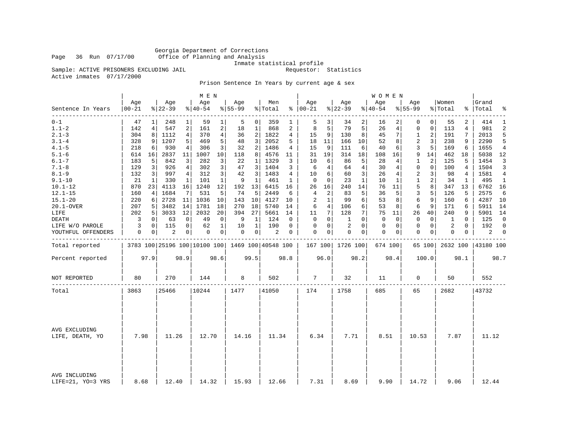Georgia Department of Corrections Page 36 Run 07/17/00 Office of Planning and Analysis

Inmate statistical profile<br>Requestor: Statistics

Sample: ACTIVE PRISONERS EXCLUDING JAIL Active inmates 07/17/2000

Prison Sentence In Years by current age & sex

|                                  |                  |      |                 |             | M E N            |                |                  |                |                                                 |      |                      |                |                  |              | <b>WOMEN</b>       |          |                    |             |                  |             |                    |              |
|----------------------------------|------------------|------|-----------------|-------------|------------------|----------------|------------------|----------------|-------------------------------------------------|------|----------------------|----------------|------------------|--------------|--------------------|----------|--------------------|-------------|------------------|-------------|--------------------|--------------|
| Sentence In Years                | Age<br>$00 - 21$ |      | Age<br>$ 22-39$ |             | Age<br>$8 40-54$ |                | Age<br>$8 55-99$ |                | Men<br>% Total                                  |      | Age<br>$8   00 - 21$ |                | Age<br>$8 22-39$ |              | Age<br>$8140 - 54$ |          | Age<br>$8155 - 99$ |             | Women<br>% Total |             | Grand<br>%   Total | ៖            |
| $0 - 1$                          | 47               |      | 248             |             | 59               | 1              | 5                | 0 <sup>1</sup> | 359                                             |      | 5                    | 3              | 34               | 2            | 16                 |          | 0                  | 0           | 55               | 2           | 414                | 1            |
| $1.1 - 2$                        | 142              | 4    | 547             | 2           | 161              | 2              | 18               | 1              | 868                                             | 2    | 8                    | 5              | 79               | 5            | 26                 | 4        | 0                  | 0           | 113              | 4           | 981                | 2            |
| $2.1 - 3$                        | 304              | 8    | 1112            | 4           | 370              | $\overline{4}$ | 36               | 2              | 1822                                            | 4    | 15                   | 9              | 130              | 8            | 45                 | 7        | 1                  | 2           | 191              | 7           | 2013               | 5            |
| $3.1 - 4$                        | 328              | 9    | 1207            | 5           | 469              | 5              | 48               | 3              | 2052                                            | 5    | 18                   | 11             | 166              | 10           | 52                 | 8        | 2                  | 3           | 238              | 9           | 2290               | 5            |
| $4.1 - 5$                        | 218              | 6    | 930             | 4           | 306              | 3              | 32               | 2              | 1486                                            | 4    | 15                   | 9              | 111              | 6            | 40                 | 6        | 3                  | 5           | 169              | 6           | 1655               | 4            |
| $5.1 - 6$                        | 614              | 16   | 2837            | 11          | 1007             | 10             | 118              | 8              | 4576                                            | 11   | 31                   | 19             | 314              | 18           | 108                | 16       | 9                  | 14          | 462              | 18          | 5038               | 12           |
| $6.1 - 7$                        | 183              | 5    | 842             | 3           | 282              | 3              | 22               | 1              | 1329                                            | 3    | 10                   | 6              | 86               | 5            | 28                 | 4        | 1                  | 2           | 125              | 5           | 1454               | 3            |
| $7.1 - 8$                        | 129              | 3    | 926             | 4           | 302              | 3              | 47               | 3              | 1404                                            | 3    | 6                    | 4              | 64               | 4            | 30                 | 4        | 0                  | $\mathbf 0$ | 100              | 4           | 1504               | 3            |
| $8.1 - 9$                        | 132              | 3    | 997             | 4           | 312              | 3              | 42               | 3              | 1483                                            | 4    | 10                   | 6              | 60               | 3            | 26                 | 4        | 2                  | 3           | 98               | 4           | 1581               | 4            |
| $9.1 - 10$                       | 21               | 1    | 330             | 1           | 101              | $\mathbf 1$    | 9                | 1              | 461                                             | 1    | $\mathbf 0$          | $\Omega$       | 23               | $\mathbf{1}$ | 10                 | 1        | 1                  | 2           | 34               | 1           | 495                | 1            |
| $10.1 - 12$                      | 870              | 23   | 4113            | 16          | 1240             | 12             | 192              | 13             | 6415                                            | 16   | 26                   | 16             | 240              | 14           | 76                 | 11       | 5                  | 8           | 347              | 13          | 6762               | 16           |
| $12.1 - 15$                      | 160              | 4    | 1684            | 7           | 531              | 5              | 74               | 5              | 2449                                            | 6    | 4                    | 2              | 83               | 5            | 36                 | 5        | 3                  | 5           | 126              | 5           | 2575               | 6            |
| $15.1 - 20$                      | 220              | 6    | 2728            | 11          | 1036             | 10             | 143              | 10             | 4127                                            | 10   | 2                    | $\mathbf{1}$   | 99               | 6            | 53                 | 8        | 6                  | 9           | 160              | 6           | 4287               | 10           |
| 20.1-OVER                        | 207              | 5    | 3482            | 14          | 1781             | 18             | 270              | 18             | 5740                                            | 14   | 6                    | $\overline{4}$ | 106              | 6            | 53                 | 8        | 6                  | 9           | 171              | 6           | 5911               | 14           |
| LIFE                             | 202              | 5    | 3033            | 12          | 2032             | 20             | 394              | 27             | 5661                                            | 14   | 11                   | 7              | 128              | 7            | 75                 | 11       | 26                 | 40          | 240              | 9           | 5901               | 14           |
| DEATH                            | 3                | 0    | 63              | $\mathbf 0$ | 49               | 0              | 9                | 1              | 124                                             | 0    | $\Omega$             | $\Omega$       | 1                | $\Omega$     | $\Omega$           | $\Omega$ | $\mathbf 0$        | $\Omega$    | 1                | $\Omega$    | 125                | $\mathbf 0$  |
| LIFE W/O PAROLE                  | 3                | 0    | 115             | 0           | 62               | $\mathbf 1$    | 10               | 1              | 190                                             | 0    | 0                    | $\mathbf 0$    | 2                | $\Omega$     | 0                  | 0        | 0                  | $\mathbf 0$ | 2                | $\mathbf 0$ | 192                | $\Omega$     |
| YOUTHFUL OFFENDERS               | 0                | 0    | 2               | 0           | 0                | 0              | 0                | 0              | 2                                               | 0    | $\Omega$             | 0              | 0                | 0            | 0                  | 0        | 0                  | 0           | 0                | 0           | 2                  | $\mathbf{0}$ |
| Total reported                   |                  |      |                 |             |                  |                |                  |                | 3783 100 25196 100 10100 100 1469 100 40548 100 |      |                      |                | 167 100 1726 100 |              | 674 100            |          |                    | 65 100      | 2632 100         |             | 43180 100          |              |
| Percent reported                 |                  | 97.9 |                 | 98.9        |                  | 98.6           |                  | 99.5           |                                                 | 98.8 |                      | 96.0           |                  | 98.2         |                    | 98.4     |                    | 100.0       |                  | 98.1        |                    | 98.7         |
| NOT REPORTED                     | 80               |      | 270             |             | 144              |                | 8                |                | 502                                             |      | 7                    |                | 32               |              | 11                 |          | 0                  |             | 50               |             | 552                |              |
| Total                            | 3863             |      | 25466           |             | 10244            |                | 1477             |                | 41050                                           |      | 174                  |                | 1758             |              | 685                |          | 65                 |             | 2682             |             | 43732              |              |
|                                  |                  |      |                 |             |                  |                |                  |                |                                                 |      |                      |                |                  |              |                    |          |                    |             |                  |             |                    |              |
| AVG EXCLUDING<br>LIFE, DEATH, YO | 7.98             |      | 11.26           |             | 12.70            |                | 14.16            |                | 11.34                                           |      | 6.34                 |                | 7.71             |              | 8.51               |          | 10.53              |             | 7.87             |             | 11.12              |              |
| AVG INCLUDING                    |                  |      |                 |             |                  |                |                  |                |                                                 |      |                      |                |                  |              |                    |          |                    |             |                  |             |                    |              |
| LIFE=21, YO=3 YRS                | 8.68             |      | 12.40           |             | 14.32            |                | 15.93            |                | 12.66                                           |      | 7.31                 |                | 8.69             |              | 9.90               |          | 14.72              |             | 9.06             |             | 12.44              |              |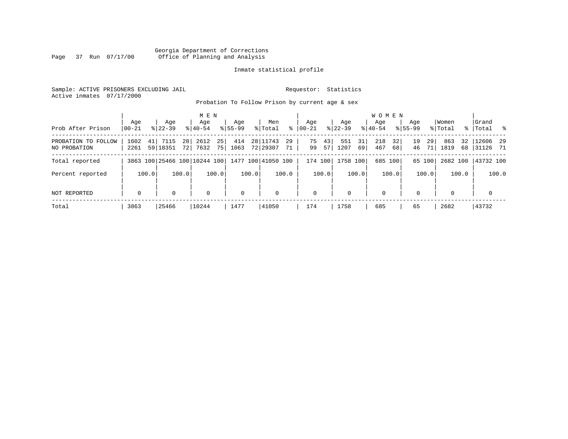# Georgia Department of Corrections Page 37 Run 07/17/00 Office of Planning and Analysis

# Inmate statistical profile

Sample: ACTIVE PRISONERS EXCLUDING JAIL **Requestor:** Statistics Active inmates 07/17/2000

Probation To Follow Prison by current age & sex

| Prob After Prison                   | Age<br>$00 - 21$ | Age<br>$8122 - 39$     | M E N<br>Age<br>$8140 - 54$           | Aqe<br>$8155 - 99$                   | Men<br>ွေ<br>% Total              | Aqe<br>$ 00-21 $     | Aqe<br>$8122 - 39$      | <b>WOMEN</b><br>Aqe<br>$8140 - 54$ | Aqe<br>$8155 - 99$   | Women<br>% Total        | Grand<br>%   Total %  |
|-------------------------------------|------------------|------------------------|---------------------------------------|--------------------------------------|-----------------------------------|----------------------|-------------------------|------------------------------------|----------------------|-------------------------|-----------------------|
| PROBATION TO FOLLOW<br>NO PROBATION | 1602<br>2261     | 7115<br>41<br>59 18351 | 2612<br>28 <sup>1</sup><br>7632<br>72 | 25 <sub>1</sub><br>414<br>75<br>1063 | 28 11743<br>29<br>72 29307<br>71' | 75<br>43<br>99<br>57 | 31<br>551<br>1207<br>69 | 32<br>218<br>467<br>68             | 19<br>29<br>46<br>71 | 32<br>863<br>1819<br>68 | 12606 29<br> 31126 71 |
| Total reported                      |                  |                        | 3863 100 25466 100 10244 100          |                                      | 1477 100 41050 100                | 174 100              | 1758 100                | 685 100                            | 65 100               | 2682 100                | 43732 100             |
| Percent reported                    | 100.0            | 100.0                  | 100.0                                 | 100.0                                | 100.0                             | 100.0                | 100.0                   | 100.0                              | 100.0                | 100.0                   | 100.0                 |
| NOT REPORTED                        | $\mathbf 0$      | 0                      | $\mathbf 0$                           | $\mathbf 0$                          | $\mathbf 0$                       | 0                    | 0                       | $\mathbf 0$                        | $\Omega$             | $\Omega$                | $\mathbf 0$           |
| Total                               | 3863             | 25466                  | 10244                                 | 1477                                 | 41050                             | 174                  | 1758                    | 685                                | 65                   | 2682                    | 43732                 |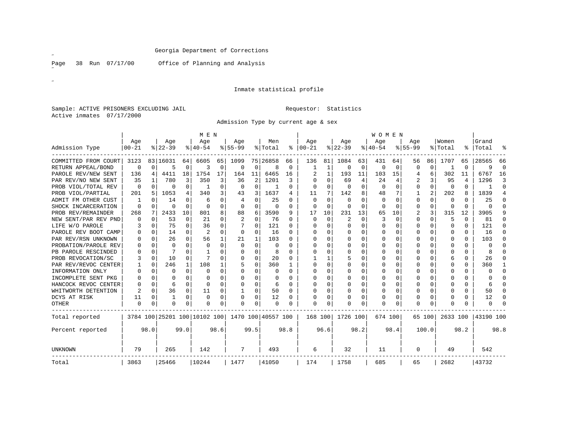Page 38 Run 07/17/00

Office of Planning and Analysis

# Inmate statistical profile

Sample: ACTIVE PRISONERS EXCLUDING JAIL **Requestor:** Statistics Active inmates 07/17/2000

Admission Type by current age & sex

|                      |                  |          |                  |          | M E N                        |          |                  |          |                    |          |                 |              |                  |      | <b>WOMEN</b>    |          |                  |          |                  |              |                |             |
|----------------------|------------------|----------|------------------|----------|------------------------------|----------|------------------|----------|--------------------|----------|-----------------|--------------|------------------|------|-----------------|----------|------------------|----------|------------------|--------------|----------------|-------------|
| Admission Type       | Age<br>$00 - 21$ |          | Age<br>$8 22-39$ |          | Age<br>$ 40-54$              |          | Aqe<br>$8 55-99$ |          | Men<br>% Total     | ွေ       | Age<br>$ 00-21$ |              | Aqe<br>$ 22-39 $ |      | Aqe<br>$ 40-54$ |          | Aqe<br>$8 55-99$ |          | Women<br>% Total | ⊱            | Grand<br>Total | °           |
|                      |                  |          |                  |          |                              |          |                  |          |                    |          |                 |              |                  |      |                 |          |                  |          |                  |              |                |             |
| COMMITTED FROM COURT | 3123             |          | 83   16031       | 64       | 6605                         | 65       | 1099             |          | 75 26858           | 66       | 136             | 81           | 1084             | 63   | 431             | 64       | 56               | 86       | 1707             | 65           | 28565          | 66          |
| RETURN APPEAL/BOND   | $\Omega$         | 0        | 5                | $\Omega$ | 3                            | $\Omega$ | 0                | 0        | 8                  | $\Omega$ | 1               | 1            | 0                | 0    | $\Omega$        | 0        | 0                | 0        |                  | $\Omega$     | 9              | $\mathbf 0$ |
| PAROLE REV/NEW SENT  | 136              | 4        | 4411             | 18       | 1754                         | 17       | 164              | 11       | 6465               | 16       |                 | 1            | 193              | 11   | 103             | 15       | 4                | 6        | 302              | 11           | 6767           | 16          |
| PAR REV/NO NEW SENT  | 35               |          | 780              | 3        | 350                          | 3        | 36               | 2        | 1201               | 3        | U               | 0            | 69               | 4    | 24              | 4        | 2                | 3        | 95               | 4            | 1296           | 3           |
| PROB VIOL/TOTAL REV  | 0                | $\Omega$ | 0                | $\Omega$ | -1                           | $\Omega$ | 0                | $\Omega$ | -1                 | U        | U               | <sup>0</sup> | $\Omega$         | 0    | $\Omega$        | $\Omega$ | 0                | $\Omega$ | $\Omega$         | 0            | -1             | $\Omega$    |
| PROB VIOL/PARTIAL    | 201              | 5        | 1053             | 4        | 340                          | 3        | 43               | 3        | 1637               | 4        | 11              | 7            | 142              | 8    | 48              | 7        |                  | 2        | 202              | 8            | 1839           | 4           |
| ADMIT FM OTHER CUST  |                  | $\Omega$ | 14               | $\Omega$ | 6                            | $\Omega$ |                  | 0        | 25                 | U        | U               | 0            | 0                | U    | $\Omega$        | 0        | 0                | $\Omega$ | $\Omega$         | <sup>0</sup> | 25             | $\Omega$    |
| SHOCK INCARCERATION  | $\Omega$         | $\Omega$ | 0                | $\Omega$ | $\Omega$                     | $\Omega$ | $\Omega$         | $\Omega$ | 0                  | $\Omega$ | $\Omega$        | $\Omega$     | $\Omega$         | 0    | $\Omega$        | $\Omega$ | 0                | $\Omega$ | $\Omega$         | $\Omega$     | $\Omega$       | $\Omega$    |
| PROB REV/REMAINDER   | 268              | 7        | 2433             | 10       | 801                          | 8        | 88               | 6        | 3590               | 9        | 17              | 10           | 231              | 13   | 65              | 10       | 2                | 3        | 315              | 12           | 3905           | 9           |
| NEW SENT/PAR REV PND |                  | $\Omega$ | 53               | $\Omega$ | 21                           | $\Omega$ | 2                | $\Omega$ | 76                 | O        | 0               | $\Omega$     | 2                | 0    | 3               | $\Omega$ | 0                | $\Omega$ | 5                | $\Omega$     | 81             | $\Omega$    |
| LIFE W/O PAROLE      | 3                | $\Omega$ | 75               | $\Omega$ | 36                           | $\Omega$ |                  | 0        | 121                | O        | U               | $\Omega$     | $\Omega$         | O    | O               | $\Omega$ | 0                | $\Omega$ | $\Omega$         | $\Omega$     | 121            | $\Omega$    |
| PAROLE REV BOOT CAMP |                  | $\Omega$ | 14               | $\Omega$ | 2                            | $\Omega$ | 0                | 0        | 16                 | U        | U               | $\Omega$     | $\Omega$         | O    | O               | $\Omega$ | Ω                | $\Omega$ | ∩                | $\Omega$     | 16             | $\Omega$    |
| PAR REV/RSN UNKNOWN  |                  | $\Omega$ | 26               | $\Omega$ | 56                           |          | 21               | 1        | 103                | n        | U               | $\Omega$     | n                | U    | O               | O        | Ω                | $\Omega$ | ∩                | $\Omega$     | 103            | O           |
| PROBATION/PAROLE REV |                  | $\Omega$ | O                | U        | $\Omega$                     |          | U                | $\Omega$ | $\cap$             | ∩        | ∩               |              | $\Omega$         | O    | $\Omega$        | O        | Ω                | $\Omega$ | ∩                | $\Omega$     | <sup>0</sup>   | $\cap$      |
| PB PAROLE RESCINDED  |                  | $\Omega$ |                  | U        |                              |          | O                | 0        |                    | ∩        | ∩               |              | $\Omega$         | U    | $\Omega$        | $\Omega$ | Ω                | $\Omega$ | ∩                | $\Omega$     | 8              | U           |
| PROB REVOCATION/SC   |                  | $\Omega$ | 10               | $\Omega$ |                              | U        | O                | 0        | 20                 | U        |                 |              | 5                | U    | $\Omega$        | $\Omega$ | ი                | $\Omega$ | 6                | $\Omega$     | 26             | $\Omega$    |
| PAR REV/REVOC CENTER |                  | $\Omega$ | 246              | 1        | 108                          |          | 5                | 0        | 360                |          | U               | O            | $\Omega$         | U    | O               | 0        |                  | $\Omega$ | ∩                | $\Omega$     | 360            | 1           |
| INFORMATION ONLY     |                  | $\Omega$ | O                | $\Omega$ | $\Omega$                     |          | U                | 0        |                    |          | U               |              | $\Omega$         | U    | $\Omega$        | 0        |                  | $\Omega$ | $\Omega$         | $\Omega$     | $\Omega$       | $\Omega$    |
| INCOMPLETE SENT PKG  |                  | $\Omega$ | 0                | 0        | ∩                            | O        | U                | 0        | 0                  | U        | U               | $\Omega$     | 0                | U    | O               | $\Omega$ | Ω                | $\Omega$ | ∩                | $\Omega$     |                | $\Omega$    |
| HANCOCK REVOC CENTER |                  | $\Omega$ | 6                | $\Omega$ | ∩                            | $\Omega$ | U                | 0        | 6                  | $\Omega$ | U               | $\Omega$     | $\Omega$         | 0    | O               | 0        | U                | $\Omega$ | ∩                | $\Omega$     | 6              | $\Omega$    |
| WHITWORTH DETENTION  | $\overline{c}$   | $\Omega$ | 36               | $\Omega$ | 11                           | $\Omega$ |                  | 0        | 50                 | $\Omega$ | $\cap$          | $\Omega$     | $\Omega$         | U    | $\Omega$        | $\Omega$ | U                | $\Omega$ | ∩                | $\Omega$     | 50             | $\Omega$    |
| DCYS AT RISK         | 11               | 0        |                  | $\Omega$ | $\Omega$                     | $\Omega$ | O                | 0        | 12                 | U        | ∩               | 0            | $\Omega$         | 0    | $\Omega$        | 0        | 0                | $\Omega$ | ∩                | $\Omega$     | 12             | $\Omega$    |
| <b>OTHER</b>         | $\Omega$         | $\Omega$ | O                | 0        | $\Omega$                     | 0        | O                | 0        | $\Omega$           | U        | $\Omega$        | 0            | $\Omega$         | 0    | $\Omega$        | 0        | U                | $\Omega$ | $\Omega$         |              | $\Omega$       | $\Omega$    |
| Total reported       |                  |          |                  |          | 3784 100 25201 100 10102 100 |          |                  |          | 1470 100 40557 100 |          | 168 100         |              | 1726 100         |      | 674 100         |          |                  | 65 100   | 2633 100         |              | 43190 100      |             |
| Percent reported     |                  | 98.0     |                  | 99.0     |                              | 98.6     |                  | 99.5     |                    | 98.8     |                 | 96.6         |                  | 98.2 |                 | 98.4     |                  | 100.0    |                  | 98.2         |                | 98.8        |
| <b>UNKNOWN</b>       | 79               |          | 265              |          | 142                          |          | 7                |          | 493                |          | 6               |              | 32               |      | 11              |          | 0                |          | 49               |              | 542            |             |
| Total                | 3863             |          | 25466            |          | 10244                        |          | 1477             |          | 41050              |          | 174             |              | 1758             |      | 685             |          | 65               |          | 2682             |              | 43732          |             |

˝

 $\mathscr{B}^{\pm}$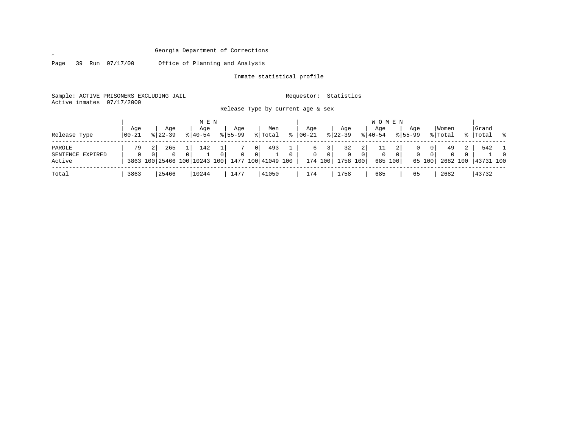Page 39 Run 07/17/00 Office of Planning and Analysis

 $\mathscr{L}^{\pm}$ 

Inmate statistical profile

Sample: ACTIVE PRISONERS EXCLUDING JAIL Requestor: Statistics Active inmates 07/17/2000

Release Type by current age & sex

| Release Type                         | Aqe<br>  00-21 | Aqe<br>$8122 - 39$          | M E N<br>Aqe<br>$8140 - 54$                     | Aqe<br>$8155 - 99$ | Men<br>% Total                                                | °≈       | Aqe<br>00-21      | Aqe<br>$ 22-39 $                |                                                    | W O M E N<br>Age<br>$8140 - 54$ |              | Aqe<br>$8155 - 99$ |                                            | Women<br>% Total           | Grand<br>%   Total % |          |
|--------------------------------------|----------------|-----------------------------|-------------------------------------------------|--------------------|---------------------------------------------------------------|----------|-------------------|---------------------------------|----------------------------------------------------|---------------------------------|--------------|--------------------|--------------------------------------------|----------------------------|----------------------|----------|
| PAROLE<br>SENTENCE EXPIRED<br>Active | 79<br>0        | 265<br>$\Omega$<br>$\Omega$ | 142<br>$\Omega$<br>3863 100 25466 100 10243 100 | $\Omega$           | 493<br>0 <sub>1</sub><br>$\overline{0}$<br>1477 100 41049 100 | $\Omega$ | 6<br>$\mathbf{0}$ | 32<br>0 <sup>1</sup><br>174 100 | 2 <sub>1</sub><br>$\Omega$<br>$\Omega$<br>1758 100 | 0                               | 0<br>685 100 | $\mathbf{0}$       | 0 <sup>1</sup><br>0 <sup>1</sup><br>65 100 | 49<br>$\Omega$<br>2682 100 | 542<br>43731 100     | $\Omega$ |
| Total                                | 3863           | 25466                       | 10244                                           | 1477               | 41050                                                         |          | 174               | 1758                            |                                                    | 685                             |              | 65                 |                                            | 2682                       | 43732                |          |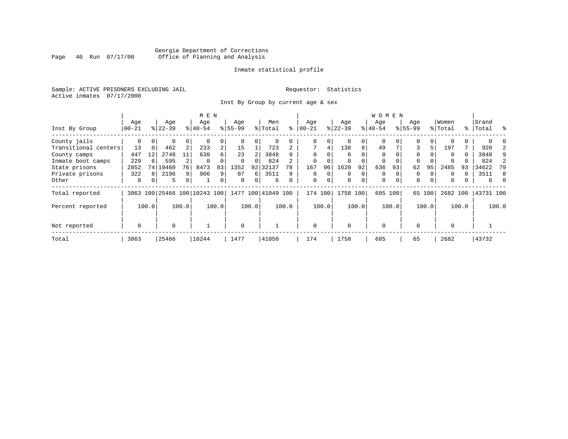# Georgia Department of Corrections Page 40 Run 07/17/00 Office of Planning and Analysis

# Inmate statistical profile

Sample: ACTIVE PRISONERS EXCLUDING JAIL **Requestor:** Statistics Active inmates 07/17/2000

Inst By Group by current age & sex

|                      |             |          |           |          | M E N                        |                |             |          |                    |          |             |          |          |          | WOMEN       |          |             |          |          |       |           |       |
|----------------------|-------------|----------|-----------|----------|------------------------------|----------------|-------------|----------|--------------------|----------|-------------|----------|----------|----------|-------------|----------|-------------|----------|----------|-------|-----------|-------|
|                      | Age         |          | Age       |          | Age                          |                | Age         |          | Men                |          | Age         |          | Age      |          | Age         |          | Age         |          | Women    |       | Grand     |       |
| Inst By Group        | $00 - 21$   |          | $8 22-39$ |          | $ 40-54 $                    |                | $8155 - 99$ |          | % Total            | နွ       | $ 00 - 21 $ |          | $ 22-39$ |          | $8 40-54$   |          | $8155 - 99$ |          | % Total  |       | %   Total | ွေ    |
| County jails         | 0           | $\Omega$ | 0         | 0        |                              | 0              |             |          | 0                  |          | 0           | 0        |          | $\Omega$ | $\Omega$    |          | 0           |          |          |       |           |       |
| Transitional centers | 13          | 0        | 462       | 2        | 233                          | $\overline{a}$ | 15          |          | 723                |          |             | 4        | 138      | 8        | 49          |          | 3           | 5        | 197      |       | 920       |       |
| County camps         | 447         | 12       | 2748      | 11       | 630                          | б.             | 23          |          | 3848               |          | $\Omega$    | U        |          |          | $\Omega$    |          | $\Omega$    |          | $\Omega$ | 0     | 3848      |       |
| Inmate boot camps    | 229         | 6        | 595       |          | $\Omega$                     |                | $\Omega$    | $\Omega$ | 824                |          | $\mathbf 0$ |          |          |          | 0           |          | $\Omega$    |          |          |       | 824       |       |
| State prisons        | 2852        |          | 74 19460  | 76       | 8473                         | 83             | 1352        | 92       | 32137              | 78       | 167         | 96       | 1620     | 92       | 636         | 93       | 62          | 95       | 2485     | 93    | 34622     | 79    |
| Private prisons      | 322         | 8        | 2196      | 9        | 906                          | 9              | 87          | 6        | 3511               | 9        | $\Omega$    | $\Omega$ | $\Omega$ | $\Omega$ | $\Omega$    |          | $\Omega$    |          | $\Omega$ | U     | 3511      | 8     |
| Other                | $\mathbf 0$ | $\Omega$ | 5         | $\Omega$ |                              | 0              | $\Omega$    | $\Omega$ | 6                  | $\Omega$ | $\mathbf 0$ | 0        | $\Omega$ | $\Omega$ | $\mathbf 0$ | $\Omega$ | $\Omega$    | $\Omega$ | $\Omega$ |       | б.        |       |
| Total reported       |             |          |           |          | 3863 100 25466 100 10243 100 |                |             |          | 1477 100 41049 100 |          | 174 100     |          | 1758     | 100      | 685 100     |          | 65          | 100      | 2682 100 |       | 43731 100 |       |
| Percent reported     |             | 100.0    |           | 100.0    |                              | 100.0          |             | 100.0    |                    | 100.0    |             | 100.0    |          | 100.0    |             | 100.0    |             | 100.0    |          | 100.0 |           | 100.0 |
| Not reported         | $\mathbf 0$ |          | $\Omega$  |          |                              |                | $\Omega$    |          |                    |          | $\Omega$    |          | $\Omega$ |          | $\Omega$    |          | $\Omega$    |          | $\Omega$ |       |           |       |
| Total                | 3863        |          | 25466     |          | 10244                        |                | 1477        |          | 41050              |          | 174         |          | 1758     |          | 685         |          | 65          |          | 2682     |       | 43732     |       |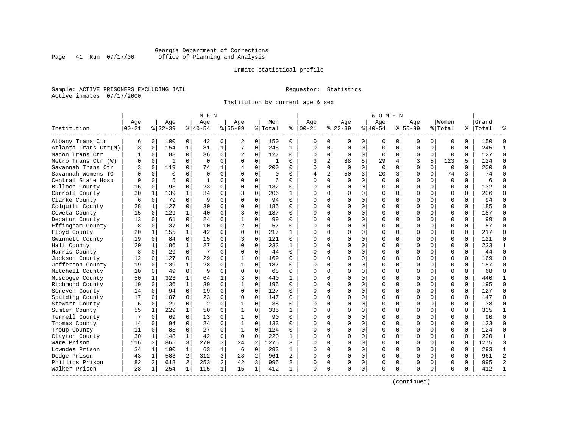# Georgia Department of Corrections Page 41 Run 07/17/00 Office of Planning and Analysis

# Inmate statistical profile

Sample: ACTIVE PRISONERS EXCLUDING JAIL **Requestor:** Statistics Active inmates 07/17/2000

Institution by current age & sex

| Age<br>Age<br>Men<br>Aqe<br>Aqe<br>Women<br>Grand<br>Age<br>Aqe<br>Age<br>Aqe<br>$ 22-39$<br>$8155 - 99$<br>Institution<br>$00 - 21$<br>$8 22-39$<br>$8 40-54$<br>$8155 - 99$<br>% Total<br>နွ<br>$ 00-21$<br>$ 40-54$<br>% Total<br>%   Total<br>Albany Trans Ctr<br>6<br>$\overline{0}$<br>100<br>0<br>42<br>0<br>0<br>150<br>0<br>$\mathbf{0}$<br>0<br>0<br>150<br>2<br>$\Omega$<br>0<br>0<br>0<br>0<br>0<br>0<br>154<br>$\mathbf{1}$<br>81<br>$\mathbf{1}$<br>7<br>$\mathbf 0$<br>245<br>$\Omega$<br>245<br>Atlanta Trans Ctr(M)<br>3<br>$\mathbf 0$<br>$\mathbf{1}$<br>$\Omega$<br>$\Omega$<br>$\mathbf 0$<br>$\mathbf 0$<br>$\Omega$<br>$\mathbf 0$<br>$\Omega$<br>$\mathbf 0$<br>$\Omega$<br>88<br>$\Omega$<br>36<br>$\mathbf 0$<br>$\mathbf 0$<br>127<br>$\mathbf 0$<br>$\Omega$<br>127<br>Macon Trans Ctr<br>0<br>2<br>0<br>$\Omega$<br>$\mathbf{0}$<br>$\Omega$<br>$\Omega$<br>$\mathbf 0$<br>0<br>$\mathbf 0$<br>$\Omega$<br>-1<br>5<br>$\mathbf 0$<br>$\Omega$<br>$\Omega$<br>$\mathbf 0$<br>$\mathbf 0$<br>3<br>$\overline{a}$<br>3<br>5<br>123<br>124<br>Metro Trans Ctr (W)<br>$\Omega$<br>$\mathbf{1}$<br>$\Omega$<br>$\Omega$<br>88<br>29<br>4<br>5<br>-1<br>$\Omega$<br>119<br>$\Omega$<br>200<br>$\Omega$<br>$\Omega$<br>$\Omega$<br>$\Omega$<br>200<br>Savannah Trans Ctr<br>ζ<br>0<br>74<br>1<br>$\Omega$<br>$\cap$<br>$\Omega$<br>$\Omega$<br>$\Omega$<br>$\Omega$<br>$\Omega$<br>4<br>$\overline{2}$<br>3<br>$\Omega$<br>$\Omega$<br>$\Omega$<br>$\Omega$<br>50<br>3<br>$\mathbf 0$<br>$\Omega$<br>3<br>74<br>Savannah Womens TC<br>$\Omega$<br>$\Omega$<br>$\Omega$<br>20<br>74<br>$\Omega$<br>$\Omega$<br>0<br>4<br>$\mathbf 0$<br>5<br>$\mathbf 0$<br>0<br>$\Omega$<br>$\mathbf 0$<br>$\mathbf 0$<br>$\mathbf 0$<br>$\mathbf 0$<br>$\Omega$<br>Central State Hosp<br>1<br>0<br>6<br>$\Omega$<br>$\Omega$<br>$\Omega$<br>6<br>0<br>0<br>O<br>$\Omega$<br>Bulloch County<br>16<br>93<br>$\Omega$<br>23<br>$\Omega$<br>132<br>0<br>$\Omega$<br>$\Omega$<br>$\Omega$<br>132<br>$\Omega$<br>$\Omega$<br>$\Omega$<br>$\Omega$<br>0<br>$\Omega$<br>$\Omega$<br>$\Omega$<br>$\Omega$<br>Carroll County<br>139<br>$\mathbf{1}$<br>34<br>$\Omega$<br>206<br>$\Omega$<br>206<br>30<br>1<br>0<br>3<br>$\mathbf{1}$<br>$\cap$<br>0<br>$\Omega$<br>0<br>$\Omega$<br>$\Omega$<br>$\Omega$<br>$\Omega$<br>$\Omega$<br>$\Omega$<br>79<br>9<br>$\Omega$<br>94<br>0<br>$\Omega$<br>94<br>Clarke County<br>6<br>$\mathbf 0$<br>$\Omega$<br>$\Omega$<br>$\Omega$<br>$\Omega$<br>$\Omega$<br>0<br>$\Omega$<br>$\Omega$<br>$\Omega$<br>C<br>127<br>$\Omega$<br>30<br>$\Omega$<br>$\Omega$<br>$\Omega$<br>$\Omega$<br>185<br>Colquitt County<br>28<br>1<br>$\Omega$<br>$\Omega$<br>185<br>$\Omega$<br>0<br>$\Omega$<br>$\Omega$<br>$\Omega$<br>$\Omega$<br>$\Omega$<br>∩<br>$\Omega$<br>129<br>$\mathbf{1}$<br>40<br>$\Omega$<br>187<br>$\Omega$<br>$\Omega$<br>$\Omega$<br>$\Omega$<br>187<br>Coweta County<br>15<br>$\mathbf 0$<br>3<br>$\Omega$<br>$\Omega$<br>$\Omega$<br>$\Omega$<br>$\Omega$<br><sup>0</sup><br>$\Omega$<br>61<br>$\mathbf 0$<br>24<br>$\mathbf 0$<br>$\mathbf{1}$<br>$\mathbf 0$<br>99<br>$\Omega$<br>0<br>$\mathbf 0$<br>$\mathbf 0$<br>99<br>Decatur County<br>13<br>$\mathbf 0$<br>$\Omega$<br>$\Omega$<br>0<br>$\Omega$<br>0<br>$\Omega$<br>37<br>$\Omega$<br>10<br>$\overline{c}$<br>$\mathbf 0$<br>57<br>57<br>Effingham County<br>8<br>$\mathbf 0$<br>0<br>$\Omega$<br>$\Omega$<br>0<br>O<br>$\Omega$<br>0<br>$\Omega$<br>$\Omega$<br>$\Omega$<br>$\Omega$<br>U<br>Floyd County<br>1<br>155<br>$\mathbf 1$<br>42<br>0<br>$\Omega$<br>0<br>217<br>0<br>0<br>$\Omega$<br>$\Omega$<br>217<br>20<br>1<br>∩<br>$\Omega$<br>$\Omega$<br>0<br>0<br>0<br>121<br>Gwinnett County<br>84<br>0<br>15<br>0<br>0<br>121<br>0<br>$\Omega$<br>$\Omega$<br>19<br>0<br>3<br>0<br>$\Omega$<br>$\Omega$<br>$\Omega$<br>0<br>$\Omega$<br>$\mathbf 0$<br>186<br>$\mathbf{1}$<br>27<br>$\Omega$<br>$\Omega$<br>233<br>$\Omega$<br>$\Omega$<br>0<br>$\Omega$<br>$\Omega$<br>$\Omega$<br>233<br>Hall County<br>20<br>$\mathbf{1}$<br>$\Omega$<br>$\mathbf{1}$<br>$\Omega$<br>$\Omega$<br>$\Omega$<br>∩<br>$\Omega$<br>$\Omega$<br>44<br>0<br>44<br>$\Omega$<br>29<br>7<br>$\Omega$<br>$\Omega$<br>$\Omega$<br>$\Omega$<br>$\Omega$<br>$\Omega$<br>$\Omega$<br>Harris County<br>8<br>$\Omega$<br>$\Omega$<br>$\Omega$<br>$\Omega$<br>∩<br>$\Omega$<br>$\mathbf 0$<br>12<br>127<br>29<br>$\Omega$<br>$\mathbf 1$<br>169<br>$\Omega$<br>0<br>$\mathbf 0$<br>$\Omega$<br>$\Omega$<br>$\mathbf 0$<br>$\Omega$<br>169<br>Jackson County<br>0<br>$\Omega$<br>O<br>139<br>$\mathbf{1}$<br>28<br>$\mathbf{1}$<br>$\mathbf 0$<br>187<br>$\Omega$<br>187<br>Jefferson County<br>19<br>0<br>0<br>$\Omega$<br>$\Omega$<br>$\Omega$<br>$\Omega$<br>0<br>$\Omega$<br>$\Omega$<br>$\Omega$<br>$\Omega$<br>U<br>$\Omega$<br>$\mathbf 0$<br>0<br>Mitchell County<br>10<br>49<br>9<br>0<br>$\Omega$<br>68<br>$\Omega$<br>0<br>$\Omega$<br>$\Omega$<br>$\Omega$<br>$\Omega$<br>68<br>0<br>0<br><sup>0</sup><br>$\Omega$<br>$\Omega$<br>$\mathbf{1}$<br>$\mathbf 0$<br>0<br>Muscogee County<br>50<br>323<br>440<br>$\Omega$<br>$\Omega$<br>$\mathbf 0$<br>$\Omega$<br>440<br>1<br>64<br>1<br>3<br>1<br>$\Omega$<br>O<br>0<br>0<br>$\mathbf 0$<br>$\Omega$<br>195<br>Richmond County<br>19<br>136<br>$\mathbf{1}$<br>39<br>$\Omega$<br>1<br>195<br>0<br>$\Omega$<br>$\Omega$<br>$\Omega$<br>$\Omega$<br>$\Omega$<br>$\mathbf 0$<br>$\Omega$<br>$\cap$<br>$\Omega$<br>0<br>94<br>$\mathbf 0$<br>$\mathbf 0$<br>$\Omega$<br>$\mathbf 0$<br>127<br>14<br>19<br>0<br>0<br>127<br>0<br>$\Omega$<br>$\Omega$<br>$\mathbf 0$<br>$\Omega$<br>Screven County<br>$\mathbf 0$<br>$\Omega$<br>$\Omega$<br>$\Omega$<br>$\Omega$<br>23<br>$\mathbf 0$<br>Spalding County<br>$\mathbf 0$<br>107<br>$\mathbf 0$<br>$\mathbf 0$<br>$\Omega$<br>147<br>$\Omega$<br>$\Omega$<br>$\Omega$<br>$\Omega$<br>0<br>$\mathbf 0$<br>$\Omega$<br>0<br>$\mathbf 0$<br>$\Omega$<br>147<br>17<br>$\overline{2}$<br>38<br>29<br>$\Omega$<br>$\Omega$<br>38<br>$\Omega$<br>$\Omega$<br>Stewart County<br>6<br>$\Omega$<br>$\Omega$<br>$\mathbf{1}$<br>$\Omega$<br>$\Omega$<br>$\Omega$<br>$\Omega$<br>0<br>$\Omega$<br>$\Omega$<br>$\Omega$<br>$\Omega$<br>229<br>$\mathbf{1}$<br>$\Omega$<br>$\Omega$<br>335<br>0<br>335<br>Sumter County<br>55<br>1<br>50<br>1<br>$\cap$<br>0<br>$\Omega$<br>0<br>$\Omega$<br>$\Omega$<br>$\Omega$<br>$\Omega$<br>1<br>$\Omega$<br>Terrell County<br>$\mathbf 0$<br>69<br>$\Omega$<br>13<br>0<br>1<br>90<br>$\Omega$<br>$\Omega$<br>O<br>$\mathbf 0$<br>$\Omega$<br>$\Omega$<br>$\Omega$<br>$\Omega$<br>90<br>0<br>$\Omega$<br>C |                |
|--------------------------------------------------------------------------------------------------------------------------------------------------------------------------------------------------------------------------------------------------------------------------------------------------------------------------------------------------------------------------------------------------------------------------------------------------------------------------------------------------------------------------------------------------------------------------------------------------------------------------------------------------------------------------------------------------------------------------------------------------------------------------------------------------------------------------------------------------------------------------------------------------------------------------------------------------------------------------------------------------------------------------------------------------------------------------------------------------------------------------------------------------------------------------------------------------------------------------------------------------------------------------------------------------------------------------------------------------------------------------------------------------------------------------------------------------------------------------------------------------------------------------------------------------------------------------------------------------------------------------------------------------------------------------------------------------------------------------------------------------------------------------------------------------------------------------------------------------------------------------------------------------------------------------------------------------------------------------------------------------------------------------------------------------------------------------------------------------------------------------------------------------------------------------------------------------------------------------------------------------------------------------------------------------------------------------------------------------------------------------------------------------------------------------------------------------------------------------------------------------------------------------------------------------------------------------------------------------------------------------------------------------------------------------------------------------------------------------------------------------------------------------------------------------------------------------------------------------------------------------------------------------------------------------------------------------------------------------------------------------------------------------------------------------------------------------------------------------------------------------------------------------------------------------------------------------------------------------------------------------------------------------------------------------------------------------------------------------------------------------------------------------------------------------------------------------------------------------------------------------------------------------------------------------------------------------------------------------------------------------------------------------------------------------------------------------------------------------------------------------------------------------------------------------------------------------------------------------------------------------------------------------------------------------------------------------------------------------------------------------------------------------------------------------------------------------------------------------------------------------------------------------------------------------------------------------------------------------------------------------------------------------------------------------------------------------------------------------------------------------------------------------------------------------------------------------------------------------------------------------------------------------------------------------------------------------------------------------------------------------------------------------------------------------------------------------------------------------------------------------------------------------------------------------------------------------------------------------------------------------------------------------------------------------------------------------------------------------------------------------------------------------------------------------------------------------------------------------------------------------------------------------------------------------------------------------------------------------------------------------------------------------------------------------------------------------------------------------------------------------------------------------------------------------------------------------------------------------------------------------------------------------------------------------------------------------------------------------------------------------------------------------------------------------------------------------------------------------------------------------------------------------------------------------------------------------------------------------------------------------------------------------------------------------------------------------------------------------------------------------------------------------------------------------------------------------------------------------------------------------------------------------------------------------------------------------------------------------------------------------------------------------------------------------------------------------------------------------------------------------------------------------------------------------------------------------------------------------------------------------------------------------------------------------------------------------------------------------------------------|----------------|
|                                                                                                                                                                                                                                                                                                                                                                                                                                                                                                                                                                                                                                                                                                                                                                                                                                                                                                                                                                                                                                                                                                                                                                                                                                                                                                                                                                                                                                                                                                                                                                                                                                                                                                                                                                                                                                                                                                                                                                                                                                                                                                                                                                                                                                                                                                                                                                                                                                                                                                                                                                                                                                                                                                                                                                                                                                                                                                                                                                                                                                                                                                                                                                                                                                                                                                                                                                                                                                                                                                                                                                                                                                                                                                                                                                                                                                                                                                                                                                                                                                                                                                                                                                                                                                                                                                                                                                                                                                                                                                                                                                                                                                                                                                                                                                                                                                                                                                                                                                                                                                                                                                                                                                                                                                                                                                                                                                                                                                                                                                                                                                                                                                                                                                                                                                                                                                                                                                                                                                                                                                                                                                                                                                                                                                                                                                                                                                                                                                                                                                                                                                                                                    |                |
|                                                                                                                                                                                                                                                                                                                                                                                                                                                                                                                                                                                                                                                                                                                                                                                                                                                                                                                                                                                                                                                                                                                                                                                                                                                                                                                                                                                                                                                                                                                                                                                                                                                                                                                                                                                                                                                                                                                                                                                                                                                                                                                                                                                                                                                                                                                                                                                                                                                                                                                                                                                                                                                                                                                                                                                                                                                                                                                                                                                                                                                                                                                                                                                                                                                                                                                                                                                                                                                                                                                                                                                                                                                                                                                                                                                                                                                                                                                                                                                                                                                                                                                                                                                                                                                                                                                                                                                                                                                                                                                                                                                                                                                                                                                                                                                                                                                                                                                                                                                                                                                                                                                                                                                                                                                                                                                                                                                                                                                                                                                                                                                                                                                                                                                                                                                                                                                                                                                                                                                                                                                                                                                                                                                                                                                                                                                                                                                                                                                                                                                                                                                                                    |                |
|                                                                                                                                                                                                                                                                                                                                                                                                                                                                                                                                                                                                                                                                                                                                                                                                                                                                                                                                                                                                                                                                                                                                                                                                                                                                                                                                                                                                                                                                                                                                                                                                                                                                                                                                                                                                                                                                                                                                                                                                                                                                                                                                                                                                                                                                                                                                                                                                                                                                                                                                                                                                                                                                                                                                                                                                                                                                                                                                                                                                                                                                                                                                                                                                                                                                                                                                                                                                                                                                                                                                                                                                                                                                                                                                                                                                                                                                                                                                                                                                                                                                                                                                                                                                                                                                                                                                                                                                                                                                                                                                                                                                                                                                                                                                                                                                                                                                                                                                                                                                                                                                                                                                                                                                                                                                                                                                                                                                                                                                                                                                                                                                                                                                                                                                                                                                                                                                                                                                                                                                                                                                                                                                                                                                                                                                                                                                                                                                                                                                                                                                                                                                                    | $\Omega$       |
|                                                                                                                                                                                                                                                                                                                                                                                                                                                                                                                                                                                                                                                                                                                                                                                                                                                                                                                                                                                                                                                                                                                                                                                                                                                                                                                                                                                                                                                                                                                                                                                                                                                                                                                                                                                                                                                                                                                                                                                                                                                                                                                                                                                                                                                                                                                                                                                                                                                                                                                                                                                                                                                                                                                                                                                                                                                                                                                                                                                                                                                                                                                                                                                                                                                                                                                                                                                                                                                                                                                                                                                                                                                                                                                                                                                                                                                                                                                                                                                                                                                                                                                                                                                                                                                                                                                                                                                                                                                                                                                                                                                                                                                                                                                                                                                                                                                                                                                                                                                                                                                                                                                                                                                                                                                                                                                                                                                                                                                                                                                                                                                                                                                                                                                                                                                                                                                                                                                                                                                                                                                                                                                                                                                                                                                                                                                                                                                                                                                                                                                                                                                                                    | $\mathbf{1}$   |
|                                                                                                                                                                                                                                                                                                                                                                                                                                                                                                                                                                                                                                                                                                                                                                                                                                                                                                                                                                                                                                                                                                                                                                                                                                                                                                                                                                                                                                                                                                                                                                                                                                                                                                                                                                                                                                                                                                                                                                                                                                                                                                                                                                                                                                                                                                                                                                                                                                                                                                                                                                                                                                                                                                                                                                                                                                                                                                                                                                                                                                                                                                                                                                                                                                                                                                                                                                                                                                                                                                                                                                                                                                                                                                                                                                                                                                                                                                                                                                                                                                                                                                                                                                                                                                                                                                                                                                                                                                                                                                                                                                                                                                                                                                                                                                                                                                                                                                                                                                                                                                                                                                                                                                                                                                                                                                                                                                                                                                                                                                                                                                                                                                                                                                                                                                                                                                                                                                                                                                                                                                                                                                                                                                                                                                                                                                                                                                                                                                                                                                                                                                                                                    | $\Omega$       |
|                                                                                                                                                                                                                                                                                                                                                                                                                                                                                                                                                                                                                                                                                                                                                                                                                                                                                                                                                                                                                                                                                                                                                                                                                                                                                                                                                                                                                                                                                                                                                                                                                                                                                                                                                                                                                                                                                                                                                                                                                                                                                                                                                                                                                                                                                                                                                                                                                                                                                                                                                                                                                                                                                                                                                                                                                                                                                                                                                                                                                                                                                                                                                                                                                                                                                                                                                                                                                                                                                                                                                                                                                                                                                                                                                                                                                                                                                                                                                                                                                                                                                                                                                                                                                                                                                                                                                                                                                                                                                                                                                                                                                                                                                                                                                                                                                                                                                                                                                                                                                                                                                                                                                                                                                                                                                                                                                                                                                                                                                                                                                                                                                                                                                                                                                                                                                                                                                                                                                                                                                                                                                                                                                                                                                                                                                                                                                                                                                                                                                                                                                                                                                    | $\Omega$       |
|                                                                                                                                                                                                                                                                                                                                                                                                                                                                                                                                                                                                                                                                                                                                                                                                                                                                                                                                                                                                                                                                                                                                                                                                                                                                                                                                                                                                                                                                                                                                                                                                                                                                                                                                                                                                                                                                                                                                                                                                                                                                                                                                                                                                                                                                                                                                                                                                                                                                                                                                                                                                                                                                                                                                                                                                                                                                                                                                                                                                                                                                                                                                                                                                                                                                                                                                                                                                                                                                                                                                                                                                                                                                                                                                                                                                                                                                                                                                                                                                                                                                                                                                                                                                                                                                                                                                                                                                                                                                                                                                                                                                                                                                                                                                                                                                                                                                                                                                                                                                                                                                                                                                                                                                                                                                                                                                                                                                                                                                                                                                                                                                                                                                                                                                                                                                                                                                                                                                                                                                                                                                                                                                                                                                                                                                                                                                                                                                                                                                                                                                                                                                                    | $\Omega$       |
|                                                                                                                                                                                                                                                                                                                                                                                                                                                                                                                                                                                                                                                                                                                                                                                                                                                                                                                                                                                                                                                                                                                                                                                                                                                                                                                                                                                                                                                                                                                                                                                                                                                                                                                                                                                                                                                                                                                                                                                                                                                                                                                                                                                                                                                                                                                                                                                                                                                                                                                                                                                                                                                                                                                                                                                                                                                                                                                                                                                                                                                                                                                                                                                                                                                                                                                                                                                                                                                                                                                                                                                                                                                                                                                                                                                                                                                                                                                                                                                                                                                                                                                                                                                                                                                                                                                                                                                                                                                                                                                                                                                                                                                                                                                                                                                                                                                                                                                                                                                                                                                                                                                                                                                                                                                                                                                                                                                                                                                                                                                                                                                                                                                                                                                                                                                                                                                                                                                                                                                                                                                                                                                                                                                                                                                                                                                                                                                                                                                                                                                                                                                                                    | $\Omega$       |
|                                                                                                                                                                                                                                                                                                                                                                                                                                                                                                                                                                                                                                                                                                                                                                                                                                                                                                                                                                                                                                                                                                                                                                                                                                                                                                                                                                                                                                                                                                                                                                                                                                                                                                                                                                                                                                                                                                                                                                                                                                                                                                                                                                                                                                                                                                                                                                                                                                                                                                                                                                                                                                                                                                                                                                                                                                                                                                                                                                                                                                                                                                                                                                                                                                                                                                                                                                                                                                                                                                                                                                                                                                                                                                                                                                                                                                                                                                                                                                                                                                                                                                                                                                                                                                                                                                                                                                                                                                                                                                                                                                                                                                                                                                                                                                                                                                                                                                                                                                                                                                                                                                                                                                                                                                                                                                                                                                                                                                                                                                                                                                                                                                                                                                                                                                                                                                                                                                                                                                                                                                                                                                                                                                                                                                                                                                                                                                                                                                                                                                                                                                                                                    | $\Omega$       |
|                                                                                                                                                                                                                                                                                                                                                                                                                                                                                                                                                                                                                                                                                                                                                                                                                                                                                                                                                                                                                                                                                                                                                                                                                                                                                                                                                                                                                                                                                                                                                                                                                                                                                                                                                                                                                                                                                                                                                                                                                                                                                                                                                                                                                                                                                                                                                                                                                                                                                                                                                                                                                                                                                                                                                                                                                                                                                                                                                                                                                                                                                                                                                                                                                                                                                                                                                                                                                                                                                                                                                                                                                                                                                                                                                                                                                                                                                                                                                                                                                                                                                                                                                                                                                                                                                                                                                                                                                                                                                                                                                                                                                                                                                                                                                                                                                                                                                                                                                                                                                                                                                                                                                                                                                                                                                                                                                                                                                                                                                                                                                                                                                                                                                                                                                                                                                                                                                                                                                                                                                                                                                                                                                                                                                                                                                                                                                                                                                                                                                                                                                                                                                    | $\Omega$       |
|                                                                                                                                                                                                                                                                                                                                                                                                                                                                                                                                                                                                                                                                                                                                                                                                                                                                                                                                                                                                                                                                                                                                                                                                                                                                                                                                                                                                                                                                                                                                                                                                                                                                                                                                                                                                                                                                                                                                                                                                                                                                                                                                                                                                                                                                                                                                                                                                                                                                                                                                                                                                                                                                                                                                                                                                                                                                                                                                                                                                                                                                                                                                                                                                                                                                                                                                                                                                                                                                                                                                                                                                                                                                                                                                                                                                                                                                                                                                                                                                                                                                                                                                                                                                                                                                                                                                                                                                                                                                                                                                                                                                                                                                                                                                                                                                                                                                                                                                                                                                                                                                                                                                                                                                                                                                                                                                                                                                                                                                                                                                                                                                                                                                                                                                                                                                                                                                                                                                                                                                                                                                                                                                                                                                                                                                                                                                                                                                                                                                                                                                                                                                                    | $\Omega$       |
|                                                                                                                                                                                                                                                                                                                                                                                                                                                                                                                                                                                                                                                                                                                                                                                                                                                                                                                                                                                                                                                                                                                                                                                                                                                                                                                                                                                                                                                                                                                                                                                                                                                                                                                                                                                                                                                                                                                                                                                                                                                                                                                                                                                                                                                                                                                                                                                                                                                                                                                                                                                                                                                                                                                                                                                                                                                                                                                                                                                                                                                                                                                                                                                                                                                                                                                                                                                                                                                                                                                                                                                                                                                                                                                                                                                                                                                                                                                                                                                                                                                                                                                                                                                                                                                                                                                                                                                                                                                                                                                                                                                                                                                                                                                                                                                                                                                                                                                                                                                                                                                                                                                                                                                                                                                                                                                                                                                                                                                                                                                                                                                                                                                                                                                                                                                                                                                                                                                                                                                                                                                                                                                                                                                                                                                                                                                                                                                                                                                                                                                                                                                                                    | $\Omega$       |
|                                                                                                                                                                                                                                                                                                                                                                                                                                                                                                                                                                                                                                                                                                                                                                                                                                                                                                                                                                                                                                                                                                                                                                                                                                                                                                                                                                                                                                                                                                                                                                                                                                                                                                                                                                                                                                                                                                                                                                                                                                                                                                                                                                                                                                                                                                                                                                                                                                                                                                                                                                                                                                                                                                                                                                                                                                                                                                                                                                                                                                                                                                                                                                                                                                                                                                                                                                                                                                                                                                                                                                                                                                                                                                                                                                                                                                                                                                                                                                                                                                                                                                                                                                                                                                                                                                                                                                                                                                                                                                                                                                                                                                                                                                                                                                                                                                                                                                                                                                                                                                                                                                                                                                                                                                                                                                                                                                                                                                                                                                                                                                                                                                                                                                                                                                                                                                                                                                                                                                                                                                                                                                                                                                                                                                                                                                                                                                                                                                                                                                                                                                                                                    | $\Omega$       |
|                                                                                                                                                                                                                                                                                                                                                                                                                                                                                                                                                                                                                                                                                                                                                                                                                                                                                                                                                                                                                                                                                                                                                                                                                                                                                                                                                                                                                                                                                                                                                                                                                                                                                                                                                                                                                                                                                                                                                                                                                                                                                                                                                                                                                                                                                                                                                                                                                                                                                                                                                                                                                                                                                                                                                                                                                                                                                                                                                                                                                                                                                                                                                                                                                                                                                                                                                                                                                                                                                                                                                                                                                                                                                                                                                                                                                                                                                                                                                                                                                                                                                                                                                                                                                                                                                                                                                                                                                                                                                                                                                                                                                                                                                                                                                                                                                                                                                                                                                                                                                                                                                                                                                                                                                                                                                                                                                                                                                                                                                                                                                                                                                                                                                                                                                                                                                                                                                                                                                                                                                                                                                                                                                                                                                                                                                                                                                                                                                                                                                                                                                                                                                    | $\Omega$       |
|                                                                                                                                                                                                                                                                                                                                                                                                                                                                                                                                                                                                                                                                                                                                                                                                                                                                                                                                                                                                                                                                                                                                                                                                                                                                                                                                                                                                                                                                                                                                                                                                                                                                                                                                                                                                                                                                                                                                                                                                                                                                                                                                                                                                                                                                                                                                                                                                                                                                                                                                                                                                                                                                                                                                                                                                                                                                                                                                                                                                                                                                                                                                                                                                                                                                                                                                                                                                                                                                                                                                                                                                                                                                                                                                                                                                                                                                                                                                                                                                                                                                                                                                                                                                                                                                                                                                                                                                                                                                                                                                                                                                                                                                                                                                                                                                                                                                                                                                                                                                                                                                                                                                                                                                                                                                                                                                                                                                                                                                                                                                                                                                                                                                                                                                                                                                                                                                                                                                                                                                                                                                                                                                                                                                                                                                                                                                                                                                                                                                                                                                                                                                                    | $\Omega$       |
|                                                                                                                                                                                                                                                                                                                                                                                                                                                                                                                                                                                                                                                                                                                                                                                                                                                                                                                                                                                                                                                                                                                                                                                                                                                                                                                                                                                                                                                                                                                                                                                                                                                                                                                                                                                                                                                                                                                                                                                                                                                                                                                                                                                                                                                                                                                                                                                                                                                                                                                                                                                                                                                                                                                                                                                                                                                                                                                                                                                                                                                                                                                                                                                                                                                                                                                                                                                                                                                                                                                                                                                                                                                                                                                                                                                                                                                                                                                                                                                                                                                                                                                                                                                                                                                                                                                                                                                                                                                                                                                                                                                                                                                                                                                                                                                                                                                                                                                                                                                                                                                                                                                                                                                                                                                                                                                                                                                                                                                                                                                                                                                                                                                                                                                                                                                                                                                                                                                                                                                                                                                                                                                                                                                                                                                                                                                                                                                                                                                                                                                                                                                                                    | $\Omega$       |
|                                                                                                                                                                                                                                                                                                                                                                                                                                                                                                                                                                                                                                                                                                                                                                                                                                                                                                                                                                                                                                                                                                                                                                                                                                                                                                                                                                                                                                                                                                                                                                                                                                                                                                                                                                                                                                                                                                                                                                                                                                                                                                                                                                                                                                                                                                                                                                                                                                                                                                                                                                                                                                                                                                                                                                                                                                                                                                                                                                                                                                                                                                                                                                                                                                                                                                                                                                                                                                                                                                                                                                                                                                                                                                                                                                                                                                                                                                                                                                                                                                                                                                                                                                                                                                                                                                                                                                                                                                                                                                                                                                                                                                                                                                                                                                                                                                                                                                                                                                                                                                                                                                                                                                                                                                                                                                                                                                                                                                                                                                                                                                                                                                                                                                                                                                                                                                                                                                                                                                                                                                                                                                                                                                                                                                                                                                                                                                                                                                                                                                                                                                                                                    | $\Omega$       |
|                                                                                                                                                                                                                                                                                                                                                                                                                                                                                                                                                                                                                                                                                                                                                                                                                                                                                                                                                                                                                                                                                                                                                                                                                                                                                                                                                                                                                                                                                                                                                                                                                                                                                                                                                                                                                                                                                                                                                                                                                                                                                                                                                                                                                                                                                                                                                                                                                                                                                                                                                                                                                                                                                                                                                                                                                                                                                                                                                                                                                                                                                                                                                                                                                                                                                                                                                                                                                                                                                                                                                                                                                                                                                                                                                                                                                                                                                                                                                                                                                                                                                                                                                                                                                                                                                                                                                                                                                                                                                                                                                                                                                                                                                                                                                                                                                                                                                                                                                                                                                                                                                                                                                                                                                                                                                                                                                                                                                                                                                                                                                                                                                                                                                                                                                                                                                                                                                                                                                                                                                                                                                                                                                                                                                                                                                                                                                                                                                                                                                                                                                                                                                    | $\Omega$       |
|                                                                                                                                                                                                                                                                                                                                                                                                                                                                                                                                                                                                                                                                                                                                                                                                                                                                                                                                                                                                                                                                                                                                                                                                                                                                                                                                                                                                                                                                                                                                                                                                                                                                                                                                                                                                                                                                                                                                                                                                                                                                                                                                                                                                                                                                                                                                                                                                                                                                                                                                                                                                                                                                                                                                                                                                                                                                                                                                                                                                                                                                                                                                                                                                                                                                                                                                                                                                                                                                                                                                                                                                                                                                                                                                                                                                                                                                                                                                                                                                                                                                                                                                                                                                                                                                                                                                                                                                                                                                                                                                                                                                                                                                                                                                                                                                                                                                                                                                                                                                                                                                                                                                                                                                                                                                                                                                                                                                                                                                                                                                                                                                                                                                                                                                                                                                                                                                                                                                                                                                                                                                                                                                                                                                                                                                                                                                                                                                                                                                                                                                                                                                                    | $\mathbf{1}$   |
|                                                                                                                                                                                                                                                                                                                                                                                                                                                                                                                                                                                                                                                                                                                                                                                                                                                                                                                                                                                                                                                                                                                                                                                                                                                                                                                                                                                                                                                                                                                                                                                                                                                                                                                                                                                                                                                                                                                                                                                                                                                                                                                                                                                                                                                                                                                                                                                                                                                                                                                                                                                                                                                                                                                                                                                                                                                                                                                                                                                                                                                                                                                                                                                                                                                                                                                                                                                                                                                                                                                                                                                                                                                                                                                                                                                                                                                                                                                                                                                                                                                                                                                                                                                                                                                                                                                                                                                                                                                                                                                                                                                                                                                                                                                                                                                                                                                                                                                                                                                                                                                                                                                                                                                                                                                                                                                                                                                                                                                                                                                                                                                                                                                                                                                                                                                                                                                                                                                                                                                                                                                                                                                                                                                                                                                                                                                                                                                                                                                                                                                                                                                                                    | $\Omega$       |
|                                                                                                                                                                                                                                                                                                                                                                                                                                                                                                                                                                                                                                                                                                                                                                                                                                                                                                                                                                                                                                                                                                                                                                                                                                                                                                                                                                                                                                                                                                                                                                                                                                                                                                                                                                                                                                                                                                                                                                                                                                                                                                                                                                                                                                                                                                                                                                                                                                                                                                                                                                                                                                                                                                                                                                                                                                                                                                                                                                                                                                                                                                                                                                                                                                                                                                                                                                                                                                                                                                                                                                                                                                                                                                                                                                                                                                                                                                                                                                                                                                                                                                                                                                                                                                                                                                                                                                                                                                                                                                                                                                                                                                                                                                                                                                                                                                                                                                                                                                                                                                                                                                                                                                                                                                                                                                                                                                                                                                                                                                                                                                                                                                                                                                                                                                                                                                                                                                                                                                                                                                                                                                                                                                                                                                                                                                                                                                                                                                                                                                                                                                                                                    | $\Omega$       |
|                                                                                                                                                                                                                                                                                                                                                                                                                                                                                                                                                                                                                                                                                                                                                                                                                                                                                                                                                                                                                                                                                                                                                                                                                                                                                                                                                                                                                                                                                                                                                                                                                                                                                                                                                                                                                                                                                                                                                                                                                                                                                                                                                                                                                                                                                                                                                                                                                                                                                                                                                                                                                                                                                                                                                                                                                                                                                                                                                                                                                                                                                                                                                                                                                                                                                                                                                                                                                                                                                                                                                                                                                                                                                                                                                                                                                                                                                                                                                                                                                                                                                                                                                                                                                                                                                                                                                                                                                                                                                                                                                                                                                                                                                                                                                                                                                                                                                                                                                                                                                                                                                                                                                                                                                                                                                                                                                                                                                                                                                                                                                                                                                                                                                                                                                                                                                                                                                                                                                                                                                                                                                                                                                                                                                                                                                                                                                                                                                                                                                                                                                                                                                    | $\Omega$       |
|                                                                                                                                                                                                                                                                                                                                                                                                                                                                                                                                                                                                                                                                                                                                                                                                                                                                                                                                                                                                                                                                                                                                                                                                                                                                                                                                                                                                                                                                                                                                                                                                                                                                                                                                                                                                                                                                                                                                                                                                                                                                                                                                                                                                                                                                                                                                                                                                                                                                                                                                                                                                                                                                                                                                                                                                                                                                                                                                                                                                                                                                                                                                                                                                                                                                                                                                                                                                                                                                                                                                                                                                                                                                                                                                                                                                                                                                                                                                                                                                                                                                                                                                                                                                                                                                                                                                                                                                                                                                                                                                                                                                                                                                                                                                                                                                                                                                                                                                                                                                                                                                                                                                                                                                                                                                                                                                                                                                                                                                                                                                                                                                                                                                                                                                                                                                                                                                                                                                                                                                                                                                                                                                                                                                                                                                                                                                                                                                                                                                                                                                                                                                                    | $\Omega$       |
|                                                                                                                                                                                                                                                                                                                                                                                                                                                                                                                                                                                                                                                                                                                                                                                                                                                                                                                                                                                                                                                                                                                                                                                                                                                                                                                                                                                                                                                                                                                                                                                                                                                                                                                                                                                                                                                                                                                                                                                                                                                                                                                                                                                                                                                                                                                                                                                                                                                                                                                                                                                                                                                                                                                                                                                                                                                                                                                                                                                                                                                                                                                                                                                                                                                                                                                                                                                                                                                                                                                                                                                                                                                                                                                                                                                                                                                                                                                                                                                                                                                                                                                                                                                                                                                                                                                                                                                                                                                                                                                                                                                                                                                                                                                                                                                                                                                                                                                                                                                                                                                                                                                                                                                                                                                                                                                                                                                                                                                                                                                                                                                                                                                                                                                                                                                                                                                                                                                                                                                                                                                                                                                                                                                                                                                                                                                                                                                                                                                                                                                                                                                                                    |                |
|                                                                                                                                                                                                                                                                                                                                                                                                                                                                                                                                                                                                                                                                                                                                                                                                                                                                                                                                                                                                                                                                                                                                                                                                                                                                                                                                                                                                                                                                                                                                                                                                                                                                                                                                                                                                                                                                                                                                                                                                                                                                                                                                                                                                                                                                                                                                                                                                                                                                                                                                                                                                                                                                                                                                                                                                                                                                                                                                                                                                                                                                                                                                                                                                                                                                                                                                                                                                                                                                                                                                                                                                                                                                                                                                                                                                                                                                                                                                                                                                                                                                                                                                                                                                                                                                                                                                                                                                                                                                                                                                                                                                                                                                                                                                                                                                                                                                                                                                                                                                                                                                                                                                                                                                                                                                                                                                                                                                                                                                                                                                                                                                                                                                                                                                                                                                                                                                                                                                                                                                                                                                                                                                                                                                                                                                                                                                                                                                                                                                                                                                                                                                                    | $\Omega$       |
|                                                                                                                                                                                                                                                                                                                                                                                                                                                                                                                                                                                                                                                                                                                                                                                                                                                                                                                                                                                                                                                                                                                                                                                                                                                                                                                                                                                                                                                                                                                                                                                                                                                                                                                                                                                                                                                                                                                                                                                                                                                                                                                                                                                                                                                                                                                                                                                                                                                                                                                                                                                                                                                                                                                                                                                                                                                                                                                                                                                                                                                                                                                                                                                                                                                                                                                                                                                                                                                                                                                                                                                                                                                                                                                                                                                                                                                                                                                                                                                                                                                                                                                                                                                                                                                                                                                                                                                                                                                                                                                                                                                                                                                                                                                                                                                                                                                                                                                                                                                                                                                                                                                                                                                                                                                                                                                                                                                                                                                                                                                                                                                                                                                                                                                                                                                                                                                                                                                                                                                                                                                                                                                                                                                                                                                                                                                                                                                                                                                                                                                                                                                                                    | $\Omega$       |
|                                                                                                                                                                                                                                                                                                                                                                                                                                                                                                                                                                                                                                                                                                                                                                                                                                                                                                                                                                                                                                                                                                                                                                                                                                                                                                                                                                                                                                                                                                                                                                                                                                                                                                                                                                                                                                                                                                                                                                                                                                                                                                                                                                                                                                                                                                                                                                                                                                                                                                                                                                                                                                                                                                                                                                                                                                                                                                                                                                                                                                                                                                                                                                                                                                                                                                                                                                                                                                                                                                                                                                                                                                                                                                                                                                                                                                                                                                                                                                                                                                                                                                                                                                                                                                                                                                                                                                                                                                                                                                                                                                                                                                                                                                                                                                                                                                                                                                                                                                                                                                                                                                                                                                                                                                                                                                                                                                                                                                                                                                                                                                                                                                                                                                                                                                                                                                                                                                                                                                                                                                                                                                                                                                                                                                                                                                                                                                                                                                                                                                                                                                                                                    | $\Omega$       |
|                                                                                                                                                                                                                                                                                                                                                                                                                                                                                                                                                                                                                                                                                                                                                                                                                                                                                                                                                                                                                                                                                                                                                                                                                                                                                                                                                                                                                                                                                                                                                                                                                                                                                                                                                                                                                                                                                                                                                                                                                                                                                                                                                                                                                                                                                                                                                                                                                                                                                                                                                                                                                                                                                                                                                                                                                                                                                                                                                                                                                                                                                                                                                                                                                                                                                                                                                                                                                                                                                                                                                                                                                                                                                                                                                                                                                                                                                                                                                                                                                                                                                                                                                                                                                                                                                                                                                                                                                                                                                                                                                                                                                                                                                                                                                                                                                                                                                                                                                                                                                                                                                                                                                                                                                                                                                                                                                                                                                                                                                                                                                                                                                                                                                                                                                                                                                                                                                                                                                                                                                                                                                                                                                                                                                                                                                                                                                                                                                                                                                                                                                                                                                    | $\Omega$       |
|                                                                                                                                                                                                                                                                                                                                                                                                                                                                                                                                                                                                                                                                                                                                                                                                                                                                                                                                                                                                                                                                                                                                                                                                                                                                                                                                                                                                                                                                                                                                                                                                                                                                                                                                                                                                                                                                                                                                                                                                                                                                                                                                                                                                                                                                                                                                                                                                                                                                                                                                                                                                                                                                                                                                                                                                                                                                                                                                                                                                                                                                                                                                                                                                                                                                                                                                                                                                                                                                                                                                                                                                                                                                                                                                                                                                                                                                                                                                                                                                                                                                                                                                                                                                                                                                                                                                                                                                                                                                                                                                                                                                                                                                                                                                                                                                                                                                                                                                                                                                                                                                                                                                                                                                                                                                                                                                                                                                                                                                                                                                                                                                                                                                                                                                                                                                                                                                                                                                                                                                                                                                                                                                                                                                                                                                                                                                                                                                                                                                                                                                                                                                                    | $\mathbf{1}$   |
|                                                                                                                                                                                                                                                                                                                                                                                                                                                                                                                                                                                                                                                                                                                                                                                                                                                                                                                                                                                                                                                                                                                                                                                                                                                                                                                                                                                                                                                                                                                                                                                                                                                                                                                                                                                                                                                                                                                                                                                                                                                                                                                                                                                                                                                                                                                                                                                                                                                                                                                                                                                                                                                                                                                                                                                                                                                                                                                                                                                                                                                                                                                                                                                                                                                                                                                                                                                                                                                                                                                                                                                                                                                                                                                                                                                                                                                                                                                                                                                                                                                                                                                                                                                                                                                                                                                                                                                                                                                                                                                                                                                                                                                                                                                                                                                                                                                                                                                                                                                                                                                                                                                                                                                                                                                                                                                                                                                                                                                                                                                                                                                                                                                                                                                                                                                                                                                                                                                                                                                                                                                                                                                                                                                                                                                                                                                                                                                                                                                                                                                                                                                                                    | $\Omega$       |
| $\Omega$<br>0<br>Thomas County<br>94<br>24<br>$\Omega$<br>1<br>$\Omega$<br>133<br>$\cap$<br>$\Omega$<br>$\Omega$<br>$\Omega$<br>$\Omega$<br>$\Omega$<br>133<br>14<br>$\Omega$<br>0<br>∩<br>$\Omega$<br>$\Omega$                                                                                                                                                                                                                                                                                                                                                                                                                                                                                                                                                                                                                                                                                                                                                                                                                                                                                                                                                                                                                                                                                                                                                                                                                                                                                                                                                                                                                                                                                                                                                                                                                                                                                                                                                                                                                                                                                                                                                                                                                                                                                                                                                                                                                                                                                                                                                                                                                                                                                                                                                                                                                                                                                                                                                                                                                                                                                                                                                                                                                                                                                                                                                                                                                                                                                                                                                                                                                                                                                                                                                                                                                                                                                                                                                                                                                                                                                                                                                                                                                                                                                                                                                                                                                                                                                                                                                                                                                                                                                                                                                                                                                                                                                                                                                                                                                                                                                                                                                                                                                                                                                                                                                                                                                                                                                                                                                                                                                                                                                                                                                                                                                                                                                                                                                                                                                                                                                                                                                                                                                                                                                                                                                                                                                                                                                                                                                                                                    | $\Omega$       |
| 85<br>$\mathbf 0$<br>$\mathbf 0$<br>124<br>$\Omega$<br>0<br>124<br>Troup County<br>11<br>27<br>$\Omega$<br>1<br>$\Omega$<br>0<br>$\Omega$<br>$\Omega$<br>$\mathbf 0$<br>$\Omega$<br>0<br>0<br>$\Omega$                                                                                                                                                                                                                                                                                                                                                                                                                                                                                                                                                                                                                                                                                                                                                                                                                                                                                                                                                                                                                                                                                                                                                                                                                                                                                                                                                                                                                                                                                                                                                                                                                                                                                                                                                                                                                                                                                                                                                                                                                                                                                                                                                                                                                                                                                                                                                                                                                                                                                                                                                                                                                                                                                                                                                                                                                                                                                                                                                                                                                                                                                                                                                                                                                                                                                                                                                                                                                                                                                                                                                                                                                                                                                                                                                                                                                                                                                                                                                                                                                                                                                                                                                                                                                                                                                                                                                                                                                                                                                                                                                                                                                                                                                                                                                                                                                                                                                                                                                                                                                                                                                                                                                                                                                                                                                                                                                                                                                                                                                                                                                                                                                                                                                                                                                                                                                                                                                                                                                                                                                                                                                                                                                                                                                                                                                                                                                                                                             | $\Omega$       |
| $\mathbf{1}$<br>42<br>$\Omega$<br>$\mathbf 0$<br>220<br>$\mathbf 0$<br>220<br>Clayton County<br>30<br>$\mathbf 1$<br>148<br>0<br>1<br>$\Omega$<br>0<br>0<br>0<br>$\Omega$<br>$\Omega$<br>$\Omega$                                                                                                                                                                                                                                                                                                                                                                                                                                                                                                                                                                                                                                                                                                                                                                                                                                                                                                                                                                                                                                                                                                                                                                                                                                                                                                                                                                                                                                                                                                                                                                                                                                                                                                                                                                                                                                                                                                                                                                                                                                                                                                                                                                                                                                                                                                                                                                                                                                                                                                                                                                                                                                                                                                                                                                                                                                                                                                                                                                                                                                                                                                                                                                                                                                                                                                                                                                                                                                                                                                                                                                                                                                                                                                                                                                                                                                                                                                                                                                                                                                                                                                                                                                                                                                                                                                                                                                                                                                                                                                                                                                                                                                                                                                                                                                                                                                                                                                                                                                                                                                                                                                                                                                                                                                                                                                                                                                                                                                                                                                                                                                                                                                                                                                                                                                                                                                                                                                                                                                                                                                                                                                                                                                                                                                                                                                                                                                                                                  | $\mathbf{1}$   |
| 3<br>270<br>3<br>2<br>1275<br>1275<br>Ware Prison<br>116<br>3<br>865<br>24<br>3<br>0<br>0<br>$\Omega$<br>$\mathbf 0$<br>$\cap$<br>$\Omega$<br>$\Omega$<br>0<br>$\Omega$<br>$\Omega$                                                                                                                                                                                                                                                                                                                                                                                                                                                                                                                                                                                                                                                                                                                                                                                                                                                                                                                                                                                                                                                                                                                                                                                                                                                                                                                                                                                                                                                                                                                                                                                                                                                                                                                                                                                                                                                                                                                                                                                                                                                                                                                                                                                                                                                                                                                                                                                                                                                                                                                                                                                                                                                                                                                                                                                                                                                                                                                                                                                                                                                                                                                                                                                                                                                                                                                                                                                                                                                                                                                                                                                                                                                                                                                                                                                                                                                                                                                                                                                                                                                                                                                                                                                                                                                                                                                                                                                                                                                                                                                                                                                                                                                                                                                                                                                                                                                                                                                                                                                                                                                                                                                                                                                                                                                                                                                                                                                                                                                                                                                                                                                                                                                                                                                                                                                                                                                                                                                                                                                                                                                                                                                                                                                                                                                                                                                                                                                                                                | 3              |
| Lowndes Prison<br>34<br>190<br>$\mathbf{1}$<br>$\mathbf 1$<br>$\mathbf 0$<br>293<br>$\Omega$<br>$\Omega$<br>293<br>$\mathbf 1$<br>63<br>6<br>$\Omega$<br>0<br>$\Omega$<br>$\Omega$<br>$\Omega$<br>1<br>∩<br>$\Omega$<br>$\Omega$                                                                                                                                                                                                                                                                                                                                                                                                                                                                                                                                                                                                                                                                                                                                                                                                                                                                                                                                                                                                                                                                                                                                                                                                                                                                                                                                                                                                                                                                                                                                                                                                                                                                                                                                                                                                                                                                                                                                                                                                                                                                                                                                                                                                                                                                                                                                                                                                                                                                                                                                                                                                                                                                                                                                                                                                                                                                                                                                                                                                                                                                                                                                                                                                                                                                                                                                                                                                                                                                                                                                                                                                                                                                                                                                                                                                                                                                                                                                                                                                                                                                                                                                                                                                                                                                                                                                                                                                                                                                                                                                                                                                                                                                                                                                                                                                                                                                                                                                                                                                                                                                                                                                                                                                                                                                                                                                                                                                                                                                                                                                                                                                                                                                                                                                                                                                                                                                                                                                                                                                                                                                                                                                                                                                                                                                                                                                                                                   | $\mathbf{1}$   |
| Dodge Prison<br>583<br>2<br>312<br>3<br>2<br>961<br>2<br>$\Omega$<br>$\Omega$<br>961<br>43<br>1<br>23<br>$\Omega$<br>$\Omega$<br>$\Omega$<br>0<br>$\Omega$<br>$\mathbf 0$<br>$\Omega$<br>∩                                                                                                                                                                                                                                                                                                                                                                                                                                                                                                                                                                                                                                                                                                                                                                                                                                                                                                                                                                                                                                                                                                                                                                                                                                                                                                                                                                                                                                                                                                                                                                                                                                                                                                                                                                                                                                                                                                                                                                                                                                                                                                                                                                                                                                                                                                                                                                                                                                                                                                                                                                                                                                                                                                                                                                                                                                                                                                                                                                                                                                                                                                                                                                                                                                                                                                                                                                                                                                                                                                                                                                                                                                                                                                                                                                                                                                                                                                                                                                                                                                                                                                                                                                                                                                                                                                                                                                                                                                                                                                                                                                                                                                                                                                                                                                                                                                                                                                                                                                                                                                                                                                                                                                                                                                                                                                                                                                                                                                                                                                                                                                                                                                                                                                                                                                                                                                                                                                                                                                                                                                                                                                                                                                                                                                                                                                                                                                                                                         | $\overline{2}$ |
| Phillips Prison<br>2<br>$\overline{a}$<br>3<br>995<br>995<br>82<br>2<br>618<br>253<br>42<br>2<br>0<br>0<br>0<br>$\mathbf 0$<br>$\Omega$<br>$\Omega$<br>$\Omega$<br>$\Omega$<br><sup>0</sup><br>$\Omega$                                                                                                                                                                                                                                                                                                                                                                                                                                                                                                                                                                                                                                                                                                                                                                                                                                                                                                                                                                                                                                                                                                                                                                                                                                                                                                                                                                                                                                                                                                                                                                                                                                                                                                                                                                                                                                                                                                                                                                                                                                                                                                                                                                                                                                                                                                                                                                                                                                                                                                                                                                                                                                                                                                                                                                                                                                                                                                                                                                                                                                                                                                                                                                                                                                                                                                                                                                                                                                                                                                                                                                                                                                                                                                                                                                                                                                                                                                                                                                                                                                                                                                                                                                                                                                                                                                                                                                                                                                                                                                                                                                                                                                                                                                                                                                                                                                                                                                                                                                                                                                                                                                                                                                                                                                                                                                                                                                                                                                                                                                                                                                                                                                                                                                                                                                                                                                                                                                                                                                                                                                                                                                                                                                                                                                                                                                                                                                                                            | $\mathcal{D}$  |
| $\mathbf 1$<br>$\mathbf 1$<br>0<br>Walker Prison<br>28<br>254<br>$\mathbf 1$<br>115<br>15<br>412<br>$\Omega$<br>0<br>$\Omega$<br>$\mathbf 0$<br>$\Omega$<br>0<br>$\Omega$<br>0<br>412<br>1<br>1<br>$\Omega$                                                                                                                                                                                                                                                                                                                                                                                                                                                                                                                                                                                                                                                                                                                                                                                                                                                                                                                                                                                                                                                                                                                                                                                                                                                                                                                                                                                                                                                                                                                                                                                                                                                                                                                                                                                                                                                                                                                                                                                                                                                                                                                                                                                                                                                                                                                                                                                                                                                                                                                                                                                                                                                                                                                                                                                                                                                                                                                                                                                                                                                                                                                                                                                                                                                                                                                                                                                                                                                                                                                                                                                                                                                                                                                                                                                                                                                                                                                                                                                                                                                                                                                                                                                                                                                                                                                                                                                                                                                                                                                                                                                                                                                                                                                                                                                                                                                                                                                                                                                                                                                                                                                                                                                                                                                                                                                                                                                                                                                                                                                                                                                                                                                                                                                                                                                                                                                                                                                                                                                                                                                                                                                                                                                                                                                                                                                                                                                                        |                |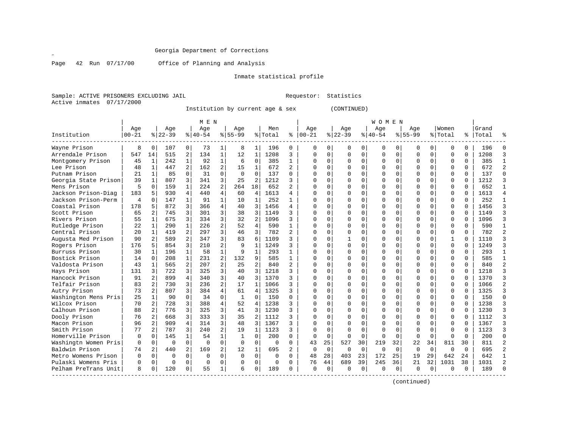$\mathscr{L}$ 

Page 42 Run 07/17/00 Office of Planning and Analysis

# Inmate statistical profile

Sample: ACTIVE PRISONERS EXCLUDING JAIL Requestor: Statistics Active inmates 07/17/2000

Institution by current age & sex (CONTINUED)

|                      |                |                |          |                | M E N     |                |              |                |          |                |              |              |             |          | <b>WOMEN</b> |             |           |          |              |              |           |                |
|----------------------|----------------|----------------|----------|----------------|-----------|----------------|--------------|----------------|----------|----------------|--------------|--------------|-------------|----------|--------------|-------------|-----------|----------|--------------|--------------|-----------|----------------|
|                      | Age            |                | Age      |                | Age       |                | Age          |                | Men      |                | Age          |              | Age         |          | Age          |             | Aqe       |          | Women        |              | Grand     |                |
| Institution          | $00 - 21$      |                | $ 22-39$ |                | $8 40-54$ |                | $8 55-99$    |                | % Total  | ႜ              | $ 00 - 21$   |              | $ 22-39$    |          | $8 40-54$    |             | $8 55-99$ |          | % Total      |              | %   Total | ៖              |
| Wayne Prison         | 8              | 0              | 107      | 0              | 73        | 1              | 8            | 1              | 196      | 0              | O            | 0            | 0           | 0        | 0            | 0           | 0         | 0        | $\Omega$     | $\Omega$     | 196       | $\Omega$       |
| Arrendale Prison     | 547            | 14             | 515      | 2              | 134       | $\mathbf{1}$   | 12           | $\mathbf{1}$   | 1208     | 3              | $\Omega$     | $\Omega$     | $\Omega$    | $\Omega$ | O            | $\Omega$    | 0         | $\Omega$ | $\Omega$     | $\Omega$     | 1208      | 3              |
| Montgomery Prison    | 45             | 1              | 242      | $\mathbf{1}$   | 92        | $\mathbf{1}$   | 6            | $\mathbf 0$    | 385      | 1              | <sup>0</sup> | $\Omega$     | $\Omega$    | 0        | O            | $\mathbf 0$ | 0         | $\Omega$ | $\Omega$     | $\Omega$     | 385       | $\mathbf{1}$   |
| Lee Prison           | 48             | $\mathbf{1}$   | 447      | $\overline{a}$ | 162       | $\overline{a}$ | 15           | $\mathbf{1}$   | 672      | $\overline{a}$ |              | $\Omega$     | $\Omega$    | 0        |              | $\mathbf 0$ | O         | $\Omega$ | $\mathbf 0$  | $\Omega$     | 672       | $\overline{a}$ |
| Putnam Prison        | 21             | $\mathbf 1$    | 85       | $\Omega$       | 31        | $\Omega$       | $\Omega$     | $\Omega$       | 137      | $\Omega$       |              | $\Omega$     |             | O        |              | $\Omega$    | U         | 0        | $\Omega$     | $\Omega$     | 137       | $\Omega$       |
| Georgia State Prison | 39             | $\mathbf 1$    | 807      | 3              | 341       | 3              | 25           | $\overline{2}$ | 1212     | 3              |              | <sup>n</sup> | U           | $\Omega$ |              | $\Omega$    | U         | 0        | $\Omega$     | $\Omega$     | 1212      | 3              |
| Mens Prison          | 5              | 0              | 159      | $\mathbf{1}$   | 224       | $\overline{a}$ | 264          | 18             | 652      | 2              |              |              | O           | O        |              | $\Omega$    | U         | 0        | $\Omega$     | $\Omega$     | 652       | 1              |
| Jackson Prison-Diag  | 183            | 5              | 930      | 4              | 440       | 4              | 60           | 4              | 1613     | 4              |              |              | $\Omega$    | O        |              | $\Omega$    | O         | 0        | $\Omega$     | $\Omega$     | 1613      | $\overline{4}$ |
| Jackson Prison-Perm  | $\overline{4}$ | $\Omega$       | 147      | $\mathbf{1}$   | 91        | 1              | 10           | 1              | 252      | $\mathbf{1}$   |              | $\Omega$     | $\Omega$    | O        | O            | $\Omega$    | O         | 0        | $\Omega$     | $\Omega$     | 252       | 1              |
| Coastal Prison       | 178            | 5              | 872      | 3              | 366       | 4              | 40           | 3              | 1456     | 4              | ∩            | $\Omega$     | $\Omega$    | $\Omega$ | O            | $\Omega$    | O         | 0        | $\Omega$     | $\Omega$     | 1456      | 3              |
| Scott Prison         | 65             | $\overline{2}$ | 745      | 3              | 301       | 3              | 38           | 3              | 1149     | 3              |              | $\Omega$     | 0           | O        |              | $\Omega$    | U         | 0        | $\Omega$     | <sup>0</sup> | 1149      | 3              |
| Rivers Prison        | 55             | $\mathbf{1}$   | 675      | 3              | 334       | 3              | 32           | 2              | 1096     | 3              |              | $\Omega$     | 0           | 0        |              | $\Omega$    | U         | 0        | $\Omega$     | $\Omega$     | 1096      | 3              |
| Rutledge Prison      | 22             | 1              | 290      | $\mathbf{1}$   | 226       | 2              | 52           | 4              | 590      | $\mathbf{1}$   |              | $\Omega$     | O           | U        |              | $\Omega$    | U         | 0        | $\Omega$     | $\Omega$     | 590       | $\mathbf{1}$   |
| Central Prison       | 20             | $\mathbf 1$    | 419      | 2              | 297       | 3              | 46           | 3              | 782      | 2              | $\cap$       | $\Omega$     | U           | U        |              | $\Omega$    | U         | 0        | $\Omega$     | $\Omega$     | 782       | $\overline{2}$ |
| Augusta Med Prison   | 90             | 2              | 589      | $\overline{a}$ | 347       | 3 <sup>1</sup> | 83           | 6              | 1109     | ς              | ∩            | $\Omega$     |             | O        |              | $\Omega$    | U         | 0        | 1            | $\Omega$     | 1110      | 3              |
| Rogers Prison        | 176            | 5              | 854      | 3              | 210       | $\overline{a}$ | 9            | $\mathbf{1}$   | 1249     | ζ              |              |              | O           | $\Omega$ |              | $\Omega$    | U         | 0        | $\Omega$     | U            | 1249      | 3              |
| Burruss Prison       | 30             | $\mathbf{1}$   | 196      | $\mathbf{1}$   | 58        | 1              | 9            | $\mathbf{1}$   | 293      | 1              | ∩            | $\cap$       | $\cap$      | U        |              | $\Omega$    | U         | 0        | $\Omega$     | $\Omega$     | 293       | $\mathbf{1}$   |
| Bostick Prison       | 14             | $\Omega$       | 208      | $\mathbf{1}$   | 231       | 2              | 132          | 9              | 585      | $\mathbf{1}$   | $\cap$       | $\cap$       | $\cap$      | $\Omega$ | U            | $\Omega$    | U         | $\cap$   | $\Omega$     | $\Omega$     | 585       | 1              |
| Valdosta Prison      | 43             | $\mathbf{1}$   | 565      | $\overline{a}$ | 207       | $\overline{a}$ | 25           | 2              | 840      | 2              | $\Omega$     | $\Omega$     | $\Omega$    | $\Omega$ |              | $\Omega$    | O         | 0        | $\Omega$     | $\Omega$     | 840       | $\overline{a}$ |
| Hays Prison          | 131            | 3              | 722      | 3              | 325       | 3              | 40           | 3              | 1218     | ς              |              | $\Omega$     | $\Omega$    | O        |              | $\Omega$    | O         | 0        | $\mathbf{0}$ | $\Omega$     | 1218      | 3              |
| Hancock Prison       | 91             | 2              | 899      | 4              | 340       | 3              | 40           | 3              | 1370     | ς              |              | $\Omega$     |             | O        |              | $\Omega$    | O         | 0        | $\mathbf 0$  | $\Omega$     | 1370      | 3              |
| Telfair Prison       | 83             | 2 <sup>1</sup> | 730      | 3              | 236       | 2              | 17           | $\mathbf{1}$   | 1066     | ς              |              | $\Omega$     |             | O        |              | $\Omega$    | O         | 0        | $\Omega$     | $\Omega$     | 1066      | $\overline{2}$ |
| Autry Prison         | 73             | 2              | 807      | 3              | 384       | 4              | 61           | 4              | 1325     | 3              |              | 0            | O           | U        |              | $\Omega$    | 0         | 0        | $\Omega$     | $\Omega$     | 1325      | 3              |
| Washington Mens Pris | 25             | $\mathbf{1}$   | 90       | 0              | 34        | $\Omega$       | -1           | 0              | 150      | $\Omega$       |              |              | O           | O        |              | $\Omega$    |           | 0        | $\Omega$     | U            | 150       | $\Omega$       |
| Wilcox Prison        | 70             | $\overline{a}$ | 728      | 3              | 388       | 4              | 52           | 4              | 1238     | ς              |              |              | U           | O        |              | $\Omega$    | U         | 0        | $\Omega$     | $\cap$       | 1238      | 3              |
| Calhoun Prison       | 88             | 2              | 776      | 3              | 325       | 3              | 41           | 3              | 1230     | ς              |              | U            | $\cap$      | U        |              | $\Omega$    | U         | 0        | $\Omega$     | $\Omega$     | 1230      | 3              |
| Dooly Prison         | 76             | 2              | 668      | 3              | 333       | 3              | 35           | $\overline{a}$ | 1112     | ς              |              | $\Omega$     | U           | $\Omega$ |              | $\Omega$    | U         | $\Omega$ | $\mathbf 0$  | $\Omega$     | 1112      | 3              |
| Macon Prison         | 96             | 2              | 909      | $\overline{4}$ | 314       | 3              | 48           | 3              | 1367     | ς              |              | $\Omega$     | O           | O        |              | $\Omega$    | U         | $\Omega$ | $\Omega$     | U            | 1367      | 3              |
| Smith Prison         | 77             | 2              | 787      | 3              | 240       | $\overline{a}$ | 19           | $\mathbf{1}$   | 1123     | 3              |              | $\Omega$     | $\Omega$    | $\Omega$ |              | $\Omega$    | O         | $\Omega$ | $\Omega$     | $\Omega$     | 1123      | 3              |
| Homerville Prison    | $\Omega$       | $\Omega$       | 145      | $\mathbf{1}$   | 54        | $\mathbf{1}$   | $\mathbf{1}$ | $\Omega$       | 200      | $\Omega$       | $\cap$       | $\Omega$     | $\Omega$    | $\Omega$ |              | $\Omega$    | $\cap$    | $\Omega$ | $\Omega$     | $\cap$       | 200       | $\Omega$       |
| Washingtn Women Pris | $\Omega$       | $\mathbf{0}$   | $\Omega$ | $\Omega$       | $\Omega$  | 0              | $\Omega$     | 0              | 0        | $\Omega$       | 43           | 25           | 527         | 30       | 219          | 32          | 22        | 34       | 811          | 30           | 811       | $\overline{2}$ |
| Baldwin Prison       | 74             | 2              | 440      | $\overline{a}$ | 169       | $\overline{a}$ | 12           | $\mathbf{1}$   | 695      | 2              | $\Omega$     | $\Omega$     | $\mathbf 0$ | 0        | $\Omega$     | $\mathbf 0$ | 0         | 0        | $\Omega$     | $\Omega$     | 695       | $\overline{2}$ |
| Metro Womens Prison  | $\Omega$       | 0              | $\Omega$ | 0              | $\Omega$  | $\Omega$       | $\Omega$     | 0              | $\Omega$ | $\Omega$       | 48           | 28           | 403         | 23       | 172          | 25          | 19        | 29       | 642          | 24           | 642       | 1              |
| Pulaski Womens Pris  | $\Omega$       | $\Omega$       | $\Omega$ | 0              | $\Omega$  | $\Omega$       | $\Omega$     | 0              | $\Omega$ | $\Omega$       | 76           | 44           | 689         | 39       | 245          | 36          | 21        | 32       | 1031         | 38           | 1031      | $\overline{2}$ |
| Pelham PreTrans Unit | 8              | $\Omega$       | 120      | $\Omega$       | 55        | $\mathbf{1}$   | 6            | 0              | 189      | $\Omega$       | $\Omega$     | $\Omega$     | $\Omega$    | 0        | n            | $\Omega$    | 0         | 0        | ∩            | 0            | 189       | $\Omega$       |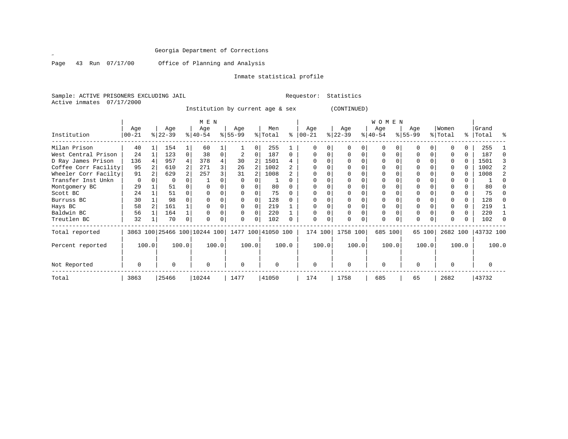Page 43 Run 07/17/00 Office of Planning and Analysis

# Inmate statistical profile

Sample: ACTIVE PRISONERS EXCLUDING JAIL Requestor: Statistics Active inmates 07/17/2000

Institution by current age & sex (CONTINUED)

|                      | M E N            |               |                  |       |                              |       |                  |          |                    |       |                    |       |                  |          | WOMEN            |       |                  |        |                  |       |                    |       |
|----------------------|------------------|---------------|------------------|-------|------------------------------|-------|------------------|----------|--------------------|-------|--------------------|-------|------------------|----------|------------------|-------|------------------|--------|------------------|-------|--------------------|-------|
| Institution          | Age<br>$00 - 21$ |               | Age<br>$ 22-39 $ |       | Age<br>$ 40-54 $             |       | Age<br>$ 55-99 $ |          | Men<br>% Total     | ႜ     | Age<br>$ 00 - 21 $ |       | Age<br>$ 22-39 $ |          | Age<br>$ 40-54 $ |       | Age<br>$ 55-99 $ |        | Women<br>% Total |       | Grand<br>%   Total | ႜ     |
| Milan Prison         | 40               |               | 154              |       | 60                           |       |                  | $\Omega$ | 255                |       |                    |       |                  |          | O                |       |                  |        |                  |       | 255                |       |
|                      | 24               |               | 123              | 0     | 38                           | 0     |                  |          | 187                |       |                    |       |                  |          | O                |       |                  |        |                  |       | 187                |       |
| West Central Prison  |                  |               |                  |       |                              |       |                  | 0        |                    |       |                    |       |                  |          |                  |       |                  |        |                  |       |                    |       |
| D Ray James Prison   | 136              |               | 957              |       | 378                          |       | 30               |          | 1501               |       |                    |       |                  |          |                  |       |                  |        |                  |       | 1501               |       |
| Coffee Corr Facility | 95               |               | 610              |       | 271                          | 3     | 26               |          | 1002               |       |                    |       |                  |          |                  |       |                  |        |                  |       | 1002               |       |
| Wheeler Corr Facilty | 91               |               | 629              |       | 257                          |       | 31               |          | 1008               |       |                    |       |                  |          |                  |       |                  |        |                  |       | 1008               |       |
| Transfer Inst Unkn   | $\Omega$         |               | 0                |       |                              |       |                  |          |                    |       |                    |       |                  |          |                  |       |                  |        |                  |       |                    |       |
| Montgomery BC        | 29               |               | 51               |       |                              |       |                  |          | 80                 |       |                    |       |                  |          |                  |       |                  |        |                  |       | 80                 |       |
| Scott BC             | 24               |               | 51               |       |                              |       |                  |          | 75                 |       |                    |       |                  |          |                  |       |                  |        |                  |       | 75                 |       |
| Burruss BC           | 30               |               | 98               |       |                              |       |                  |          | 128                |       |                    |       |                  |          |                  |       |                  |        |                  |       | 128                |       |
| Hays BC              | 58               |               | 161              |       |                              |       |                  |          | 219                |       |                    |       |                  |          |                  |       |                  |        |                  |       | 219                |       |
| Baldwin BC           | 56               |               | 164              |       |                              |       |                  |          | 220                |       |                    |       |                  |          | 0                |       |                  |        |                  |       | 220                |       |
| Treutlen BC          | 32               |               | 70               | 0     |                              | 0     |                  | $\Omega$ | 102                |       | $\Omega$           | 0     |                  | $\Omega$ | $\Omega$         |       | $\Omega$         |        |                  |       | 102                |       |
| Total reported       |                  |               |                  |       | 3863 100 25466 100 10244 100 |       |                  |          | 1477 100 41050 100 |       | 174 100            |       | 1758 100         |          | 685 100          |       |                  | 65 100 | 2682 100         |       | 43732 100          |       |
| Percent reported     |                  | 100.0         |                  | 100.0 |                              | 100.0 |                  | 100.0    |                    | 100.0 |                    | 100.0 |                  | 100.0    |                  | 100.0 |                  | 100.0  |                  | 100.0 |                    | 100.0 |
| Not Reported         | 0                | $\Omega$<br>0 |                  |       | $\Omega$                     |       | 0                |          | $\Omega$           |       | $\Omega$           |       | $\Omega$         |          | <sup>0</sup>     |       |                  |        | U                |       |                    |       |
| Total                | 3863             |               | 25466            |       | 10244                        |       | 1477             |          | 41050              |       | 174                |       | 1758             |          | 685              |       | 65               |        | 2682             |       | 43732              |       |

 $\mathscr{L}^{\pm}$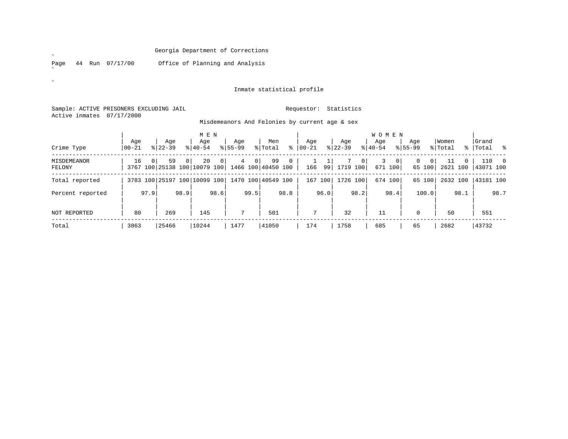Page 44 Run 07/17/00 Office of Planning and Analysis

# Inmate statistical profile

Sample: ACTIVE PRISONERS EXCLUDING JAIL **Requestor:** Statistics Active inmates 07/17/2000

| Misdemeanors And Felonies by current age & sex |  |  |  |  |
|------------------------------------------------|--|--|--|--|

|                       |                  |                        |                    | M E N                              |                    |              |                          |              |                  |      |                    |                | <b>WOMEN</b>     |                           |                    |                          |                  |      |                    |                          |
|-----------------------|------------------|------------------------|--------------------|------------------------------------|--------------------|--------------|--------------------------|--------------|------------------|------|--------------------|----------------|------------------|---------------------------|--------------------|--------------------------|------------------|------|--------------------|--------------------------|
| Crime Type            | Aqe<br>$00 - 21$ |                        | Age<br>$8122 - 39$ | Age<br>$8140 - 54$                 | Age<br>$8155 - 99$ |              | Men<br>% Total           | ፠            | Aqe<br>$00 - 21$ |      | Aqe<br>$8$   22-39 |                | Aqe<br>$8 40-54$ |                           | Age<br>$8155 - 99$ |                          | Women<br>% Total |      | Grand<br>%   Total | $\frac{8}{6}$            |
| MISDEMEANOR<br>FELONY | 16               |                        | 59<br>$\Omega$     | 20<br>3767 100 25138 100 10079 100 | $\Omega$<br>4      | $\mathbf{0}$ | 99<br>1466 100 40450 100 | $\mathbf{0}$ | 166              |      | 99 1719 100        | 0 <sup>1</sup> | 3                | 0 <sup>1</sup><br>671 100 | 0                  | 0 <sup>1</sup><br>65 100 | 11<br>2621 100   | 0    | 110<br>43071 100   | $\overline{\phantom{0}}$ |
| Total reported        |                  |                        |                    | 3783 100 25197 100 10099 100       |                    |              | 1470 100 40549 100       |              | 167 100          |      | 1726 100           |                |                  | 674 100                   |                    | 65 100                   | 2632 100         |      | 43181 100          |                          |
| Percent reported      |                  | 97.9                   | 98.9               | 98.6                               |                    | 99.5         |                          | 98.8         |                  | 96.0 |                    | 98.2           |                  | 98.4                      |                    | 100.0                    |                  | 98.1 |                    | 98.7                     |
| NOT REPORTED          | 80               |                        | 269                | 145                                | 7                  |              | 501                      |              | 7                |      | 32                 |                | 11               |                           | $\Omega$           |                          | 50               |      | 551                |                          |
| Total                 | 3863             | 25466<br>10244<br>1477 |                    |                                    |                    |              | 41050                    |              | 174              |      | 1758               |                | 685              |                           | 65                 |                          | 2682             |      | 43732              |                          |

 $\mathscr{L}^{\pm}$ 

 $\mathscr{A}^{\pm}$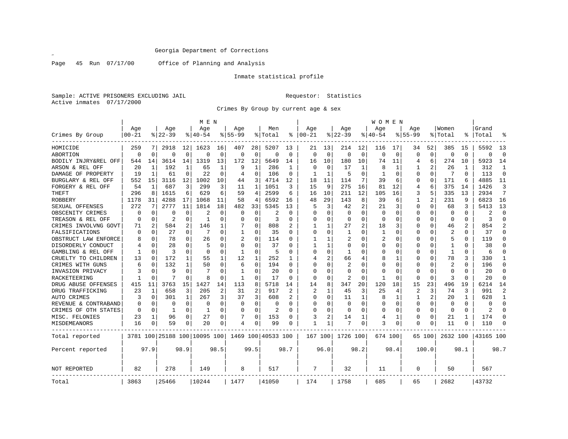Page 45 Run 07/17/00 Office of Planning and Analysis

# Inmate statistical profile

Sample: ACTIVE PRISONERS EXCLUDING JAIL Requestor: Statistics Active inmates 07/17/2000

Crimes By Group by current age & sex

|                      |           |                |                |              | M E N                        |             |              |              |                    |                |             |              |                |             | WOMEN        |             |              |             |                |                |                |                |
|----------------------|-----------|----------------|----------------|--------------|------------------------------|-------------|--------------|--------------|--------------------|----------------|-------------|--------------|----------------|-------------|--------------|-------------|--------------|-------------|----------------|----------------|----------------|----------------|
|                      | Age       |                | Age            |              | Age                          |             | Age          |              | Men                |                | Age         |              | Age            |             | Age          |             | Age          |             | Women          |                | Grand          |                |
| Crimes By Group      | $00 - 21$ |                | $8122 - 39$    |              | $8 40-54$                    |             | $8155 - 99$  |              | % Total            | ႜ              | $ 00-21$    |              | $8$   22-39    |             | $8 40-54$    |             | $8155 - 99$  |             | % Total        |                | Total          | °              |
| HOMICIDE             | 259       | 7              | 2918           | 12           | 1623                         | 16          | 407          | 28           | 5207               | 13             | 21          | 13           | 214            | 12          | 116          | 17          | 34           | 52          | 385            | 15             | 5592           | 13             |
| ABORTION             | 0         | $\mathbf 0$    | O              | $\mathbf 0$  | $\Omega$                     | $\mathbf 0$ | $\mathbf 0$  | $\mathbf 0$  | $\Omega$           | $\Omega$       | $\mathbf 0$ | $\mathbf 0$  | $\mathbf 0$    | $\mathbf 0$ | 0            | $\mathbf 0$ | $\Omega$     | $\mathbf 0$ | $\mathbf 0$    | $\Omega$       | $\Omega$       | $\mathbf 0$    |
| BODILY INJRY&REL OFF | 544       | 14             | 3614           | 14           | 1319                         | 13          | 172          | 12           | 5649               | 14             | 16          | 10           | 180            | 10          | 74           | 11          | 4            | 6           | 274            | 10             | 5923           | 14             |
| ARSON & REL OFF      | 20        | 1              | 192            | 1            | 65                           |             | 9            | $\mathbf{1}$ | 286                | 1              | 0           | $\Omega$     | 17             | 1           | 8            | 1           |              | 2           | 26             | 1              | 312            | 1              |
| DAMAGE OF PROPERTY   | 19        | 1              | 61             | 0            | 22                           | O           | 4            | U            | 106                | $\Omega$       | 1           | 1            | 5              | $\Omega$    | $\mathbf{1}$ | 0           | O            | $\Omega$    | 7              | $\Omega$       | 113            | 0              |
| BURGLARY & REL OFF   | 552       | 15             | 3116           | 12           | 1002                         | 10          | 44           | 3            | 4714               | 12             | 18          | 11           | 114            | 7           | 39           | 6           | <sup>0</sup> | $\Omega$    | 171            | 6              | 4885           | 11             |
| FORGERY & REL OFF    | 54        | 1              | 687            | 3            | 299                          | 3           | 11           | 1            | 1051               | 3              | 15          | 9            | 275            | 16          | 81           | 12          | 4            | 6           | 375            | 14             | 1426           | 3              |
| THEFT                | 296       | 8              | 1615           | 6            | 629                          | 6           | 59           | 4            | 2599               | 6              | 16          | 10           | 211            | 12          | 105          | 16          | 3            | 5           | 335            | 13             | 2934           | 7              |
| ROBBERY              | 1178      | 31             | 4288           | 17           | 1068                         | 11          | 58           | 4            | 6592               | 16             | 48          | 29           | 143            | 8           | 39           | 6           | 1            | 2           | 231            | 9              | 6823           | 16             |
| SEXUAL OFFENSES      | 272       | 7              | 2777           | 11           | 1814                         | 18          | 482          | 33           | 5345               | 13             | 5           | 3            | 42             | 2           | 21           | 3           | 0            | $\Omega$    | 68             | 3              | 5413           | 13             |
| OBSCENITY CRIMES     | $\Omega$  | $\Omega$       | 0              | $\Omega$     |                              | $\Omega$    | C            | $\Omega$     |                    | $\Omega$       | $\Omega$    | O            | $\Omega$       | $\Omega$    | $\Omega$     | $\Omega$    | O            | $\Omega$    | $\Omega$       | $\Omega$       | 2              | $\Omega$       |
| TREASON & REL OFF    | 0         | $\Omega$       | $\overline{a}$ | $\Omega$     | 1                            | $\Omega$    | 0            | $\Omega$     | 3                  | 0              | 0           | 0            | 0              | $\Omega$    | $\Omega$     | $\Omega$    | 0            | $\Omega$    | $\Omega$       | $\Omega$       | 3              | $\Omega$       |
| CRIMES INVOLVNG GOVT | 71        | $\overline{2}$ | 584            | 2            | 146                          |             |              | 0            | 808                | $\overline{2}$ | 1           | $\mathbf{1}$ | 27             | 2           | 18           | 3           | 0            | $\mathbf 0$ | 46             | $\overline{c}$ | 854            | $\overline{a}$ |
| FALSIFICATIONS       | $\Omega$  | $\Omega$       | 27             | $\Omega$     | 7                            | $\Omega$    | $\mathbf{1}$ | 0            | 35                 | $\Omega$       | $\Omega$    | $\Omega$     | 1              | O           | 1            | $\Omega$    | O            | $\Omega$    | $\overline{2}$ | $\Omega$       | 37             | $\Omega$       |
| OBSTRUCT LAW ENFORCE |           | $\Omega$       | 78             | $\Omega$     | 26                           | $\Omega$    | 2            | 0            | 114                | $\Omega$       | 1           | 1            | 2              | 0           | 2            | 0           | 0            | 0           | 5              | $\Omega$       | 119            | $\Omega$       |
| DISORDERLY CONDUCT   |           | $\Omega$       | 28             | $\Omega$     | 5                            | $\Omega$    | $\Omega$     | 0            | 37                 |                |             | 1            | 0              | O           | O            | 0           | O            | $\Omega$    |                | O              | 38             | O              |
| GAMBLING & REL OFF   |           | $\Omega$       | 3              | $\Omega$     | $\Omega$                     | ∩           | 1            | 0            | 5                  | ∩              | O           | U            | -1             | U           | O            | $\Omega$    | U            | $\Omega$    | $\mathbf{1}$   | O              | 6              | 0              |
| CRUELTY TO CHILDREN  | 13        | 0              | 172            | 1            | 55                           |             | 12           | 1            | 252                |                | 4           |              | 66             | 4           | 8            | 1           | O            | $\Omega$    | 78             | 3              | 330            | 1              |
| CRIMES WITH GUNS     | 6         | $\Omega$       | 132            | 1            | 50                           | $\Omega$    | 6            | 0            | 194                | $\Omega$       | $\Omega$    | $\Omega$     | 2              | $\Omega$    | 0            | 0           | 0            | $\mathbf 0$ | 2              | $\Omega$       | 196            | 0              |
| INVASION PRIVACY     |           | 0              | 9              | $\Omega$     | 7                            | $\Omega$    | $\mathbf{1}$ | 0            | 20                 | $\Omega$       | $\Omega$    | $\Omega$     | $\mathbf 0$    | O           | $\Omega$     | 0           | $\Omega$     | $\mathbf 0$ | $\Omega$       | $\Omega$       | 20             | $\Omega$       |
| RACKETEERING         |           | $\Omega$       |                | $\Omega$     | 8                            | O           | -1           | 0            | 17                 | $\Omega$       | $\Omega$    | $\Omega$     | $\overline{2}$ | 0           | $\mathbf{1}$ | 0           | 0            | $\Omega$    | 3              | $\Omega$       | 20             | $\Omega$       |
| DRUG ABUSE OFFENSES  | 415       | 11             | 3763           | 15           | 1427                         | 14          | 113          | 8            | 5718               | 14             | 14          | 8            | 347            | 20          | 120          | 18          | 15           | 23          | 496            | 19             | 6214           | 14             |
| DRUG TRAFFICKING     | 23        | 1              | 658            | 3            | 205                          | 2           | 31           | 2            | 917                |                | 2           | 1            | 45             | 3           | 25           | 4           | 2            | 3           | 74             | 3              | 991            | 2              |
| AUTO CRIMES          | 3         | 0              | 301            | $\mathbf{1}$ | 267                          | 3           | 37           | 3            | 608                | 2              | 0           | 0            | 11             | 1           | 8            | 1           | 1            | 2           | 20             | 1              | 628            | 1              |
| REVENUE & CONTRABAND |           | 0              | 0              | $\Omega$     | 0                            | $\Omega$    | O            | $\Omega$     | 0                  | $\Omega$       | 0           | O            | 0              | 0           | O            | $\mathbf 0$ | $\Omega$     | $\mathbf 0$ | 0              | $\Omega$       | O              | $\Omega$       |
| CRIMES OF OTH STATES | ∩         | $\Omega$       | 1              | $\Omega$     | 1                            | $\Omega$    | $\Omega$     | $\Omega$     | $\overline{2}$     | $\Omega$       | O           | U            | $\Omega$       | $\Omega$    | O            | 0           | 0            | $\Omega$    | $\Omega$       | $\Omega$       | $\mathfrak{D}$ | $\Omega$       |
| MISC. FELONIES       | 23        | 1              | 96             | 0            | 27                           | $\Omega$    |              | 0            | 153                | $\Omega$       | 3           | 2            | 14             | 1           | 4            | 1           | 0            | $\mathbf 0$ | 21             | 1              | 174            | 0              |
| MISDEMEANORS         | 16        | 0              | 59             | 0            | 20                           | 0           | 4            | 0            | 99                 | $\Omega$       | 1           | 1            |                | 0           | 3            | 0           | 0            | 0           | 11             | 0              | 110            | $\Omega$       |
| Total reported       |           |                |                |              | 3781 100 25188 100 10095 100 |             |              |              | 1469 100 40533 100 |                | 167 100     |              | 1726 100       |             | 674 100      |             |              | 65 100      | 2632 100       |                | 43165 100      |                |
| Percent reported     |           | 97.9           |                | 98.9         |                              | 98.5        |              | 99.5         |                    | 98.7           |             | 96.0         |                | 98.2        |              | 98.4        |              | 100.0       |                | 98.1           |                | 98.7           |
| NOT REPORTED         | 82        |                | 278            |              | 149                          |             | 8            |              | 517                |                | 7           |              | 32             |             | 11           |             | 0            |             | 50             |                | 567            |                |
| Total                | 3863      |                | 25466          |              | 10244                        |             | 1477         |              | 41050              |                | 174         |              | 1758           |             | 685          |             | 65           |             | 2682           |                | 43732          |                |

 $\mathscr{L}$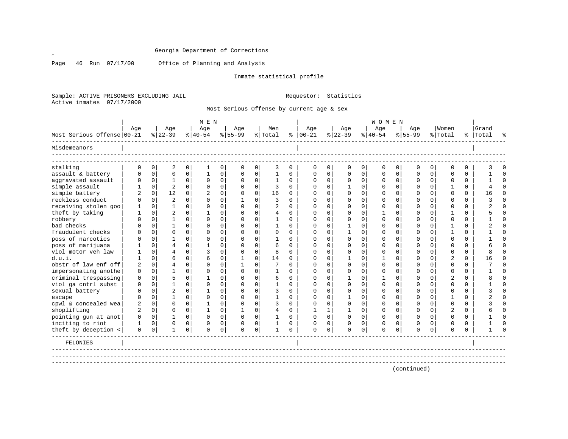Page 46 Run 07/17/00 Office of Planning and Analysis

Inmate statistical profile

Sample: ACTIVE PRISONERS EXCLUDING JAIL Requestor: Statistics Active inmates 07/17/2000

Most Serious Offense by current age & sex

|                                         | M E N          |               |                |                  |                |               |               |               |              |               |               |               |                   |               | <b>WOMEN</b>  |                  |               |                            |                         |               |           |                      |
|-----------------------------------------|----------------|---------------|----------------|------------------|----------------|---------------|---------------|---------------|--------------|---------------|---------------|---------------|-------------------|---------------|---------------|------------------|---------------|----------------------------|-------------------------|---------------|-----------|----------------------|
|                                         | Age            |               | Age            |                  | Age            |               | Age           |               | Men          |               | Age           |               | Age               |               | Age           |                  | Age           |                            | Women                   |               | Grand     |                      |
| Most Serious Offense 00-21              |                |               | $ 22-39$       |                  | $8 40-54$      |               | $ 55-99$      |               | % Total      | ွေ            | $ 00-21 $     |               | $ 22-39 $         |               | $8 40-54$     |                  | $8 55-99$     |                            | % Total                 |               | %   Total |                      |
| Misdemeanors                            |                |               |                |                  |                |               |               |               |              |               |               |               |                   |               |               |                  |               |                            |                         |               |           |                      |
| stalking                                |                |               |                |                  |                |               |               |               |              |               |               |               |                   |               |               |                  |               |                            |                         |               |           | $\Omega$             |
|                                         | 0              | 0<br>$\Omega$ | 2<br>$\Omega$  | 0<br>$\mathbf 0$ | 1<br>1         | 0<br>$\Omega$ | 0<br>$\Omega$ | 0<br>$\Omega$ | 3<br>1       | 0<br>$\Omega$ | 0<br>$\Omega$ | 0<br>$\Omega$ | 0<br>$\Omega$     | 0<br>$\Omega$ | 0<br>$\Omega$ | 0<br>$\mathbf 0$ | 0<br>$\Omega$ | 0 <sup>1</sup><br>$\Omega$ | $\mathbf 0$<br>$\Omega$ | 0<br>$\Omega$ |           | $\Omega$             |
| assault & battery<br>aggravated assault | 0              | 0             | 1              | 0                | $\Omega$       | 0             |               | $\Omega$      |              | <sup>0</sup>  | $\Omega$      | $\Omega$      |                   | $\Omega$      |               | $\mathbf 0$      | $\Omega$      | $\Omega$                   | $\Omega$                | $\Omega$      |           | $\Omega$             |
| simple assault                          |                | $\mathbf 0$   | $\overline{2}$ | 0                | $\mathbf 0$    | $\Omega$      | 0<br>$\Omega$ | $\Omega$      | 1<br>3       | $\Omega$      | $\Omega$      | 0             | 0<br>$\mathbf{1}$ | $\Omega$      | 0<br>$\Omega$ | $\Omega$         | $\Omega$      | $\Omega$                   | 1                       | $\mathbf 0$   |           | $\cap$               |
|                                         |                | $\mathbf 0$   | 12             | $\mathbf 0$      | $\overline{2}$ | $\mathbf 0$   |               | $\Omega$      | 16           |               | O             | $\Omega$      | $\Omega$          | $\Omega$      |               | $\Omega$         | U             | $\Omega$                   | $\Omega$                | $\Omega$      |           | $\Omega$             |
| simple battery                          |                |               |                |                  |                |               | 0             |               |              | 0             |               |               |                   |               | $\Omega$      |                  |               |                            |                         |               | 16        |                      |
| reckless conduct                        | U              | $\Omega$      | $\overline{a}$ | $\Omega$         | $\Omega$       | $\Omega$      | 1             | $\Omega$      | 3            | $\Omega$      | 0             | $\Omega$      | $\Omega$          | $\Omega$      | O             | $\Omega$         | Ω             | $\Omega$                   | $\Omega$                | $\Omega$      |           | $\Omega$             |
| receiving stolen goo                    |                | $\Omega$      |                | $\mathbf 0$      | $\Omega$       | $\Omega$      | $\Omega$      | $\Omega$      | 2            | $\Omega$      | $\Omega$      | $\Omega$      | $\mathbf 0$       | $\Omega$      | $\Omega$      | $\mathbf 0$      | O             | $\Omega$                   | $\Omega$                | $\Omega$      |           | $\Omega$<br>$\Omega$ |
| theft by taking                         |                | $\mathbf 0$   | $\overline{a}$ | $\Omega$         | 1              | $\Omega$      | $\Omega$      | $\Omega$      | 4            | $\Omega$      | $\Omega$      | $\Omega$      | $\mathbf 0$       | $\Omega$      | $\mathbf{1}$  | $\mathbf 0$      | Ω             | $\Omega$                   | 1                       | $\Omega$      |           | $\cap$               |
| robbery                                 |                | 0             | 1              | $\Omega$         | $\Omega$       | $\Omega$      | $\Omega$      | $\Omega$      |              | $\Omega$      | $\Omega$      | 0             | $\mathbf 0$       | $\Omega$      | $\Omega$      | $\Omega$         | $\Omega$      | $\Omega$                   | $\Omega$                | $\Omega$      |           | $\Omega$             |
| bad checks                              |                | $\Omega$      | $\mathbf{1}$   | $\Omega$         | $\Omega$       | $\Omega$      | $\Omega$      | $\Omega$      | 1            | $\Omega$      | $\Omega$      | 0             | $\mathbf{1}$      | $\Omega$      | $\Omega$      | $\Omega$         | $\Omega$      | $\Omega$                   | 1                       | $\Omega$      |           |                      |
| fraudulent checks                       | U              | $\Omega$      | 0              | $\mathbf 0$      | $\Omega$       | $\Omega$      | $\Omega$      | 0             | $\Omega$     | $\Omega$      | $\Omega$      | $\Omega$      | $\mathbf{1}$      | $\Omega$      | $\Omega$      | 0                | $\Omega$      | $\Omega$                   | 1                       | 0             |           | $\Omega$             |
| poss of narcotics                       | U              | $\Omega$      |                | $\Omega$         | $\Omega$       | $\Omega$      | $\Omega$      | 0             |              | <sup>0</sup>  | $\Omega$      | $\Omega$      | $\Omega$          | $\Omega$      | $\Omega$      | $\Omega$         | O             | $\Omega$                   | $\Omega$                | $\Omega$      |           | $\Omega$             |
| poss of marijuana                       |                | $\Omega$      | $\overline{4}$ | $\mathbf 0$      |                | $\Omega$      | $\Omega$      | $\Omega$      | 6            | $\Omega$      | $\Omega$      | 0             | $\mathbf 0$       | $\Omega$      | $\Omega$      | $\Omega$         | U             | $\Omega$                   | $\Omega$                | $\Omega$      |           | $\Omega$             |
| viol motor veh law                      |                | $\Omega$      | 4              | $\Omega$         | 3              | $\Omega$      | $\Omega$      | $\Omega$      | 8            | <sup>0</sup>  | 0             | 0             | $\Omega$          | $\Omega$      | $\Omega$      | $\Omega$         |               | $\Omega$                   | $\Omega$                | $\Omega$      |           | $\Omega$             |
| d.u.i.                                  | 1              | $\Omega$      | б              | $\Omega$         | ĥ              | $\Omega$      | -1            | $\cap$        | 14           | $\Omega$      | $\Omega$      | 0             | $\mathbf{1}$      | $\Omega$      | $\mathbf{1}$  | $\Omega$         | U             | $\Omega$                   |                         | $\Omega$      | 16        | $\Omega$             |
| obstr of law enf off                    | $\overline{a}$ | $\Omega$      | $\overline{4}$ | $\Omega$         | $\Omega$       | $\Omega$      | -1            | 0             | 7            | $\Omega$      | O             | 0             | $\Omega$          | $\Omega$      | $\Omega$      | $\Omega$         | U             | $\Omega$                   | $\Omega$                | $\Omega$      |           | $\Omega$             |
| impersonating anothe                    | $\Omega$       | $\Omega$      |                | $\Omega$         | $\Omega$       | $\Omega$      | $\Omega$      | $\Omega$      | -1           | $\Omega$      | $\Omega$      | $\Omega$      | $\Omega$          | $\Omega$      | $\mathbf 0$   | $\Omega$         | U             | $\Omega$                   | $\Omega$                | $\Omega$      |           | $\Omega$             |
| criminal trespassing                    | $\Omega$       | $\Omega$      | 5              | $\Omega$         | 1              | $\Omega$      | $\Omega$      | 0             | 6            | <sup>0</sup>  | U             | $\Omega$      | -1                | $\Omega$      | 1             | $\Omega$         | Ω             | $\Omega$                   | $\overline{2}$          | $\Omega$      |           | $\Omega$             |
| viol ga cntrl subst                     | 0              | $\mathbf 0$   |                | $\mathbf 0$      | $\Omega$       | $\Omega$      | $\Omega$      | $\Omega$      |              | $\Omega$      | O             | $\Omega$      | $\mathbf 0$       | $\Omega$      | $\mathbf 0$   | $\Omega$         | O             | $\Omega$                   | $\Omega$                | $\mathbf 0$   |           | $\Omega$             |
| sexual battery                          |                | $\mathbf 0$   | $\overline{a}$ | $\mathbf 0$      | 1              | $\Omega$      | $\Omega$      | $\Omega$      | 3            | $\Omega$      |               | $\Omega$      | $\mathbf 0$       | $\Omega$      | 0             | $\mathbf 0$      |               | $\Omega$                   | $\Omega$                | $\Omega$      |           | $\Omega$             |
| escape                                  |                | $\mathbf 0$   | $\mathbf{1}$   | $\mathbf 0$      | $\Omega$       | $\Omega$      | $\Omega$      | $\Omega$      | $\mathbf{1}$ | $\Omega$      | $\Omega$      | $\Omega$      | 1                 | 0             | $\Omega$      | $\mathbf 0$      | U             | $\Omega$                   | 1                       | $\Omega$      |           | $\cap$               |
| cpwl & concealed wea                    | $\overline{a}$ | $\mathbf 0$   | $\Omega$       | $\Omega$         | 1              | $\Omega$      | $\Omega$      | 0             | 3            | $\Omega$      | $\Omega$      | $\Omega$      | $\Omega$          | $\Omega$      | $\Omega$      | $\Omega$         | $\Omega$      | $\Omega$                   | $\Omega$                | $\Omega$      |           | $\Omega$             |
| shoplifting                             | $\overline{a}$ | $\mathbf 0$   | 0              | $\mathbf 0$      | $\mathbf 1$    | 0             | $\mathbf{1}$  | $\Omega$      | 4            | $\Omega$      | 1             | $\mathbf{1}$  | 1                 | $\mathbf 0$   | $\Omega$      | $\mathbf 0$      | $\Omega$      | $\Omega$                   | $\overline{2}$          | 0             |           | $\Omega$             |
| pointing gun at anot                    | $\Omega$       | $\mathbf 0$   |                | $\mathbf 0$      | $\Omega$       | 0             | $\Omega$      | 0             | $\mathbf{1}$ | $\Omega$      | $\Omega$      | $\Omega$      | $\mathbf 0$       | $\mathbf 0$   | $\Omega$      | 0                | $\Omega$      | $\Omega$                   | $\Omega$                | 0             |           | $\Omega$             |
| inciting to riot                        |                | $\mathbf 0$   | $\Omega$       | $\mathbf{0}$     | $\Omega$       | 0             | $\Omega$      | 0             |              | 0             | $\Omega$      | $\Omega$      | $\mathbf 0$       | 0             | $\Omega$      | 0                | O             | $\overline{0}$             | $\Omega$                | $\Omega$      |           | $\Omega$             |
| theft by deception <                    | 0              | 0             |                | 0                | $\Omega$       | 0             | $\Omega$      | 0             | 1            | $\Omega$      | $\Omega$      | 0             | $\Omega$          | 0             | $\Omega$      | 0                | $\Omega$      | $\overline{0}$             | $\Omega$                | $\Omega$      |           |                      |
| FELONIES                                |                |               |                |                  |                |               |               |               |              |               |               |               |                   |               |               |                  |               |                            |                         |               |           |                      |
|                                         |                |               |                |                  |                |               |               |               |              |               |               |               |                   |               |               |                  |               |                            |                         |               |           |                      |
|                                         |                |               |                |                  |                |               |               |               |              |               |               |               |                   |               |               |                  | (continued)   |                            |                         |               |           |                      |

 $\mathscr{L}$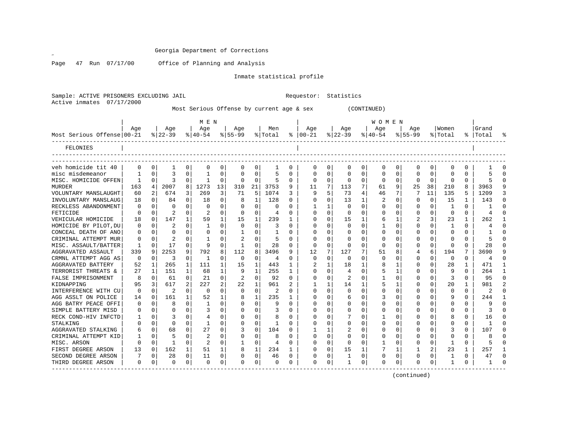$\mathscr{L}$ 

Page 47 Run 07/17/00 Office of Planning and Analysis

Inmate statistical profile

Sample: ACTIVE PRISONERS EXCLUDING JAIL Requestor: Statistics Active inmates 07/17/2000

Most Serious Offense by current age & sex (CONTINUED)

|                            | M E N    |              |           |          |              |          |           |              |         |   |               |          |          |          | W O M E N |          |             |              |              |          |                |               |
|----------------------------|----------|--------------|-----------|----------|--------------|----------|-----------|--------------|---------|---|---------------|----------|----------|----------|-----------|----------|-------------|--------------|--------------|----------|----------------|---------------|
|                            | Aqe      |              | Aqe       |          | Age          |          | Aqe       |              | Men     |   | Aqe           |          | Aqe      |          | Aqe       |          | Aqe         |              | Women        |          | Grand          |               |
| Most Serious Offense 00-21 |          |              | $8 22-39$ |          | $8 40-54$    |          | $8 55-99$ |              | % Total |   | $8   00 - 21$ |          | $ 22-39$ |          | $ 40-54 $ |          | $8155 - 99$ |              | % Total      |          | %   Total      |               |
| FELONIES                   |          |              |           |          |              |          |           |              |         |   |               |          |          |          |           |          |             |              |              |          |                |               |
|                            |          |              |           |          |              |          |           |              |         |   |               |          |          |          |           |          |             |              |              |          |                |               |
| veh homicide tit 40        | 0        | 0            | -1        | 0        | 0            | 0        | 0         | 0            | 1       | 0 | 0             | 0        | 0        | 0        | 0         | 0        | 0           | 0            | 0            | 0        |                |               |
| misc misdemeanor           |          | O            | 3         | O        |              | O        |           | $\Omega$     | 5       | U | O             | O        | U        | $\Omega$ | O         | $\Omega$ | $\Omega$    | 0            | $\Omega$     | U        |                |               |
| MISC. HOMICIDE OFFEN       | 1        | 0            | 3         | $\Omega$ | -1           | $\Omega$ | $\Omega$  | $\Omega$     | 5       | 0 | $\Omega$      | 0        | $\Omega$ | $\Omega$ | $\Omega$  | 0        | $\Omega$    | $\Omega$     | $\Omega$     | $\Omega$ |                |               |
| <b>MURDER</b>              | 163      | 4            | 2007      | 8        | 1273         | 13       | 310       | 21           | 3753    | 9 | 11            | 7        | 113      | 7        | 61        | 9        | 25          | 38           | 210          | 8        | 3963           |               |
| VOLUNTARY MANSLAUGHT       | 60       | 2            | 674       | 3        | 269          | 3        | 71        | 5            | 1074    | 3 | 9             | 5        | 73       | 4        | 46        | 7        |             | 11           | 135          | 5        | 1209           | ঽ             |
| INVOLUNTARY MANSLAUG       | 18       | <sup>n</sup> | 84        | $\Omega$ | 18           | $\Omega$ | 8         | 1            | 128     | U | $\Omega$      | 0        | 13       | 1        | 2         | $\Omega$ | O           | $\Omega$     | 15           | 1        | 143            |               |
| RECKLESS ABANDONMENT       | O        | 0            |           | 0        | $\Omega$     | 0        |           | $\Omega$     | O       | U |               |          | $\Omega$ | U        | U         | $\Omega$ | U           | 0            | -1           | 0        |                |               |
| FETICIDE                   | U        | 0            | 2         |          | 2            | $\Omega$ | $\Omega$  | $\Omega$     | 4       | U | $\Omega$      | $\Omega$ | $\Omega$ | O        | Ω         | $\Omega$ | U           | 0            | $\Omega$     | 0        |                |               |
| VEHICULAR HOMICIDE         | 18       | 0            | 147       |          | 59           | 1        | 15        | $\mathbf{1}$ | 239     | 1 | 0             | $\Omega$ | 15       |          | 6         | 1        |             | 3            | 23           | 1        | 262            |               |
| HOMICIDE BY PILOT, DU      | 0        | 0            | 2         | 0        | $\mathbf{1}$ | $\Omega$ | 0         | $\Omega$     | 3       | U | 0             | U        | 0        | $\Omega$ |           | $\Omega$ | 0           | 0            | $\mathbf{1}$ | 0        |                |               |
| CONCEAL DEATH OF ANO       | 0        | 0            | O         |          | 0            | $\Omega$ |           | $\Omega$     | 1       | U | C             | O        | 0        | U        | Ω         | $\Omega$ | U           | 0            | $\Omega$     | $\Omega$ |                |               |
| CRIMINAL ATTEMPT MUR       | $\Omega$ | $\Omega$     |           | 0        |              | 0        |           | $\Omega$     | 5       | U | $\cap$        | U        | 0        | O        | 0         | $\Omega$ | O           | 0            | $\Omega$     | O        |                |               |
| MISC. ASSAULT/BATTER       | 1        | 0            | 17        | $\Omega$ | 9            | $\Omega$ | -1        | $\Omega$     | 28      | 0 | $\Omega$      | $\Omega$ | $\Omega$ | $\Omega$ | $\Omega$  | $\Omega$ | U           | $\Omega$     | $\Omega$     | $\Omega$ | 28             | $\cap$        |
| AGGRAVATED ASSAULT         | 339      | 9            | 2253      | 9        | 792          | 8        | 112       | 8            | 3496    | 9 | 12            | 7        | 127      | 7        | 51        | 8        | 4           | 6            | 194          | 7        | 3690           | 9             |
| CRMNL ATTEMPT AGG AS       | 0        | 0            | 3         | $\Omega$ | -1           | 0        | $\Omega$  | $\Omega$     | 4       | 0 | $\Omega$      | $\Omega$ | $\Omega$ | O        | 0         | $\Omega$ | O           | 0            | 0            | $\Omega$ | $\overline{4}$ | $\Omega$      |
| AGGRAVATED BATTERY         | 52       | 1            | 265       | 1        | 111          | 1        | 15        | 1            | 443     | 1 |               |          | 18       | 1        | 8         | -1       | 0           | 0            | 28           | 1        | 471            | -1            |
| TERRORIST THREATS &        | 27       | 1            | 151       | 1        | 68           | 1        | 9         | 1            | 255     | 1 | O             | O        | 4        | $\Omega$ | 5         | 1        | U           |              | 9            | U        | 264            | -1            |
| FALSE IMPRISONMENT         | 8        | 0            | 61        | $\Omega$ | 21           | $\Omega$ | 2         | $\Omega$     | 92      | U | $\Omega$      | 0        | 2        | 0        |           | $\Omega$ | 0           | 0            | 3            | U        | 95             | $\Omega$      |
| KIDNAPPING                 | 95       | 3            | 617       | 2        | 227          | 2        | 22        | 1            | 961     |   |               |          | 14       |          |           |          | U           | U            | 20           |          | 981            | $\mathcal{D}$ |
| INTERFERENCE WITH CU       | 0        | 0            |           | 0        | $\Omega$     | 0        | $\Omega$  | $\Omega$     | 2       | U | $\Omega$      | U        | $\Omega$ | U        | O         | $\Omega$ | ∩           |              | $\Omega$     | 0        |                |               |
| AGG ASSLT ON POLICE        | 14       | 0            | 161       | 1        | 52           | 1        |           | 1            | 235     | 1 | O             | U        | б        | O        | 3         | $\Omega$ | ∩           |              | 9            | 0        | 244            |               |
| AGG BATRY PEACE OFFI       | O        | U            | 8         | 0        | -1           | 0        |           | $\Omega$     | 9       | U | O             | 0        | O        | O        | Ω         | $\Omega$ |             |              | $\Omega$     | 0        | Q              |               |
| SIMPLE BATTERY MISD        | O        | 0            |           |          |              | $\Omega$ |           | $\Omega$     | 3       | U | O             | 0        | U        | O        | Ω         | $\Omega$ | n           | <sup>n</sup> | $\Omega$     | 0        | κ              |               |
| RECK COND-HIV INFCTD       |          | 0            | 3         |          |              | 0        |           | $\Omega$     | 8       | U | C             | 0        |          | U        |           | $\Omega$ |             | 0            | 8            | 0        | 16             |               |
| STALKING                   |          | U            | $\Omega$  | 0        | -1           | 0        |           | $\Omega$     | 1       | U | 0             | 0        | U        | O        | Ω         | $\Omega$ | O           | 0            | $\Omega$     | 0        |                |               |
| AGGRAVATED STALKING        | 6        | 0            | 68        | $\Omega$ | 27           | $\Omega$ |           | $\Omega$     | 104     | U |               |          | 2        | O        | Ω         | $\Omega$ | O           | 0            | 3            | 0        | 107            |               |
| CRIMINAL ATTEMPT KID       |          | 0            | 5         | 0        |              | $\Omega$ |           | $\Omega$     | 8       | U |               | $\Omega$ | U        | O        | Ω         | $\Omega$ | O           | 0            | $\Omega$     | U        |                |               |
| MISC. ARSON                | O        | 0            | -1        | 0        | 2            | 0        |           | $\Omega$     | 4       | U | C             | $\Omega$ | $\Omega$ | O        |           | $\Omega$ | U           | $\Omega$     | -1           | 0        |                |               |
| FIRST DEGREE ARSON         | 13       | 0            | 162       | 1        | 51           | 1        |           | 1            | 234     | 1 | O             | $\Omega$ | 15       | 1        |           | 1        |             | 2            | 23           | 1        | 257            |               |
| SECOND DEGREE ARSON        | 7        | 0            | 28        | 0        | 11           | 0        |           | $\Omega$     | 46      | 0 | 0             | 0        | 1        | $\Omega$ | 0         | 0        | U           | 0            | 1            | $\Omega$ | 47             | $\cap$        |
| THIRD DEGREE ARSON         | $\Omega$ | 0            | $\cap$    | $\Omega$ | $\Omega$     | 0        | U         | $\Omega$     | 0       | 0 | $\Omega$      | 0        | -1       | 0        | 0         | $\Omega$ | U           | $\Omega$     | -1           | 0        |                | $\cap$        |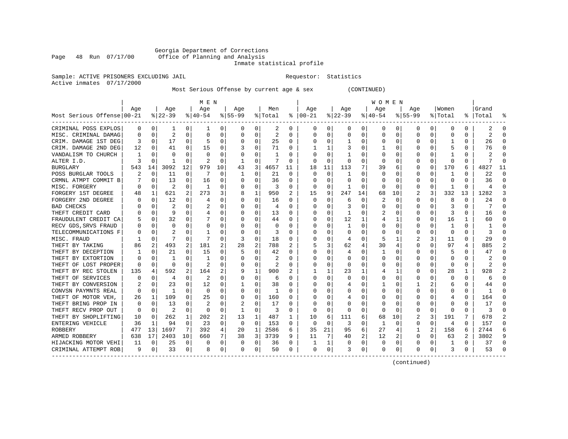# Georgia Department of Corrections<br>Page 48 Run 07/17/00 Office of Planning and Analysis Office of Planning and Analysis

# Inmate statistical profile

Sample: ACTIVE PRISONERS EXCLUDING JAIL **Requestor:** Statistics Active inmates 07/17/2000

Most Serious Offense by current age & sex (CONTINUED)

|                            |          |          |                |          | M E N          |          |           |                |                |          |              |          |             |              | W O M E N    |          |              |          |          |          |                |    |
|----------------------------|----------|----------|----------------|----------|----------------|----------|-----------|----------------|----------------|----------|--------------|----------|-------------|--------------|--------------|----------|--------------|----------|----------|----------|----------------|----|
|                            | Age      |          | Age            |          | Age            |          | Age       |                | Men            |          | Age          |          | Age         |              | Age          |          | Aqe          |          | Women    |          | Grand          |    |
| Most Serious Offense 00-21 |          |          | $8 22-39$      |          | $8 40-54$      |          | $8 55-99$ |                | % Total        | ႜ        | $ 00-21$     |          | $8$   22-39 |              | $ 40-54$     |          | $8155 - 99$  |          | % Total  | ႜႜ       | Total          |    |
| CRIMINAL POSS EXPLOS       | 0        | 0        | 1              | $\Omega$ | 1              | 0        | 0         | 0              | 2              | 0        | 0            | 0        |             | $\mathbf{0}$ | 0            | 0        | 0            | 0        | 0        | $\Omega$ | 2              | 0  |
| MISC. CRIMINAL DAMAG       | U        | $\Omega$ | $\overline{2}$ | $\Omega$ | O              | 0        |           | $\Omega$       | $\overline{2}$ | U        | Ω            | U        | U           | $\Omega$     | 0            | 0        | 0            | 0        | $\Omega$ | $\Omega$ | 2              |    |
| CRIM. DAMAGE 1ST DEG       | 3        | $\Omega$ | 17             | $\Omega$ |                | 0        |           | $\Omega$       | 25             | $\Omega$ | 0            | 0        |             | 0            | 0            | $\Omega$ | 0            | 0        |          | $\Omega$ | 26             |    |
| CRIM. DAMAGE 2ND DEG       | 12       | $\Omega$ | 41             | $\Omega$ | 15             | 0        |           | 0              | 71             | U        |              | 1        | 3           | 0            |              | $\Omega$ |              | 0        |          | $\Omega$ | 76             |    |
| VANDALISM TO CHURCH        |          | $\cap$   | O              | $\Omega$ | C              | 0        |           | <sup>0</sup>   | 1              | U        |              | $\Omega$ |             | <sup>0</sup> | U            | O        |              | U        |          | 0        |                |    |
| ALTER I.D.                 |          | n        |                | $\Omega$ |                | 0        |           | 0              | 7              | U        |              | 0        |             | 0            | 0            | 0        |              | 0        | O        | ∩        | 7              |    |
| BURGLARY                   | 543      | 14       | 3092           | 12       | 979            | 10       | 43        | $\overline{3}$ | 4657           | 11       | 18           | 11       | 113         |              | 39           | 6        | 0            | 0        | 170      | 6        | 4827           | 11 |
| POSS BURGLAR TOOLS         | 2        | 0        | 11             | $\Omega$ | 7              | 0        |           | 0              | 21             | $\Omega$ | O            | 0        |             | 0            | 0            | 0        | 0            | 0        |          | 0        | 22             | ∩  |
| CRMNL ATMPT COMMIT B       |          | 0        | 13             | $\Omega$ | 16             | 0        |           | 0              | 36             | U        | $\Box$       | 0        |             | O            | 0            | 0        | 0            | 0        | O        | $\Omega$ | 36             | n  |
| MISC. FORGERY              |          | 0        | $\overline{2}$ | 0        | -1             | 0        |           | 0              | 3              | U        | O            | 0        |             | O            | 0            | O        | 0            | 0        |          | ∩        | 4              |    |
| FORGERY 1ST DEGREE         | 48       | 1        | 621            |          | 273            | 3        |           | 1              | 950            | 2        | 15           | 9        | 247         | 14           | 68           | 10       |              | 3        | 332      | 13       | 1282           |    |
| FORGERY 2ND DEGREE         |          | $\Omega$ | 12             | 0        |                | 0        |           | $\Omega$       | 16             | U        | 0            | U        | 6           | $\Omega$     | 2            | O        | <sup>0</sup> | 0        | 8        | $\Omega$ | 24             |    |
| <b>BAD CHECKS</b>          |          | $\cap$   | 2              | $\Omega$ |                | 0        |           | $\Omega$       | 4              | U        | 0            | 0        | 3           | O            | 0            | O        | 0            | U        |          | $\Omega$ |                |    |
| THEFT CREDIT CARD          |          | $\Omega$ | 9              | $\Omega$ |                | 0        |           | $\Omega$       | 13             | U        |              | 0        |             | 0            | 2            | 0        | 0            | 0        | 3        | $\Omega$ | 16             |    |
| FRAUDULENT CREDIT CA       |          | 0        | 32             |          |                | 0        |           | $\Omega$       | 44             | 0        |              | 0        | 12          | 1            |              | 1        |              | 0        | 16       | 1        | 60             |    |
| RECV GDS, SRVS FRAUD       |          | 0        | $\Omega$       |          |                | 0        |           | $\Omega$       | $\Omega$       | U        |              | 0        |             | 0            | 0            | $\Omega$ | 0            | 0        |          | $\Omega$ |                |    |
| TELECOMMUNICATIONS F       | 0        | $\Omega$ |                |          |                | 0        |           | $\Omega$       | 3              | U        |              | 0        | O           | 0            | 0            | $\Omega$ | 0            | 0        | $\Omega$ | $\Omega$ | 3              |    |
| MISC. FRAUD                |          | $\Omega$ |                | $\Omega$ |                | 0        | 3         | $\Omega$       | 18             | U        | O            | 0        | 4           | $\Omega$     | 5            | -1       | 2            | 3        | 11       | $\Omega$ | 29             |    |
| THEFT BY TAKING            | 86       | 2        | 493            | 2        | 181            | 2        | 28        | 2              | 788            | 2        | 5            | 3        | 62          | 4            | 30           |          | O            | O        | 97       | 4        | 885            |    |
| THEFT BY DECEPTION         |          | $\Omega$ | 21             |          | 15             | $\Omega$ | 5         | $\Omega$       | 42             | U        |              | O        | 4           | $\Omega$     | 1            | O        | C            | U        | 5        | $\Omega$ | 47             |    |
| THEFT BY EXTORTION         | U        | $\cap$   |                | ∩        | -1             | U        |           | $\Omega$       | 2              | U        | U            | U        |             | <sup>0</sup> | O            | U        | O            | U        | $\Omega$ | ∩        | $\mathcal{D}$  |    |
| THEFT OF LOST PROPER       | O        | $\Omega$ | $\Omega$       | $\Omega$ | $\overline{c}$ | 0        |           | $\Omega$       | 2              | U        | O            | $\Omega$ | $\Omega$    | $\Omega$     | U            | O        | $\left($     | $\Omega$ | $\Omega$ | $\Omega$ | $\overline{a}$ |    |
| THEFT BY REC STOLEN        | 135      | 4        | 592            | 2        | 164            | 2        |           | 1              | 900            | 2        |              | 1        | 23          | 1            |              | 1        | O            | 0        | 28       | 1        | 928            |    |
| THEFT OF SERVICES          |          | 0        | 4              | 0        | 2              | 0        |           | $\mathbf 0$    | 6              | U        |              | 0        |             | 0            | 0            | 0        | C            | 0        |          | 0        | 6              |    |
| THEFT BY CONVERSION        |          | $\Omega$ | 23             | $\Omega$ | 12             | 0        |           | $\Omega$       | 38             | U        |              | 0        |             | 0            |              | O        |              | 2        | 6        | $\Omega$ | 44             |    |
| CONVSN PAYMNTS REAL        | O        | 0        | -1             | 0        | 0              | 0        |           | 0              | 1              | U        |              | 0        |             | 0            | 0            | O        | O            | 0        | O        | 0        | 1              |    |
| THEFT OF MOTOR VEH,        | 26       | 1        | 109            | 0        | 25             | 0        |           | 0              | 160            | U        |              | U        |             | O            | O            | O        | O            | 0        |          | 0        | 164            |    |
| THEFT BRING PROP IN        | 0        | 0        | 13             |          | 2              | 0        |           | $\Omega$       | 17             |          |              | 0        |             |              | 0            |          |              | 0        | 0        | 0        | 17             |    |
| THEFT RECV PROP OUT        | $\Omega$ | $\Omega$ |                | $\Omega$ | $\Omega$       | 0        |           | $\Omega$       | 3              | U        | O            | 0        |             | 0            | U            | U        | C            | 0        | ∩        | $\Omega$ | 3              |    |
| THEFT BY SHOPLIFTING       | 10       | $\Omega$ | 262            | 1        | 202            | 2        | 13        | 1              | 487            | 1        | 10           | 6        | 111         | 6            | 68           | 10       |              | 3        | 191      | 7        | 678            |    |
| ENTERING VEHICLE           | 36       | -1       | 94             | $\Omega$ | 23             | $\Omega$ | $\Omega$  | $\Omega$       | 153            | U        | $\Omega$     | $\Omega$ | ζ           | $\Omega$     | $\mathbf{1}$ | $\Omega$ | <sup>0</sup> | 0        | 4        | $\Omega$ | 157            |    |
| ROBBERY                    | 477      | 13       | 1697           | 7        | 392            | 4        | 20        | 1              | 2586           | б        | 35           | 21       | 95          | 6            | 27           | 4        | 1            | 2        | 158      | 6        | 2744           |    |
| ARMED ROBBERY              | 638      | 17       | 2403           | 10       | 660            | 7        | 38        | 3              | 3739           | 9        | 11           | 7        | 40          | 2            | 12           |          | 0            | $\Omega$ | 63       | 2        | 3802           |    |
| HIJACKING MOTOR VEHI       | 11       | 0        | 25             | 0        | C              | 0        | O         | 0              | 36             | 0        |              | 1        |             | 0            | 0            | O        | 0            | 0        |          | $\Omega$ | 37             |    |
| CRIMINAL ATTEMPT ROB       | 9        | 0        | 33             | 0        | 8              | 0        | $\Omega$  | 0              | 50             | 0        | <sup>0</sup> | 0        | 3           | $\mathbf{0}$ | 0            | 0        | $\Omega$     | 0        | 3        | 0        | 53             |    |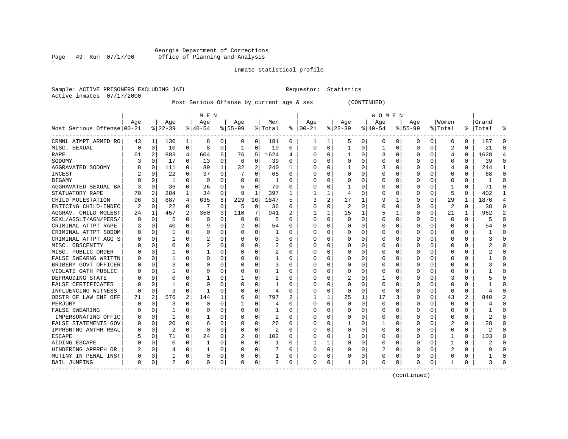Georgia Department of Corrections Page 49 Run 07/17/00 Office of Planning and Analysis

# Inmate statistical profile

Sample: ACTIVE PRISONERS EXCLUDING JAIL **Requestor:** Statistics Active inmates 07/17/2000

Most Serious Offense by current age & sex (CONTINUED)

|                            |          |                |          |                | M E N        |   |           |                |         |          |          |          |                |          | <b>WOMEN</b> |          |              |          |                |          |           |              |
|----------------------------|----------|----------------|----------|----------------|--------------|---|-----------|----------------|---------|----------|----------|----------|----------------|----------|--------------|----------|--------------|----------|----------------|----------|-----------|--------------|
|                            | Age      |                | Age      |                | Age          |   | Age       |                | Men     |          | Age      |          | Age            |          | Age          |          | Aqe          |          | Women          |          | Grand     |              |
| Most Serious Offense 00-21 |          |                | $ 22-39$ |                | $ 40-54$     |   | $8 55-99$ |                | % Total | ႜ        | $ 00-21$ |          | $ 22-39$       |          | $ 40-54$     |          | $8155 - 99$  |          | % Total        |          | %   Total |              |
| CRMNL ATMPT ARMED RO       | 43       | 1              | 130      | 1              | 8            | 0 | 0         | 0              | 181     | 0        | ı        | 1        | 5              | 0        | 0            | 0        | 0            | 0        | 6              | 0        | 187       | C            |
| MISC. SEXUAL               | $\Omega$ | 0              | 10       | 0              | 8            | 0 | 1         | 0              | 19      | 0        | $\Omega$ | 0        | 1              | 0        | 1            | $\Omega$ | <sup>0</sup> | $\Omega$ | $\overline{2}$ | $\Omega$ | 21        | ∩            |
| RAPE                       | 61       | 2              | 883      | 4              | 604          | 6 | 76        | 5              | 1624    | 4        | 0        | 0        |                | $\Omega$ | 3            | $\Omega$ | O            | $\Omega$ | 4              | 0        | 1628      |              |
| SODOMY                     |          | 0              | 17       | 0              | 13           | 0 | 6         | $\mathbf 0$    | 39      | 0        | 0        | 0        | $\Omega$       | 0        | 0            | $\Omega$ |              | $\Omega$ | O              | $\Omega$ | 39        | <sup>0</sup> |
| AGGRAVATED SODOMY          |          | 0              | 111      | 0              | 89           | 1 | 32        | $\overline{2}$ | 240     | 1        |          | 0        |                | $\Omega$ | 3            | $\Omega$ |              | 0        | 4              | 0        | 244       |              |
| <b>INCEST</b>              |          | 0              | 22       | $\Omega$       | 37           | 0 |           | $\Omega$       | 68      | 0        | C        | 0        | $\Omega$       | $\Omega$ | Ω            | C        |              | O        | 0              | 0        | 68        | $\Omega$     |
| <b>BIGAMY</b>              |          | 0              | 1        | 0              | 0            | 0 | O         | 0              | 1       | 0        | n        | 0        | O              | 0        | 0            | C        | O            | O        | 0              | 0        |           | $\Omega$     |
| AGGRAVATED SEXUAL BA       | 3        | 0              | 36       | 0              | 26           | 0 |           | 0              | 70      | 0        | 0        | 0        |                | 0        | 0            | C        | 0            | 0        |                | 0        | 71        | $\Omega$     |
| STATUATORY RAPE            | 70       | $\overline{2}$ | 284      | 1              | 34           | 0 | 9         | 1              | 397     | 1        |          | 1        | 4              | $\Omega$ | 0            | C        |              | O        | 5              | 0        | 402       |              |
| CHILD MOLESTATION          | 96       | 3              | 887      | 4              | 635          | 6 | 229       | 16             | 1847    | 5        |          | 2        | 17             | 1        | 9            |          |              | O        | 29             | 1        | 1876      | 4            |
| ENTICING CHILD-INDEC       | 2        | 0              | 22       | 0              |              | 0 | .5        | $\mathbf 0$    | 36      | 0        | 0        | 0        | $\overline{2}$ | $\Omega$ | U            | C        | <sup>0</sup> | O        | $\overline{a}$ | 0        | 38        | ∩            |
| AGGRAV. CHILD MOLEST       | 24       | 1              | 457      | $\overline{a}$ | 350          | 3 | 110       | 7              | 941     | 2        | 1        | 1        | 15             | 1        | 5            |          | O            | $\Omega$ | 21             | 1        | 962       |              |
| SEXL/ASSLT/AGN/PERS/       | $\Omega$ | $\mathbf 0$    | 5        | 0              | 0            | 0 | 0         | 0              | 5       | $\Omega$ | 0        | $\Omega$ | $\Omega$       | 0        | U            | $\Omega$ |              | $\Omega$ | O              | 0        | 5         | ſ            |
| CRIMINAL ATTPT RAPE        | 3        | 0              | 40       | $\Omega$       | 9            | 0 |           | 0              | 54      | O        | C        | 0        | $\Omega$       | $\Omega$ | Ω            | C        | <sup>0</sup> | $\Omega$ | 0              | 0        | 54        | $\Omega$     |
| CRIMINAL ATTPT SODOM       | 0        | 0              | 1        | 0              | 0            | 0 |           | 0              | 1       | 0        | O        | 0        | 0              | $\Omega$ | 0            | C        | <sup>0</sup> | 0        | O              | 0        |           | ∩            |
| CRIMINAL ATTPT AGG S       | O        | 0              | 1        | 0              | 2            | 0 |           | 0              | 3       | 0        | O        | 0        | 0              | 0        | 0            | 0        | O            | O        | O              | 0        | 3         | ∩            |
| MISC. OBSCENITY            |          | 0              | 0        | 0              | 2            | 0 |           | 0              | 2       | 0        | 0        | 0        | 0              | $\Omega$ | 0            | 0        | O            | 0        | O              | 0        |           | O            |
| MISC. PUBLIC ORDER         |          | 0              |          | O              |              | 0 |           | $\Omega$       | 2       | 0        | C        | 0        | 0              | $\Omega$ | 0            | C        |              |          | C              | 0        |           |              |
| FALSE SWEARNG WRITTN       |          | $\Omega$       | 1        | U              | 0            | 0 |           | $\Omega$       | 1       | O        | C        | U        | $\Omega$       | $\Omega$ | 0            | C        |              | U        | U              | U        |           |              |
| BRIBERY GOVT OFFICER       |          | $\Omega$       | 3        | U              | 0            | 0 |           | $\Omega$       | 3       | 0        | 0        | 0        | O              | $\Omega$ | O            | C        |              | U        | O              | 0        |           |              |
| VIOLATE OATH PUBLIC        |          | $\mathbf 0$    |          | 0              | 0            | 0 |           | 0              |         | 0        | 0        | 0        | 0              | 0        | O            | $\Omega$ |              | 0        | O              | 0        |           | ſ            |
| DEFRAUDING STATE           |          | 0              | 0        | O              |              | 0 |           | 0              | 2       | 0        | C        | 0        |                | 0        |              | $\Omega$ |              | O        | 3              | 0        |           | ſ            |
| FALSE CERTIFICATES         |          | $\mathbf 0$    |          | O              | 0            | 0 |           | 0              |         | 0        |          | 0        | $\Omega$       | $\Omega$ | C            | C        |              | O        | C              | 0        |           | ſ            |
| INFLUENCING WITNESS        | $\Omega$ | $\mathbf 0$    | 3        | 0              | -1           | 0 |           | 0              | 4       | O        | C        | 0        | 0              | $\Omega$ | 0            | C        | O            | O        | $\Omega$       | 0        |           | ſ            |
| OBSTR OF LAW ENF OFF       | 71       | 2              | 576      | 2              | 144          | 1 | 6         | 0              | 797     | 2        |          |          | 25             | 1        | 17           | 3        | 0            | 0        | 43             | 2        | 840       |              |
| PERJURY                    | O        | 0              | 3        | 0              | 0            | 0 |           | 0              | 4       | 0        | 0        | 0        | 0              | $\Omega$ | 0            | C        |              | 0        | 0              | 0        |           | O            |
| FALSE SWEARING             |          | 0              |          | 0              | 0            | 0 |           | $\Omega$       |         | U        | C        | 0        | 0              | $\Omega$ | C            | C        |              |          | O              | 0        |           |              |
| IMPERSONATING OFFIC        |          | $\Omega$       | 1        | U              |              | 0 |           | $\Omega$       | 2       | U        | C        | U        | $\Omega$       | $\Omega$ | 0            | C        |              | U        | O              | U        | 2         |              |
| FALSE STATEMENTS GOV       | 0        | 0              | 20       | 0              | 6            | 0 |           | $\Omega$       | 26      | 0        | O        | 0        |                | $\Omega$ |              | C        |              | O        | 2              | 0        | 28        |              |
| IMPRSNTNG ANTHR RBAL       |          | 0              | 2        | $\Omega$       | $\Omega$     | 0 | 0         | $\mathbf 0$    | 2       | 0        | 0        | 0        | $\Omega$       | 0        | 0            | 0        |              | $\Omega$ | O              | 0        | 2         |              |
| <b>ESCAPE</b>              |          | $\mathbf 0$    | 71       | 0              | 24           | 0 | 2         | $\mathbf 0$    | 102     | 0        |          | 0        |                | $\Omega$ | 0            | $\Omega$ |              | 0        |                | 0        | 103       | ſ            |
| AIDING ESCAPE              |          | $\mathbf 0$    | 0        | 0              | $\mathbf{1}$ | 0 |           | 0              | 1       | O        |          | 1        | $\Omega$       | $\Omega$ | 0            | 0        | <sup>0</sup> | 0        | -1             | 0        | 2         | ſ            |
| HINDERING APPREH OR        |          | $\Omega$       | 4        | 0              |              | 0 |           | $\Omega$       | 7       | O        | C        | $\Omega$ | $\Omega$       | $\Omega$ | 2            | C        | <sup>0</sup> | 0        | 2              | 0        |           | <sup>0</sup> |
| MUTINY IN PENAL INST       | 0        | 0              | 1        | 0              | 0            | 0 |           | 0              |         | 0        | 0        | 0        | 0              | 0        | 0            | $\Omega$ |              | 0        | O              | 0        |           | ∩            |
| BAIL JUMPING               | $\Omega$ | 0              | 2        | 0              | 0            | 0 | $\Omega$  | 0              | 2       | 0        | $\Omega$ | 0        |                | 0        | 0            | 0        | <sup>0</sup> | 0        |                | 0        | 3         | ſ            |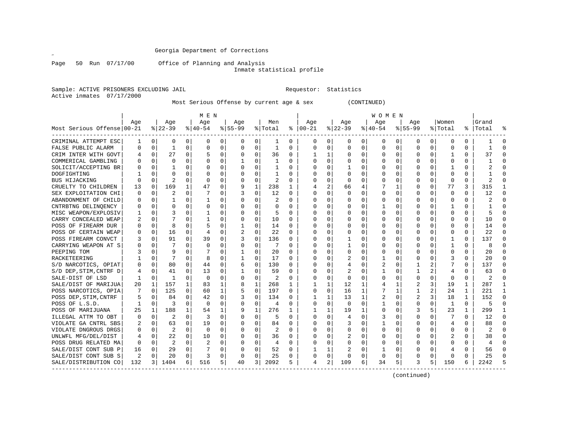Page 50 Run 07/17/00 Office of Planning and Analysis

Inmate statistical profile

Sample: ACTIVE PRISONERS EXCLUDING JAIL **Requestor:** Statistics Active inmates 07/17/2000

Most Serious Offense by current age & sex (CONTINUED)

|                            | M E N    |             |                |              |                |          |          |             |                |          |               |              |              |             | <b>WOMEN</b> |             |                |          |                |              |                |              |
|----------------------------|----------|-------------|----------------|--------------|----------------|----------|----------|-------------|----------------|----------|---------------|--------------|--------------|-------------|--------------|-------------|----------------|----------|----------------|--------------|----------------|--------------|
|                            | Age      |             | Age            |              | Age            |          | Age      |             | Men            |          | Age           |              | Age          |             | Aqe          |             | Age            |          | Women          |              | Grand          |              |
| Most Serious Offense 00-21 |          |             | $8 22-39$      |              | $8 40-54$      |          | $ 55-99$ |             | % Total        |          | $8   00 - 21$ |              | $ 22-39$     |             | $ 40-54 $    |             | $8155 - 99$    |          | % Total        |              | %   Total      | န္           |
| CRIMINAL ATTEMPT ESC       | 1        | 0           | 0              | $\Omega$     | 0              | 0        | 0        | 0           | 1              | 0        | $\Omega$      | $\mathbf{0}$ | 0            | 0           | 0            | 0           | 0              | $\Omega$ | 0              | 0            |                | $\Omega$     |
| FALSE PUBLIC ALARM         | $\Omega$ | 0           | 1              | 0            | $\mathbf 0$    | 0        | 0        | 0           | $\mathbf{1}$   | $\Omega$ | $\Omega$      | 0            | $\Omega$     | 0           | $\Omega$     | 0           | $\Omega$       | $\Omega$ | 0              | 0            |                | $\cap$       |
| CRIM INTER WITH GOVT       |          | $\Omega$    | 27             | $\Omega$     |                | $\Omega$ | $\Omega$ | $\Omega$    | 36             | 0        | $\mathbf{1}$  | $\mathbf{1}$ | $\Omega$     | $\Omega$    | $\Omega$     | $\Omega$    | $\Omega$       | $\Omega$ | $\mathbf{1}$   | $\Omega$     | 37             | $\cap$       |
| COMMERICAL GAMBLING        |          | $\Omega$    | $\Omega$       | 0            | $\Omega$       | $\Omega$ |          | $\Omega$    | $\mathbf{1}$   | $\Omega$ | $\Omega$      | $\Omega$     | $\Omega$     | $\Omega$    | $\Omega$     | $\Omega$    | $\Omega$       | $\Omega$ | $\Omega$       | $\Omega$     |                |              |
| SOLICIT/ACCEPTING BR       |          | $\Omega$    | 1              | 0            | $\Omega$       | $\Omega$ | O        | $\Omega$    | 1              | $\Omega$ | 0             | $\Omega$     | 1            | 0           |              | $\Omega$    | 0              | $\Omega$ | -1             | 0            |                |              |
| DOGFIGHTING                |          | $\Omega$    | $\Omega$       | U            | $\Omega$       | 0        |          | $\Omega$    | 1              | 0        |               | $\Omega$     | $\Omega$     | 0           |              | 0           | 0              | 0        | $\Omega$       | 0            |                |              |
| BUS HIJACKING              |          | $\Omega$    | $\overline{c}$ | U            | $\Omega$       | $\Omega$ | O        | 0           | 2              | $\Omega$ | <sup>0</sup>  | $\Omega$     | $\Omega$     | 0           |              | 0           | 0              | 0        | $\Omega$       | 0            |                | $\cap$       |
| CRUELTY TO CHILDREN        | 13       | $\Omega$    | 169            | $\mathbf{1}$ | 47             | $\Omega$ | 9        | 1           | 238            | 1        |               | 2            | 66           | 4           |              | 1           | U              | $\Omega$ | 77             | 3            | 315            | -1           |
| SEX EXPLOITATION CHI       | $\Omega$ | 0           | 2              | $\Omega$     | 7              | 0        |          | 0           | 12             | $\Omega$ | $\Omega$      | $\Omega$     | $\Omega$     | $\Omega$    | $\Omega$     | 0           | U              | $\Omega$ | $\Omega$       | $\Omega$     | 12             | ∩            |
| ABANDONMENT OF CHILD       | O        | 0           | 1              | 0            | -1             | $\Omega$ | O        | $\Omega$    | 2              | $\Omega$ | <sup>0</sup>  | $\Omega$     | $\Omega$     | O           | $\Omega$     | 0           | U              | $\Omega$ | $\Omega$       | $\Omega$     | 2              |              |
| CNTRBTNG DELINOENCY        |          | $\mathbf 0$ | $\Omega$       | O            | $\Omega$       | 0        | O        | $\Omega$    | $\Omega$       | $\Omega$ |               | 0            | $\Omega$     | O           |              | $\mathbf 0$ | U              | O        |                | O            |                |              |
| MISC WEAPON/EXPLOSIV       |          | $\Omega$    |                | U            |                | $\Omega$ | O        | $\Omega$    | 5              | $\Omega$ | $\cap$        | 0            | $\Omega$     | O           | $\Omega$     | $\Omega$    | U              | $\Omega$ | $\Omega$       | $\Omega$     |                |              |
| CARRY CONCEALED WEAP       |          | $\Omega$    |                | 0            | 1              | 0        | 0        | $\Omega$    | 10             | $\Omega$ |               | $\Omega$     | $\Omega$     | 0           | $\Omega$     | $\Omega$    | 0              | 0        | $\Omega$       | 0            | 10             | $\cap$       |
| POSS OF FIREARM DUR        |          | 0           | 8              | 0            | 5              | $\Omega$ |          | $\Omega$    | 14             | $\Omega$ | 0             | $\Omega$     | $\Omega$     | 0           | O            | 0           | 0              | $\Omega$ | $\Omega$       | 0            | 14             |              |
| POSS OF CERTAIN WEAP       |          | 0           | 16             | $\Omega$     | 4              | 0        |          | 0           | 22             | $\Omega$ |               | $\Omega$     | $\Omega$     | 0           |              | 0           | 0              | 0        | 0              | $\Omega$     | 22             | $\cap$       |
| POSS FIREARM CONVCT        | 3        | $\mathbf 0$ | 91             | $\Omega$     | 39             | $\Omega$ |          | $\Omega$    | 136            | $\Omega$ | $\Omega$      | $\Omega$     | $\mathbf{1}$ | O           |              | $\mathbf 0$ | U              | $\Omega$ | $\mathbf{1}$   | $\Omega$     | 137            | $\Omega$     |
| CARRYING WEAPON AT S       | $\Omega$ | $\mathbf 0$ | 7              | 0            | $\Omega$       | $\Omega$ | O        | $\Omega$    | 7              | $\Omega$ | $\cap$        | $\Omega$     | -1           | O           | U            | 0           | U              | $\Omega$ | -1             | $\Omega$     | 8              | $\cap$       |
| PEEPING TOM                |          | $\Omega$    | 9              | 0            |                | $\Omega$ | 1        | 0           | 20             | $\Omega$ | <sup>0</sup>  | 0            | $\Omega$     | O           | $\Omega$     | 0           | U              | $\Omega$ | $\Omega$       | $\Omega$     | 2.0            | ∩            |
| RACKETEERING               |          | $\mathbf 0$ |                | U            | ρ              | 0        | 1        | $\Omega$    | 17             | O        |               | $\Omega$     | 2            | O           |              | $\mathbf 0$ | U              | O        | 3              | O            | 2.0            |              |
| S/D NARCOTICS, OPIAT       |          | $\Omega$    | 80             | O            | 44             | $\Omega$ | 6        | $\Omega$    | 130            | O        | $\Omega$      | $\Omega$     | 4            | O           |              | $\Omega$    |                |          |                | $\Omega$     | 137            | $\Omega$     |
| S/D DEP, STIM, CNTRF D     | 4        | $\Omega$    | 41             | $\Omega$     | 13             | $\Omega$ | 1        | $\Omega$    | 59             | $\Omega$ | <sup>0</sup>  | $\Omega$     | 2            | 0           |              | $\Omega$    | 1              | 2        | $\overline{4}$ | 0            | 63             |              |
| SALE-DIST OF LSD           | -1       | 0           | $\mathbf{1}$   | $\Omega$     | $\Omega$       | 0        | O        | 0           | 2              | $\Omega$ | <sup>0</sup>  | $\Omega$     | $\Omega$     | 0           | $\Omega$     | 0           | O              | $\Omega$ | $\Omega$       | $\Omega$     | 2              |              |
| SALE/DIST OF MARIJUA       | 20       | 1           | 157            | $\mathbf{1}$ | 83             | 1        | 8        | 1           | 268            | 1        |               | 1            | 12           | 1           |              | 1           | 2              | 3        | 19             | 1            | 287            |              |
| POSS NARCOTICS, OPIA       |          | 0           | 125            | 0            | 60             | 1        |          | $\mathbf 0$ | 197            | $\Omega$ | $\Omega$      | $\Omega$     | 16           | $\mathbf 1$ |              | 1           | 1              | 2        | 24             | $\mathbf{1}$ | 221            | $\mathbf{1}$ |
| POSS DEP, STIM, CNTRF      | 5        | $\mathbf 0$ | 84             | 0            | 42             | $\Omega$ |          | $\Omega$    | 134            | $\Omega$ | -1            | $\mathbf{1}$ | 13           | 1           | 2            | $\Omega$    | $\overline{2}$ | 3        | 18             | $\mathbf{1}$ | 152            | $\Omega$     |
| POSS OF L.S.D.             |          | 0           | 3              | $\Omega$     | $\Omega$       | 0        | $\Omega$ | 0           | $\overline{4}$ | $\Omega$ | $\Omega$      | $\Omega$     | $\Omega$     | $\Omega$    |              | 0           | 0              | $\Omega$ | 1              | $\Omega$     | 5              | $\Omega$     |
| POSS OF MARIJUANA          | 25       | 1           | 188            | $\mathbf{1}$ | 54             | 1        | 9        | 1           | 276            | 1        | -1            |              | 19           | 1           | $\Omega$     | 0           | 3              | 5        | 23             | 1            | 299            | $\mathbf{1}$ |
| ILLEGAL ATTM TO OBT        | 0        | 0           | 2              | 0            | 3              | 0        | O        | 0           | 5              | O        | <sup>0</sup>  | 0            | 4            | 0           | 3            | 0           | 0              |          |                | O            | 12             | $\Omega$     |
| VIOLATE GA CNTRL SBS       |          | $\mathbf 0$ | 63             | 0            | 19             | 0        | O        | $\Omega$    | 84             | $\Omega$ | $\Omega$      | $\Omega$     | 3            | O           |              | 0           | $\Omega$       | U        | 4              | $\Omega$     | 88             | $\Omega$     |
| VIOLATE DNGROUS DRGS       |          | 0           | 2              | 0            | $\Omega$       | $\Omega$ | O        | $\Omega$    | 2              | $\Omega$ | $\Omega$      | 0            | $\Omega$     | U           | $\Omega$     | $\Omega$    | U              | 0        | $\Omega$       | $\Omega$     | $\mathfrak{D}$ |              |
| UNLWFL MFG/DEL/DIST        | 4        | 0           | 22             | $\Omega$     | 10             | 0        | O        | $\Omega$    | 36             | $\Omega$ | <sup>0</sup>  | $\Omega$     |              | 0           |              | 0           | U              | $\Omega$ | 2              | 0            | 38             |              |
| POSS DRUG RELATED MA       | $\Omega$ | $\mathbf 0$ | 2              | $\Omega$     | $\overline{2}$ | 0        |          | 0           | 4              | 0        |               | 0            | $\Omega$     | 0           |              | 0           | U              | $\Omega$ | $\Omega$       | $\Omega$     |                |              |
| SALE/DIST CONT SUB P       | 16       | 0           | 29             | 0            |                | 0        |          | $\mathbf 0$ | 52             | 0        |               | $\mathbf{1}$ | 2            | 0           |              | 0           | 0              | $\Omega$ | 4              | N            | 56             |              |
| SALE/DIST CONT SUB S       | 2        | $\mathbf 0$ | 20             | $\Omega$     | 3              | $\Omega$ | $\Omega$ | $\mathbf 0$ | 25             | $\Omega$ | $\cap$        | 0            | $\Omega$     | $\Omega$    | $\Omega$     | 0           | U              | $\Omega$ | $\Omega$       | $\Omega$     | 25             | $\cap$       |
| SALE/DISTRIBUTION CO       | 132      | 3           | 1404           | 6            | 516            | 5        | 40       | 3           | 2092           | 5        | 4             | 2            | 109          | 6           | 34           | 5           | ζ              | 5        | 150            | 6            | 2242           |              |

(continued)

 $\mathscr{L}$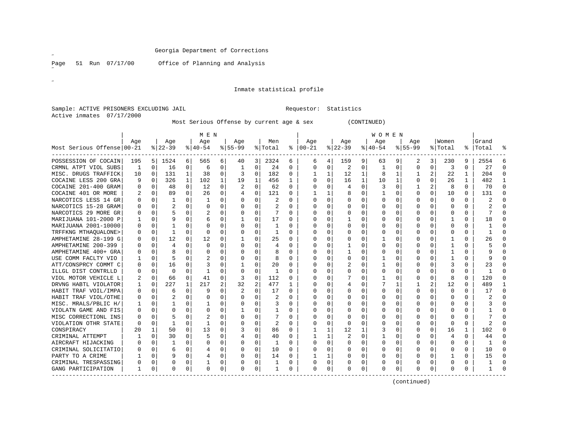Page 51 Run 07/17/00 Office of Planning and Analysis

 $\mathscr{L}$ 

 $\mathscr{B}^{\pm}$ 

# Inmate statistical profile

Sample: ACTIVE PRISONERS EXCLUDING JAIL **Requestor:** Statistics Active inmates 07/17/2000

Most Serious Offense by current age & sex (CONTINUED)

|                              |          |   |           |          | M E N    |          |           |                |         |              |               |              |          |    | W O M E N    |             |           |          |                |          |              |                |
|------------------------------|----------|---|-----------|----------|----------|----------|-----------|----------------|---------|--------------|---------------|--------------|----------|----|--------------|-------------|-----------|----------|----------------|----------|--------------|----------------|
|                              | Age      |   | Age       |          | Age      |          | Age       |                | Men     |              | Age           |              | Age      |    | Age          |             | Age       |          | Women          |          | Grand        |                |
| Most Serious Offense   00-21 |          |   | $8 22-39$ |          | $ 40-54$ |          | $8 55-99$ |                | % Total |              | $8   00 - 21$ |              | $ 22-39$ |    | $ 40-54$     |             | $8 55-99$ |          | % Total        |          | %   Total    |                |
| POSSESSION OF COCAIN         | 195      | 5 | 1524      | 6        | 565      | 6        | 40        | 3              | 2324    | 6            | 6             | 4            | 159      | 9. | 63           | 9           | 2         | 3        | 230            | 9        | 2554         | 6              |
| CRMNL ATPT VIOL SUBS         | 1        | 0 | 16        | 0        | 6        | 0        | 1         | $\Omega$       | 24      | 0            | $\Omega$      | 0            | 2        | 0  | 1            | 0           | 0         | 0        | 3              | $\Omega$ | 27           | $\Omega$       |
| MISC. DRUGS TRAFFICK         | 10       | 0 | 131       | 1        | 38       | 0        | 3         | $\Omega$       | 182     | 0            |               | 1            | 12       | 1  | 8            | 1           |           | 2        | 22             | 1        | 204          | $\Omega$       |
| COCAINE LESS 200 GRA         | 9        | U | 326       | 1        | 102      | 1        | 19        | 1              | 456     | 1            | O             | 0            | 16       | 1  | 10           | 1           | U         | $\Omega$ | 26             | 1        | 482          | 1              |
| COCAINE 201-400 GRAM         | U        | O | 48        | 0        | 12       | 0        |           | $\Omega$       | 62      | $\Omega$     | O             | 0            | 4        | 0  | 3            | O           |           | 2        | 8              | $\Omega$ | 70           | $\Omega$       |
| COCAINE 401 OR MORE          |          | 0 | 89        | $\Omega$ | 26       | $\Omega$ |           | $\Omega$       | 121     | 0            |               | $\mathbf{1}$ | 8        | 0  |              | O           | U         | $\Omega$ | 10             | $\Omega$ | 131          | $\Omega$       |
| NARCOTICS LESS 14 GR         | 0        | 0 |           | $\Omega$ |          | 0        |           | $\Omega$       | 2       | 0            | $\Omega$      | $\Omega$     | O        | 0  |              | O           | U         | 0        | $\Omega$       | $\Omega$ |              | $\cap$         |
| NARCOTICS 15-28 GRAM         | U        | 0 |           | $\Omega$ | O        | $\Omega$ |           | $\Omega$       | 2       | 0            | O             | $\Omega$     | O        | 0  |              | O           | U         | 0        | $\Omega$       | $\Omega$ |              | $\Omega$       |
| NARCOTICS 29 MORE GR         | 0        | 0 | 5         | 0        |          | 0        |           | $\Omega$       | 7       | 0            | O             | $\Omega$     | $\Omega$ | 0  |              | O           | U         | 0        | $\Omega$       | $\Omega$ |              | $\Omega$       |
| MARIJUANA 101-2000 P         | 1        | 0 | 9         | $\Omega$ | 6        | $\Omega$ |           | $\Omega$       | 17      | 0            | 0             | $\Omega$     |          | 0  |              | $\Omega$    |           | 0        |                | $\Omega$ | 18           | $\Omega$       |
| MARIJUANA 2001-10000         | 0        | U |           | 0        | O        | $\Omega$ |           | 0              | 1       | O            | 0             | $\mathbf 0$  | U        | 0  |              | 0           |           | 0        | $\Omega$       | O        |              | $\Omega$       |
| TRFFKNG MTHAOUALONE>         | 0        | 0 | 1         | $\Omega$ | O        | 0        |           | 0              |         | U            | 0             | 0            |          | 0  |              | 0           |           | U        | $\Omega$       | 0        |              | $\Omega$       |
| AMPHETAMINE 28-199 G         | 0        | 0 | 12        | $\Omega$ | 12       | 0        |           | $\Omega$       | 25      | 0            | 0             | $\mathbf 0$  | O        | 0  |              | 0           |           | 0        |                | 0        | 26           | $\Omega$       |
| AMPHETAMINE 200-399          | 0        | 0 | 4         | $\Omega$ | 0        | $\Omega$ |           | 0              | 4       | U            | 0             | 0            |          | 0  |              | 0           |           | 0        |                | O        |              | $\Omega$       |
| AMPHETAMINE 400+ GRA         | 0        | 0 |           | $\Omega$ |          | $\Omega$ |           | 0              | 8       | 0            |               | $\mathbf 0$  |          | 0  |              | $\mathbf 0$ |           | 0        |                | $\Omega$ | 9            | $\Omega$       |
| USE COMM FACLTY VIO          |          | 0 | 5         | $\Omega$ |          | 0        |           | 0              | 8       | U            |               | 0            | 0        | 0  |              | 0           | 0         | 0        |                | $\Omega$ | 9            | $\Omega$       |
| ATT/CONSPRCY COMMT C         | 0        | 0 | 16        | 0        |          | $\Omega$ |           | $\Omega$       | 20      | $\Omega$     |               | 0            | 2        | 0  |              | $\Omega$    | 0         | O        | 3              | $\Omega$ | 23           | $\Omega$       |
| ILLGL DIST CONTRLLD          | U        | 0 | $\Omega$  | $\Omega$ | -1       | 0        |           | $\mathbf 0$    | 1       | $\Omega$     | C             | 0            | U        | O  | Ω            | $\Omega$    | U         | 0        | $\Omega$       | $\Omega$ | $\mathbf{1}$ | $\Omega$       |
| VIOL MOTOR VEHICLE L         |          | 0 | 66        | 0        | 41       | $\Omega$ | 3         | $\mathbf 0$    | 112     | 0            |               | 0            |          | 0  |              | $\mathbf 0$ | 0         | $\Omega$ | 8              | $\Omega$ | 120          | $\Omega$       |
| DRVNG HABTL VIOLATOR         |          | 0 | 227       | 1        | 217      | 2        | 32        | $\overline{2}$ | 477     | $\mathbf{1}$ | O             | 0            | 4        | 0  |              | 1           |           | 2        | 12             | $\Omega$ | 489          | $\overline{1}$ |
| HABIT TRAF VOIL/IMPA         | 0        | 0 | 6         | $\Omega$ | 9        | 0        |           | 0              | 17      | $\Omega$     | O             | 0            | 0        | 0  | <sup>0</sup> | $\Omega$    | 0         | 0        | $\Omega$       | $\Omega$ | 17           | $\Omega$       |
| HABIT TRAF VIOL/OTHE         | 0        | 0 | 2         | 0        | 0        | 0        |           | $\Omega$       | 2       | U            | $\Omega$      | $\Omega$     | 0        | 0  |              | $\Omega$    | U         | 0        | $\Omega$       | $\Omega$ |              | $\Omega$       |
| MISC. MRALS/PBLIC H/         | -1       | 0 |           | 0        |          | 0        |           | 0              | 3       | 0            | O             | 0            | U        | 0  |              | $\Omega$    | U         | 0        | n              | 0        |              | $\Omega$       |
| VIOLATN GAME AND FIS         | 0        | 0 | O         | 0        | O        | 0        |           | 0              | -1      | 0            | C             | 0            | 0        | 0  | O            | 0           | U         | 0        | $\Omega$       | 0        |              | 0              |
| MISC CORRECTIONL INS         | 0        | 0 |           | 0        |          | 0        |           | 0              | 7       | 0            | O             | 0            | O        | 0  |              | 0           | Ω         | 0        | n              | 0        |              | $\Omega$       |
| VIOLATION OTHR STATE         | $\Omega$ | 0 | -1        | $\Omega$ | -1       | 0        |           | $\Omega$       | 2       | $\Omega$     | O             | 0            | 0        | 0  |              | $\Omega$    | U         | 0        | $\Omega$       | $\Omega$ | 2            | $\Omega$       |
| CONSPIRACY                   | 20       | 1 | 50        | 0        | 13       | 0        |           | 0              | 86      | 0            |               | 1            | 12       | 1  |              | 0           | U         | 0        | 16             | 1        | 102          | $\Omega$       |
| CRIMINAL ATTEMPT             |          | 0 | 30        | 0        | 5        | 0        |           | 0              | 40      | $\Omega$     |               | 1            | 2        | 0  |              | 0           | 0         | U        | $\overline{4}$ | $\Omega$ | 44           | $\Omega$       |
| AIRCRAFT HIJACKING           | U        | 0 | -1        | $\Omega$ | 0        | 0        |           | 0              | 1       | $\Omega$     | $\Omega$      | 0            | $\Omega$ | 0  |              | 0           | 0         | 0        | n              | 0        |              | $\Omega$       |
| CRIMINAL SOLICITATIO         | 0        | 0 | 6         | 0        |          | 0        |           | 0              | 10      | 0            | $\Omega$      | 0            | 0        | 0  |              | 0           | 0         | 0        | n              | $\Omega$ | 10           | $\Omega$       |
| PARTY TO A CRIME             |          | 0 | 9         | 0        | 4        | 0        |           | $\Omega$       | 14      | 0            |               | 1            | 0        | 0  |              | 0           | 0         | 0        |                | 0        | 15           | $\Omega$       |
| CRIMINAL TRESPASSING         | 0        | 0 | 0         | 0        |          | 0        |           | 0              |         | 0            | 0             | 0            |          | 0  |              | 0           |           | 0        | n              | 0        |              | $\Omega$       |
| GANG PARTICIPATION           | 1        | 0 | O         | 0        | 0        | 0        | O         | 0              |         | 0            | $\Omega$      | 0            |          | 0  |              | 0           | U         | 0        | $\Omega$       | 0        |              | ∩              |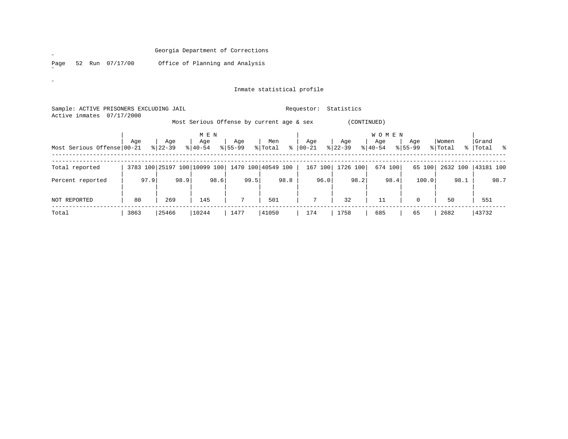Page 52 Run 07/17/00 Office of Planning and Analysis

 $\mathscr{L}$ 

 $\mathscr{B}^{\pm}$ 

# Inmate statistical profile

| Sample: ACTIVE PRISONERS EXCLUDING JAIL<br>Active inmates | 07/17/2000 |                  |                              |                    |                                           | Requestor:       | Statistics       |                                  |                    |                  |                           |
|-----------------------------------------------------------|------------|------------------|------------------------------|--------------------|-------------------------------------------|------------------|------------------|----------------------------------|--------------------|------------------|---------------------------|
|                                                           |            |                  |                              |                    | Most Serious Offense by current age & sex |                  | (CONTINUED)      |                                  |                    |                  |                           |
| Most Serious Offense 00-21                                | Age        | Age<br>$8 22-39$ | M E N<br>Age<br>$8 40-54$    | Age<br>$8155 - 99$ | Men<br>% Total<br>ွေ                      | Age<br>$ 00-21 $ | Age<br>$ 22-39 $ | <b>WOMEN</b><br>Age<br>$ 40-54 $ | Age<br>$8155 - 99$ | Women<br>% Total | Grand<br>%   Total<br>း ေ |
| Total reported                                            |            |                  | 3783 100 25197 100 10099 100 |                    | 1470 100 40549 100                        | 167 100          | 1726 100         | 674 100                          | 65 100             | 2632 100         | 43181 100                 |
| Percent reported                                          | 97.9       | 98.9             | 98.6                         | 99.5               | 98.8                                      | 96.0             | 98.2             | 98.4                             | 100.0              | 98.1             | 98.7                      |
| <b>NOT REPORTED</b>                                       | 80         | 269              | 145                          | 7                  | 501                                       | 7                | 32               | 11                               | $\Omega$           | 50               | 551                       |
| Total                                                     | 3863       | 25466            | 10244                        | 1477               | 41050                                     | 174              | 1758             | 685                              | 65                 | 2682             | 43732                     |